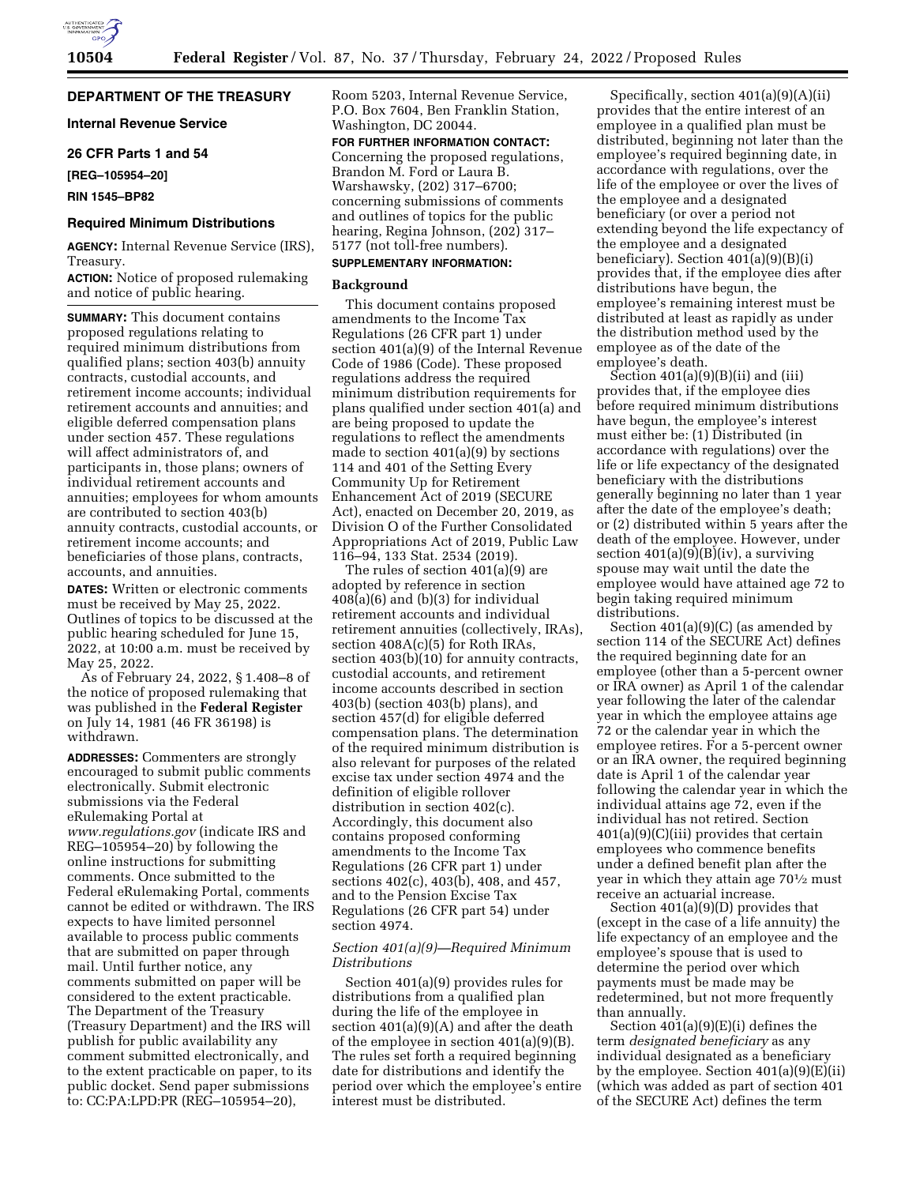

## **DEPARTMENT OF THE TREASURY**

**Internal Revenue Service** 

#### **26 CFR Parts 1 and 54**

**[REG–105954–20]** 

## **RIN 1545–BP82**

### **Required Minimum Distributions**

**AGENCY:** Internal Revenue Service (IRS), Treasury.

**ACTION:** Notice of proposed rulemaking and notice of public hearing.

**SUMMARY:** This document contains proposed regulations relating to required minimum distributions from qualified plans; section 403(b) annuity contracts, custodial accounts, and retirement income accounts; individual retirement accounts and annuities; and eligible deferred compensation plans under section 457. These regulations will affect administrators of, and participants in, those plans; owners of individual retirement accounts and annuities; employees for whom amounts are contributed to section 403(b) annuity contracts, custodial accounts, or retirement income accounts; and beneficiaries of those plans, contracts, accounts, and annuities.

**DATES:** Written or electronic comments must be received by May 25, 2022. Outlines of topics to be discussed at the public hearing scheduled for June 15, 2022, at 10:00 a.m. must be received by May 25, 2022.

As of February 24, 2022, § 1.408–8 of the notice of proposed rulemaking that was published in the **Federal Register**  on July 14, 1981 (46 FR 36198) is withdrawn.

**ADDRESSES:** Commenters are strongly encouraged to submit public comments electronically. Submit electronic submissions via the Federal eRulemaking Portal at *[www.regulations.gov](http://www.regulations.gov)* (indicate IRS and REG–105954–20) by following the online instructions for submitting comments. Once submitted to the Federal eRulemaking Portal, comments cannot be edited or withdrawn. The IRS expects to have limited personnel available to process public comments that are submitted on paper through mail. Until further notice, any comments submitted on paper will be considered to the extent practicable. The Department of the Treasury (Treasury Department) and the IRS will publish for public availability any comment submitted electronically, and to the extent practicable on paper, to its public docket. Send paper submissions to: CC:PA:LPD:PR (REG–105954–20),

Room 5203, Internal Revenue Service, P.O. Box 7604, Ben Franklin Station, Washington, DC 20044.

**FOR FURTHER INFORMATION CONTACT:**  Concerning the proposed regulations, Brandon M. Ford or Laura B. Warshawsky, (202) 317–6700; concerning submissions of comments and outlines of topics for the public hearing, Regina Johnson, (202) 317– 5177 (not toll-free numbers).

## **SUPPLEMENTARY INFORMATION:**

## **Background**

This document contains proposed amendments to the Income Tax Regulations (26 CFR part 1) under section 401(a)(9) of the Internal Revenue Code of 1986 (Code). These proposed regulations address the required minimum distribution requirements for plans qualified under section 401(a) and are being proposed to update the regulations to reflect the amendments made to section 401(a)(9) by sections 114 and 401 of the Setting Every Community Up for Retirement Enhancement Act of 2019 (SECURE Act), enacted on December 20, 2019, as Division O of the Further Consolidated Appropriations Act of 2019, Public Law 116–94, 133 Stat. 2534 (2019).

The rules of section 401(a)(9) are adopted by reference in section  $408(a)(6)$  and  $(b)(3)$  for individual retirement accounts and individual retirement annuities (collectively, IRAs), section  $408A(c)(5)$  for Roth IRAs, section 403(b)(10) for annuity contracts, custodial accounts, and retirement income accounts described in section 403(b) (section 403(b) plans), and section 457(d) for eligible deferred compensation plans. The determination of the required minimum distribution is also relevant for purposes of the related excise tax under section 4974 and the definition of eligible rollover distribution in section 402(c). Accordingly, this document also contains proposed conforming amendments to the Income Tax Regulations (26 CFR part 1) under sections 402(c), 403(b), 408, and 457, and to the Pension Excise Tax Regulations (26 CFR part 54) under section 4974.

## *Section 401(a)(9)—Required Minimum Distributions*

Section 401(a)(9) provides rules for distributions from a qualified plan during the life of the employee in section 401(a)(9)(A) and after the death of the employee in section 401(a)(9)(B). The rules set forth a required beginning date for distributions and identify the period over which the employee's entire interest must be distributed.

Specifically, section 401(a)(9)(A)(ii) provides that the entire interest of an employee in a qualified plan must be distributed, beginning not later than the employee's required beginning date, in accordance with regulations, over the life of the employee or over the lives of the employee and a designated beneficiary (or over a period not extending beyond the life expectancy of the employee and a designated beneficiary). Section 401(a)(9)(B)(i) provides that, if the employee dies after distributions have begun, the employee's remaining interest must be distributed at least as rapidly as under the distribution method used by the employee as of the date of the employee's death.

Section  $401(a)(9)(B)(ii)$  and (iii) provides that, if the employee dies before required minimum distributions have begun, the employee's interest must either be: (1) Distributed (in accordance with regulations) over the life or life expectancy of the designated beneficiary with the distributions generally beginning no later than 1 year after the date of the employee's death; or (2) distributed within 5 years after the death of the employee. However, under section  $401(a)(9)(B)(iv)$ , a surviving spouse may wait until the date the employee would have attained age 72 to begin taking required minimum distributions.

Section 401(a)(9)(C) (as amended by section 114 of the SECURE Act) defines the required beginning date for an employee (other than a 5-percent owner or IRA owner) as April 1 of the calendar year following the later of the calendar year in which the employee attains age 72 or the calendar year in which the employee retires. For a 5-percent owner or an IRA owner, the required beginning date is April 1 of the calendar year following the calendar year in which the individual attains age 72, even if the individual has not retired. Section 401(a)(9)(C)(iii) provides that certain employees who commence benefits under a defined benefit plan after the year in which they attain age 701⁄2 must receive an actuarial increase.

Section 401(a)(9)(D) provides that (except in the case of a life annuity) the life expectancy of an employee and the employee's spouse that is used to determine the period over which payments must be made may be redetermined, but not more frequently than annually.

Section  $401(a)(9)(E)(i)$  defines the term *designated beneficiary* as any individual designated as a beneficiary by the employee. Section 401(a)(9)(E)(ii) (which was added as part of section 401 of the SECURE Act) defines the term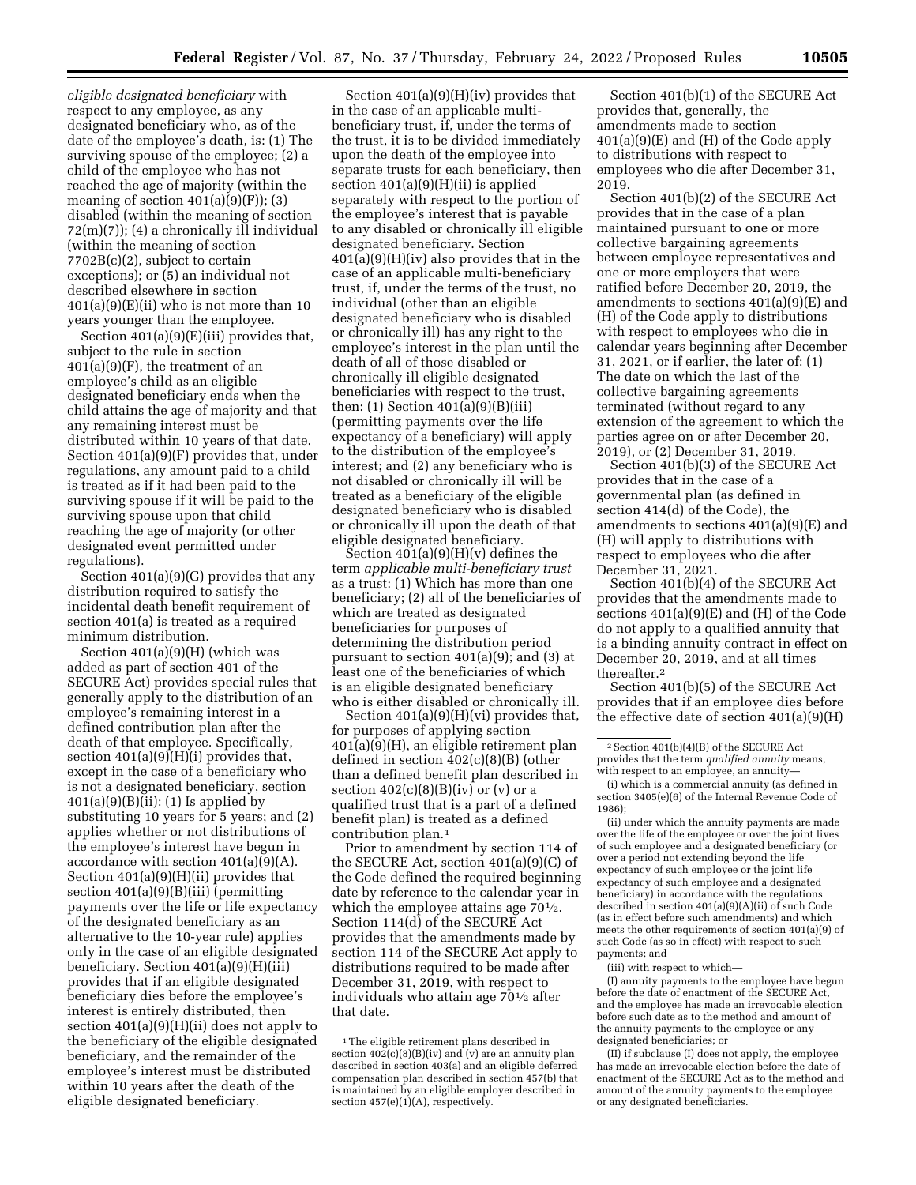*eligible designated beneficiary* with respect to any employee, as any designated beneficiary who, as of the date of the employee's death, is: (1) The surviving spouse of the employee; (2) a child of the employee who has not reached the age of majority (within the meaning of section  $401(a)(9)(F)$ ; (3) disabled (within the meaning of section 72(m)(7)); (4) a chronically ill individual (within the meaning of section 7702B(c)(2), subject to certain exceptions); or (5) an individual not described elsewhere in section  $401(a)(9)(E)(ii)$  who is not more than 10 years younger than the employee.

Section 401(a)(9)(E)(iii) provides that, subject to the rule in section  $401(a)(9)(F)$ , the treatment of an employee's child as an eligible designated beneficiary ends when the child attains the age of majority and that any remaining interest must be distributed within 10 years of that date. Section 401(a)(9)(F) provides that, under regulations, any amount paid to a child is treated as if it had been paid to the surviving spouse if it will be paid to the surviving spouse upon that child reaching the age of majority (or other designated event permitted under regulations).

Section 401(a)(9)(G) provides that any distribution required to satisfy the incidental death benefit requirement of section 401(a) is treated as a required minimum distribution.

Section 401(a)(9)(H) (which was added as part of section 401 of the SECURE Act) provides special rules that generally apply to the distribution of an employee's remaining interest in a defined contribution plan after the death of that employee. Specifically, section 401(a)(9)(H)(i) provides that, except in the case of a beneficiary who is not a designated beneficiary, section  $401(a)(9)(B)(ii)$ : (1) Is applied by substituting 10 years for 5 years; and (2) applies whether or not distributions of the employee's interest have begun in accordance with section  $401(a)(9)(A)$ . Section 401(a)(9)(H)(ii) provides that section 401(a)(9)(B)(iii) (permitting payments over the life or life expectancy of the designated beneficiary as an alternative to the 10-year rule) applies only in the case of an eligible designated beneficiary. Section 401(a)(9)(H)(iii) provides that if an eligible designated beneficiary dies before the employee's interest is entirely distributed, then section  $401(a)(9)(H)(ii)$  does not apply to the beneficiary of the eligible designated beneficiary, and the remainder of the employee's interest must be distributed within 10 years after the death of the eligible designated beneficiary.

Section 401(a)(9)(H)(iv) provides that in the case of an applicable multibeneficiary trust, if, under the terms of the trust, it is to be divided immediately upon the death of the employee into separate trusts for each beneficiary, then section 401(a)(9)(H)(ii) is applied separately with respect to the portion of the employee's interest that is payable to any disabled or chronically ill eligible designated beneficiary. Section 401(a)(9)(H)(iv) also provides that in the case of an applicable multi-beneficiary trust, if, under the terms of the trust, no individual (other than an eligible designated beneficiary who is disabled or chronically ill) has any right to the employee's interest in the plan until the death of all of those disabled or chronically ill eligible designated beneficiaries with respect to the trust, then:  $(1)$  Section  $401(a)(9)(B)(iii)$ (permitting payments over the life expectancy of a beneficiary) will apply to the distribution of the employee's interest; and (2) any beneficiary who is not disabled or chronically ill will be treated as a beneficiary of the eligible designated beneficiary who is disabled or chronically ill upon the death of that eligible designated beneficiary.

Section  $401(a)(9)(H)(v)$  defines the term *applicable multi-beneficiary trust*  as a trust: (1) Which has more than one beneficiary; (2) all of the beneficiaries of which are treated as designated beneficiaries for purposes of determining the distribution period pursuant to section 401(a)(9); and (3) at least one of the beneficiaries of which is an eligible designated beneficiary who is either disabled or chronically ill.

Section 401(a)(9)(H)(vi) provides that, for purposes of applying section 401(a)(9)(H), an eligible retirement plan defined in section 402(c)(8)(B) (other than a defined benefit plan described in section  $402(c)(8)(B)(iv)$  or  $(v)$  or a qualified trust that is a part of a defined benefit plan) is treated as a defined contribution plan.1

Prior to amendment by section 114 of the SECURE Act, section 401(a)(9)(C) of the Code defined the required beginning date by reference to the calendar year in which the employee attains age  $70\frac{1}{2}$ . Section 114(d) of the SECURE Act provides that the amendments made by section 114 of the SECURE Act apply to distributions required to be made after December 31, 2019, with respect to individuals who attain age 701⁄2 after that date.

Section 401(b)(1) of the SECURE Act provides that, generally, the amendments made to section 401(a)(9)(E) and (H) of the Code apply to distributions with respect to employees who die after December 31, 2019.

Section 401(b)(2) of the SECURE Act provides that in the case of a plan maintained pursuant to one or more collective bargaining agreements between employee representatives and one or more employers that were ratified before December 20, 2019, the amendments to sections 401(a)(9)(E) and (H) of the Code apply to distributions with respect to employees who die in calendar years beginning after December 31, 2021, or if earlier, the later of: (1) The date on which the last of the collective bargaining agreements terminated (without regard to any extension of the agreement to which the parties agree on or after December 20, 2019), or (2) December 31, 2019.

Section 401(b)(3) of the SECURE Act provides that in the case of a governmental plan (as defined in section 414(d) of the Code), the amendments to sections 401(a)(9)(E) and (H) will apply to distributions with respect to employees who die after December 31, 2021.

Section 401(b)(4) of the SECURE Act provides that the amendments made to sections 401(a)(9)(E) and (H) of the Code do not apply to a qualified annuity that is a binding annuity contract in effect on December 20, 2019, and at all times thereafter.2

Section 401(b)(5) of the SECURE Act provides that if an employee dies before the effective date of section 401(a)(9)(H)

(ii) under which the annuity payments are made over the life of the employee or over the joint lives of such employee and a designated beneficiary (or over a period not extending beyond the life expectancy of such employee or the joint life expectancy of such employee and a designated beneficiary) in accordance with the regulations described in section 401(a)(9)(A)(ii) of such Code (as in effect before such amendments) and which meets the other requirements of section 401(a)(9) of such Code (as so in effect) with respect to such payments; and

(iii) with respect to which—

(I) annuity payments to the employee have begun before the date of enactment of the SECURE Act, and the employee has made an irrevocable election before such date as to the method and amount of the annuity payments to the employee or any designated beneficiaries; or

(II) if subclause (I) does not apply, the employee has made an irrevocable election before the date of enactment of the SECURE Act as to the method and amount of the annuity payments to the employee or any designated beneficiaries.

<sup>&</sup>lt;sup>1</sup>The eligible retirement plans described in section  $402(c)(8)(B)(iv)$  and (v) are an annuity plan described in section 403(a) and an eligible deferred compensation plan described in section 457(b) that is maintained by an eligible employer described in section  $457(e)(1)(A)$ , respectively.

<sup>2</sup>Section 401(b)(4)(B) of the SECURE Act provides that the term *qualified annuity* means, with respect to an employee, an annuity-

<sup>(</sup>i) which is a commercial annuity (as defined in section 3405(e)(6) of the Internal Revenue Code of 1986);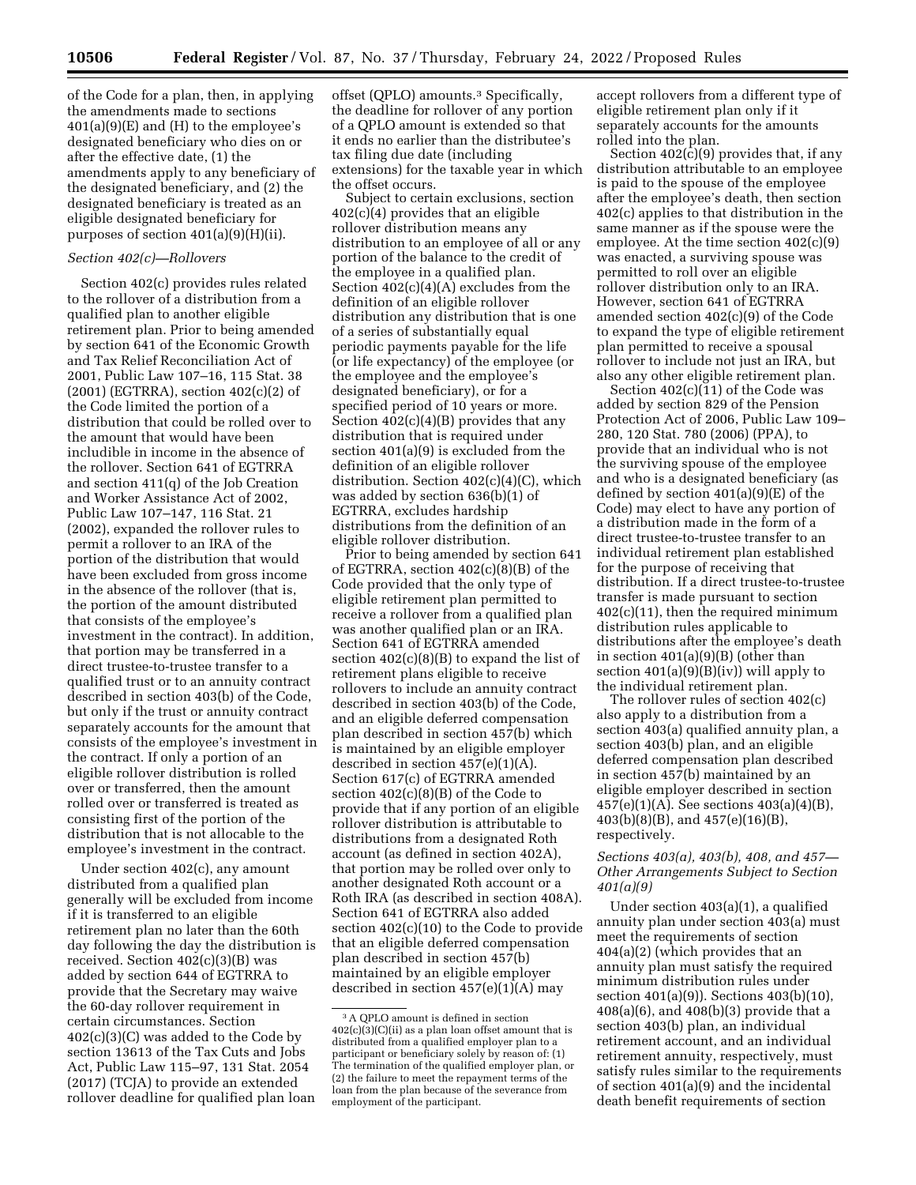of the Code for a plan, then, in applying the amendments made to sections  $401(a)(9)(E)$  and  $(H)$  to the employee's designated beneficiary who dies on or after the effective date, (1) the amendments apply to any beneficiary of the designated beneficiary, and (2) the designated beneficiary is treated as an eligible designated beneficiary for purposes of section 401(a)(9)(H)(ii).

### *Section 402(c)—Rollovers*

Section 402(c) provides rules related to the rollover of a distribution from a qualified plan to another eligible retirement plan. Prior to being amended by section 641 of the Economic Growth and Tax Relief Reconciliation Act of 2001, Public Law 107–16, 115 Stat. 38  $(2001)$  (EGTRRA), section  $402(c)(2)$  of the Code limited the portion of a distribution that could be rolled over to the amount that would have been includible in income in the absence of the rollover. Section 641 of EGTRRA and section 411(q) of the Job Creation and Worker Assistance Act of 2002, Public Law 107–147, 116 Stat. 21 (2002), expanded the rollover rules to permit a rollover to an IRA of the portion of the distribution that would have been excluded from gross income in the absence of the rollover (that is, the portion of the amount distributed that consists of the employee's investment in the contract). In addition, that portion may be transferred in a direct trustee-to-trustee transfer to a qualified trust or to an annuity contract described in section 403(b) of the Code, but only if the trust or annuity contract separately accounts for the amount that consists of the employee's investment in the contract. If only a portion of an eligible rollover distribution is rolled over or transferred, then the amount rolled over or transferred is treated as consisting first of the portion of the distribution that is not allocable to the employee's investment in the contract.

Under section 402(c), any amount distributed from a qualified plan generally will be excluded from income if it is transferred to an eligible retirement plan no later than the 60th day following the day the distribution is received. Section 402(c)(3)(B) was added by section 644 of EGTRRA to provide that the Secretary may waive the 60-day rollover requirement in certain circumstances. Section 402(c)(3)(C) was added to the Code by section 13613 of the Tax Cuts and Jobs Act, Public Law 115–97, 131 Stat. 2054 (2017) (TCJA) to provide an extended rollover deadline for qualified plan loan

offset (QPLO) amounts.3 Specifically, the deadline for rollover of any portion of a QPLO amount is extended so that it ends no earlier than the distributee's tax filing due date (including extensions) for the taxable year in which the offset occurs.

Subject to certain exclusions, section 402(c)(4) provides that an eligible rollover distribution means any distribution to an employee of all or any portion of the balance to the credit of the employee in a qualified plan. Section 402(c)(4)(A) excludes from the definition of an eligible rollover distribution any distribution that is one of a series of substantially equal periodic payments payable for the life (or life expectancy) of the employee (or the employee and the employee's designated beneficiary), or for a specified period of 10 years or more. Section 402(c)(4)(B) provides that any distribution that is required under section 401(a)(9) is excluded from the definition of an eligible rollover distribution. Section 402(c)(4)(C), which was added by section 636(b)(1) of EGTRRA, excludes hardship distributions from the definition of an eligible rollover distribution.

Prior to being amended by section 641 of EGTRRA, section 402(c)(8)(B) of the Code provided that the only type of eligible retirement plan permitted to receive a rollover from a qualified plan was another qualified plan or an IRA. Section 641 of EGTRRA amended section  $402(c)(8)(B)$  to expand the list of retirement plans eligible to receive rollovers to include an annuity contract described in section 403(b) of the Code, and an eligible deferred compensation plan described in section 457(b) which is maintained by an eligible employer described in section 457(e)(1)(A). Section 617(c) of EGTRRA amended section 402(c)(8)(B) of the Code to provide that if any portion of an eligible rollover distribution is attributable to distributions from a designated Roth account (as defined in section 402A), that portion may be rolled over only to another designated Roth account or a Roth IRA (as described in section 408A). Section 641 of EGTRRA also added section 402(c)(10) to the Code to provide that an eligible deferred compensation plan described in section 457(b) maintained by an eligible employer described in section 457(e)(1)(A) may

accept rollovers from a different type of eligible retirement plan only if it separately accounts for the amounts rolled into the plan.

Section  $402(\hat{c})(9)$  provides that, if any distribution attributable to an employee is paid to the spouse of the employee after the employee's death, then section 402(c) applies to that distribution in the same manner as if the spouse were the employee. At the time section 402(c)(9) was enacted, a surviving spouse was permitted to roll over an eligible rollover distribution only to an IRA. However, section 641 of EGTRRA amended section 402(c)(9) of the Code to expand the type of eligible retirement plan permitted to receive a spousal rollover to include not just an IRA, but also any other eligible retirement plan.

Section 402(c)(11) of the Code was added by section 829 of the Pension Protection Act of 2006, Public Law 109– 280, 120 Stat. 780 (2006) (PPA), to provide that an individual who is not the surviving spouse of the employee and who is a designated beneficiary (as defined by section 401(a)(9)(E) of the Code) may elect to have any portion of a distribution made in the form of a direct trustee-to-trustee transfer to an individual retirement plan established for the purpose of receiving that distribution. If a direct trustee-to-trustee transfer is made pursuant to section 402(c)(11), then the required minimum distribution rules applicable to distributions after the employee's death in section  $401(a)(9)(B)$  (other than section 401(a)(9)(B)(iv)) will apply to the individual retirement plan.

The rollover rules of section 402(c) also apply to a distribution from a section 403(a) qualified annuity plan, a section 403(b) plan, and an eligible deferred compensation plan described in section 457(b) maintained by an eligible employer described in section 457(e)(1)(A). See sections 403(a)(4)(B), 403(b)(8)(B), and 457(e)(16)(B), respectively.

## *Sections 403(a), 403(b), 408, and 457— Other Arrangements Subject to Section 401(a)(9)*

Under section 403(a)(1), a qualified annuity plan under section 403(a) must meet the requirements of section 404(a)(2) (which provides that an annuity plan must satisfy the required minimum distribution rules under section 401(a)(9)). Sections 403(b)(10), 408(a)(6), and 408(b)(3) provide that a section 403(b) plan, an individual retirement account, and an individual retirement annuity, respectively, must satisfy rules similar to the requirements of section 401(a)(9) and the incidental death benefit requirements of section

<sup>3</sup>A QPLO amount is defined in section  $402(c)(3)(C)(ii)$  as a plan loan offset amount that is distributed from a qualified employer plan to a participant or beneficiary solely by reason of: (1) The termination of the qualified employer plan, or (2) the failure to meet the repayment terms of the loan from the plan because of the severance from employment of the participant.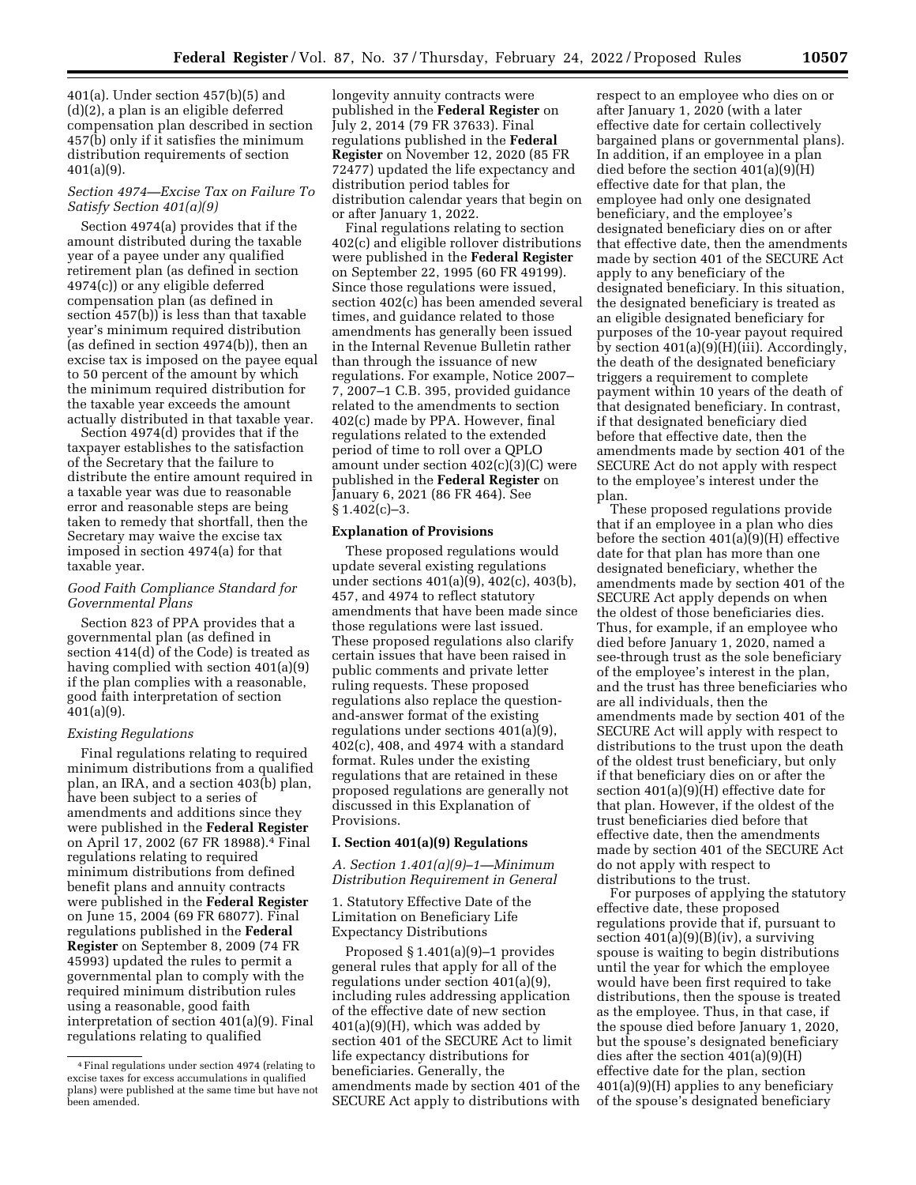401(a). Under section 457(b)(5) and (d)(2), a plan is an eligible deferred compensation plan described in section 457(b) only if it satisfies the minimum distribution requirements of section 401(a)(9).

## *Section 4974—Excise Tax on Failure To Satisfy Section 401(a)(9)*

Section 4974(a) provides that if the amount distributed during the taxable year of a payee under any qualified retirement plan (as defined in section 4974(c)) or any eligible deferred compensation plan (as defined in section 457(b)) is less than that taxable year's minimum required distribution (as defined in section 4974(b)), then an excise tax is imposed on the payee equal to 50 percent of the amount by which the minimum required distribution for the taxable year exceeds the amount actually distributed in that taxable year.

Section 4974(d) provides that if the taxpayer establishes to the satisfaction of the Secretary that the failure to distribute the entire amount required in a taxable year was due to reasonable error and reasonable steps are being taken to remedy that shortfall, then the Secretary may waive the excise tax imposed in section 4974(a) for that taxable year.

## *Good Faith Compliance Standard for Governmental Plans*

Section 823 of PPA provides that a governmental plan (as defined in section 414(d) of the Code) is treated as having complied with section 401(a)(9) if the plan complies with a reasonable, good faith interpretation of section 401(a)(9).

## *Existing Regulations*

Final regulations relating to required minimum distributions from a qualified plan, an IRA, and a section 403(b) plan, have been subject to a series of amendments and additions since they were published in the **Federal Register**  on April 17, 2002 (67 FR 18988).4 Final regulations relating to required minimum distributions from defined benefit plans and annuity contracts were published in the **Federal Register**  on June 15, 2004 (69 FR 68077). Final regulations published in the **Federal Register** on September 8, 2009 (74 FR 45993) updated the rules to permit a governmental plan to comply with the required minimum distribution rules using a reasonable, good faith interpretation of section 401(a)(9). Final regulations relating to qualified

longevity annuity contracts were published in the **Federal Register** on July 2, 2014 (79 FR 37633). Final regulations published in the **Federal Register** on November 12, 2020 (85 FR 72477) updated the life expectancy and distribution period tables for distribution calendar years that begin on or after January 1, 2022.

Final regulations relating to section 402(c) and eligible rollover distributions were published in the **Federal Register**  on September 22, 1995 (60 FR 49199). Since those regulations were issued, section 402(c) has been amended several times, and guidance related to those amendments has generally been issued in the Internal Revenue Bulletin rather than through the issuance of new regulations. For example, Notice 2007– 7, 2007–1 C.B. 395, provided guidance related to the amendments to section 402(c) made by PPA. However, final regulations related to the extended period of time to roll over a QPLO amount under section 402(c)(3)(C) were published in the **Federal Register** on January 6, 2021 (86 FR 464). See  $§ 1.402(c)-3.$ 

## **Explanation of Provisions**

These proposed regulations would update several existing regulations under sections 401(a)(9), 402(c), 403(b), 457, and 4974 to reflect statutory amendments that have been made since those regulations were last issued. These proposed regulations also clarify certain issues that have been raised in public comments and private letter ruling requests. These proposed regulations also replace the questionand-answer format of the existing regulations under sections 401(a)(9), 402(c), 408, and 4974 with a standard format. Rules under the existing regulations that are retained in these proposed regulations are generally not discussed in this Explanation of Provisions.

## **I. Section 401(a)(9) Regulations**

*A. Section 1.401(a)(9)–1—Minimum Distribution Requirement in General* 

1. Statutory Effective Date of the Limitation on Beneficiary Life Expectancy Distributions

Proposed § 1.401(a)(9)–1 provides general rules that apply for all of the regulations under section 401(a)(9), including rules addressing application of the effective date of new section  $401(a)(9)(H)$ , which was added by section 401 of the SECURE Act to limit life expectancy distributions for beneficiaries. Generally, the amendments made by section 401 of the SECURE Act apply to distributions with

respect to an employee who dies on or after January 1, 2020 (with a later effective date for certain collectively bargained plans or governmental plans). In addition, if an employee in a plan died before the section 401(a)(9)(H) effective date for that plan, the employee had only one designated beneficiary, and the employee's designated beneficiary dies on or after that effective date, then the amendments made by section 401 of the SECURE Act apply to any beneficiary of the designated beneficiary. In this situation, the designated beneficiary is treated as an eligible designated beneficiary for purposes of the 10-year payout required by section 401(a)(9)(H)(iii). Accordingly, the death of the designated beneficiary triggers a requirement to complete payment within 10 years of the death of that designated beneficiary. In contrast, if that designated beneficiary died before that effective date, then the amendments made by section 401 of the SECURE Act do not apply with respect to the employee's interest under the plan.

These proposed regulations provide that if an employee in a plan who dies before the section 401(a)(9)(H) effective date for that plan has more than one designated beneficiary, whether the amendments made by section 401 of the SECURE Act apply depends on when the oldest of those beneficiaries dies. Thus, for example, if an employee who died before January 1, 2020, named a see-through trust as the sole beneficiary of the employee's interest in the plan, and the trust has three beneficiaries who are all individuals, then the amendments made by section 401 of the SECURE Act will apply with respect to distributions to the trust upon the death of the oldest trust beneficiary, but only if that beneficiary dies on or after the section 401(a)(9)(H) effective date for that plan. However, if the oldest of the trust beneficiaries died before that effective date, then the amendments made by section 401 of the SECURE Act do not apply with respect to distributions to the trust.

For purposes of applying the statutory effective date, these proposed regulations provide that if, pursuant to section  $401(a)(9)(B)(iv)$ , a surviving spouse is waiting to begin distributions until the year for which the employee would have been first required to take distributions, then the spouse is treated as the employee. Thus, in that case, if the spouse died before January 1, 2020, but the spouse's designated beneficiary dies after the section 401(a)(9)(H) effective date for the plan, section 401(a)(9)(H) applies to any beneficiary of the spouse's designated beneficiary

<sup>4</sup>Final regulations under section 4974 (relating to excise taxes for excess accumulations in qualified plans) were published at the same time but have not been amended.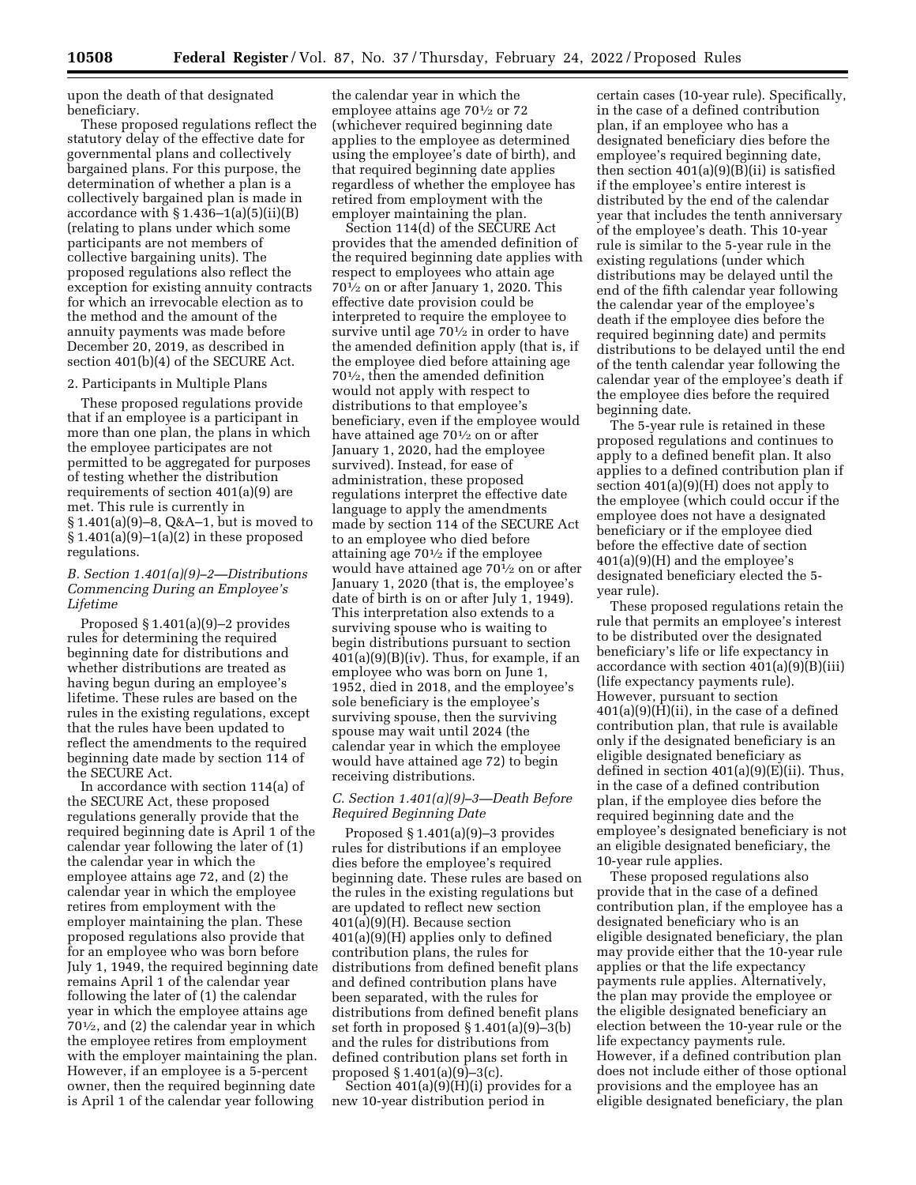upon the death of that designated beneficiary.

These proposed regulations reflect the statutory delay of the effective date for governmental plans and collectively bargained plans. For this purpose, the determination of whether a plan is a collectively bargained plan is made in accordance with  $\S 1.436-1(a)(5)(ii)(B)$ (relating to plans under which some participants are not members of collective bargaining units). The proposed regulations also reflect the exception for existing annuity contracts for which an irrevocable election as to the method and the amount of the annuity payments was made before December 20, 2019, as described in section 401(b)(4) of the SECURE Act.

#### 2. Participants in Multiple Plans

These proposed regulations provide that if an employee is a participant in more than one plan, the plans in which the employee participates are not permitted to be aggregated for purposes of testing whether the distribution requirements of section 401(a)(9) are met. This rule is currently in § 1.401(a)(9)–8, Q&A–1, but is moved to  $§ 1.401(a)(9)-1(a)(2)$  in these proposed regulations.

## *B. Section 1.401(a)(9)–2—Distributions Commencing During an Employee's Lifetime*

Proposed § 1.401(a)(9)–2 provides rules for determining the required beginning date for distributions and whether distributions are treated as having begun during an employee's lifetime. These rules are based on the rules in the existing regulations, except that the rules have been updated to reflect the amendments to the required beginning date made by section 114 of the SECURE Act.

In accordance with section 114(a) of the SECURE Act, these proposed regulations generally provide that the required beginning date is April 1 of the calendar year following the later of (1) the calendar year in which the employee attains age 72, and (2) the calendar year in which the employee retires from employment with the employer maintaining the plan. These proposed regulations also provide that for an employee who was born before July 1, 1949, the required beginning date remains April 1 of the calendar year following the later of (1) the calendar year in which the employee attains age 701⁄2, and (2) the calendar year in which the employee retires from employment with the employer maintaining the plan. However, if an employee is a 5-percent owner, then the required beginning date is April 1 of the calendar year following

the calendar year in which the employee attains age 70<sup>1</sup>/<sub>2</sub> or 72 (whichever required beginning date applies to the employee as determined using the employee's date of birth), and that required beginning date applies regardless of whether the employee has retired from employment with the employer maintaining the plan.

Section 114(d) of the SECURE Act provides that the amended definition of the required beginning date applies with respect to employees who attain age 701⁄2 on or after January 1, 2020. This effective date provision could be interpreted to require the employee to survive until age 701⁄2 in order to have the amended definition apply (that is, if the employee died before attaining age 701⁄2, then the amended definition would not apply with respect to distributions to that employee's beneficiary, even if the employee would have attained age 70<sup>1</sup>/<sub>2</sub> on or after January 1, 2020, had the employee survived). Instead, for ease of administration, these proposed regulations interpret the effective date language to apply the amendments made by section 114 of the SECURE Act to an employee who died before attaining age 701⁄2 if the employee would have attained age 701⁄2 on or after January 1, 2020 (that is, the employee's date of birth is on or after July 1, 1949). This interpretation also extends to a surviving spouse who is waiting to begin distributions pursuant to section 401(a)(9)(B)(iv). Thus, for example, if an employee who was born on June 1, 1952, died in 2018, and the employee's sole beneficiary is the employee's surviving spouse, then the surviving spouse may wait until 2024 (the calendar year in which the employee would have attained age 72) to begin receiving distributions.

## *C. Section 1.401(a)(9)–3—Death Before Required Beginning Date*

Proposed § 1.401(a)(9)–3 provides rules for distributions if an employee dies before the employee's required beginning date. These rules are based on the rules in the existing regulations but are updated to reflect new section 401(a)(9)(H). Because section 401(a)(9)(H) applies only to defined contribution plans, the rules for distributions from defined benefit plans and defined contribution plans have been separated, with the rules for distributions from defined benefit plans set forth in proposed § 1.401(a)(9)–3(b) and the rules for distributions from defined contribution plans set forth in proposed  $\S 1.401(a)(9)-3(c)$ .

Section  $401(a)(9)(H)(i)$  provides for a new 10-year distribution period in

certain cases (10-year rule). Specifically, in the case of a defined contribution plan, if an employee who has a designated beneficiary dies before the employee's required beginning date, then section  $401(a)(9)(B)(ii)$  is satisfied if the employee's entire interest is distributed by the end of the calendar year that includes the tenth anniversary of the employee's death. This 10-year rule is similar to the 5-year rule in the existing regulations (under which distributions may be delayed until the end of the fifth calendar year following the calendar year of the employee's death if the employee dies before the required beginning date) and permits distributions to be delayed until the end of the tenth calendar year following the calendar year of the employee's death if the employee dies before the required beginning date.

The 5-year rule is retained in these proposed regulations and continues to apply to a defined benefit plan. It also applies to a defined contribution plan if section 401(a)(9)(H) does not apply to the employee (which could occur if the employee does not have a designated beneficiary or if the employee died before the effective date of section 401(a)(9)(H) and the employee's designated beneficiary elected the 5 year rule).

These proposed regulations retain the rule that permits an employee's interest to be distributed over the designated beneficiary's life or life expectancy in accordance with section 401(a)(9)(B)(iii) (life expectancy payments rule). However, pursuant to section 401(a)(9)(H)(ii), in the case of a defined contribution plan, that rule is available only if the designated beneficiary is an eligible designated beneficiary as defined in section  $401(a)(9)(E)(ii)$ . Thus, in the case of a defined contribution plan, if the employee dies before the required beginning date and the employee's designated beneficiary is not an eligible designated beneficiary, the 10-year rule applies.

These proposed regulations also provide that in the case of a defined contribution plan, if the employee has a designated beneficiary who is an eligible designated beneficiary, the plan may provide either that the 10-year rule applies or that the life expectancy payments rule applies. Alternatively, the plan may provide the employee or the eligible designated beneficiary an election between the 10-year rule or the life expectancy payments rule. However, if a defined contribution plan does not include either of those optional provisions and the employee has an eligible designated beneficiary, the plan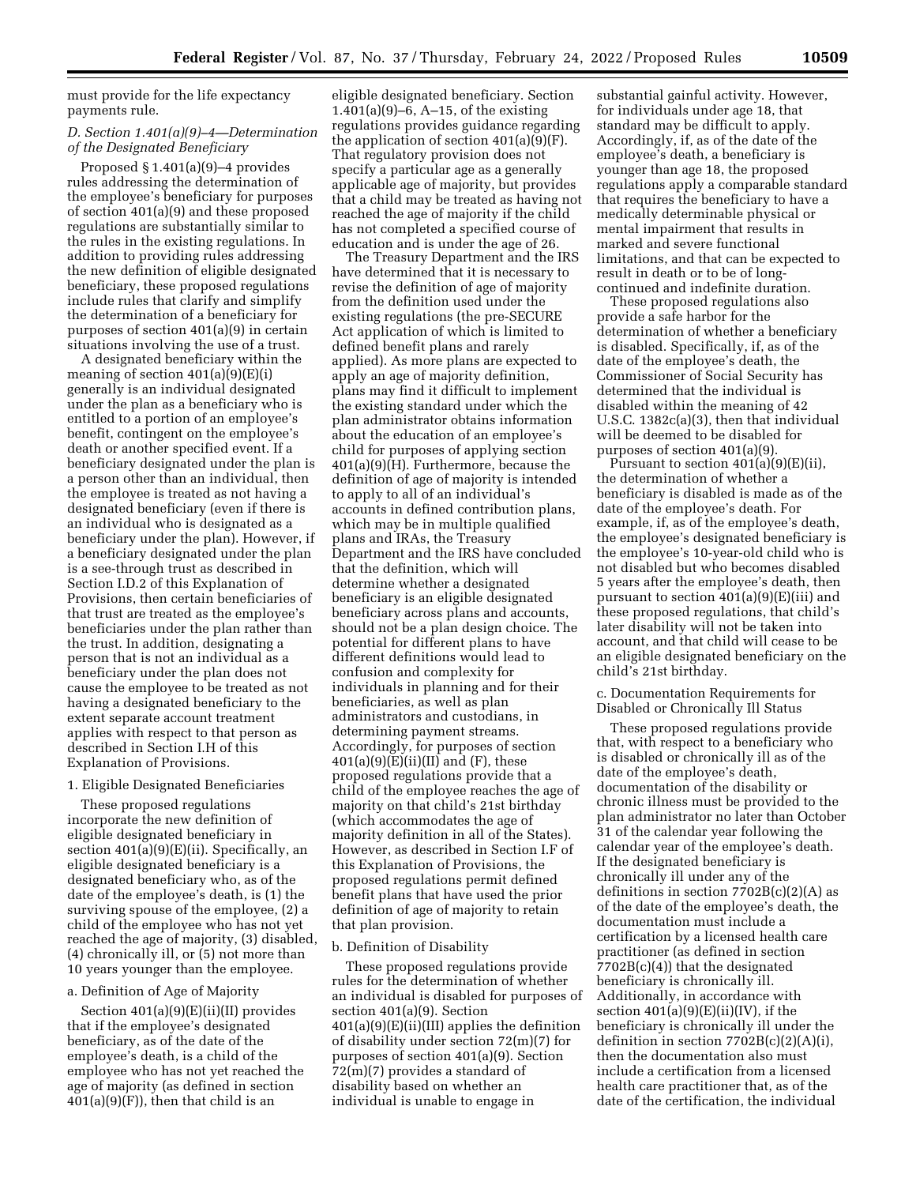must provide for the life expectancy payments rule.

## *D. Section 1.401(a)(9)–4—Determination of the Designated Beneficiary*

Proposed § 1.401(a)(9)–4 provides rules addressing the determination of the employee's beneficiary for purposes of section 401(a)(9) and these proposed regulations are substantially similar to the rules in the existing regulations. In addition to providing rules addressing the new definition of eligible designated beneficiary, these proposed regulations include rules that clarify and simplify the determination of a beneficiary for purposes of section 401(a)(9) in certain situations involving the use of a trust.

A designated beneficiary within the meaning of section  $401(a)(9)(E)(i)$ generally is an individual designated under the plan as a beneficiary who is entitled to a portion of an employee's benefit, contingent on the employee's death or another specified event. If a beneficiary designated under the plan is a person other than an individual, then the employee is treated as not having a designated beneficiary (even if there is an individual who is designated as a beneficiary under the plan). However, if a beneficiary designated under the plan is a see-through trust as described in Section I.D.2 of this Explanation of Provisions, then certain beneficiaries of that trust are treated as the employee's beneficiaries under the plan rather than the trust. In addition, designating a person that is not an individual as a beneficiary under the plan does not cause the employee to be treated as not having a designated beneficiary to the extent separate account treatment applies with respect to that person as described in Section I.H of this Explanation of Provisions.

#### 1. Eligible Designated Beneficiaries

These proposed regulations incorporate the new definition of eligible designated beneficiary in section 401(a)(9)(E)(ii). Specifically, an eligible designated beneficiary is a designated beneficiary who, as of the date of the employee's death, is (1) the surviving spouse of the employee, (2) a child of the employee who has not yet reached the age of majority, (3) disabled, (4) chronically ill, or (5) not more than 10 years younger than the employee.

### a. Definition of Age of Majority

Section  $401(a)(9)(E)(ii)(II)$  provides that if the employee's designated beneficiary, as of the date of the employee's death, is a child of the employee who has not yet reached the age of majority (as defined in section  $401(a)(9)(F)$ , then that child is an

eligible designated beneficiary. Section 1.401(a)(9)–6, A–15, of the existing regulations provides guidance regarding the application of section 401(a)(9)(F). That regulatory provision does not specify a particular age as a generally applicable age of majority, but provides that a child may be treated as having not reached the age of majority if the child has not completed a specified course of education and is under the age of 26.

The Treasury Department and the IRS have determined that it is necessary to revise the definition of age of majority from the definition used under the existing regulations (the pre-SECURE Act application of which is limited to defined benefit plans and rarely applied). As more plans are expected to apply an age of majority definition, plans may find it difficult to implement the existing standard under which the plan administrator obtains information about the education of an employee's child for purposes of applying section 401(a)(9)(H). Furthermore, because the definition of age of majority is intended to apply to all of an individual's accounts in defined contribution plans, which may be in multiple qualified plans and IRAs, the Treasury Department and the IRS have concluded that the definition, which will determine whether a designated beneficiary is an eligible designated beneficiary across plans and accounts, should not be a plan design choice. The potential for different plans to have different definitions would lead to confusion and complexity for individuals in planning and for their beneficiaries, as well as plan administrators and custodians, in determining payment streams. Accordingly, for purposes of section  $401(a)(9)(E)(ii)(II)$  and  $(F)$ , these proposed regulations provide that a child of the employee reaches the age of majority on that child's 21st birthday (which accommodates the age of majority definition in all of the States). However, as described in Section I.F of this Explanation of Provisions, the proposed regulations permit defined benefit plans that have used the prior definition of age of majority to retain that plan provision.

#### b. Definition of Disability

These proposed regulations provide rules for the determination of whether an individual is disabled for purposes of section 401(a)(9). Section 401(a)(9)(E)(ii)(III) applies the definition of disability under section 72(m)(7) for purposes of section 401(a)(9). Section 72(m)(7) provides a standard of disability based on whether an individual is unable to engage in

substantial gainful activity. However, for individuals under age 18, that standard may be difficult to apply. Accordingly, if, as of the date of the employee's death, a beneficiary is younger than age 18, the proposed regulations apply a comparable standard that requires the beneficiary to have a medically determinable physical or mental impairment that results in marked and severe functional limitations, and that can be expected to result in death or to be of longcontinued and indefinite duration.

These proposed regulations also provide a safe harbor for the determination of whether a beneficiary is disabled. Specifically, if, as of the date of the employee's death, the Commissioner of Social Security has determined that the individual is disabled within the meaning of 42 U.S.C. 1382c(a)(3), then that individual will be deemed to be disabled for purposes of section 401(a)(9).

Pursuant to section 401(a)(9)(E)(ii), the determination of whether a beneficiary is disabled is made as of the date of the employee's death. For example, if, as of the employee's death, the employee's designated beneficiary is the employee's 10-year-old child who is not disabled but who becomes disabled 5 years after the employee's death, then pursuant to section 401(a)(9)(E)(iii) and these proposed regulations, that child's later disability will not be taken into account, and that child will cease to be an eligible designated beneficiary on the child's 21st birthday.

c. Documentation Requirements for Disabled or Chronically Ill Status

These proposed regulations provide that, with respect to a beneficiary who is disabled or chronically ill as of the date of the employee's death, documentation of the disability or chronic illness must be provided to the plan administrator no later than October 31 of the calendar year following the calendar year of the employee's death. If the designated beneficiary is chronically ill under any of the definitions in section  $7702B(c)(2)(A)$  as of the date of the employee's death, the documentation must include a certification by a licensed health care practitioner (as defined in section 7702B(c)(4)) that the designated beneficiary is chronically ill. Additionally, in accordance with section  $401(a)(9)(E)(ii)(IV)$ , if the beneficiary is chronically ill under the definition in section  $7702B(c)(2)(A)(i)$ , then the documentation also must include a certification from a licensed health care practitioner that, as of the date of the certification, the individual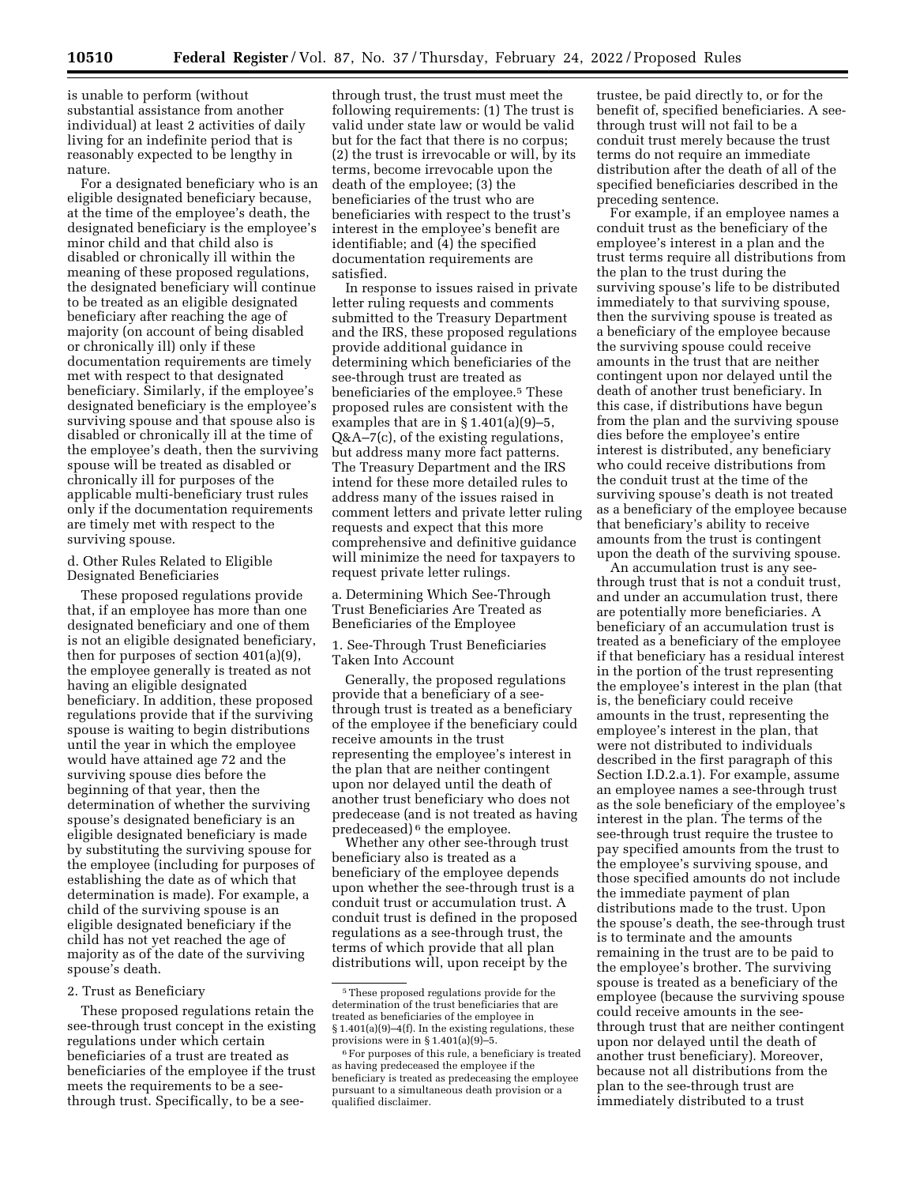is unable to perform (without substantial assistance from another individual) at least 2 activities of daily living for an indefinite period that is reasonably expected to be lengthy in nature.

For a designated beneficiary who is an eligible designated beneficiary because, at the time of the employee's death, the designated beneficiary is the employee's minor child and that child also is disabled or chronically ill within the meaning of these proposed regulations, the designated beneficiary will continue to be treated as an eligible designated beneficiary after reaching the age of majority (on account of being disabled or chronically ill) only if these documentation requirements are timely met with respect to that designated beneficiary. Similarly, if the employee's designated beneficiary is the employee's surviving spouse and that spouse also is disabled or chronically ill at the time of the employee's death, then the surviving spouse will be treated as disabled or chronically ill for purposes of the applicable multi-beneficiary trust rules only if the documentation requirements are timely met with respect to the surviving spouse.

d. Other Rules Related to Eligible Designated Beneficiaries

These proposed regulations provide that, if an employee has more than one designated beneficiary and one of them is not an eligible designated beneficiary, then for purposes of section 401(a)(9), the employee generally is treated as not having an eligible designated beneficiary. In addition, these proposed regulations provide that if the surviving spouse is waiting to begin distributions until the year in which the employee would have attained age 72 and the surviving spouse dies before the beginning of that year, then the determination of whether the surviving spouse's designated beneficiary is an eligible designated beneficiary is made by substituting the surviving spouse for the employee (including for purposes of establishing the date as of which that determination is made). For example, a child of the surviving spouse is an eligible designated beneficiary if the child has not yet reached the age of majority as of the date of the surviving spouse's death.

### 2. Trust as Beneficiary

These proposed regulations retain the see-through trust concept in the existing regulations under which certain beneficiaries of a trust are treated as beneficiaries of the employee if the trust meets the requirements to be a seethrough trust. Specifically, to be a see-

through trust, the trust must meet the following requirements: (1) The trust is valid under state law or would be valid but for the fact that there is no corpus; (2) the trust is irrevocable or will, by its terms, become irrevocable upon the death of the employee; (3) the beneficiaries of the trust who are beneficiaries with respect to the trust's interest in the employee's benefit are identifiable; and (4) the specified documentation requirements are satisfied.

In response to issues raised in private letter ruling requests and comments submitted to the Treasury Department and the IRS, these proposed regulations provide additional guidance in determining which beneficiaries of the see-through trust are treated as beneficiaries of the employee.<sup>5</sup> These proposed rules are consistent with the examples that are in  $\S 1.401(a)(9)-5$ , Q&A–7(c), of the existing regulations, but address many more fact patterns. The Treasury Department and the IRS intend for these more detailed rules to address many of the issues raised in comment letters and private letter ruling requests and expect that this more comprehensive and definitive guidance will minimize the need for taxpayers to request private letter rulings.

a. Determining Which See-Through Trust Beneficiaries Are Treated as Beneficiaries of the Employee

1. See-Through Trust Beneficiaries Taken Into Account

Generally, the proposed regulations provide that a beneficiary of a seethrough trust is treated as a beneficiary of the employee if the beneficiary could receive amounts in the trust representing the employee's interest in the plan that are neither contingent upon nor delayed until the death of another trust beneficiary who does not predecease (and is not treated as having predeceased) 6 the employee.

Whether any other see-through trust beneficiary also is treated as a beneficiary of the employee depends upon whether the see-through trust is a conduit trust or accumulation trust. A conduit trust is defined in the proposed regulations as a see-through trust, the terms of which provide that all plan distributions will, upon receipt by the

trustee, be paid directly to, or for the benefit of, specified beneficiaries. A seethrough trust will not fail to be a conduit trust merely because the trust terms do not require an immediate distribution after the death of all of the specified beneficiaries described in the preceding sentence.

For example, if an employee names a conduit trust as the beneficiary of the employee's interest in a plan and the trust terms require all distributions from the plan to the trust during the surviving spouse's life to be distributed immediately to that surviving spouse, then the surviving spouse is treated as a beneficiary of the employee because the surviving spouse could receive amounts in the trust that are neither contingent upon nor delayed until the death of another trust beneficiary. In this case, if distributions have begun from the plan and the surviving spouse dies before the employee's entire interest is distributed, any beneficiary who could receive distributions from the conduit trust at the time of the surviving spouse's death is not treated as a beneficiary of the employee because that beneficiary's ability to receive amounts from the trust is contingent upon the death of the surviving spouse.

An accumulation trust is any seethrough trust that is not a conduit trust, and under an accumulation trust, there are potentially more beneficiaries. A beneficiary of an accumulation trust is treated as a beneficiary of the employee if that beneficiary has a residual interest in the portion of the trust representing the employee's interest in the plan (that is, the beneficiary could receive amounts in the trust, representing the employee's interest in the plan, that were not distributed to individuals described in the first paragraph of this Section I.D.2.a.1). For example, assume an employee names a see-through trust as the sole beneficiary of the employee's interest in the plan. The terms of the see-through trust require the trustee to pay specified amounts from the trust to the employee's surviving spouse, and those specified amounts do not include the immediate payment of plan distributions made to the trust. Upon the spouse's death, the see-through trust is to terminate and the amounts remaining in the trust are to be paid to the employee's brother. The surviving spouse is treated as a beneficiary of the employee (because the surviving spouse could receive amounts in the seethrough trust that are neither contingent upon nor delayed until the death of another trust beneficiary). Moreover, because not all distributions from the plan to the see-through trust are immediately distributed to a trust

<sup>5</sup>These proposed regulations provide for the determination of the trust beneficiaries that are treated as beneficiaries of the employee in § 1.401(a)(9)–4(f). In the existing regulations, these provisions were in § 1.401(a)(9)–5.

<sup>&</sup>lt;sup>6</sup> For purposes of this rule, a beneficiary is treated as having predeceased the employee if the beneficiary is treated as predeceasing the employee pursuant to a simultaneous death provision or a qualified disclaimer.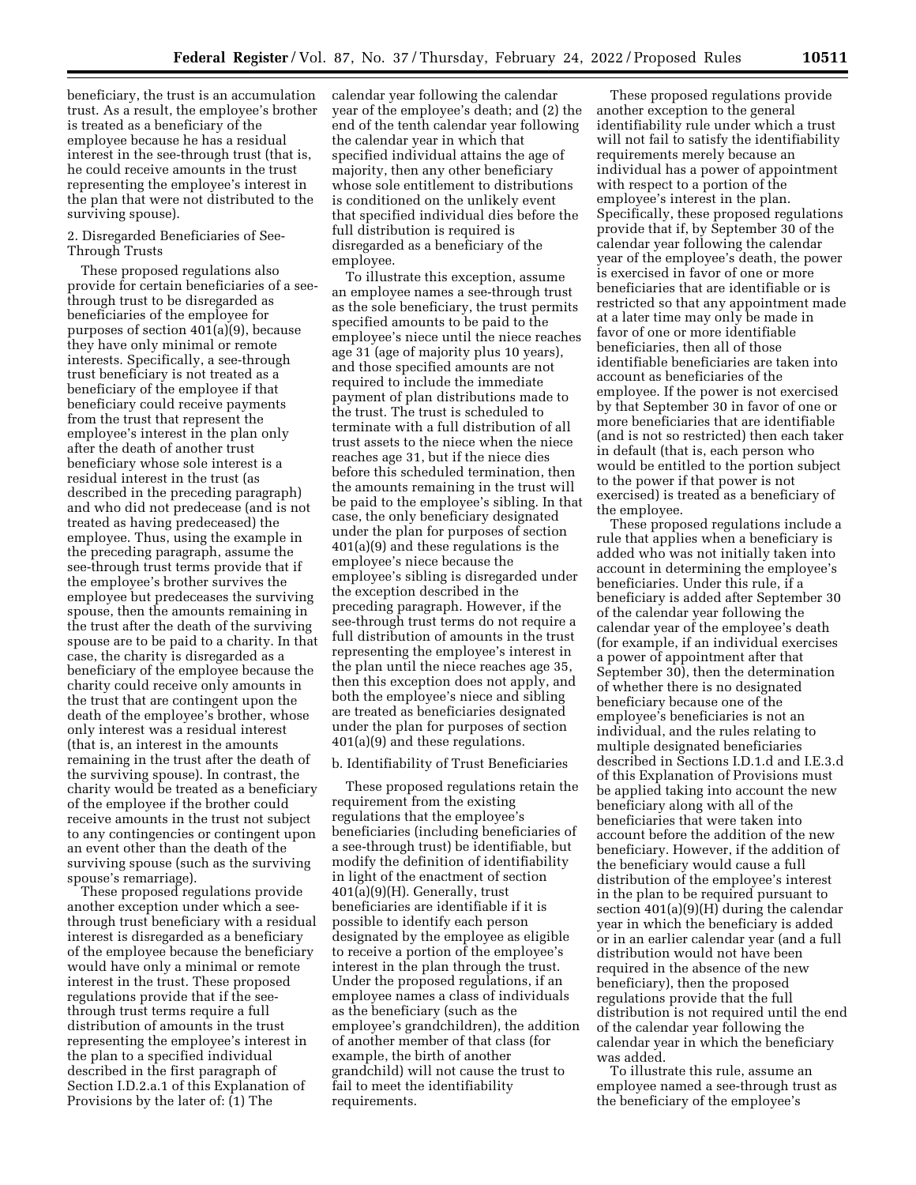beneficiary, the trust is an accumulation trust. As a result, the employee's brother is treated as a beneficiary of the employee because he has a residual interest in the see-through trust (that is, he could receive amounts in the trust representing the employee's interest in the plan that were not distributed to the surviving spouse).

## 2. Disregarded Beneficiaries of See-Through Trusts

These proposed regulations also provide for certain beneficiaries of a seethrough trust to be disregarded as beneficiaries of the employee for purposes of section 401(a)(9), because they have only minimal or remote interests. Specifically, a see-through trust beneficiary is not treated as a beneficiary of the employee if that beneficiary could receive payments from the trust that represent the employee's interest in the plan only after the death of another trust beneficiary whose sole interest is a residual interest in the trust (as described in the preceding paragraph) and who did not predecease (and is not treated as having predeceased) the employee. Thus, using the example in the preceding paragraph, assume the see-through trust terms provide that if the employee's brother survives the employee but predeceases the surviving spouse, then the amounts remaining in the trust after the death of the surviving spouse are to be paid to a charity. In that case, the charity is disregarded as a beneficiary of the employee because the charity could receive only amounts in the trust that are contingent upon the death of the employee's brother, whose only interest was a residual interest (that is, an interest in the amounts remaining in the trust after the death of the surviving spouse). In contrast, the charity would be treated as a beneficiary of the employee if the brother could receive amounts in the trust not subject to any contingencies or contingent upon an event other than the death of the surviving spouse (such as the surviving spouse's remarriage).

These proposed regulations provide another exception under which a seethrough trust beneficiary with a residual interest is disregarded as a beneficiary of the employee because the beneficiary would have only a minimal or remote interest in the trust. These proposed regulations provide that if the seethrough trust terms require a full distribution of amounts in the trust representing the employee's interest in the plan to a specified individual described in the first paragraph of Section I.D.2.a.1 of this Explanation of Provisions by the later of: (1) The

calendar year following the calendar year of the employee's death; and (2) the end of the tenth calendar year following the calendar year in which that specified individual attains the age of majority, then any other beneficiary whose sole entitlement to distributions is conditioned on the unlikely event that specified individual dies before the full distribution is required is disregarded as a beneficiary of the employee.

To illustrate this exception, assume an employee names a see-through trust as the sole beneficiary, the trust permits specified amounts to be paid to the employee's niece until the niece reaches age 31 (age of majority plus 10 years), and those specified amounts are not required to include the immediate payment of plan distributions made to the trust. The trust is scheduled to terminate with a full distribution of all trust assets to the niece when the niece reaches age 31, but if the niece dies before this scheduled termination, then the amounts remaining in the trust will be paid to the employee's sibling. In that case, the only beneficiary designated under the plan for purposes of section 401(a)(9) and these regulations is the employee's niece because the employee's sibling is disregarded under the exception described in the preceding paragraph. However, if the see-through trust terms do not require a full distribution of amounts in the trust representing the employee's interest in the plan until the niece reaches age 35, then this exception does not apply, and both the employee's niece and sibling are treated as beneficiaries designated under the plan for purposes of section 401(a)(9) and these regulations.

#### b. Identifiability of Trust Beneficiaries

These proposed regulations retain the requirement from the existing regulations that the employee's beneficiaries (including beneficiaries of a see-through trust) be identifiable, but modify the definition of identifiability in light of the enactment of section 401(a)(9)(H). Generally, trust beneficiaries are identifiable if it is possible to identify each person designated by the employee as eligible to receive a portion of the employee's interest in the plan through the trust. Under the proposed regulations, if an employee names a class of individuals as the beneficiary (such as the employee's grandchildren), the addition of another member of that class (for example, the birth of another grandchild) will not cause the trust to fail to meet the identifiability requirements.

These proposed regulations provide another exception to the general identifiability rule under which a trust will not fail to satisfy the identifiability requirements merely because an individual has a power of appointment with respect to a portion of the employee's interest in the plan. Specifically, these proposed regulations provide that if, by September 30 of the calendar year following the calendar year of the employee's death, the power is exercised in favor of one or more beneficiaries that are identifiable or is restricted so that any appointment made at a later time may only be made in favor of one or more identifiable beneficiaries, then all of those identifiable beneficiaries are taken into account as beneficiaries of the employee. If the power is not exercised by that September 30 in favor of one or more beneficiaries that are identifiable (and is not so restricted) then each taker in default (that is, each person who would be entitled to the portion subject to the power if that power is not exercised) is treated as a beneficiary of the employee.

These proposed regulations include a rule that applies when a beneficiary is added who was not initially taken into account in determining the employee's beneficiaries. Under this rule, if a beneficiary is added after September 30 of the calendar year following the calendar year of the employee's death (for example, if an individual exercises a power of appointment after that September 30), then the determination of whether there is no designated beneficiary because one of the employee's beneficiaries is not an individual, and the rules relating to multiple designated beneficiaries described in Sections I.D.1.d and I.E.3.d of this Explanation of Provisions must be applied taking into account the new beneficiary along with all of the beneficiaries that were taken into account before the addition of the new beneficiary. However, if the addition of the beneficiary would cause a full distribution of the employee's interest in the plan to be required pursuant to section 401(a)(9)(H) during the calendar year in which the beneficiary is added or in an earlier calendar year (and a full distribution would not have been required in the absence of the new beneficiary), then the proposed regulations provide that the full distribution is not required until the end of the calendar year following the calendar year in which the beneficiary was added.

To illustrate this rule, assume an employee named a see-through trust as the beneficiary of the employee's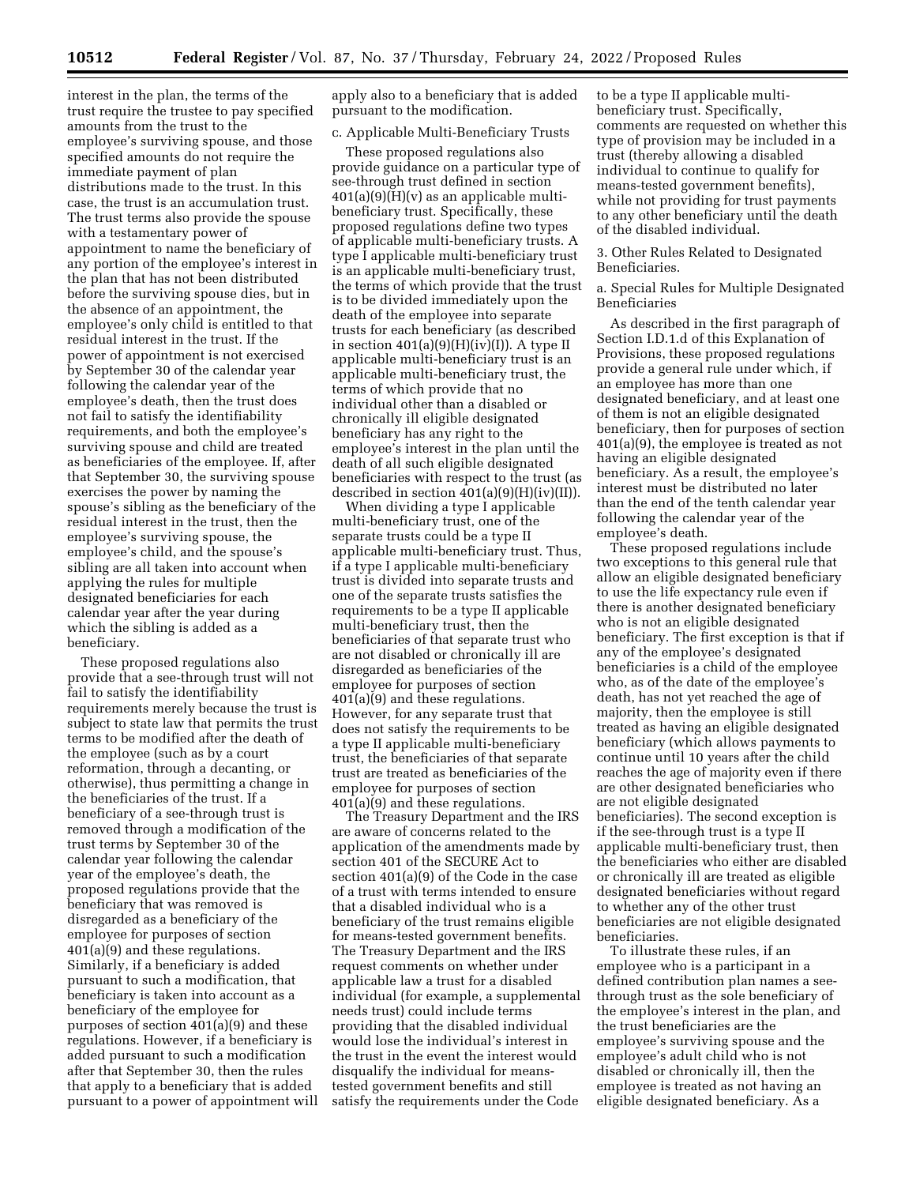interest in the plan, the terms of the trust require the trustee to pay specified amounts from the trust to the employee's surviving spouse, and those specified amounts do not require the immediate payment of plan distributions made to the trust. In this case, the trust is an accumulation trust. The trust terms also provide the spouse with a testamentary power of appointment to name the beneficiary of any portion of the employee's interest in the plan that has not been distributed before the surviving spouse dies, but in the absence of an appointment, the employee's only child is entitled to that residual interest in the trust. If the power of appointment is not exercised by September 30 of the calendar year following the calendar year of the employee's death, then the trust does not fail to satisfy the identifiability requirements, and both the employee's surviving spouse and child are treated as beneficiaries of the employee. If, after that September 30, the surviving spouse exercises the power by naming the spouse's sibling as the beneficiary of the residual interest in the trust, then the employee's surviving spouse, the employee's child, and the spouse's sibling are all taken into account when applying the rules for multiple designated beneficiaries for each calendar year after the year during which the sibling is added as a beneficiary.

These proposed regulations also provide that a see-through trust will not fail to satisfy the identifiability requirements merely because the trust is subject to state law that permits the trust terms to be modified after the death of the employee (such as by a court reformation, through a decanting, or otherwise), thus permitting a change in the beneficiaries of the trust. If a beneficiary of a see-through trust is removed through a modification of the trust terms by September 30 of the calendar year following the calendar year of the employee's death, the proposed regulations provide that the beneficiary that was removed is disregarded as a beneficiary of the employee for purposes of section 401(a)(9) and these regulations. Similarly, if a beneficiary is added pursuant to such a modification, that beneficiary is taken into account as a beneficiary of the employee for purposes of section 401(a)(9) and these regulations. However, if a beneficiary is added pursuant to such a modification after that September 30, then the rules that apply to a beneficiary that is added pursuant to a power of appointment will apply also to a beneficiary that is added pursuant to the modification.

#### c. Applicable Multi-Beneficiary Trusts

These proposed regulations also provide guidance on a particular type of see-through trust defined in section  $401(a)(9)(H)(v)$  as an applicable multibeneficiary trust. Specifically, these proposed regulations define two types of applicable multi-beneficiary trusts. A type I applicable multi-beneficiary trust is an applicable multi-beneficiary trust, the terms of which provide that the trust is to be divided immediately upon the death of the employee into separate trusts for each beneficiary (as described in section  $401(a)(9)(H)(iv)(I)$ ). A type II applicable multi-beneficiary trust is an applicable multi-beneficiary trust, the terms of which provide that no individual other than a disabled or chronically ill eligible designated beneficiary has any right to the employee's interest in the plan until the death of all such eligible designated beneficiaries with respect to the trust (as described in section  $401(a)(9)(H)(iv)(II)$ .

When dividing a type I applicable multi-beneficiary trust, one of the separate trusts could be a type II applicable multi-beneficiary trust. Thus, if a type I applicable multi-beneficiary trust is divided into separate trusts and one of the separate trusts satisfies the requirements to be a type II applicable multi-beneficiary trust, then the beneficiaries of that separate trust who are not disabled or chronically ill are disregarded as beneficiaries of the employee for purposes of section 401(a)(9) and these regulations. However, for any separate trust that does not satisfy the requirements to be a type II applicable multi-beneficiary trust, the beneficiaries of that separate trust are treated as beneficiaries of the employee for purposes of section 401(a)(9) and these regulations.

The Treasury Department and the IRS are aware of concerns related to the application of the amendments made by section 401 of the SECURE Act to section 401(a)(9) of the Code in the case of a trust with terms intended to ensure that a disabled individual who is a beneficiary of the trust remains eligible for means-tested government benefits. The Treasury Department and the IRS request comments on whether under applicable law a trust for a disabled individual (for example, a supplemental needs trust) could include terms providing that the disabled individual would lose the individual's interest in the trust in the event the interest would disqualify the individual for meanstested government benefits and still satisfy the requirements under the Code

to be a type II applicable multibeneficiary trust. Specifically, comments are requested on whether this type of provision may be included in a trust (thereby allowing a disabled individual to continue to qualify for means-tested government benefits), while not providing for trust payments to any other beneficiary until the death of the disabled individual.

3. Other Rules Related to Designated Beneficiaries.

a. Special Rules for Multiple Designated Beneficiaries

As described in the first paragraph of Section I.D.1.d of this Explanation of Provisions, these proposed regulations provide a general rule under which, if an employee has more than one designated beneficiary, and at least one of them is not an eligible designated beneficiary, then for purposes of section 401(a)(9), the employee is treated as not having an eligible designated beneficiary. As a result, the employee's interest must be distributed no later than the end of the tenth calendar year following the calendar year of the employee's death.

These proposed regulations include two exceptions to this general rule that allow an eligible designated beneficiary to use the life expectancy rule even if there is another designated beneficiary who is not an eligible designated beneficiary. The first exception is that if any of the employee's designated beneficiaries is a child of the employee who, as of the date of the employee's death, has not yet reached the age of majority, then the employee is still treated as having an eligible designated beneficiary (which allows payments to continue until 10 years after the child reaches the age of majority even if there are other designated beneficiaries who are not eligible designated beneficiaries). The second exception is if the see-through trust is a type II applicable multi-beneficiary trust, then the beneficiaries who either are disabled or chronically ill are treated as eligible designated beneficiaries without regard to whether any of the other trust beneficiaries are not eligible designated beneficiaries.

To illustrate these rules, if an employee who is a participant in a defined contribution plan names a seethrough trust as the sole beneficiary of the employee's interest in the plan, and the trust beneficiaries are the employee's surviving spouse and the employee's adult child who is not disabled or chronically ill, then the employee is treated as not having an eligible designated beneficiary. As a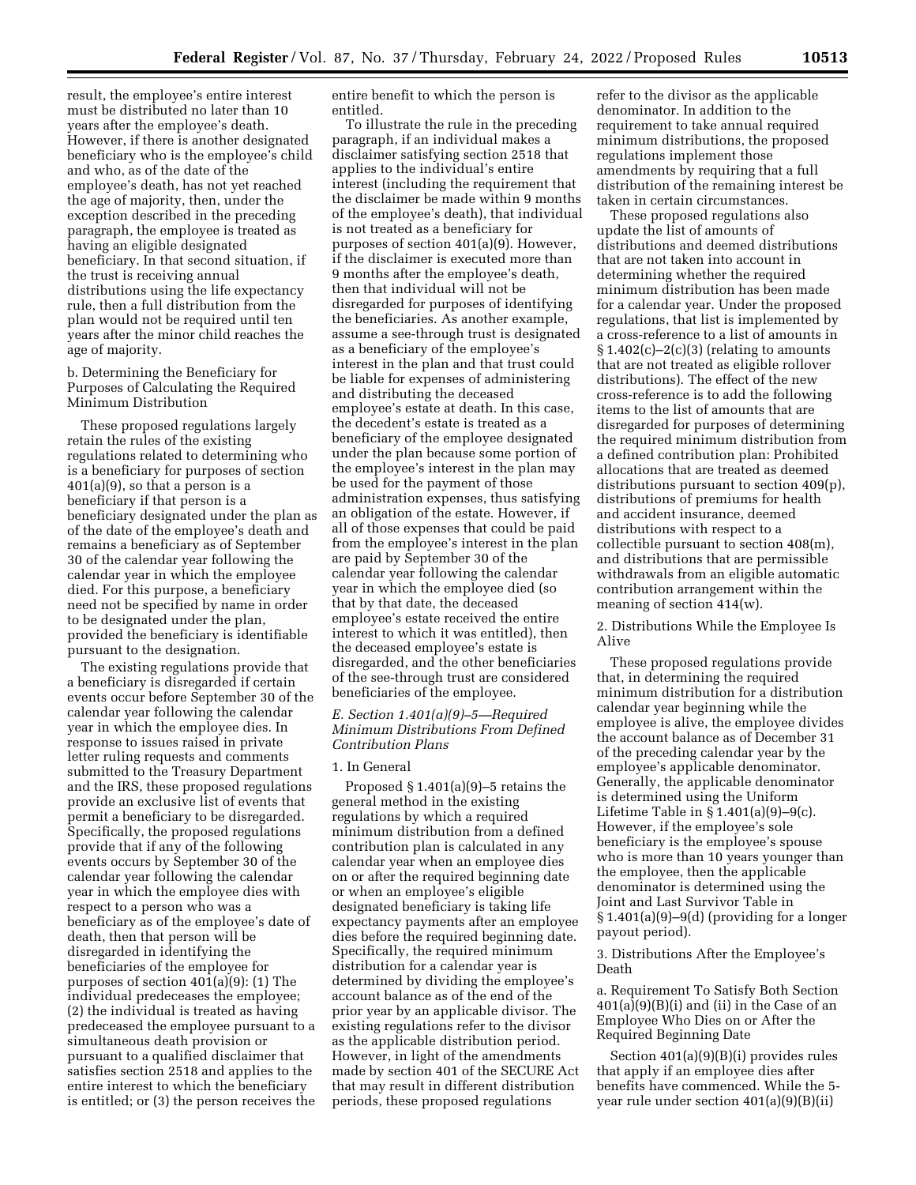result, the employee's entire interest must be distributed no later than 10 years after the employee's death. However, if there is another designated beneficiary who is the employee's child and who, as of the date of the employee's death, has not yet reached the age of majority, then, under the exception described in the preceding paragraph, the employee is treated as having an eligible designated beneficiary. In that second situation, if the trust is receiving annual distributions using the life expectancy rule, then a full distribution from the plan would not be required until ten years after the minor child reaches the age of majority.

b. Determining the Beneficiary for Purposes of Calculating the Required Minimum Distribution

These proposed regulations largely retain the rules of the existing regulations related to determining who is a beneficiary for purposes of section 401(a)(9), so that a person is a beneficiary if that person is a beneficiary designated under the plan as of the date of the employee's death and remains a beneficiary as of September 30 of the calendar year following the calendar year in which the employee died. For this purpose, a beneficiary need not be specified by name in order to be designated under the plan, provided the beneficiary is identifiable pursuant to the designation.

The existing regulations provide that a beneficiary is disregarded if certain events occur before September 30 of the calendar year following the calendar year in which the employee dies. In response to issues raised in private letter ruling requests and comments submitted to the Treasury Department and the IRS, these proposed regulations provide an exclusive list of events that permit a beneficiary to be disregarded. Specifically, the proposed regulations provide that if any of the following events occurs by September 30 of the calendar year following the calendar year in which the employee dies with respect to a person who was a beneficiary as of the employee's date of death, then that person will be disregarded in identifying the beneficiaries of the employee for purposes of section 401(a)(9): (1) The individual predeceases the employee; (2) the individual is treated as having predeceased the employee pursuant to a simultaneous death provision or pursuant to a qualified disclaimer that satisfies section 2518 and applies to the entire interest to which the beneficiary is entitled; or (3) the person receives the

entire benefit to which the person is entitled.

To illustrate the rule in the preceding paragraph, if an individual makes a disclaimer satisfying section 2518 that applies to the individual's entire interest (including the requirement that the disclaimer be made within 9 months of the employee's death), that individual is not treated as a beneficiary for purposes of section 401(a)(9). However, if the disclaimer is executed more than 9 months after the employee's death, then that individual will not be disregarded for purposes of identifying the beneficiaries. As another example, assume a see-through trust is designated as a beneficiary of the employee's interest in the plan and that trust could be liable for expenses of administering and distributing the deceased employee's estate at death. In this case, the decedent's estate is treated as a beneficiary of the employee designated under the plan because some portion of the employee's interest in the plan may be used for the payment of those administration expenses, thus satisfying an obligation of the estate. However, if all of those expenses that could be paid from the employee's interest in the plan are paid by September 30 of the calendar year following the calendar year in which the employee died (so that by that date, the deceased employee's estate received the entire interest to which it was entitled), then the deceased employee's estate is disregarded, and the other beneficiaries of the see-through trust are considered beneficiaries of the employee.

## *E. Section 1.401(a)(9)–5—Required Minimum Distributions From Defined Contribution Plans*

### 1. In General

Proposed  $\S 1.401(a)(9)$ –5 retains the general method in the existing regulations by which a required minimum distribution from a defined contribution plan is calculated in any calendar year when an employee dies on or after the required beginning date or when an employee's eligible designated beneficiary is taking life expectancy payments after an employee dies before the required beginning date. Specifically, the required minimum distribution for a calendar year is determined by dividing the employee's account balance as of the end of the prior year by an applicable divisor. The existing regulations refer to the divisor as the applicable distribution period. However, in light of the amendments made by section 401 of the SECURE Act that may result in different distribution periods, these proposed regulations

refer to the divisor as the applicable denominator. In addition to the requirement to take annual required minimum distributions, the proposed regulations implement those amendments by requiring that a full distribution of the remaining interest be taken in certain circumstances.

These proposed regulations also update the list of amounts of distributions and deemed distributions that are not taken into account in determining whether the required minimum distribution has been made for a calendar year. Under the proposed regulations, that list is implemented by a cross-reference to a list of amounts in  $\S 1.402(c) - 2(c)(3)$  (relating to amounts that are not treated as eligible rollover distributions). The effect of the new cross-reference is to add the following items to the list of amounts that are disregarded for purposes of determining the required minimum distribution from a defined contribution plan: Prohibited allocations that are treated as deemed distributions pursuant to section 409(p), distributions of premiums for health and accident insurance, deemed distributions with respect to a collectible pursuant to section 408(m), and distributions that are permissible withdrawals from an eligible automatic contribution arrangement within the meaning of section 414(w).

2. Distributions While the Employee Is Alive

These proposed regulations provide that, in determining the required minimum distribution for a distribution calendar year beginning while the employee is alive, the employee divides the account balance as of December 31 of the preceding calendar year by the employee's applicable denominator. Generally, the applicable denominator is determined using the Uniform Lifetime Table in  $\S 1.401(a)(9)-9(c)$ . However, if the employee's sole beneficiary is the employee's spouse who is more than 10 years younger than the employee, then the applicable denominator is determined using the Joint and Last Survivor Table in  $§ 1.401(a)(9)-9(d)$  (providing for a longer payout period).

## 3. Distributions After the Employee's Death

a. Requirement To Satisfy Both Section 401(a)(9)(B)(i) and (ii) in the Case of an Employee Who Dies on or After the Required Beginning Date

Section 401(a)(9)(B)(i) provides rules that apply if an employee dies after benefits have commenced. While the 5 year rule under section 401(a)(9)(B)(ii)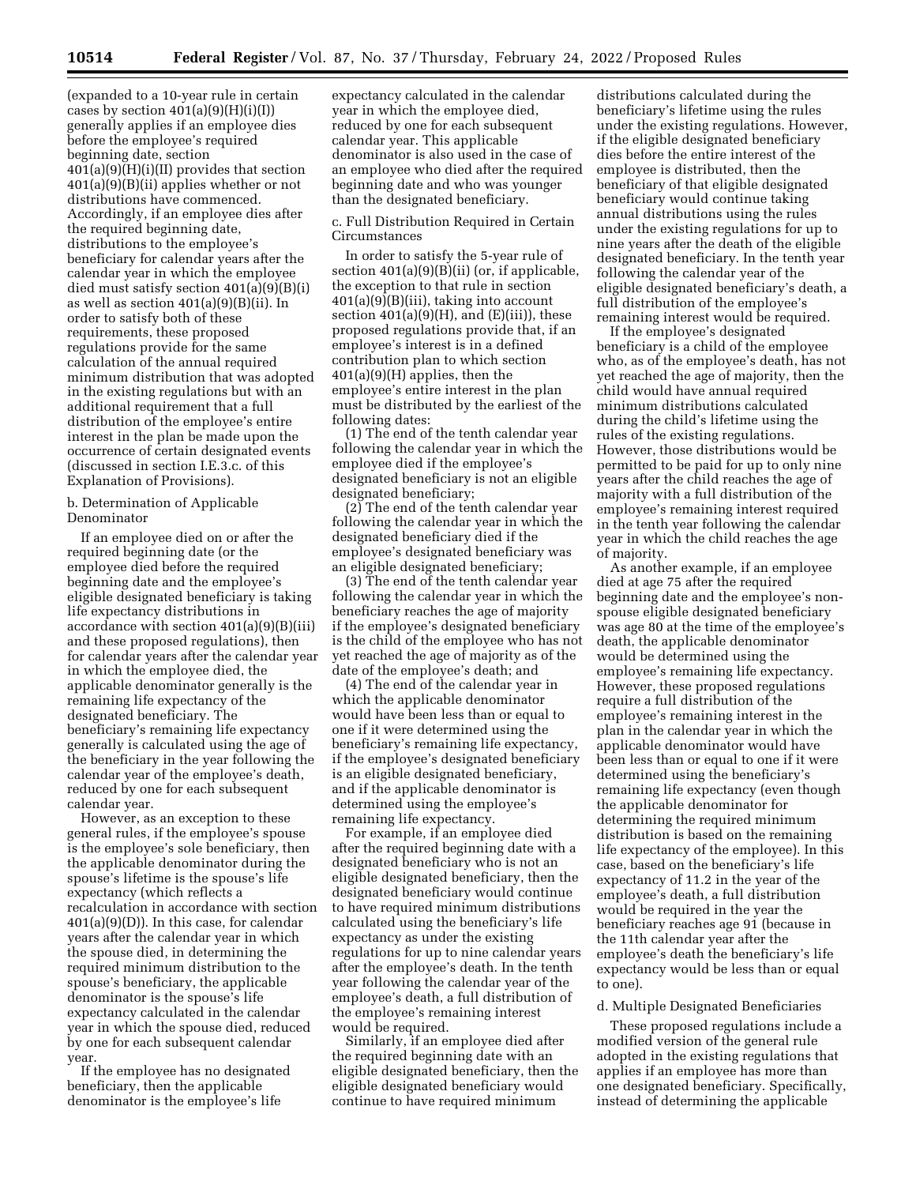(expanded to a 10-year rule in certain cases by section  $401(a)(9)(H)(i)(I))$ generally applies if an employee dies before the employee's required beginning date, section  $401(a)(9)(H)(i)(II)$  provides that section 401(a)(9)(B)(ii) applies whether or not distributions have commenced. Accordingly, if an employee dies after the required beginning date, distributions to the employee's beneficiary for calendar years after the calendar year in which the employee died must satisfy section 401(a)(9)(B)(i) as well as section 401(a)(9)(B)(ii). In order to satisfy both of these requirements, these proposed regulations provide for the same calculation of the annual required minimum distribution that was adopted in the existing regulations but with an additional requirement that a full distribution of the employee's entire interest in the plan be made upon the occurrence of certain designated events (discussed in section I.E.3.c. of this Explanation of Provisions).

b. Determination of Applicable Denominator

If an employee died on or after the required beginning date (or the employee died before the required beginning date and the employee's eligible designated beneficiary is taking life expectancy distributions in accordance with section 401(a)(9)(B)(iii) and these proposed regulations), then for calendar years after the calendar year in which the employee died, the applicable denominator generally is the remaining life expectancy of the designated beneficiary. The beneficiary's remaining life expectancy generally is calculated using the age of the beneficiary in the year following the calendar year of the employee's death, reduced by one for each subsequent calendar year.

However, as an exception to these general rules, if the employee's spouse is the employee's sole beneficiary, then the applicable denominator during the spouse's lifetime is the spouse's life expectancy (which reflects a recalculation in accordance with section 401(a)(9)(D)). In this case, for calendar years after the calendar year in which the spouse died, in determining the required minimum distribution to the spouse's beneficiary, the applicable denominator is the spouse's life expectancy calculated in the calendar year in which the spouse died, reduced by one for each subsequent calendar year.

If the employee has no designated beneficiary, then the applicable denominator is the employee's life

expectancy calculated in the calendar year in which the employee died, reduced by one for each subsequent calendar year. This applicable denominator is also used in the case of an employee who died after the required beginning date and who was younger than the designated beneficiary.

c. Full Distribution Required in Certain Circumstances

In order to satisfy the 5-year rule of section 401(a)(9)(B)(ii) (or, if applicable, the exception to that rule in section 401(a)(9)(B)(iii), taking into account section  $401(a)(9)(H)$ , and  $(E)(iii)$ , these proposed regulations provide that, if an employee's interest is in a defined contribution plan to which section 401(a)(9)(H) applies, then the employee's entire interest in the plan must be distributed by the earliest of the following dates:

(1) The end of the tenth calendar year following the calendar year in which the employee died if the employee's designated beneficiary is not an eligible designated beneficiary;

(2) The end of the tenth calendar year following the calendar year in which the designated beneficiary died if the employee's designated beneficiary was an eligible designated beneficiary;

(3) The end of the tenth calendar year following the calendar year in which the beneficiary reaches the age of majority if the employee's designated beneficiary is the child of the employee who has not yet reached the age of majority as of the date of the employee's death; and

(4) The end of the calendar year in which the applicable denominator would have been less than or equal to one if it were determined using the beneficiary's remaining life expectancy, if the employee's designated beneficiary is an eligible designated beneficiary, and if the applicable denominator is determined using the employee's remaining life expectancy.

For example, if an employee died after the required beginning date with a designated beneficiary who is not an eligible designated beneficiary, then the designated beneficiary would continue to have required minimum distributions calculated using the beneficiary's life expectancy as under the existing regulations for up to nine calendar years after the employee's death. In the tenth year following the calendar year of the employee's death, a full distribution of the employee's remaining interest would be required.

Similarly, if an employee died after the required beginning date with an eligible designated beneficiary, then the eligible designated beneficiary would continue to have required minimum

distributions calculated during the beneficiary's lifetime using the rules under the existing regulations. However, if the eligible designated beneficiary dies before the entire interest of the employee is distributed, then the beneficiary of that eligible designated beneficiary would continue taking annual distributions using the rules under the existing regulations for up to nine years after the death of the eligible designated beneficiary. In the tenth year following the calendar year of the eligible designated beneficiary's death, a full distribution of the employee's remaining interest would be required.

If the employee's designated beneficiary is a child of the employee who, as of the employee's death, has not yet reached the age of majority, then the child would have annual required minimum distributions calculated during the child's lifetime using the rules of the existing regulations. However, those distributions would be permitted to be paid for up to only nine years after the child reaches the age of majority with a full distribution of the employee's remaining interest required in the tenth year following the calendar year in which the child reaches the age of majority.

As another example, if an employee died at age 75 after the required beginning date and the employee's nonspouse eligible designated beneficiary was age 80 at the time of the employee's death, the applicable denominator would be determined using the employee's remaining life expectancy. However, these proposed regulations require a full distribution of the employee's remaining interest in the plan in the calendar year in which the applicable denominator would have been less than or equal to one if it were determined using the beneficiary's remaining life expectancy (even though the applicable denominator for determining the required minimum distribution is based on the remaining life expectancy of the employee). In this case, based on the beneficiary's life expectancy of 11.2 in the year of the employee's death, a full distribution would be required in the year the beneficiary reaches age 91 (because in the 11th calendar year after the employee's death the beneficiary's life expectancy would be less than or equal to one).

#### d. Multiple Designated Beneficiaries

These proposed regulations include a modified version of the general rule adopted in the existing regulations that applies if an employee has more than one designated beneficiary. Specifically, instead of determining the applicable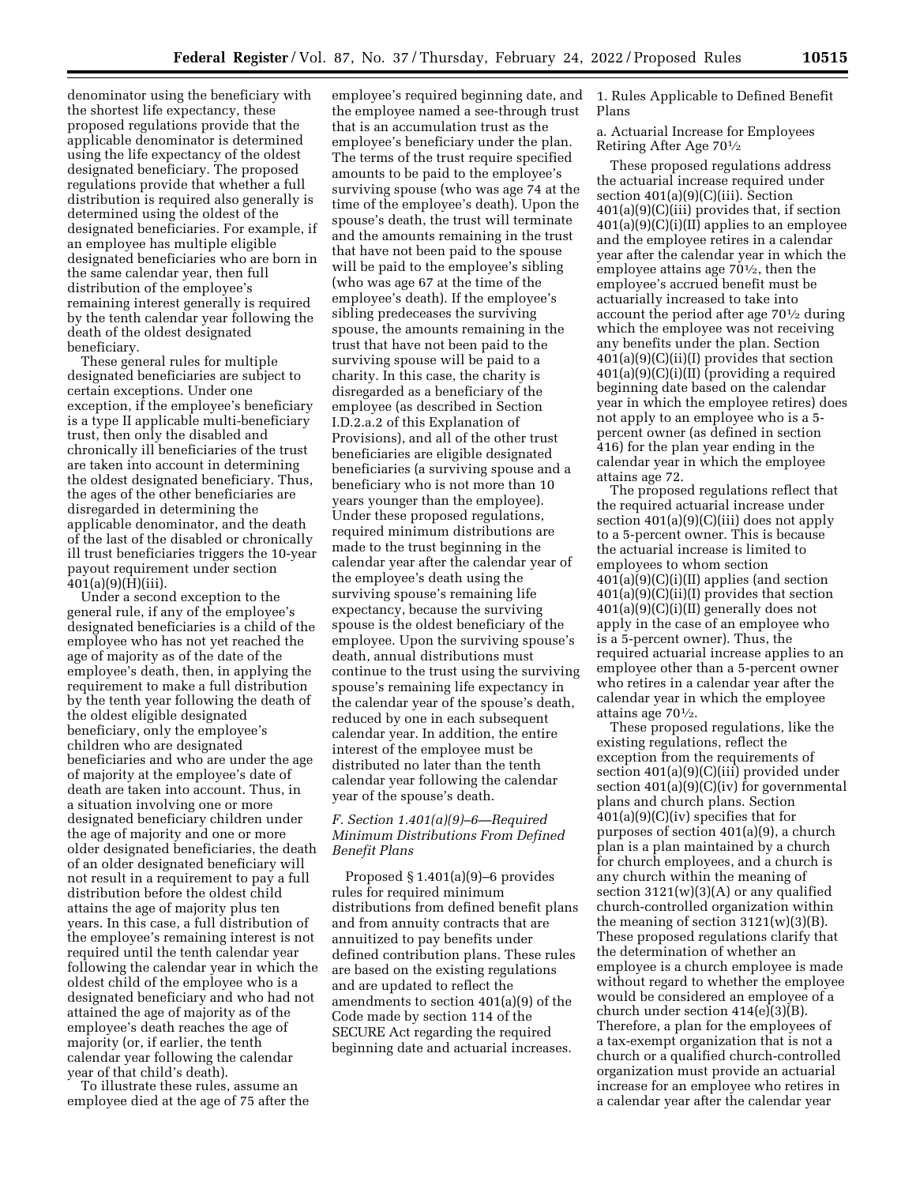denominator using the beneficiary with the shortest life expectancy, these proposed regulations provide that the applicable denominator is determined using the life expectancy of the oldest designated beneficiary. The proposed regulations provide that whether a full distribution is required also generally is determined using the oldest of the designated beneficiaries. For example, if an employee has multiple eligible designated beneficiaries who are born in the same calendar year, then full distribution of the employee's remaining interest generally is required by the tenth calendar year following the death of the oldest designated beneficiary.

These general rules for multiple designated beneficiaries are subject to certain exceptions. Under one exception, if the employee's beneficiary is a type II applicable multi-beneficiary trust, then only the disabled and chronically ill beneficiaries of the trust are taken into account in determining the oldest designated beneficiary. Thus, the ages of the other beneficiaries are disregarded in determining the applicable denominator, and the death of the last of the disabled or chronically ill trust beneficiaries triggers the 10-year payout requirement under section 401(a)(9)(H)(iii).

Under a second exception to the general rule, if any of the employee's designated beneficiaries is a child of the employee who has not yet reached the age of majority as of the date of the employee's death, then, in applying the requirement to make a full distribution by the tenth year following the death of the oldest eligible designated beneficiary, only the employee's children who are designated beneficiaries and who are under the age of majority at the employee's date of death are taken into account. Thus, in a situation involving one or more designated beneficiary children under the age of majority and one or more older designated beneficiaries, the death of an older designated beneficiary will not result in a requirement to pay a full distribution before the oldest child attains the age of majority plus ten years. In this case, a full distribution of the employee's remaining interest is not required until the tenth calendar year following the calendar year in which the oldest child of the employee who is a designated beneficiary and who had not attained the age of majority as of the employee's death reaches the age of majority (or, if earlier, the tenth calendar year following the calendar year of that child's death).

To illustrate these rules, assume an employee died at the age of 75 after the

employee's required beginning date, and the employee named a see-through trust that is an accumulation trust as the employee's beneficiary under the plan. The terms of the trust require specified amounts to be paid to the employee's surviving spouse (who was age 74 at the time of the employee's death). Upon the spouse's death, the trust will terminate and the amounts remaining in the trust that have not been paid to the spouse will be paid to the employee's sibling (who was age 67 at the time of the employee's death). If the employee's sibling predeceases the surviving spouse, the amounts remaining in the trust that have not been paid to the surviving spouse will be paid to a charity. In this case, the charity is disregarded as a beneficiary of the employee (as described in Section I.D.2.a.2 of this Explanation of Provisions), and all of the other trust beneficiaries are eligible designated beneficiaries (a surviving spouse and a beneficiary who is not more than 10 years younger than the employee). Under these proposed regulations, required minimum distributions are made to the trust beginning in the calendar year after the calendar year of the employee's death using the surviving spouse's remaining life expectancy, because the surviving spouse is the oldest beneficiary of the employee. Upon the surviving spouse's death, annual distributions must continue to the trust using the surviving spouse's remaining life expectancy in the calendar year of the spouse's death, reduced by one in each subsequent calendar year. In addition, the entire interest of the employee must be distributed no later than the tenth calendar year following the calendar year of the spouse's death.

## *F. Section 1.401(a)(9)–6—Required Minimum Distributions From Defined Benefit Plans*

Proposed § 1.401(a)(9)–6 provides rules for required minimum distributions from defined benefit plans and from annuity contracts that are annuitized to pay benefits under defined contribution plans. These rules are based on the existing regulations and are updated to reflect the amendments to section 401(a)(9) of the Code made by section 114 of the SECURE Act regarding the required beginning date and actuarial increases.

1. Rules Applicable to Defined Benefit Plans

a. Actuarial Increase for Employees Retiring After Age 701⁄2

These proposed regulations address the actuarial increase required under section 401(a)(9)(C)(iii). Section 401(a)(9)(C)(iii) provides that, if section  $401(a)(9)(C)(i)(II)$  applies to an employee and the employee retires in a calendar year after the calendar year in which the employee attains age 701⁄2, then the employee's accrued benefit must be actuarially increased to take into account the period after age 701⁄2 during which the employee was not receiving any benefits under the plan. Section 401(a)(9)(C)(ii)(I) provides that section 401(a)(9)(C)(i)(II) (providing a required beginning date based on the calendar year in which the employee retires) does not apply to an employee who is a 5 percent owner (as defined in section 416) for the plan year ending in the calendar year in which the employee attains age 72.

The proposed regulations reflect that the required actuarial increase under section 401(a)(9)(C)(iii) does not apply to a 5-percent owner. This is because the actuarial increase is limited to employees to whom section 401(a)(9)(C)(i)(II) applies (and section 401(a)(9)(C)(ii)(I) provides that section 401(a)(9)(C)(i)(II) generally does not apply in the case of an employee who is a 5-percent owner). Thus, the required actuarial increase applies to an employee other than a 5-percent owner who retires in a calendar year after the calendar year in which the employee attains age 701⁄2.

These proposed regulations, like the existing regulations, reflect the exception from the requirements of section 401(a)(9)(C)(iii) provided under section 401(a)(9)(C)(iv) for governmental plans and church plans. Section 401(a)(9)(C)(iv) specifies that for purposes of section 401(a)(9), a church plan is a plan maintained by a church for church employees, and a church is any church within the meaning of section 3121(w)(3)(A) or any qualified church-controlled organization within the meaning of section  $3121(w)(3)(B)$ . These proposed regulations clarify that the determination of whether an employee is a church employee is made without regard to whether the employee would be considered an employee of a church under section 414(e)(3)(B). Therefore, a plan for the employees of a tax-exempt organization that is not a church or a qualified church-controlled organization must provide an actuarial increase for an employee who retires in a calendar year after the calendar year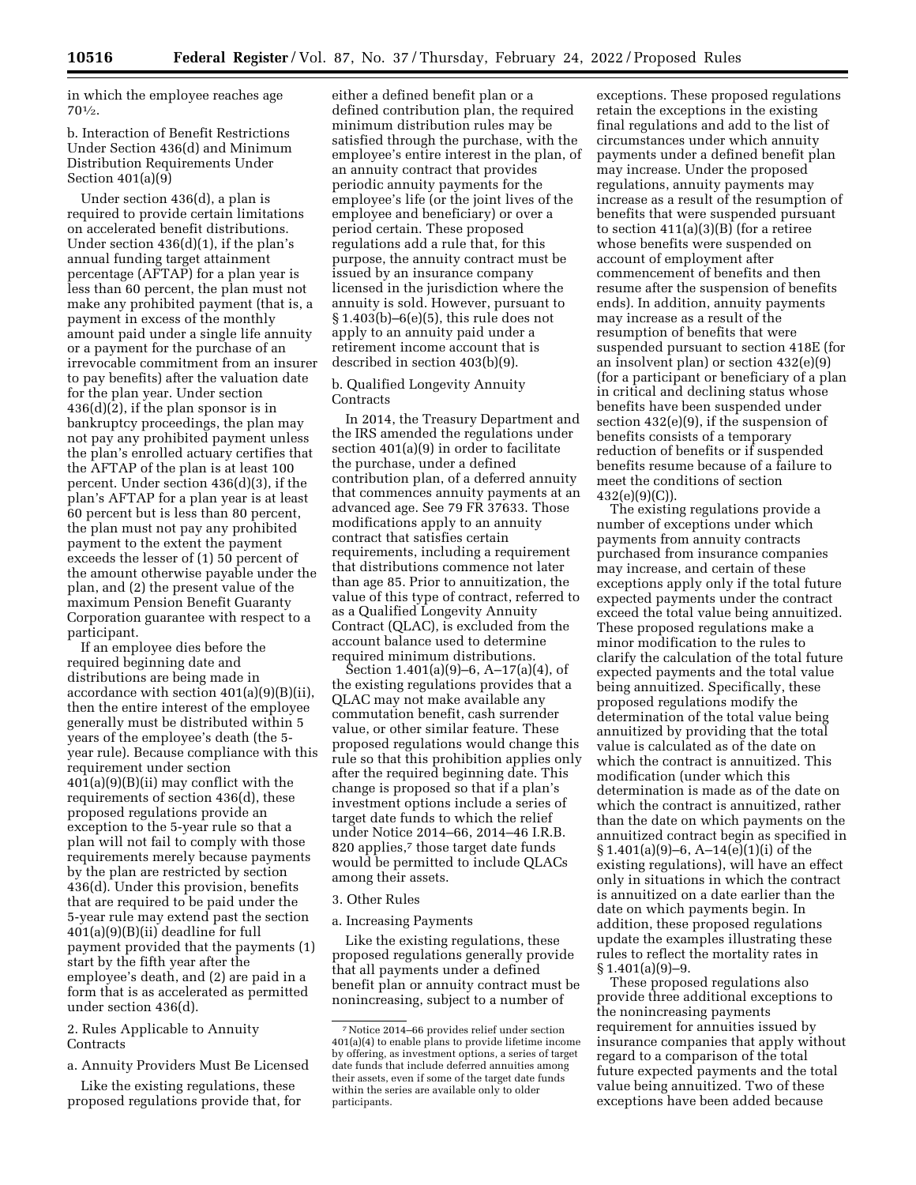in which the employee reaches age  $70^{1/2}$ .

## b. Interaction of Benefit Restrictions Under Section 436(d) and Minimum Distribution Requirements Under Section 401(a)(9)

Under section 436(d), a plan is required to provide certain limitations on accelerated benefit distributions. Under section 436(d)(1), if the plan's annual funding target attainment percentage (AFTAP) for a plan year is less than 60 percent, the plan must not make any prohibited payment (that is, a payment in excess of the monthly amount paid under a single life annuity or a payment for the purchase of an irrevocable commitment from an insurer to pay benefits) after the valuation date for the plan year. Under section 436(d)(2), if the plan sponsor is in bankruptcy proceedings, the plan may not pay any prohibited payment unless the plan's enrolled actuary certifies that the AFTAP of the plan is at least 100 percent. Under section 436(d)(3), if the plan's AFTAP for a plan year is at least 60 percent but is less than 80 percent, the plan must not pay any prohibited payment to the extent the payment exceeds the lesser of (1) 50 percent of the amount otherwise payable under the plan, and (2) the present value of the maximum Pension Benefit Guaranty Corporation guarantee with respect to a participant.

If an employee dies before the required beginning date and distributions are being made in accordance with section 401(a)(9)(B)(ii), then the entire interest of the employee generally must be distributed within 5 years of the employee's death (the 5 year rule). Because compliance with this requirement under section 401(a)(9)(B)(ii) may conflict with the requirements of section 436(d), these proposed regulations provide an exception to the 5-year rule so that a plan will not fail to comply with those requirements merely because payments by the plan are restricted by section 436(d). Under this provision, benefits that are required to be paid under the 5-year rule may extend past the section 401(a)(9)(B)(ii) deadline for full payment provided that the payments (1) start by the fifth year after the employee's death, and (2) are paid in a form that is as accelerated as permitted under section 436(d).

## 2. Rules Applicable to Annuity Contracts

a. Annuity Providers Must Be Licensed

Like the existing regulations, these proposed regulations provide that, for

either a defined benefit plan or a defined contribution plan, the required minimum distribution rules may be satisfied through the purchase, with the employee's entire interest in the plan, of an annuity contract that provides periodic annuity payments for the employee's life (or the joint lives of the employee and beneficiary) or over a period certain. These proposed regulations add a rule that, for this purpose, the annuity contract must be issued by an insurance company licensed in the jurisdiction where the annuity is sold. However, pursuant to § 1.403(b)–6(e)(5), this rule does not apply to an annuity paid under a retirement income account that is described in section 403(b)(9).

## b. Qualified Longevity Annuity **Contracts**

In 2014, the Treasury Department and the IRS amended the regulations under section 401(a)(9) in order to facilitate the purchase, under a defined contribution plan, of a deferred annuity that commences annuity payments at an advanced age. See 79 FR 37633. Those modifications apply to an annuity contract that satisfies certain requirements, including a requirement that distributions commence not later than age 85. Prior to annuitization, the value of this type of contract, referred to as a Qualified Longevity Annuity Contract (QLAC), is excluded from the account balance used to determine required minimum distributions.

Section 1.401(a)(9)–6, A–17(a)(4), of the existing regulations provides that a QLAC may not make available any commutation benefit, cash surrender value, or other similar feature. These proposed regulations would change this rule so that this prohibition applies only after the required beginning date. This change is proposed so that if a plan's investment options include a series of target date funds to which the relief under Notice 2014–66, 2014–46 I.R.B. 820 applies,<sup>7</sup> those target date funds would be permitted to include QLACs among their assets.

### 3. Other Rules

a. Increasing Payments

Like the existing regulations, these proposed regulations generally provide that all payments under a defined benefit plan or annuity contract must be nonincreasing, subject to a number of

exceptions. These proposed regulations retain the exceptions in the existing final regulations and add to the list of circumstances under which annuity payments under a defined benefit plan may increase. Under the proposed regulations, annuity payments may increase as a result of the resumption of benefits that were suspended pursuant to section  $411(a)(3)(B)$  (for a retiree whose benefits were suspended on account of employment after commencement of benefits and then resume after the suspension of benefits ends). In addition, annuity payments may increase as a result of the resumption of benefits that were suspended pursuant to section 418E (for an insolvent plan) or section 432(e)(9) (for a participant or beneficiary of a plan in critical and declining status whose benefits have been suspended under section 432(e)(9), if the suspension of benefits consists of a temporary reduction of benefits or if suspended benefits resume because of a failure to meet the conditions of section 432(e)(9)(C)).

The existing regulations provide a number of exceptions under which payments from annuity contracts purchased from insurance companies may increase, and certain of these exceptions apply only if the total future expected payments under the contract exceed the total value being annuitized. These proposed regulations make a minor modification to the rules to clarify the calculation of the total future expected payments and the total value being annuitized. Specifically, these proposed regulations modify the determination of the total value being annuitized by providing that the total value is calculated as of the date on which the contract is annuitized. This modification (under which this determination is made as of the date on which the contract is annuitized, rather than the date on which payments on the annuitized contract begin as specified in § 1.401(a)(9)–6, A–14(e)(1)(i) of the existing regulations), will have an effect only in situations in which the contract is annuitized on a date earlier than the date on which payments begin. In addition, these proposed regulations update the examples illustrating these rules to reflect the mortality rates in § 1.401(a)(9)–9.

These proposed regulations also provide three additional exceptions to the nonincreasing payments requirement for annuities issued by insurance companies that apply without regard to a comparison of the total future expected payments and the total value being annuitized. Two of these exceptions have been added because

<sup>7</sup>Notice 2014–66 provides relief under section 401(a)(4) to enable plans to provide lifetime income by offering, as investment options, a series of target date funds that include deferred annuities among their assets, even if some of the target date funds within the series are available only to older participants.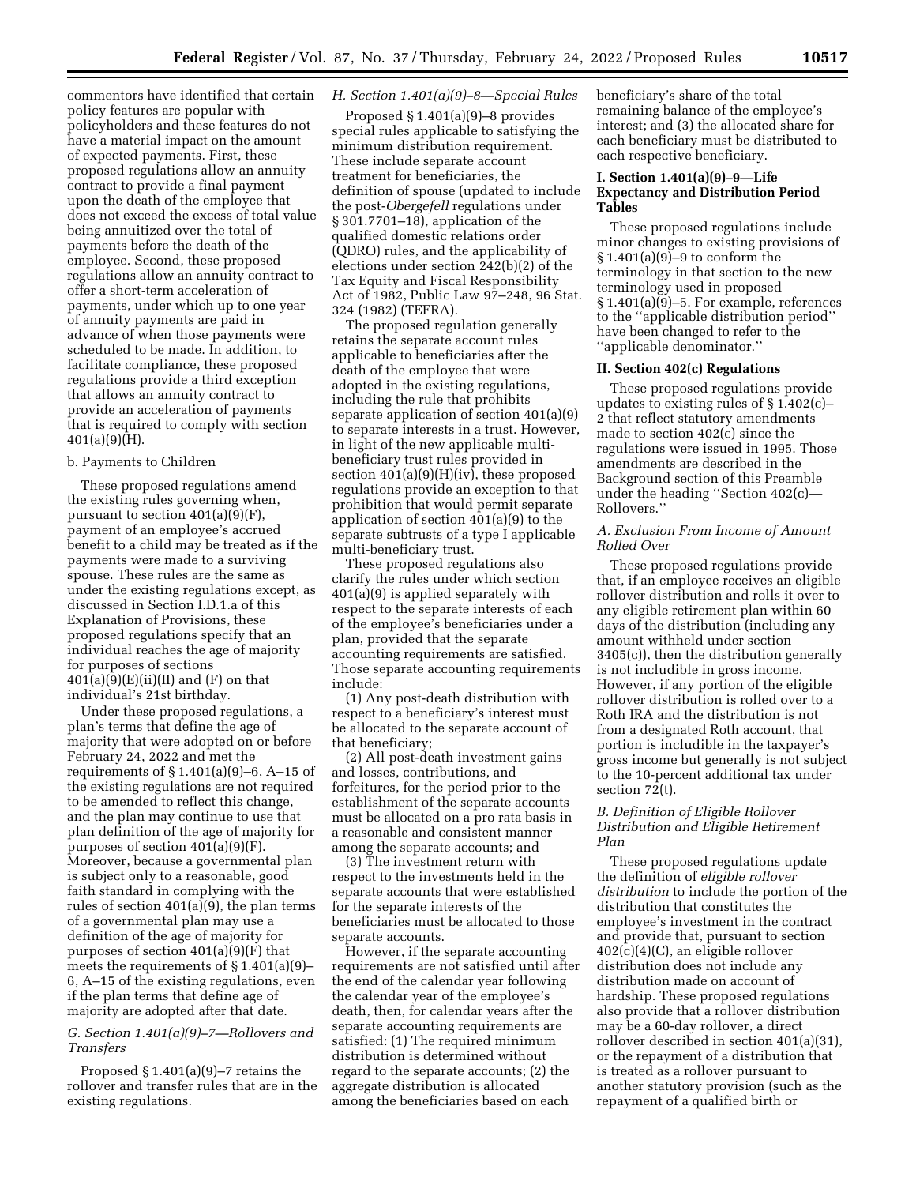commentors have identified that certain policy features are popular with policyholders and these features do not have a material impact on the amount of expected payments. First, these proposed regulations allow an annuity contract to provide a final payment upon the death of the employee that does not exceed the excess of total value being annuitized over the total of payments before the death of the employee. Second, these proposed regulations allow an annuity contract to offer a short-term acceleration of payments, under which up to one year of annuity payments are paid in advance of when those payments were scheduled to be made. In addition, to facilitate compliance, these proposed regulations provide a third exception that allows an annuity contract to provide an acceleration of payments that is required to comply with section  $401(a)(9)(H)$ .

### b. Payments to Children

These proposed regulations amend the existing rules governing when, pursuant to section 401(a)(9)(F), payment of an employee's accrued benefit to a child may be treated as if the payments were made to a surviving spouse. These rules are the same as under the existing regulations except, as discussed in Section I.D.1.a of this Explanation of Provisions, these proposed regulations specify that an individual reaches the age of majority for purposes of sections  $401(a)(9)(E)(ii)(II)$  and  $(F)$  on that individual's 21st birthday.

Under these proposed regulations, a plan's terms that define the age of majority that were adopted on or before February 24, 2022 and met the requirements of  $\S 1.401(a)(9)-6$ , A-15 of the existing regulations are not required to be amended to reflect this change, and the plan may continue to use that plan definition of the age of majority for purposes of section 401(a)(9)(F). Moreover, because a governmental plan is subject only to a reasonable, good faith standard in complying with the rules of section 401(a)(9), the plan terms of a governmental plan may use a definition of the age of majority for purposes of section 401(a)(9)(F) that meets the requirements of § 1.401(a)(9)– 6, A–15 of the existing regulations, even if the plan terms that define age of majority are adopted after that date.

## *G. Section 1.401(a)(9)–7—Rollovers and Transfers*

Proposed § 1.401(a)(9)–7 retains the rollover and transfer rules that are in the existing regulations.

## *H. Section 1.401(a)(9)–8—Special Rules*

Proposed § 1.401(a)(9)–8 provides special rules applicable to satisfying the minimum distribution requirement. These include separate account treatment for beneficiaries, the definition of spouse (updated to include the post-*Obergefell* regulations under § 301.7701–18), application of the qualified domestic relations order (QDRO) rules, and the applicability of elections under section 242(b)(2) of the Tax Equity and Fiscal Responsibility Act of 1982, Public Law 97–248, 96 Stat. 324 (1982) (TEFRA).

The proposed regulation generally retains the separate account rules applicable to beneficiaries after the death of the employee that were adopted in the existing regulations, including the rule that prohibits separate application of section 401(a)(9) to separate interests in a trust. However, in light of the new applicable multibeneficiary trust rules provided in section 401(a)(9)(H)(iv), these proposed regulations provide an exception to that prohibition that would permit separate application of section 401(a)(9) to the separate subtrusts of a type I applicable multi-beneficiary trust.

These proposed regulations also clarify the rules under which section 401(a)(9) is applied separately with respect to the separate interests of each of the employee's beneficiaries under a plan, provided that the separate accounting requirements are satisfied. Those separate accounting requirements include:

(1) Any post-death distribution with respect to a beneficiary's interest must be allocated to the separate account of that beneficiary;

(2) All post-death investment gains and losses, contributions, and forfeitures, for the period prior to the establishment of the separate accounts must be allocated on a pro rata basis in a reasonable and consistent manner among the separate accounts; and

(3) The investment return with respect to the investments held in the separate accounts that were established for the separate interests of the beneficiaries must be allocated to those separate accounts.

However, if the separate accounting requirements are not satisfied until after the end of the calendar year following the calendar year of the employee's death, then, for calendar years after the separate accounting requirements are satisfied: (1) The required minimum distribution is determined without regard to the separate accounts; (2) the aggregate distribution is allocated among the beneficiaries based on each

beneficiary's share of the total remaining balance of the employee's interest; and (3) the allocated share for each beneficiary must be distributed to each respective beneficiary.

## **I. Section 1.401(a)(9)–9—Life Expectancy and Distribution Period Tables**

These proposed regulations include minor changes to existing provisions of  $§ 1.401(a)(9)-9$  to conform the terminology in that section to the new terminology used in proposed § 1.401(a)(9)–5. For example, references to the ''applicable distribution period'' have been changed to refer to the ''applicable denominator.''

#### **II. Section 402(c) Regulations**

These proposed regulations provide updates to existing rules of § 1.402(c)– 2 that reflect statutory amendments made to section 402(c) since the regulations were issued in 1995. Those amendments are described in the Background section of this Preamble under the heading ''Section 402(c)— Rollovers.''

## *A. Exclusion From Income of Amount Rolled Over*

These proposed regulations provide that, if an employee receives an eligible rollover distribution and rolls it over to any eligible retirement plan within 60 days of the distribution (including any amount withheld under section 3405(c)), then the distribution generally is not includible in gross income. However, if any portion of the eligible rollover distribution is rolled over to a Roth IRA and the distribution is not from a designated Roth account, that portion is includible in the taxpayer's gross income but generally is not subject to the 10-percent additional tax under section 72(t).

## *B. Definition of Eligible Rollover Distribution and Eligible Retirement Plan*

These proposed regulations update the definition of *eligible rollover distribution* to include the portion of the distribution that constitutes the employee's investment in the contract and provide that, pursuant to section 402(c)(4)(C), an eligible rollover distribution does not include any distribution made on account of hardship. These proposed regulations also provide that a rollover distribution may be a 60-day rollover, a direct rollover described in section 401(a)(31), or the repayment of a distribution that is treated as a rollover pursuant to another statutory provision (such as the repayment of a qualified birth or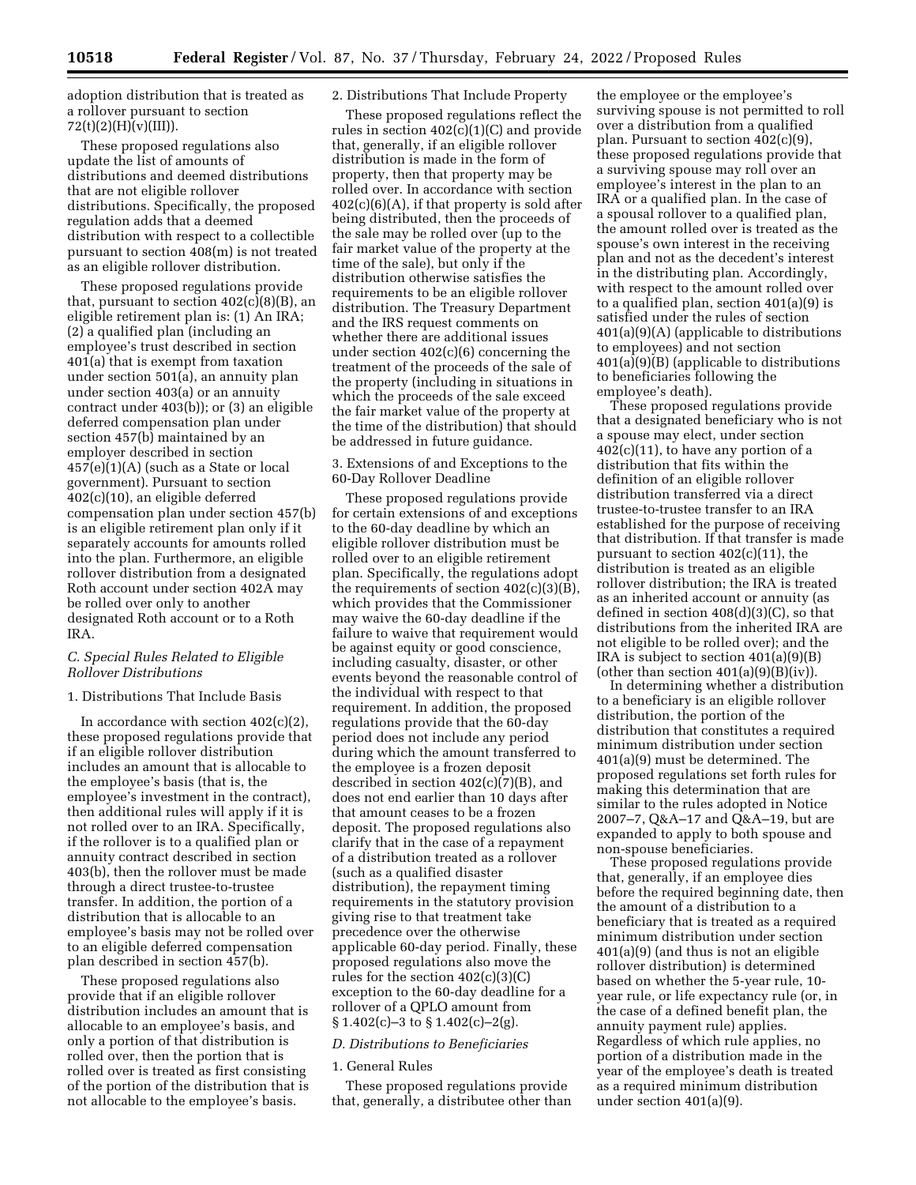adoption distribution that is treated as a rollover pursuant to section  $72(t)(2)(H)(v)(III)).$ 

These proposed regulations also update the list of amounts of distributions and deemed distributions that are not eligible rollover distributions. Specifically, the proposed regulation adds that a deemed distribution with respect to a collectible pursuant to section 408(m) is not treated as an eligible rollover distribution.

These proposed regulations provide that, pursuant to section  $402(c)(8)(B)$ , an eligible retirement plan is: (1) An IRA; (2) a qualified plan (including an employee's trust described in section 401(a) that is exempt from taxation under section 501(a), an annuity plan under section 403(a) or an annuity contract under 403(b)); or (3) an eligible deferred compensation plan under section 457(b) maintained by an employer described in section 457(e)(1)(A) (such as a State or local government). Pursuant to section 402(c)(10), an eligible deferred compensation plan under section 457(b) is an eligible retirement plan only if it separately accounts for amounts rolled into the plan. Furthermore, an eligible rollover distribution from a designated Roth account under section 402A may be rolled over only to another designated Roth account or to a Roth IRA.

## *C. Special Rules Related to Eligible Rollover Distributions*

## 1. Distributions That Include Basis

In accordance with section  $402(c)(2)$ , these proposed regulations provide that if an eligible rollover distribution includes an amount that is allocable to the employee's basis (that is, the employee's investment in the contract), then additional rules will apply if it is not rolled over to an IRA. Specifically, if the rollover is to a qualified plan or annuity contract described in section 403(b), then the rollover must be made through a direct trustee-to-trustee transfer. In addition, the portion of a distribution that is allocable to an employee's basis may not be rolled over to an eligible deferred compensation plan described in section 457(b).

These proposed regulations also provide that if an eligible rollover distribution includes an amount that is allocable to an employee's basis, and only a portion of that distribution is rolled over, then the portion that is rolled over is treated as first consisting of the portion of the distribution that is not allocable to the employee's basis.

### 2. Distributions That Include Property

These proposed regulations reflect the rules in section  $402(c)(1)(C)$  and provide that, generally, if an eligible rollover distribution is made in the form of property, then that property may be rolled over. In accordance with section  $402(c)(6)(A)$ , if that property is sold after being distributed, then the proceeds of the sale may be rolled over (up to the fair market value of the property at the time of the sale), but only if the distribution otherwise satisfies the requirements to be an eligible rollover distribution. The Treasury Department and the IRS request comments on whether there are additional issues under section 402(c)(6) concerning the treatment of the proceeds of the sale of the property (including in situations in which the proceeds of the sale exceed the fair market value of the property at the time of the distribution) that should be addressed in future guidance.

### 3. Extensions of and Exceptions to the 60-Day Rollover Deadline

These proposed regulations provide for certain extensions of and exceptions to the 60-day deadline by which an eligible rollover distribution must be rolled over to an eligible retirement plan. Specifically, the regulations adopt the requirements of section 402(c)(3)(B), which provides that the Commissioner may waive the 60-day deadline if the failure to waive that requirement would be against equity or good conscience, including casualty, disaster, or other events beyond the reasonable control of the individual with respect to that requirement. In addition, the proposed regulations provide that the 60-day period does not include any period during which the amount transferred to the employee is a frozen deposit described in section 402(c)(7)(B), and does not end earlier than 10 days after that amount ceases to be a frozen deposit. The proposed regulations also clarify that in the case of a repayment of a distribution treated as a rollover (such as a qualified disaster distribution), the repayment timing requirements in the statutory provision giving rise to that treatment take precedence over the otherwise applicable 60-day period. Finally, these proposed regulations also move the rules for the section 402(c)(3)(C) exception to the 60-day deadline for a rollover of a QPLO amount from  $\S 1.402(c) - 3$  to  $\S 1.402(c) - 2(g)$ .

#### *D. Distributions to Beneficiaries*

### 1. General Rules

These proposed regulations provide that, generally, a distributee other than

the employee or the employee's surviving spouse is not permitted to roll over a distribution from a qualified plan. Pursuant to section 402(c)(9), these proposed regulations provide that a surviving spouse may roll over an employee's interest in the plan to an IRA or a qualified plan. In the case of a spousal rollover to a qualified plan, the amount rolled over is treated as the spouse's own interest in the receiving plan and not as the decedent's interest in the distributing plan. Accordingly, with respect to the amount rolled over to a qualified plan, section 401(a)(9) is satisfied under the rules of section 401(a)(9)(A) (applicable to distributions to employees) and not section 401(a)(9)(B) (applicable to distributions to beneficiaries following the employee's death).

These proposed regulations provide that a designated beneficiary who is not a spouse may elect, under section  $402(c)(11)$ , to have any portion of a distribution that fits within the definition of an eligible rollover distribution transferred via a direct trustee-to-trustee transfer to an IRA established for the purpose of receiving that distribution. If that transfer is made pursuant to section 402(c)(11), the distribution is treated as an eligible rollover distribution; the IRA is treated as an inherited account or annuity (as defined in section 408(d)(3)(C), so that distributions from the inherited IRA are not eligible to be rolled over); and the IRA is subject to section 401(a)(9)(B) (other than section  $401(a)(9)(B)(iv)$ ).

In determining whether a distribution to a beneficiary is an eligible rollover distribution, the portion of the distribution that constitutes a required minimum distribution under section 401(a)(9) must be determined. The proposed regulations set forth rules for making this determination that are similar to the rules adopted in Notice 2007–7, Q&A–17 and Q&A–19, but are expanded to apply to both spouse and non-spouse beneficiaries.

These proposed regulations provide that, generally, if an employee dies before the required beginning date, then the amount of a distribution to a beneficiary that is treated as a required minimum distribution under section 401(a)(9) (and thus is not an eligible rollover distribution) is determined based on whether the 5-year rule, 10 year rule, or life expectancy rule (or, in the case of a defined benefit plan, the annuity payment rule) applies. Regardless of which rule applies, no portion of a distribution made in the year of the employee's death is treated as a required minimum distribution under section 401(a)(9).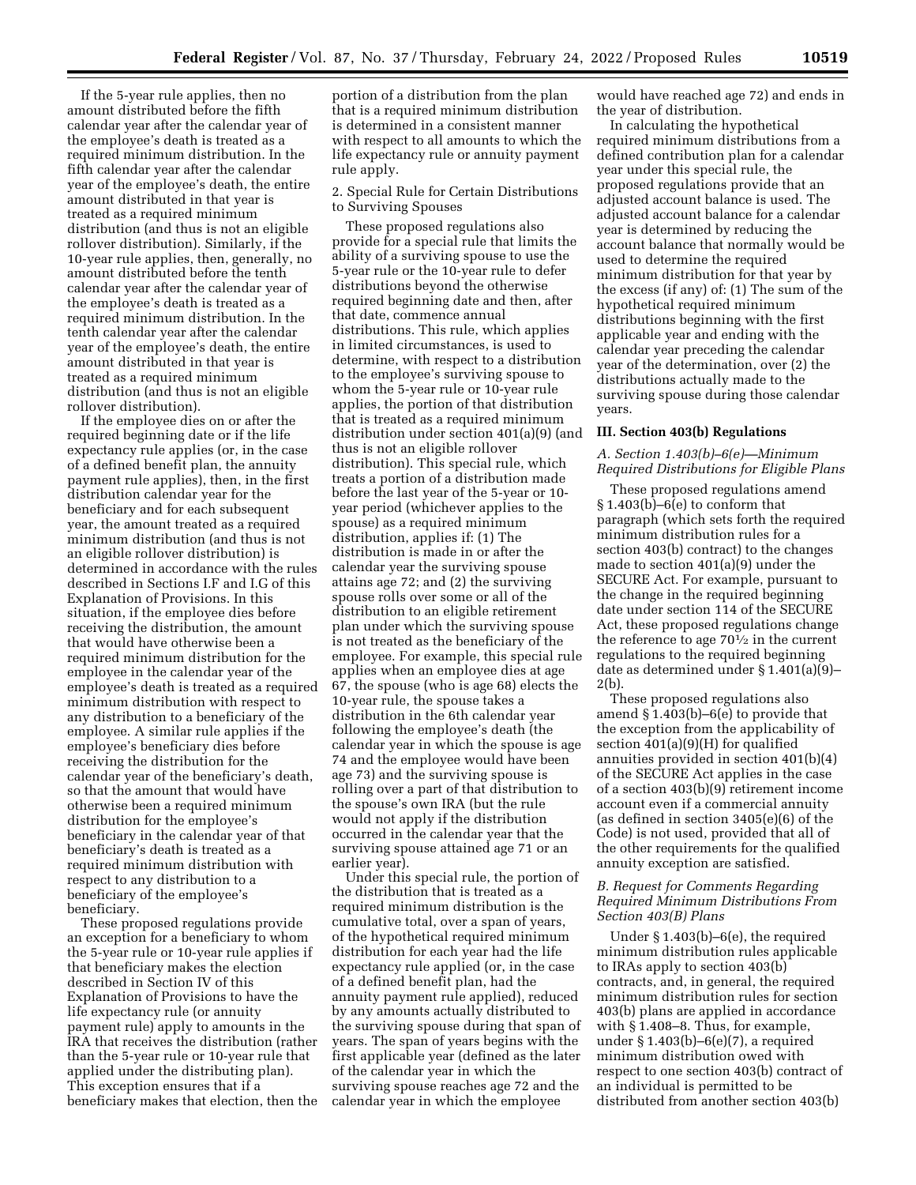If the 5-year rule applies, then no amount distributed before the fifth calendar year after the calendar year of the employee's death is treated as a required minimum distribution. In the fifth calendar year after the calendar year of the employee's death, the entire amount distributed in that year is treated as a required minimum distribution (and thus is not an eligible rollover distribution). Similarly, if the 10-year rule applies, then, generally, no amount distributed before the tenth calendar year after the calendar year of the employee's death is treated as a required minimum distribution. In the tenth calendar year after the calendar year of the employee's death, the entire amount distributed in that year is treated as a required minimum distribution (and thus is not an eligible rollover distribution).

If the employee dies on or after the required beginning date or if the life expectancy rule applies (or, in the case of a defined benefit plan, the annuity payment rule applies), then, in the first distribution calendar year for the beneficiary and for each subsequent year, the amount treated as a required minimum distribution (and thus is not an eligible rollover distribution) is determined in accordance with the rules described in Sections I.F and I.G of this Explanation of Provisions. In this situation, if the employee dies before receiving the distribution, the amount that would have otherwise been a required minimum distribution for the employee in the calendar year of the employee's death is treated as a required minimum distribution with respect to any distribution to a beneficiary of the employee. A similar rule applies if the employee's beneficiary dies before receiving the distribution for the calendar year of the beneficiary's death, so that the amount that would have otherwise been a required minimum distribution for the employee's beneficiary in the calendar year of that beneficiary's death is treated as a required minimum distribution with respect to any distribution to a beneficiary of the employee's beneficiary.

These proposed regulations provide an exception for a beneficiary to whom the 5-year rule or 10-year rule applies if that beneficiary makes the election described in Section IV of this Explanation of Provisions to have the life expectancy rule (or annuity payment rule) apply to amounts in the IRA that receives the distribution (rather than the 5-year rule or 10-year rule that applied under the distributing plan). This exception ensures that if a beneficiary makes that election, then the

portion of a distribution from the plan that is a required minimum distribution is determined in a consistent manner with respect to all amounts to which the life expectancy rule or annuity payment rule apply.

2. Special Rule for Certain Distributions to Surviving Spouses

These proposed regulations also provide for a special rule that limits the ability of a surviving spouse to use the 5-year rule or the 10-year rule to defer distributions beyond the otherwise required beginning date and then, after that date, commence annual distributions. This rule, which applies in limited circumstances, is used to determine, with respect to a distribution to the employee's surviving spouse to whom the 5-year rule or 10-year rule applies, the portion of that distribution that is treated as a required minimum distribution under section 401(a)(9) (and thus is not an eligible rollover distribution). This special rule, which treats a portion of a distribution made before the last year of the 5-year or 10 year period (whichever applies to the spouse) as a required minimum distribution, applies if: (1) The distribution is made in or after the calendar year the surviving spouse attains age 72; and (2) the surviving spouse rolls over some or all of the distribution to an eligible retirement plan under which the surviving spouse is not treated as the beneficiary of the employee. For example, this special rule applies when an employee dies at age 67, the spouse (who is age 68) elects the 10-year rule, the spouse takes a distribution in the 6th calendar year following the employee's death (the calendar year in which the spouse is age 74 and the employee would have been age 73) and the surviving spouse is rolling over a part of that distribution to the spouse's own IRA (but the rule would not apply if the distribution occurred in the calendar year that the surviving spouse attained age 71 or an earlier year).

Under this special rule, the portion of the distribution that is treated as a required minimum distribution is the cumulative total, over a span of years, of the hypothetical required minimum distribution for each year had the life expectancy rule applied (or, in the case of a defined benefit plan, had the annuity payment rule applied), reduced by any amounts actually distributed to the surviving spouse during that span of years. The span of years begins with the first applicable year (defined as the later of the calendar year in which the surviving spouse reaches age 72 and the calendar year in which the employee

would have reached age 72) and ends in the year of distribution.

In calculating the hypothetical required minimum distributions from a defined contribution plan for a calendar year under this special rule, the proposed regulations provide that an adjusted account balance is used. The adjusted account balance for a calendar year is determined by reducing the account balance that normally would be used to determine the required minimum distribution for that year by the excess (if any) of: (1) The sum of the hypothetical required minimum distributions beginning with the first applicable year and ending with the calendar year preceding the calendar year of the determination, over (2) the distributions actually made to the surviving spouse during those calendar years.

#### **III. Section 403(b) Regulations**

## *A. Section 1.403(b)–6(e)—Minimum Required Distributions for Eligible Plans*

These proposed regulations amend § 1.403(b)–6(e) to conform that paragraph (which sets forth the required minimum distribution rules for a section 403(b) contract) to the changes made to section 401(a)(9) under the SECURE Act. For example, pursuant to the change in the required beginning date under section 114 of the SECURE Act, these proposed regulations change the reference to age  $70\frac{1}{2}$  in the current regulations to the required beginning date as determined under § 1.401(a)(9)– 2(b).

These proposed regulations also amend § 1.403(b)–6(e) to provide that the exception from the applicability of section 401(a)(9)(H) for qualified annuities provided in section 401(b)(4) of the SECURE Act applies in the case of a section 403(b)(9) retirement income account even if a commercial annuity (as defined in section 3405(e)(6) of the Code) is not used, provided that all of the other requirements for the qualified annuity exception are satisfied.

### *B. Request for Comments Regarding Required Minimum Distributions From Section 403(B) Plans*

Under § 1.403(b)–6(e), the required minimum distribution rules applicable to IRAs apply to section 403(b) contracts, and, in general, the required minimum distribution rules for section 403(b) plans are applied in accordance with § 1.408–8. Thus, for example, under § 1.403(b)–6(e)(7), a required minimum distribution owed with respect to one section 403(b) contract of an individual is permitted to be distributed from another section 403(b)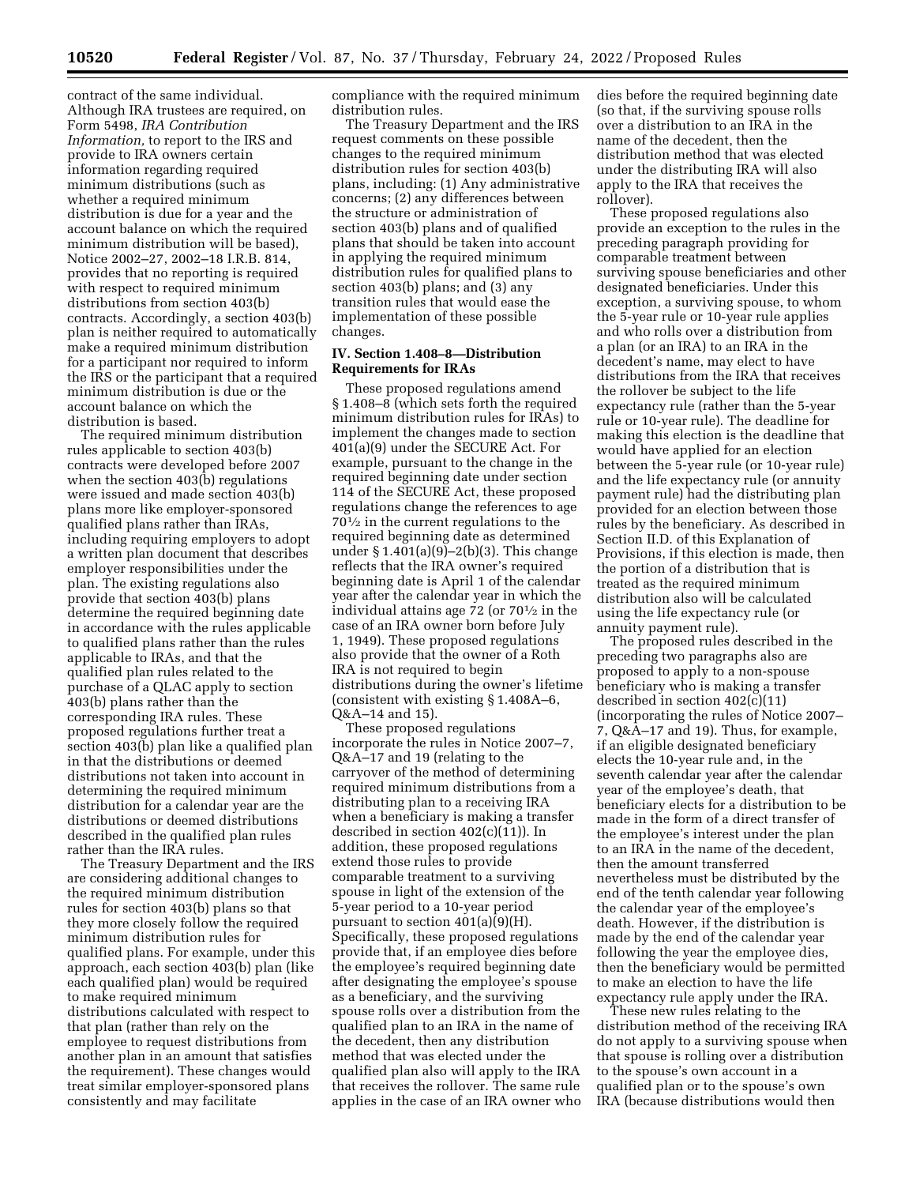contract of the same individual. Although IRA trustees are required, on Form 5498, *IRA Contribution Information,* to report to the IRS and provide to IRA owners certain information regarding required minimum distributions (such as whether a required minimum distribution is due for a year and the account balance on which the required minimum distribution will be based), Notice 2002–27, 2002–18 I.R.B. 814, provides that no reporting is required with respect to required minimum distributions from section 403(b) contracts. Accordingly, a section 403(b) plan is neither required to automatically make a required minimum distribution for a participant nor required to inform the IRS or the participant that a required minimum distribution is due or the account balance on which the distribution is based.

The required minimum distribution rules applicable to section 403(b) contracts were developed before 2007 when the section 403(b) regulations were issued and made section 403(b) plans more like employer-sponsored qualified plans rather than IRAs, including requiring employers to adopt a written plan document that describes employer responsibilities under the plan. The existing regulations also provide that section 403(b) plans determine the required beginning date in accordance with the rules applicable to qualified plans rather than the rules applicable to IRAs, and that the qualified plan rules related to the purchase of a QLAC apply to section 403(b) plans rather than the corresponding IRA rules. These proposed regulations further treat a section 403(b) plan like a qualified plan in that the distributions or deemed distributions not taken into account in determining the required minimum distribution for a calendar year are the distributions or deemed distributions described in the qualified plan rules rather than the IRA rules.

The Treasury Department and the IRS are considering additional changes to the required minimum distribution rules for section 403(b) plans so that they more closely follow the required minimum distribution rules for qualified plans. For example, under this approach, each section 403(b) plan (like each qualified plan) would be required to make required minimum distributions calculated with respect to that plan (rather than rely on the employee to request distributions from another plan in an amount that satisfies the requirement). These changes would treat similar employer-sponsored plans consistently and may facilitate

compliance with the required minimum distribution rules.

The Treasury Department and the IRS request comments on these possible changes to the required minimum distribution rules for section 403(b) plans, including: (1) Any administrative concerns; (2) any differences between the structure or administration of section 403(b) plans and of qualified plans that should be taken into account in applying the required minimum distribution rules for qualified plans to section 403(b) plans; and (3) any transition rules that would ease the implementation of these possible changes.

## **IV. Section 1.408–8—Distribution Requirements for IRAs**

These proposed regulations amend § 1.408–8 (which sets forth the required minimum distribution rules for IRAs) to implement the changes made to section 401(a)(9) under the SECURE Act. For example, pursuant to the change in the required beginning date under section 114 of the SECURE Act, these proposed regulations change the references to age 701⁄2 in the current regulations to the required beginning date as determined under § 1.401(a)(9)–2(b)(3). This change reflects that the IRA owner's required beginning date is April 1 of the calendar year after the calendar year in which the individual attains age 72 (or 701⁄2 in the case of an IRA owner born before July 1, 1949). These proposed regulations also provide that the owner of a Roth IRA is not required to begin distributions during the owner's lifetime (consistent with existing § 1.408A–6, Q&A–14 and 15).

These proposed regulations incorporate the rules in Notice 2007–7, Q&A–17 and 19 (relating to the carryover of the method of determining required minimum distributions from a distributing plan to a receiving IRA when a beneficiary is making a transfer described in section 402(c)(11)). In addition, these proposed regulations extend those rules to provide comparable treatment to a surviving spouse in light of the extension of the 5-year period to a 10-year period pursuant to section 401(a)(9)(H). Specifically, these proposed regulations provide that, if an employee dies before the employee's required beginning date after designating the employee's spouse as a beneficiary, and the surviving spouse rolls over a distribution from the qualified plan to an IRA in the name of the decedent, then any distribution method that was elected under the qualified plan also will apply to the IRA that receives the rollover. The same rule applies in the case of an IRA owner who dies before the required beginning date (so that, if the surviving spouse rolls over a distribution to an IRA in the name of the decedent, then the distribution method that was elected under the distributing IRA will also apply to the IRA that receives the rollover).

These proposed regulations also provide an exception to the rules in the preceding paragraph providing for comparable treatment between surviving spouse beneficiaries and other designated beneficiaries. Under this exception, a surviving spouse, to whom the 5-year rule or 10-year rule applies and who rolls over a distribution from a plan (or an IRA) to an IRA in the decedent's name, may elect to have distributions from the IRA that receives the rollover be subject to the life expectancy rule (rather than the 5-year rule or 10-year rule). The deadline for making this election is the deadline that would have applied for an election between the 5-year rule (or 10-year rule) and the life expectancy rule (or annuity payment rule) had the distributing plan provided for an election between those rules by the beneficiary. As described in Section II.D. of this Explanation of Provisions, if this election is made, then the portion of a distribution that is treated as the required minimum distribution also will be calculated using the life expectancy rule (or annuity payment rule).

The proposed rules described in the preceding two paragraphs also are proposed to apply to a non-spouse beneficiary who is making a transfer described in section 402(c)(11) (incorporating the rules of Notice 2007– 7, Q&A–17 and 19). Thus, for example, if an eligible designated beneficiary elects the 10-year rule and, in the seventh calendar year after the calendar year of the employee's death, that beneficiary elects for a distribution to be made in the form of a direct transfer of the employee's interest under the plan to an IRA in the name of the decedent, then the amount transferred nevertheless must be distributed by the end of the tenth calendar year following the calendar year of the employee's death. However, if the distribution is made by the end of the calendar year following the year the employee dies, then the beneficiary would be permitted to make an election to have the life expectancy rule apply under the IRA.

These new rules relating to the distribution method of the receiving IRA do not apply to a surviving spouse when that spouse is rolling over a distribution to the spouse's own account in a qualified plan or to the spouse's own IRA (because distributions would then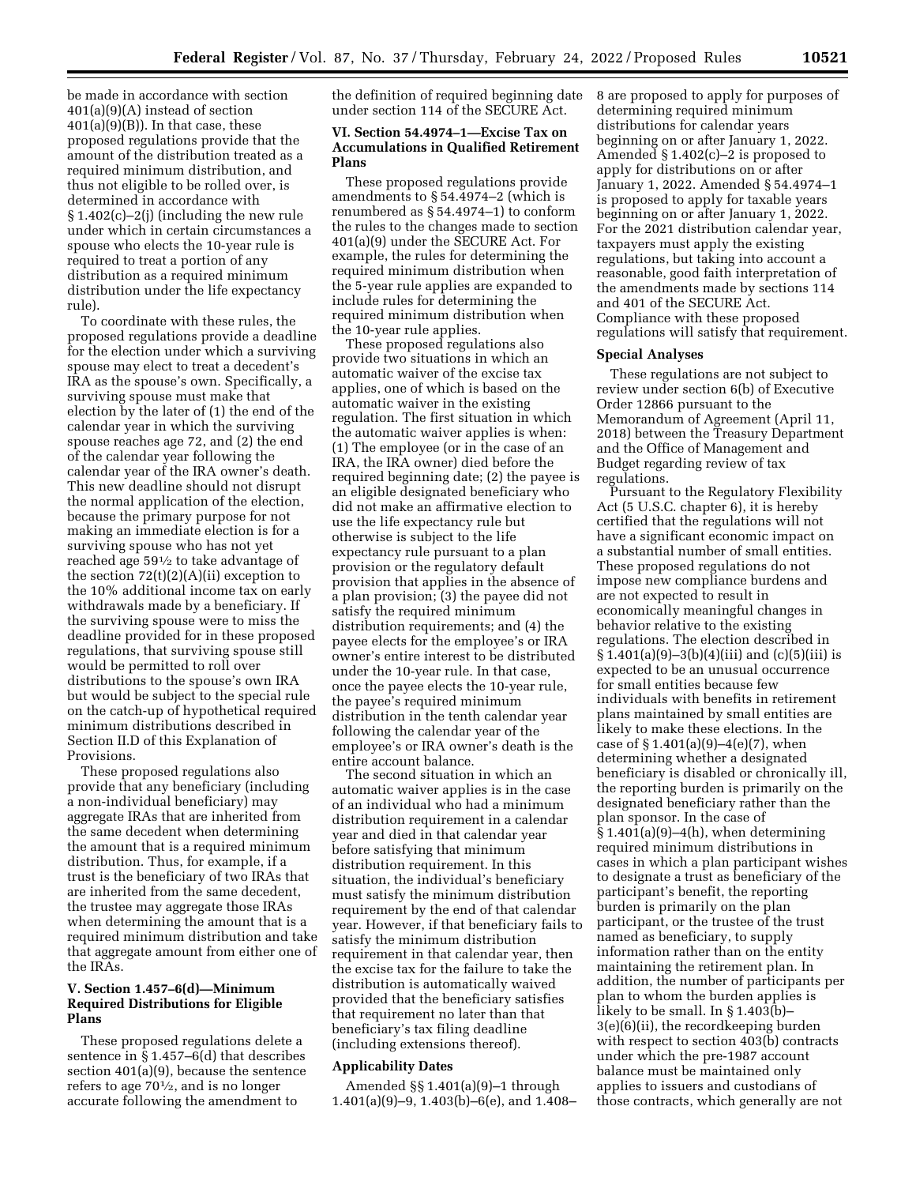be made in accordance with section 401(a)(9)(A) instead of section  $401(a)(9)(B)$ . In that case, these proposed regulations provide that the amount of the distribution treated as a required minimum distribution, and thus not eligible to be rolled over, is determined in accordance with § 1.402(c)–2(j) (including the new rule under which in certain circumstances a spouse who elects the 10-year rule is required to treat a portion of any distribution as a required minimum distribution under the life expectancy rule).

To coordinate with these rules, the proposed regulations provide a deadline for the election under which a surviving spouse may elect to treat a decedent's IRA as the spouse's own. Specifically, a surviving spouse must make that election by the later of (1) the end of the calendar year in which the surviving spouse reaches age 72, and (2) the end of the calendar year following the calendar year of the IRA owner's death. This new deadline should not disrupt the normal application of the election, because the primary purpose for not making an immediate election is for a surviving spouse who has not yet reached age 591⁄2 to take advantage of the section  $72(t)(2)(A)(ii)$  exception to the 10% additional income tax on early withdrawals made by a beneficiary. If the surviving spouse were to miss the deadline provided for in these proposed regulations, that surviving spouse still would be permitted to roll over distributions to the spouse's own IRA but would be subject to the special rule on the catch-up of hypothetical required minimum distributions described in Section II.D of this Explanation of Provisions.

These proposed regulations also provide that any beneficiary (including a non-individual beneficiary) may aggregate IRAs that are inherited from the same decedent when determining the amount that is a required minimum distribution. Thus, for example, if a trust is the beneficiary of two IRAs that are inherited from the same decedent, the trustee may aggregate those IRAs when determining the amount that is a required minimum distribution and take that aggregate amount from either one of the IRAs.

## **V. Section 1.457–6(d)—Minimum Required Distributions for Eligible Plans**

These proposed regulations delete a sentence in § 1.457–6(d) that describes section 401(a)(9), because the sentence refers to age  $70\frac{1}{2}$ , and is no longer accurate following the amendment to

the definition of required beginning date under section 114 of the SECURE Act.

## **VI. Section 54.4974–1—Excise Tax on Accumulations in Qualified Retirement Plans**

These proposed regulations provide amendments to § 54.4974–2 (which is renumbered as § 54.4974–1) to conform the rules to the changes made to section 401(a)(9) under the SECURE Act. For example, the rules for determining the required minimum distribution when the 5-year rule applies are expanded to include rules for determining the required minimum distribution when the 10-year rule applies.

These proposed regulations also provide two situations in which an automatic waiver of the excise tax applies, one of which is based on the automatic waiver in the existing regulation. The first situation in which the automatic waiver applies is when: (1) The employee (or in the case of an IRA, the IRA owner) died before the required beginning date; (2) the payee is an eligible designated beneficiary who did not make an affirmative election to use the life expectancy rule but otherwise is subject to the life expectancy rule pursuant to a plan provision or the regulatory default provision that applies in the absence of a plan provision; (3) the payee did not satisfy the required minimum distribution requirements; and (4) the payee elects for the employee's or IRA owner's entire interest to be distributed under the 10-year rule. In that case, once the payee elects the 10-year rule, the payee's required minimum distribution in the tenth calendar year following the calendar year of the employee's or IRA owner's death is the entire account balance.

The second situation in which an automatic waiver applies is in the case of an individual who had a minimum distribution requirement in a calendar year and died in that calendar year before satisfying that minimum distribution requirement. In this situation, the individual's beneficiary must satisfy the minimum distribution requirement by the end of that calendar year. However, if that beneficiary fails to satisfy the minimum distribution requirement in that calendar year, then the excise tax for the failure to take the distribution is automatically waived provided that the beneficiary satisfies that requirement no later than that beneficiary's tax filing deadline (including extensions thereof).

### **Applicability Dates**

Amended §§ 1.401(a)(9)–1 through 1.401(a)(9)–9, 1.403(b)–6(e), and 1.408– 8 are proposed to apply for purposes of determining required minimum distributions for calendar years beginning on or after January 1, 2022. Amended § 1.402(c)–2 is proposed to apply for distributions on or after January 1, 2022. Amended § 54.4974–1 is proposed to apply for taxable years beginning on or after January 1, 2022. For the 2021 distribution calendar year, taxpayers must apply the existing regulations, but taking into account a reasonable, good faith interpretation of the amendments made by sections 114 and 401 of the SECURE Act. Compliance with these proposed regulations will satisfy that requirement.

#### **Special Analyses**

These regulations are not subject to review under section 6(b) of Executive Order 12866 pursuant to the Memorandum of Agreement (April 11, 2018) between the Treasury Department and the Office of Management and Budget regarding review of tax regulations.

Pursuant to the Regulatory Flexibility Act (5 U.S.C. chapter 6), it is hereby certified that the regulations will not have a significant economic impact on a substantial number of small entities. These proposed regulations do not impose new compliance burdens and are not expected to result in economically meaningful changes in behavior relative to the existing regulations. The election described in  $\S 1.401(a)(9)-3(b)(4)(iii)$  and  $(c)(5)(iii)$  is expected to be an unusual occurrence for small entities because few individuals with benefits in retirement plans maintained by small entities are likely to make these elections. In the case of  $§ 1.401(a)(9)-4(e)(7)$ , when determining whether a designated beneficiary is disabled or chronically ill, the reporting burden is primarily on the designated beneficiary rather than the plan sponsor. In the case of  $§ 1.401(a)(9)-4(h)$ , when determining required minimum distributions in cases in which a plan participant wishes to designate a trust as beneficiary of the participant's benefit, the reporting burden is primarily on the plan participant, or the trustee of the trust named as beneficiary, to supply information rather than on the entity maintaining the retirement plan. In addition, the number of participants per plan to whom the burden applies is likely to be small. In § 1.403(b)– 3(e)(6)(ii), the recordkeeping burden with respect to section 403(b) contracts under which the pre-1987 account balance must be maintained only applies to issuers and custodians of those contracts, which generally are not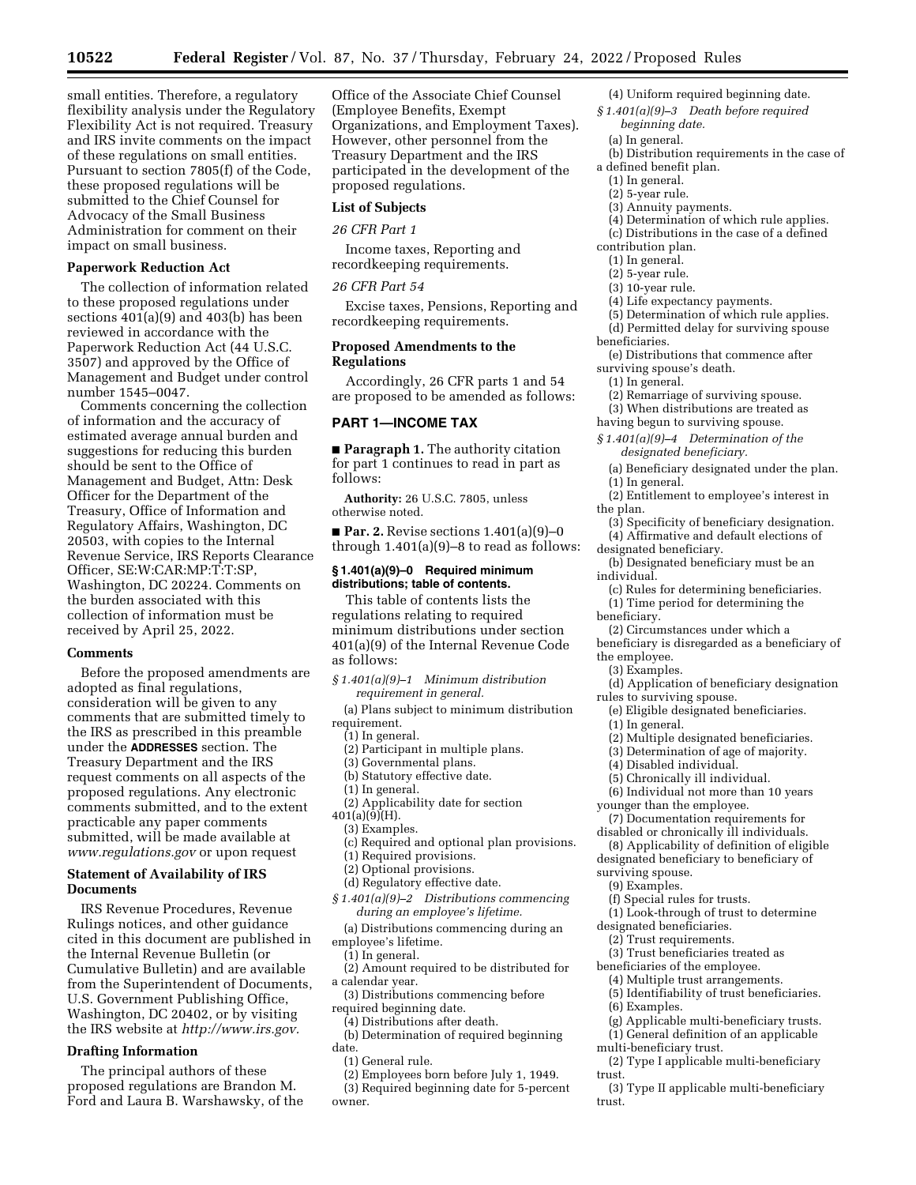small entities. Therefore, a regulatory flexibility analysis under the Regulatory Flexibility Act is not required. Treasury and IRS invite comments on the impact of these regulations on small entities. Pursuant to section 7805(f) of the Code, these proposed regulations will be submitted to the Chief Counsel for Advocacy of the Small Business Administration for comment on their

impact on small business. **Paperwork Reduction Act** 

The collection of information related to these proposed regulations under sections 401(a)(9) and 403(b) has been reviewed in accordance with the Paperwork Reduction Act (44 U.S.C. 3507) and approved by the Office of Management and Budget under control number 1545–0047.

Comments concerning the collection of information and the accuracy of estimated average annual burden and suggestions for reducing this burden should be sent to the Office of Management and Budget, Attn: Desk Officer for the Department of the Treasury, Office of Information and Regulatory Affairs, Washington, DC 20503, with copies to the Internal Revenue Service, IRS Reports Clearance Officer, SE:W:CAR:MP:T:T:SP, Washington, DC 20224. Comments on the burden associated with this collection of information must be received by April 25, 2022.

#### **Comments**

Before the proposed amendments are adopted as final regulations, consideration will be given to any comments that are submitted timely to the IRS as prescribed in this preamble under the **ADDRESSES** section. The Treasury Department and the IRS request comments on all aspects of the proposed regulations. Any electronic comments submitted, and to the extent practicable any paper comments submitted, will be made available at *[www.regulations.gov](http://www.regulations.gov)* or upon request

## **Statement of Availability of IRS Documents**

IRS Revenue Procedures, Revenue Rulings notices, and other guidance cited in this document are published in the Internal Revenue Bulletin (or Cumulative Bulletin) and are available from the Superintendent of Documents, U.S. Government Publishing Office, Washington, DC 20402, or by visiting the IRS website at *[http://www.irs.gov.](http://www.irs.gov)* 

### **Drafting Information**

The principal authors of these proposed regulations are Brandon M. Ford and Laura B. Warshawsky, of the Office of the Associate Chief Counsel (Employee Benefits, Exempt Organizations, and Employment Taxes). However, other personnel from the Treasury Department and the IRS participated in the development of the proposed regulations.

## **List of Subjects**

## *26 CFR Part 1*

Income taxes, Reporting and recordkeeping requirements.

#### *26 CFR Part 54*

Excise taxes, Pensions, Reporting and recordkeeping requirements.

### **Proposed Amendments to the Regulations**

Accordingly, 26 CFR parts 1 and 54 are proposed to be amended as follows:

#### **PART 1—INCOME TAX**

■ **Paragraph 1.** The authority citation for part 1 continues to read in part as follows:

**Authority:** 26 U.S.C. 7805, unless otherwise noted.

■ **Par. 2.** Revise sections 1.401(a)(9)-0 through 1.401(a)(9)–8 to read as follows:

### **§ 1.401(a)(9)–0 Required minimum distributions; table of contents.**

This table of contents lists the regulations relating to required minimum distributions under section 401(a)(9) of the Internal Revenue Code as follows:

*§ 1.401(a)(9)–1 Minimum distribution requirement in general.* 

(a) Plans subject to minimum distribution requirement.

(1) In general.

- (2) Participant in multiple plans.
- (3) Governmental plans.
- (b) Statutory effective date. (1) In general.
- (2) Applicability date for section
- 401(a)(9)(H).
- (3) Examples.
- (c) Required and optional plan provisions.
- (1) Required provisions.
- (2) Optional provisions.
- (d) Regulatory effective date.
- *§ 1.401(a)(9)–2 Distributions commencing during an employee's lifetime.*
- (a) Distributions commencing during an
- employee's lifetime. (1) In general.
- (2) Amount required to be distributed for a calendar year.
- (3) Distributions commencing before required beginning date.
	- (4) Distributions after death.
- (b) Determination of required beginning date.
	- (1) General rule.
	- (2) Employees born before July 1, 1949.
- (3) Required beginning date for 5-percent owner.
- (4) Uniform required beginning date.
- *§ 1.401(a)(9)–3 Death before required beginning date.* 
	- (a) In general.
	- (b) Distribution requirements in the case of
- a defined benefit plan.
- (1) In general.
- (2) 5-year rule.
- (3) Annuity payments.
- (4) Determination of which rule applies.
- (c) Distributions in the case of a defined
- contribution plan. (1) In general.
- (2) 5-year rule.
- (3) 10-year rule.
- (4) Life expectancy payments.
- (5) Determination of which rule applies.
- (d) Permitted delay for surviving spouse beneficiaries.
- (e) Distributions that commence after
- surviving spouse's death.
- (1) In general.
- (2) Remarriage of surviving spouse.
- (3) When distributions are treated as
- having begun to surviving spouse.
- *§ 1.401(a)(9)–4 Determination of the designated beneficiary.*
- (a) Beneficiary designated under the plan.
- (1) In general.
- (2) Entitlement to employee's interest in the plan.
- (3) Specificity of beneficiary designation. (4) Affirmative and default elections of
- designated beneficiary.
- (b) Designated beneficiary must be an individual.
	- (c) Rules for determining beneficiaries.
- (1) Time period for determining the beneficiary.
	- (2) Circumstances under which a
- beneficiary is disregarded as a beneficiary of the employee.
	- (3) Examples.
- (d) Application of beneficiary designation rules to surviving spouse.

(e) Eligible designated beneficiaries.

- (1) In general.
- (2) Multiple designated beneficiaries.
- (3) Determination of age of majority.
- (4) Disabled individual.
- (5) Chronically ill individual.
- (6) Individual not more than 10 years younger than the employee.
- (7) Documentation requirements for
- disabled or chronically ill individuals. (8) Applicability of definition of eligible
- designated beneficiary to beneficiary of
- surviving spouse.

(6) Examples.

trust.

trust.

multi-beneficiary trust.

- (9) Examples.
- (f) Special rules for trusts.
- (1) Look-through of trust to determine

(5) Identifiability of trust beneficiaries.

(g) Applicable multi-beneficiary trusts. (1) General definition of an applicable

(2) Type I applicable multi-beneficiary

(3) Type II applicable multi-beneficiary

- designated beneficiaries. (2) Trust requirements.
- (3) Trust beneficiaries treated as
- beneficiaries of the employee. (4) Multiple trust arrangements.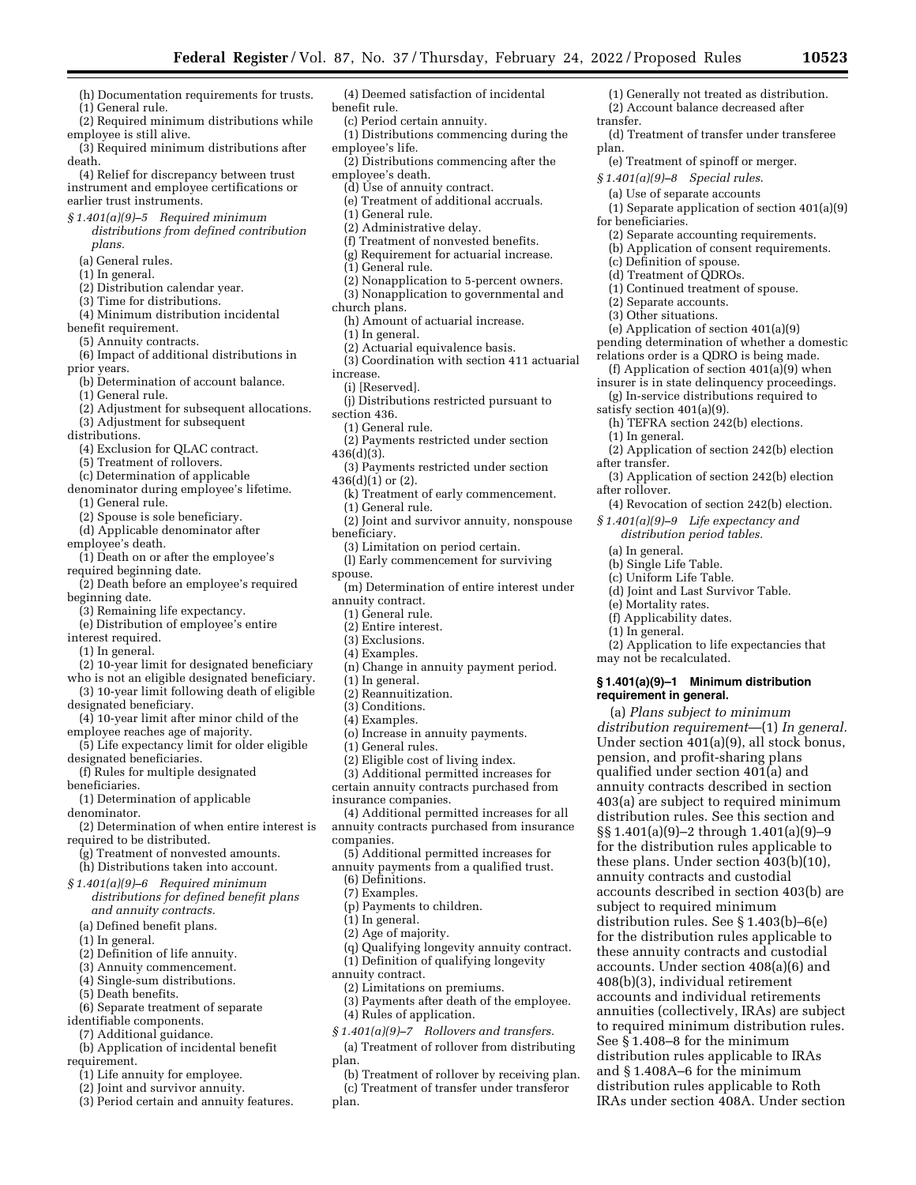(1) Generally not treated as distribution. (2) Account balance decreased after

(d) Treatment of transfer under transferee

(1) Separate application of section 401(a)(9)

(2) Separate accounting requirements. (b) Application of consent requirements.

(1) Continued treatment of spouse.

(e) Application of section 401(a)(9) pending determination of whether a domestic relations order is a QDRO is being made. (f) Application of section 401(a)(9) when insurer is in state delinquency proceedings. (g) In-service distributions required to

(h) TEFRA section 242(b) elections.

(2) Application of section 242(b) election

(3) Application of section 242(b) election

(4) Revocation of section 242(b) election. *§ 1.401(a)(9)–9 Life expectancy and distribution period tables.* 

(d) Joint and Last Survivor Table.

(2) Application to life expectancies that

accounts described in section 403(b) are

subject to required minimum distribution rules. See § 1.403(b)–6(e) for the distribution rules applicable to these annuity contracts and custodial accounts. Under section 408(a)(6) and 408(b)(3), individual retirement accounts and individual retirements annuities (collectively, IRAs) are subject to required minimum distribution rules.

See § 1.408–8 for the minimum distribution rules applicable to IRAs and § 1.408A–6 for the minimum distribution rules applicable to Roth IRAs under section 408A. Under section

**§ 1.401(a)(9)–1 Minimum distribution** 

(a) *Plans subject to minimum distribution requirement*—(1) *In general.*  Under section 401(a)(9), all stock bonus, pension, and profit-sharing plans qualified under section 401(a) and annuity contracts described in section 403(a) are subject to required minimum distribution rules. See this section and §§ 1.401(a)(9)–2 through 1.401(a)(9)–9 for the distribution rules applicable to these plans. Under section 403(b)(10), annuity contracts and custodial

(e) Treatment of spinoff or merger. *§ 1.401(a)(9)–8 Special rules.*  (a) Use of separate accounts

transfer.

for beneficiaries.

(c) Definition of spouse. (d) Treatment of QDROs.

(2) Separate accounts. (3) Other situations.

satisfy section 401(a)(9).

(1) In general.

(a) In general. (b) Single Life Table. (c) Uniform Life Table.

(e) Mortality rates. (f) Applicability dates. (1) In general.

may not be recalculated.

**requirement in general.** 

after transfer.

after rollover.

plan.

- (h) Documentation requirements for trusts. (1) General rule.
- (2) Required minimum distributions while employee is still alive.
- (3) Required minimum distributions after death.

(4) Relief for discrepancy between trust instrument and employee certifications or earlier trust instruments.

- *§ 1.401(a)(9)–5 Required minimum distributions from defined contribution plans.* 
	- (a) General rules.

(1) In general.

- (2) Distribution calendar year.
- (3) Time for distributions.
- (4) Minimum distribution incidental benefit requirement.

(5) Annuity contracts.

(6) Impact of additional distributions in

prior years.

- (b) Determination of account balance.
- (1) General rule.
- (2) Adjustment for subsequent allocations. (3) Adjustment for subsequent

distributions.

- (4) Exclusion for QLAC contract.
- (5) Treatment of rollovers.
- (c) Determination of applicable
- denominator during employee's lifetime.
- (1) General rule.
- (2) Spouse is sole beneficiary.
- (d) Applicable denominator after

employee's death.

- (1) Death on or after the employee's
- required beginning date. (2) Death before an employee's required

beginning date.

- (3) Remaining life expectancy.
- (e) Distribution of employee's entire

interest required.

(1) In general.

- (2) 10-year limit for designated beneficiary
- who is not an eligible designated beneficiary. (3) 10-year limit following death of eligible
- designated beneficiary.
- (4) 10-year limit after minor child of the employee reaches age of majority.
- (5) Life expectancy limit for older eligible designated beneficiaries.

(f) Rules for multiple designated beneficiaries.

(1) Determination of applicable denominator.

- (2) Determination of when entire interest is required to be distributed.
- (g) Treatment of nonvested amounts. (h) Distributions taken into account.
- *§ 1.401(a)(9)–6 Required minimum distributions for defined benefit plans and annuity contracts.* 
	- (a) Defined benefit plans.
	- (1) In general.
- (2) Definition of life annuity.
- (3) Annuity commencement.
- (4) Single-sum distributions.
- (5) Death benefits.
- (6) Separate treatment of separate
- identifiable components.
- (7) Additional guidance.
- (b) Application of incidental benefit
- requirement.
	- (1) Life annuity for employee.
	- (2) Joint and survivor annuity.
	- (3) Period certain and annuity features.
- (4) Deemed satisfaction of incidental benefit rule.
- (c) Period certain annuity.
- (1) Distributions commencing during the employee's life.
- (2) Distributions commencing after the employee's death.
- (d) Use of annuity contract.
- (e) Treatment of additional accruals.
- (1) General rule.
- (2) Administrative delay.
- (f) Treatment of nonvested benefits.
- (g) Requirement for actuarial increase.
- (1) General rule.
- (2) Nonapplication to 5-percent owners.
- (3) Nonapplication to governmental and
- church plans.
- (h) Amount of actuarial increase.
- (1) In general.
- (2) Actuarial equivalence basis.
- (3) Coordination with section 411 actuarial increase.
- (i) [Reserved].
- (j) Distributions restricted pursuant to section 436.
- (1) General rule.
- (2) Payments restricted under section 436(d)(3).
- (3) Payments restricted under section 436(d)(1) or (2).
	- (k) Treatment of early commencement. (1) General rule.
- 
- (2) Joint and survivor annuity, nonspouse beneficiary.
	- (3) Limitation on period certain.
- (l) Early commencement for surviving spouse.
- (m) Determination of entire interest under annuity contract.
	- (1) General rule.
	- (2) Entire interest.
	- (3) Exclusions.
	- (4) Examples.
	- (n) Change in annuity payment period.
	- (1) In general.
	- (2) Reannuitization.
	- (3) Conditions.
	- (4) Examples.

companies.

(6) Definitions. (7) Examples.

(1) In general. (2) Age of majority.

annuity contract.

plan.

plan.

(p) Payments to children.

(2) Limitations on premiums.

(4) Rules of application.

- (o) Increase in annuity payments.
- (1) General rules.
- (2) Eligible cost of living index.
- (3) Additional permitted increases for

certain annuity contracts purchased from insurance companies.

(5) Additional permitted increases for annuity payments from a qualified trust.

(4) Additional permitted increases for all annuity contracts purchased from insurance

(q) Qualifying longevity annuity contract. (1) Definition of qualifying longevity

(3) Payments after death of the employee.

(b) Treatment of rollover by receiving plan. (c) Treatment of transfer under transferor

*§ 1.401(a)(9)–7 Rollovers and transfers.*  (a) Treatment of rollover from distributing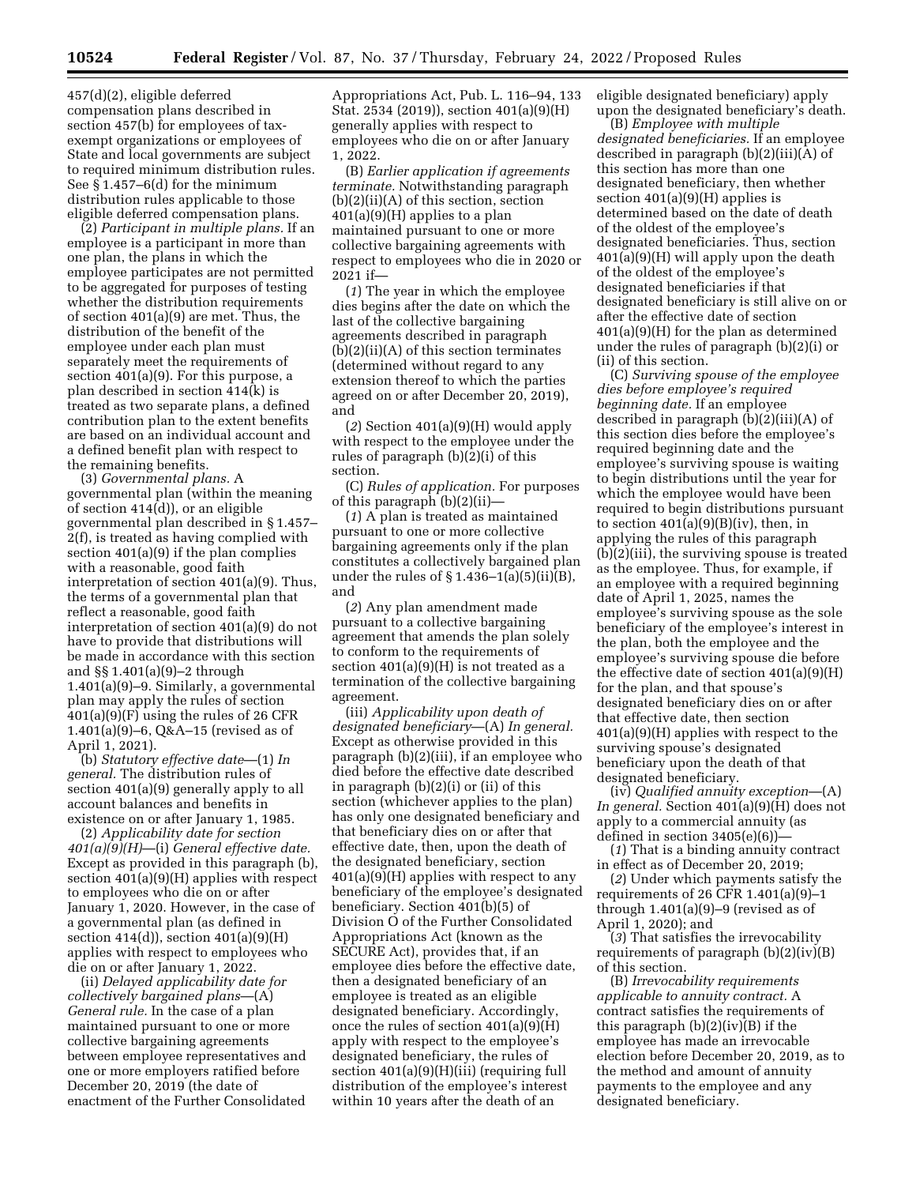457(d)(2), eligible deferred compensation plans described in section 457(b) for employees of taxexempt organizations or employees of State and local governments are subject to required minimum distribution rules. See § 1.457–6(d) for the minimum distribution rules applicable to those eligible deferred compensation plans.

(2) *Participant in multiple plans.* If an employee is a participant in more than one plan, the plans in which the employee participates are not permitted to be aggregated for purposes of testing whether the distribution requirements of section 401(a)(9) are met. Thus, the distribution of the benefit of the employee under each plan must separately meet the requirements of section 401(a)(9). For this purpose, a plan described in section 414(k) is treated as two separate plans, a defined contribution plan to the extent benefits are based on an individual account and a defined benefit plan with respect to the remaining benefits.

(3) *Governmental plans.* A governmental plan (within the meaning of section 414(d)), or an eligible governmental plan described in § 1.457– 2(f), is treated as having complied with section 401(a)(9) if the plan complies with a reasonable, good faith interpretation of section 401(a)(9). Thus, the terms of a governmental plan that reflect a reasonable, good faith interpretation of section 401(a)(9) do not have to provide that distributions will be made in accordance with this section and §§ 1.401(a)(9)–2 through 1.401(a)(9)–9. Similarly, a governmental plan may apply the rules of section 401(a)(9)(F) using the rules of 26 CFR 1.401(a)(9)–6, Q&A–15 (revised as of April 1, 2021).

(b) *Statutory effective date*—(1) *In general.* The distribution rules of section 401(a)(9) generally apply to all account balances and benefits in existence on or after January 1, 1985.

(2) *Applicability date for section 401(a)(9)(H)*—(i) *General effective date.*  Except as provided in this paragraph (b), section 401(a)(9)(H) applies with respect to employees who die on or after January 1, 2020. However, in the case of a governmental plan (as defined in section 414(d)), section 401(a)(9)(H) applies with respect to employees who die on or after January 1, 2022.

(ii) *Delayed applicability date for collectively bargained plans*—(A) *General rule.* In the case of a plan maintained pursuant to one or more collective bargaining agreements between employee representatives and one or more employers ratified before December 20, 2019 (the date of enactment of the Further Consolidated

Appropriations Act, Pub. L. 116–94, 133 Stat. 2534 (2019)), section 401(a)(9)(H) generally applies with respect to employees who die on or after January 1, 2022.

(B) *Earlier application if agreements terminate.* Notwithstanding paragraph  $(b)(2)(ii)(A)$  of this section, section 401(a)(9)(H) applies to a plan maintained pursuant to one or more collective bargaining agreements with respect to employees who die in 2020 or 2021 if—

(*1*) The year in which the employee dies begins after the date on which the last of the collective bargaining agreements described in paragraph  $(b)(2)(ii)(A)$  of this section terminates (determined without regard to any extension thereof to which the parties agreed on or after December 20, 2019), and

(*2*) Section 401(a)(9)(H) would apply with respect to the employee under the rules of paragraph (b)(2)(i) of this section.

(C) *Rules of application.* For purposes of this paragraph (b)(2)(ii)—

(*1*) A plan is treated as maintained pursuant to one or more collective bargaining agreements only if the plan constitutes a collectively bargained plan under the rules of  $\S 1.436-1(a)(5)(ii)(B)$ , and

(*2*) Any plan amendment made pursuant to a collective bargaining agreement that amends the plan solely to conform to the requirements of section 401(a)(9)(H) is not treated as a termination of the collective bargaining agreement.

(iii) *Applicability upon death of designated beneficiary*—(A) *In general.*  Except as otherwise provided in this paragraph (b)(2)(iii), if an employee who died before the effective date described in paragraph (b)(2)(i) or (ii) of this section (whichever applies to the plan) has only one designated beneficiary and that beneficiary dies on or after that effective date, then, upon the death of the designated beneficiary, section 401(a)(9)(H) applies with respect to any beneficiary of the employee's designated beneficiary. Section 401(b)(5) of Division O of the Further Consolidated Appropriations Act (known as the SECURE Act), provides that, if an employee dies before the effective date, then a designated beneficiary of an employee is treated as an eligible designated beneficiary. Accordingly, once the rules of section 401(a)(9)(H) apply with respect to the employee's designated beneficiary, the rules of section 401(a)(9)(H)(iii) (requiring full distribution of the employee's interest within 10 years after the death of an

eligible designated beneficiary) apply upon the designated beneficiary's death.

(B) *Employee with multiple designated beneficiaries.* If an employee described in paragraph (b)(2)(iii)(A) of this section has more than one designated beneficiary, then whether section 401(a)(9)(H) applies is determined based on the date of death of the oldest of the employee's designated beneficiaries. Thus, section 401(a)(9)(H) will apply upon the death of the oldest of the employee's designated beneficiaries if that designated beneficiary is still alive on or after the effective date of section 401(a)(9)(H) for the plan as determined under the rules of paragraph (b)(2)(i) or (ii) of this section.

(C) *Surviving spouse of the employee dies before employee's required beginning date.* If an employee described in paragraph (b)(2)(iii)(A) of this section dies before the employee's required beginning date and the employee's surviving spouse is waiting to begin distributions until the year for which the employee would have been required to begin distributions pursuant to section  $401(a)(9)(B)(iv)$ , then, in applying the rules of this paragraph (b)(2)(iii), the surviving spouse is treated as the employee. Thus, for example, if an employee with a required beginning date of April 1, 2025, names the employee's surviving spouse as the sole beneficiary of the employee's interest in the plan, both the employee and the employee's surviving spouse die before the effective date of section 401(a)(9)(H) for the plan, and that spouse's designated beneficiary dies on or after that effective date, then section 401(a)(9)(H) applies with respect to the surviving spouse's designated beneficiary upon the death of that designated beneficiary.

(iv) *Qualified annuity exception*—(A) *In general.* Section 401(a)(9)(H) does not apply to a commercial annuity (as defined in section 3405(e)(6))—

(*1*) That is a binding annuity contract in effect as of December 20, 2019;

(*2*) Under which payments satisfy the requirements of 26 CFR 1.401(a)(9)–1 through  $1.401(a)(9)-9$  (revised as of April 1, 2020); and

(*3*) That satisfies the irrevocability requirements of paragraph  $(b)(2)(iv)(B)$ of this section.

(B) *Irrevocability requirements applicable to annuity contract.* A contract satisfies the requirements of this paragraph  $(b)(2)(iv)(B)$  if the employee has made an irrevocable election before December 20, 2019, as to the method and amount of annuity payments to the employee and any designated beneficiary.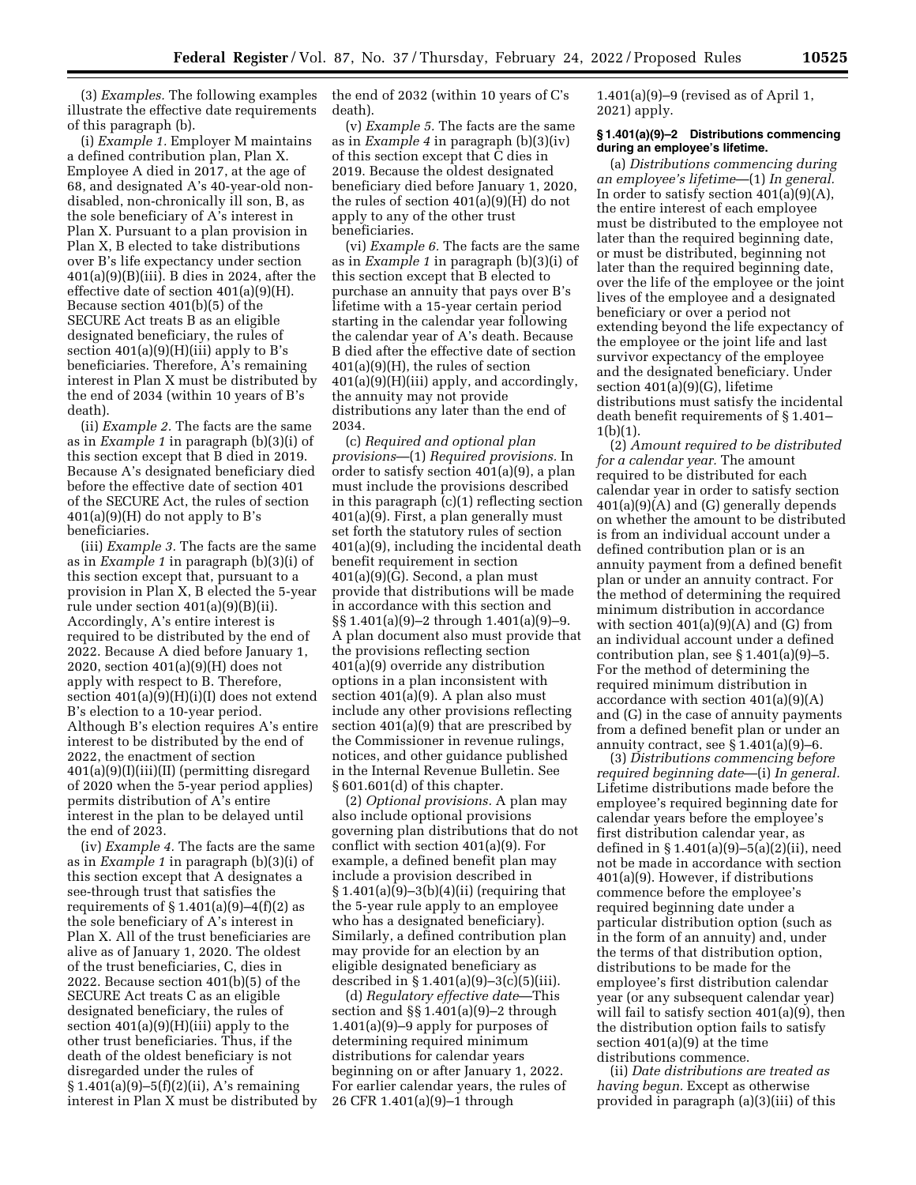(3) *Examples.* The following examples illustrate the effective date requirements of this paragraph (b).

(i) *Example 1.* Employer M maintains a defined contribution plan, Plan X. Employee A died in 2017, at the age of 68, and designated A's 40-year-old nondisabled, non-chronically ill son, B, as the sole beneficiary of A's interest in Plan X. Pursuant to a plan provision in Plan X, B elected to take distributions over B's life expectancy under section 401(a)(9)(B)(iii). B dies in 2024, after the effective date of section 401(a)(9)(H). Because section 401(b)(5) of the SECURE Act treats B as an eligible designated beneficiary, the rules of section  $401(a)(9)(H)(iii)$  apply to B's beneficiaries. Therefore, A's remaining interest in Plan X must be distributed by the end of 2034 (within 10 years of B's death).

(ii) *Example 2.* The facts are the same as in *Example 1* in paragraph (b)(3)(i) of this section except that B died in 2019. Because A's designated beneficiary died before the effective date of section 401 of the SECURE Act, the rules of section  $401(a)(9)(H)$  do not apply to B's beneficiaries.

(iii) *Example 3.* The facts are the same as in *Example 1* in paragraph (b)(3)(i) of this section except that, pursuant to a provision in Plan X, B elected the 5-year rule under section 401(a)(9)(B)(ii). Accordingly, A's entire interest is required to be distributed by the end of 2022. Because A died before January 1, 2020, section 401(a)(9)(H) does not apply with respect to B. Therefore, section 401(a)(9)(H)(i)(I) does not extend B's election to a 10-year period. Although B's election requires A's entire interest to be distributed by the end of 2022, the enactment of section 401(a)(9)(I)(iii)(II) (permitting disregard of 2020 when the 5-year period applies) permits distribution of A's entire interest in the plan to be delayed until the end of 2023.

(iv) *Example 4.* The facts are the same as in *Example 1* in paragraph (b)(3)(i) of this section except that A designates a see-through trust that satisfies the requirements of  $\S 1.401(a)(9)-4(f)(2)$  as the sole beneficiary of A's interest in Plan X. All of the trust beneficiaries are alive as of January 1, 2020. The oldest of the trust beneficiaries, C, dies in 2022. Because section 401(b)(5) of the SECURE Act treats C as an eligible designated beneficiary, the rules of section  $401(a)(9)(H)(iii)$  apply to the other trust beneficiaries. Thus, if the death of the oldest beneficiary is not disregarded under the rules of § 1.401(a)(9)–5(f)(2)(ii), A's remaining interest in Plan X must be distributed by the end of 2032 (within 10 years of C's death).

(v) *Example 5.* The facts are the same as in *Example 4* in paragraph (b)(3)(iv) of this section except that C dies in 2019. Because the oldest designated beneficiary died before January 1, 2020, the rules of section 401(a)(9)(H) do not apply to any of the other trust beneficiaries.

(vi) *Example 6.* The facts are the same as in *Example 1* in paragraph (b)(3)(i) of this section except that B elected to purchase an annuity that pays over B's lifetime with a 15-year certain period starting in the calendar year following the calendar year of A's death. Because B died after the effective date of section 401(a)(9)(H), the rules of section 401(a)(9)(H)(iii) apply, and accordingly, the annuity may not provide distributions any later than the end of 2034.

(c) *Required and optional plan provisions*—(1) *Required provisions.* In order to satisfy section 401(a)(9), a plan must include the provisions described in this paragraph (c)(1) reflecting section 401(a)(9). First, a plan generally must set forth the statutory rules of section 401(a)(9), including the incidental death benefit requirement in section  $401(a)(9)(G)$ . Second, a plan must provide that distributions will be made in accordance with this section and §§ 1.401(a)(9)–2 through 1.401(a)(9)–9. A plan document also must provide that the provisions reflecting section 401(a)(9) override any distribution options in a plan inconsistent with section 401(a)(9). A plan also must include any other provisions reflecting section 401(a)(9) that are prescribed by the Commissioner in revenue rulings, notices, and other guidance published in the Internal Revenue Bulletin. See § 601.601(d) of this chapter.

(2) *Optional provisions.* A plan may also include optional provisions governing plan distributions that do not conflict with section 401(a)(9). For example, a defined benefit plan may include a provision described in § 1.401(a)(9)–3(b)(4)(ii) (requiring that the 5-year rule apply to an employee who has a designated beneficiary). Similarly, a defined contribution plan may provide for an election by an eligible designated beneficiary as described in § 1.401(a)(9)–3(c)(5)(iii).

(d) *Regulatory effective date*—This section and §§ 1.401(a)(9)–2 through 1.401(a)(9)–9 apply for purposes of determining required minimum distributions for calendar years beginning on or after January 1, 2022. For earlier calendar years, the rules of 26 CFR 1.401(a)(9)–1 through

1.401(a)(9)–9 (revised as of April 1, 2021) apply.

#### **§ 1.401(a)(9)–2 Distributions commencing during an employee's lifetime.**

(a) *Distributions commencing during an employee's lifetime*—(1) *In general.*  In order to satisfy section  $401(a)(9)(A)$ , the entire interest of each employee must be distributed to the employee not later than the required beginning date, or must be distributed, beginning not later than the required beginning date, over the life of the employee or the joint lives of the employee and a designated beneficiary or over a period not extending beyond the life expectancy of the employee or the joint life and last survivor expectancy of the employee and the designated beneficiary. Under section 401(a)(9)(G), lifetime distributions must satisfy the incidental death benefit requirements of § 1.401– 1(b)(1).

(2) *Amount required to be distributed for a calendar year.* The amount required to be distributed for each calendar year in order to satisfy section  $401(a)(9)(A)$  and  $(G)$  generally depends on whether the amount to be distributed is from an individual account under a defined contribution plan or is an annuity payment from a defined benefit plan or under an annuity contract. For the method of determining the required minimum distribution in accordance with section  $401(a)(9)(A)$  and (G) from an individual account under a defined contribution plan, see § 1.401(a)(9)–5. For the method of determining the required minimum distribution in accordance with section 401(a)(9)(A) and (G) in the case of annuity payments from a defined benefit plan or under an annuity contract, see  $\S 1.401(a)(9)-6$ .

(3) *Distributions commencing before required beginning date*—(i) *In general.*  Lifetime distributions made before the employee's required beginning date for calendar years before the employee's first distribution calendar year, as defined in § 1.401(a)(9)–5(a)(2)(ii), need not be made in accordance with section 401(a)(9). However, if distributions commence before the employee's required beginning date under a particular distribution option (such as in the form of an annuity) and, under the terms of that distribution option, distributions to be made for the employee's first distribution calendar year (or any subsequent calendar year) will fail to satisfy section 401(a)(9), then the distribution option fails to satisfy section 401(a)(9) at the time distributions commence.

(ii) *Date distributions are treated as having begun.* Except as otherwise provided in paragraph (a)(3)(iii) of this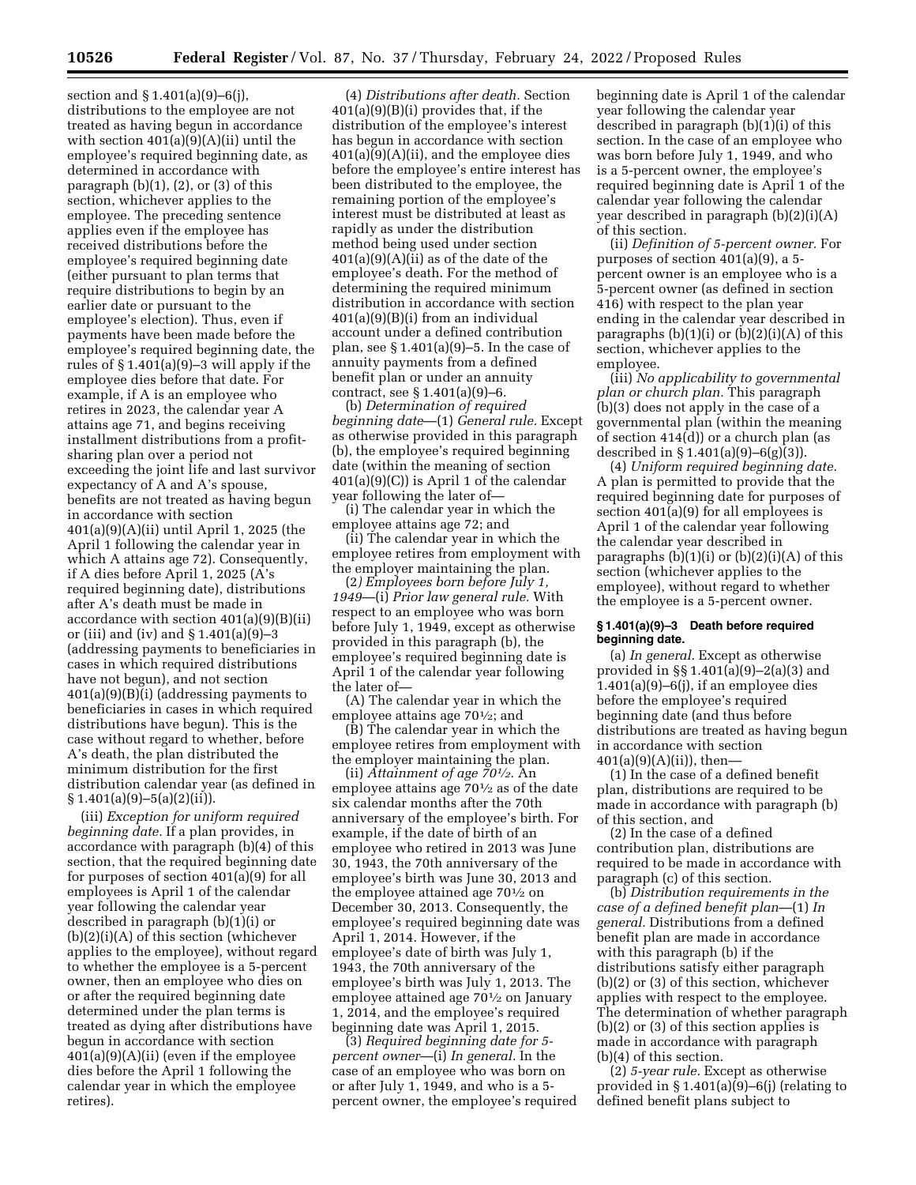section and § 1.401(a)(9)–6(j), distributions to the employee are not treated as having begun in accordance with section  $401(a)(9)(A)(ii)$  until the employee's required beginning date, as determined in accordance with paragraph  $(b)(1)$ ,  $(2)$ , or  $(3)$  of this section, whichever applies to the employee. The preceding sentence applies even if the employee has received distributions before the employee's required beginning date (either pursuant to plan terms that require distributions to begin by an earlier date or pursuant to the employee's election). Thus, even if payments have been made before the employee's required beginning date, the rules of § 1.401(a)(9)–3 will apply if the employee dies before that date. For example, if A is an employee who retires in 2023, the calendar year A attains age 71, and begins receiving installment distributions from a profitsharing plan over a period not exceeding the joint life and last survivor expectancy of A and A's spouse, benefits are not treated as having begun in accordance with section 401(a)(9)(A)(ii) until April 1, 2025 (the April 1 following the calendar year in which A attains age 72). Consequently, if A dies before April 1, 2025 (A's required beginning date), distributions after A's death must be made in accordance with section  $401(a)(9)(B)(ii)$ or (iii) and (iv) and § 1.401(a)(9)–3 (addressing payments to beneficiaries in cases in which required distributions have not begun), and not section 401(a)(9)(B)(i) (addressing payments to beneficiaries in cases in which required distributions have begun). This is the case without regard to whether, before A's death, the plan distributed the minimum distribution for the first distribution calendar year (as defined in  $§ 1.401(a)(9) - 5(a)(2)(ii)$ .

(iii) *Exception for uniform required beginning date.* If a plan provides, in accordance with paragraph (b)(4) of this section, that the required beginning date for purposes of section 401(a)(9) for all employees is April 1 of the calendar year following the calendar year described in paragraph (b)(1)(i) or (b)(2)(i)(A) of this section (whichever applies to the employee), without regard to whether the employee is a 5-percent owner, then an employee who dies on or after the required beginning date determined under the plan terms is treated as dying after distributions have begun in accordance with section 401(a)(9)(A)(ii) (even if the employee dies before the April 1 following the calendar year in which the employee retires).

(4) *Distributions after death.* Section 401(a)(9)(B)(i) provides that, if the distribution of the employee's interest has begun in accordance with section 401(a)(9)(A)(ii), and the employee dies before the employee's entire interest has been distributed to the employee, the remaining portion of the employee's interest must be distributed at least as rapidly as under the distribution method being used under section  $401(a)(9)(A)(ii)$  as of the date of the employee's death. For the method of determining the required minimum distribution in accordance with section 401(a)(9)(B)(i) from an individual account under a defined contribution plan, see  $\S 1.401(a)(9)-5$ . In the case of annuity payments from a defined benefit plan or under an annuity contract, see § 1.401(a)(9)–6.

(b) *Determination of required beginning date*—(1) *General rule.* Except as otherwise provided in this paragraph (b), the employee's required beginning date (within the meaning of section 401(a)(9)(C)) is April 1 of the calendar year following the later of—

(i) The calendar year in which the employee attains age 72; and

(ii) The calendar year in which the employee retires from employment with the employer maintaining the plan.

(2*) Employees born before July 1, 1949*—(i) *Prior law general rule.* With respect to an employee who was born before July 1, 1949, except as otherwise provided in this paragraph (b), the employee's required beginning date is April 1 of the calendar year following the later of—

(A) The calendar year in which the employee attains age 701⁄2; and

(B) The calendar year in which the employee retires from employment with the employer maintaining the plan.

(ii) *Attainment of age 701⁄2.* An employee attains age  $70\frac{1}{2}$  as of the date six calendar months after the 70th anniversary of the employee's birth. For example, if the date of birth of an employee who retired in 2013 was June 30, 1943, the 70th anniversary of the employee's birth was June 30, 2013 and the employee attained age 701⁄2 on December 30, 2013. Consequently, the employee's required beginning date was April 1, 2014. However, if the employee's date of birth was July 1, 1943, the 70th anniversary of the employee's birth was July 1, 2013. The employee attained age 701⁄2 on January 1, 2014, and the employee's required beginning date was April 1, 2015.

(3) *Required beginning date for 5 percent owner*—(i) *In general.* In the case of an employee who was born on or after July 1, 1949, and who is a 5 percent owner, the employee's required

beginning date is April 1 of the calendar year following the calendar year described in paragraph (b)(1)(i) of this section. In the case of an employee who was born before July 1, 1949, and who is a 5-percent owner, the employee's required beginning date is April 1 of the calendar year following the calendar year described in paragraph (b)(2)(i)(A) of this section.

(ii) *Definition of 5-percent owner.* For purposes of section 401(a)(9), a 5 percent owner is an employee who is a 5-percent owner (as defined in section 416) with respect to the plan year ending in the calendar year described in paragraphs  $(b)(1)(i)$  or  $(b)(2)(i)(A)$  of this section, whichever applies to the employee.

(iii) *No applicability to governmental plan or church plan.* This paragraph (b)(3) does not apply in the case of a governmental plan (within the meaning of section 414(d)) or a church plan (as described in § 1.401(a)(9)–6(g)(3)).

(4) *Uniform required beginning date.*  A plan is permitted to provide that the required beginning date for purposes of section 401(a)(9) for all employees is April 1 of the calendar year following the calendar year described in paragraphs  $(b)(1)(i)$  or  $(b)(2)(i)(A)$  of this section (whichever applies to the employee), without regard to whether the employee is a 5-percent owner.

### **§ 1.401(a)(9)–3 Death before required beginning date.**

(a) *In general.* Except as otherwise provided in §§ 1.401(a)(9)–2(a)(3) and  $1.401(a)(9)-6(i)$ , if an employee dies before the employee's required beginning date (and thus before distributions are treated as having begun in accordance with section  $401(a)(9)(A)(ii)$ , then-

(1) In the case of a defined benefit plan, distributions are required to be made in accordance with paragraph (b) of this section, and

(2) In the case of a defined contribution plan, distributions are required to be made in accordance with paragraph (c) of this section.

(b) *Distribution requirements in the case of a defined benefit plan*—(1) *In general.* Distributions from a defined benefit plan are made in accordance with this paragraph (b) if the distributions satisfy either paragraph (b)(2) or (3) of this section, whichever applies with respect to the employee. The determination of whether paragraph (b)(2) or (3) of this section applies is made in accordance with paragraph (b)(4) of this section.

(2) *5-year rule.* Except as otherwise provided in § 1.401(a)(9)–6(j) (relating to defined benefit plans subject to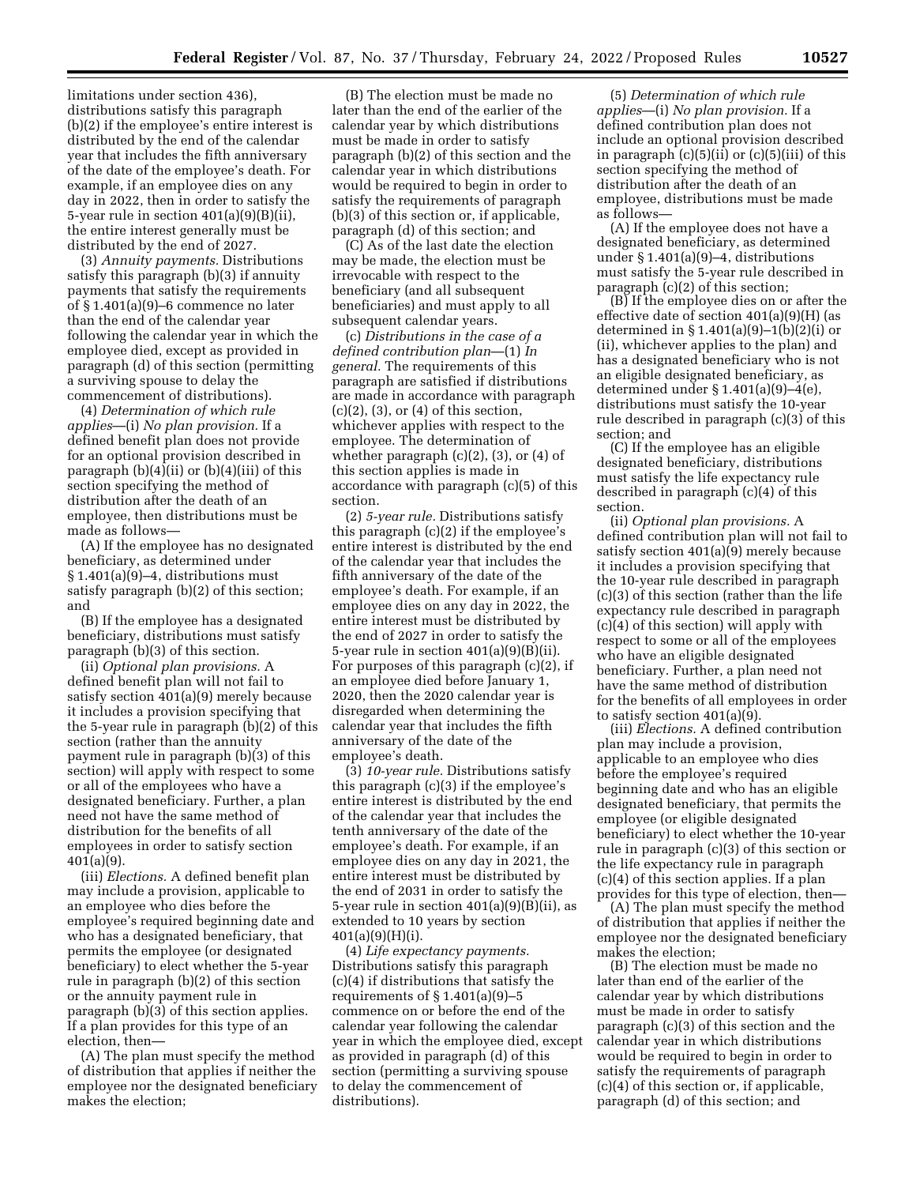limitations under section 436), distributions satisfy this paragraph (b)(2) if the employee's entire interest is distributed by the end of the calendar year that includes the fifth anniversary of the date of the employee's death. For example, if an employee dies on any day in 2022, then in order to satisfy the 5-year rule in section 401(a)(9)(B)(ii), the entire interest generally must be distributed by the end of 2027.

(3) *Annuity payments.* Distributions satisfy this paragraph (b)(3) if annuity payments that satisfy the requirements of § 1.401(a)(9)–6 commence no later than the end of the calendar year following the calendar year in which the employee died, except as provided in paragraph (d) of this section (permitting a surviving spouse to delay the commencement of distributions).

(4) *Determination of which rule applies*—(i) *No plan provision.* If a defined benefit plan does not provide for an optional provision described in paragraph  $(b)(4)(ii)$  or  $(b)(4)(iii)$  of this section specifying the method of distribution after the death of an employee, then distributions must be made as follows—

(A) If the employee has no designated beneficiary, as determined under § 1.401(a)(9)–4, distributions must satisfy paragraph (b)(2) of this section; and

(B) If the employee has a designated beneficiary, distributions must satisfy paragraph (b)(3) of this section.

(ii) *Optional plan provisions.* A defined benefit plan will not fail to satisfy section 401(a)(9) merely because it includes a provision specifying that the 5-year rule in paragraph (b)(2) of this section (rather than the annuity payment rule in paragraph (b)(3) of this section) will apply with respect to some or all of the employees who have a designated beneficiary. Further, a plan need not have the same method of distribution for the benefits of all employees in order to satisfy section 401(a)(9).

(iii) *Elections.* A defined benefit plan may include a provision, applicable to an employee who dies before the employee's required beginning date and who has a designated beneficiary, that permits the employee (or designated beneficiary) to elect whether the 5-year rule in paragraph (b)(2) of this section or the annuity payment rule in paragraph (b)(3) of this section applies. If a plan provides for this type of an election, then—

(A) The plan must specify the method of distribution that applies if neither the employee nor the designated beneficiary makes the election;

(B) The election must be made no later than the end of the earlier of the calendar year by which distributions must be made in order to satisfy paragraph (b)(2) of this section and the calendar year in which distributions would be required to begin in order to satisfy the requirements of paragraph (b)(3) of this section or, if applicable, paragraph (d) of this section; and

(C) As of the last date the election may be made, the election must be irrevocable with respect to the beneficiary (and all subsequent beneficiaries) and must apply to all subsequent calendar years.

(c) *Distributions in the case of a defined contribution plan*—(1) *In general.* The requirements of this paragraph are satisfied if distributions are made in accordance with paragraph  $(c)(2)$ ,  $(3)$ , or  $(4)$  of this section, whichever applies with respect to the employee. The determination of whether paragraph (c)(2), (3), or (4) of this section applies is made in accordance with paragraph (c)(5) of this section.

(2) *5-year rule.* Distributions satisfy this paragraph (c)(2) if the employee's entire interest is distributed by the end of the calendar year that includes the fifth anniversary of the date of the employee's death. For example, if an employee dies on any day in 2022, the entire interest must be distributed by the end of 2027 in order to satisfy the 5-year rule in section 401(a)(9)(B)(ii). For purposes of this paragraph (c)(2), if an employee died before January 1, 2020, then the 2020 calendar year is disregarded when determining the calendar year that includes the fifth anniversary of the date of the employee's death.

(3) *10-year rule.* Distributions satisfy this paragraph (c)(3) if the employee's entire interest is distributed by the end of the calendar year that includes the tenth anniversary of the date of the employee's death. For example, if an employee dies on any day in 2021, the entire interest must be distributed by the end of 2031 in order to satisfy the 5-year rule in section 401(a)(9)(B)(ii), as extended to 10 years by section 401(a)(9)(H)(i).

(4) *Life expectancy payments.*  Distributions satisfy this paragraph (c)(4) if distributions that satisfy the requirements of  $\S 1.401(a)(9)-5$ commence on or before the end of the calendar year following the calendar year in which the employee died, except as provided in paragraph (d) of this section (permitting a surviving spouse to delay the commencement of distributions).

(5) *Determination of which rule applies*—(i) *No plan provision.* If a defined contribution plan does not include an optional provision described in paragraph  $(c)(5)(ii)$  or  $(c)(5)(iii)$  of this section specifying the method of distribution after the death of an employee, distributions must be made as follows—

(A) If the employee does not have a designated beneficiary, as determined under § 1.401(a)(9)–4, distributions must satisfy the 5-year rule described in paragraph (c)(2) of this section;

(B) If the employee dies on or after the effective date of section 401(a)(9)(H) (as determined in § 1.401(a)(9)–1(b)(2)(i) or (ii), whichever applies to the plan) and has a designated beneficiary who is not an eligible designated beneficiary, as determined under § 1.401(a)(9)–4(e), distributions must satisfy the 10-year rule described in paragraph (c)(3) of this section; and

(C) If the employee has an eligible designated beneficiary, distributions must satisfy the life expectancy rule described in paragraph (c)(4) of this section.

(ii) *Optional plan provisions.* A defined contribution plan will not fail to satisfy section 401(a)(9) merely because it includes a provision specifying that the 10-year rule described in paragraph (c)(3) of this section (rather than the life expectancy rule described in paragraph (c)(4) of this section) will apply with respect to some or all of the employees who have an eligible designated beneficiary. Further, a plan need not have the same method of distribution for the benefits of all employees in order to satisfy section  $401(a)(9)$ .

(iii) *Elections.* A defined contribution plan may include a provision, applicable to an employee who dies before the employee's required beginning date and who has an eligible designated beneficiary, that permits the employee (or eligible designated beneficiary) to elect whether the 10-year rule in paragraph (c)(3) of this section or the life expectancy rule in paragraph (c)(4) of this section applies. If a plan provides for this type of election, then—

(A) The plan must specify the method of distribution that applies if neither the employee nor the designated beneficiary makes the election;

(B) The election must be made no later than end of the earlier of the calendar year by which distributions must be made in order to satisfy paragraph (c)(3) of this section and the calendar year in which distributions would be required to begin in order to satisfy the requirements of paragraph (c)(4) of this section or, if applicable, paragraph (d) of this section; and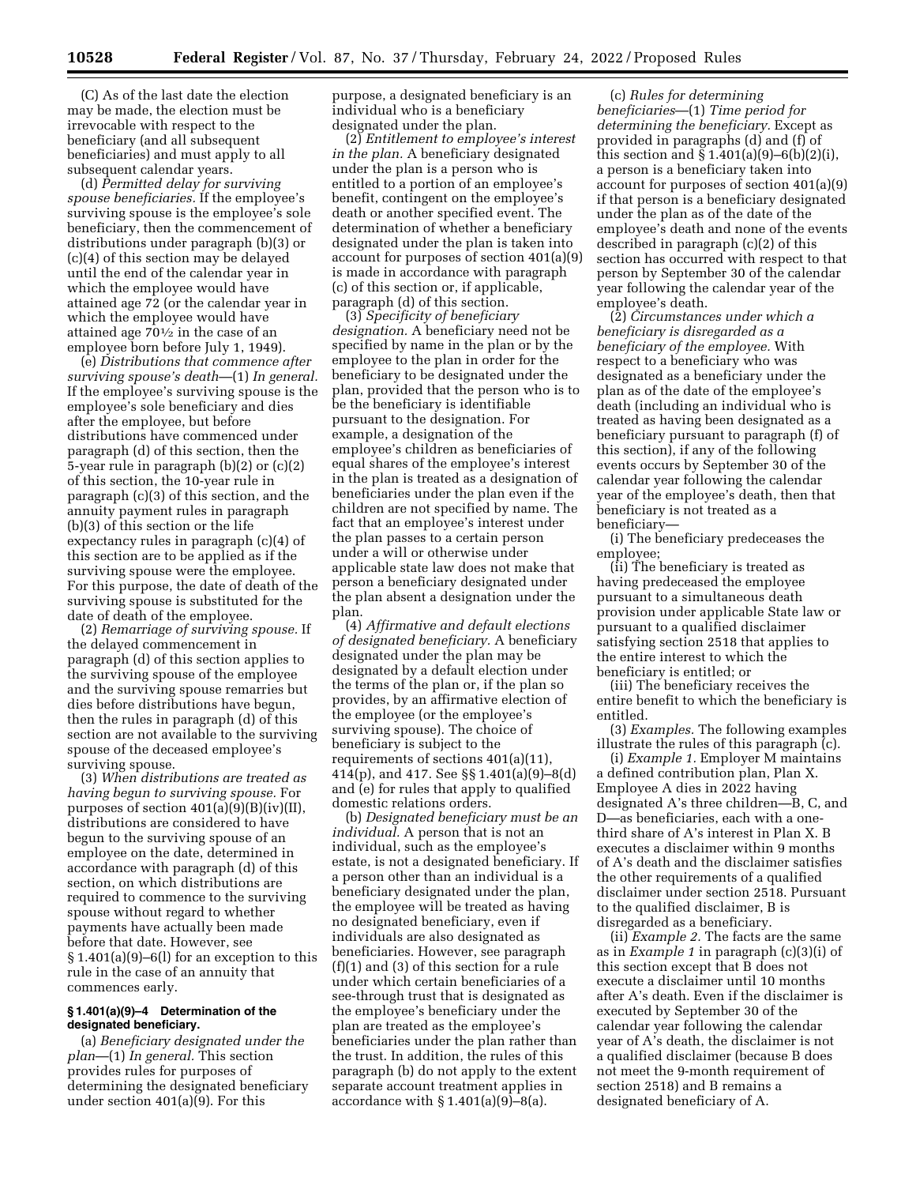(C) As of the last date the election may be made, the election must be irrevocable with respect to the beneficiary (and all subsequent beneficiaries) and must apply to all subsequent calendar years.

(d) *Permitted delay for surviving spouse beneficiaries.* If the employee's surviving spouse is the employee's sole beneficiary, then the commencement of distributions under paragraph (b)(3) or (c)(4) of this section may be delayed until the end of the calendar year in which the employee would have attained age 72 (or the calendar year in which the employee would have attained age  $70\frac{1}{2}$  in the case of an employee born before July 1, 1949).

(e) *Distributions that commence after surviving spouse's death*—(1) *In general.*  If the employee's surviving spouse is the employee's sole beneficiary and dies after the employee, but before distributions have commenced under paragraph (d) of this section, then the 5-year rule in paragraph (b)(2) or (c)(2) of this section, the 10-year rule in paragraph (c)(3) of this section, and the annuity payment rules in paragraph (b)(3) of this section or the life expectancy rules in paragraph (c)(4) of this section are to be applied as if the surviving spouse were the employee. For this purpose, the date of death of the surviving spouse is substituted for the date of death of the employee.

(2) *Remarriage of surviving spouse.* If the delayed commencement in paragraph (d) of this section applies to the surviving spouse of the employee and the surviving spouse remarries but dies before distributions have begun, then the rules in paragraph (d) of this section are not available to the surviving spouse of the deceased employee's surviving spouse.

(3) *When distributions are treated as having begun to surviving spouse.* For purposes of section  $401(a)(9)(B)(iv)(II)$ , distributions are considered to have begun to the surviving spouse of an employee on the date, determined in accordance with paragraph (d) of this section, on which distributions are required to commence to the surviving spouse without regard to whether payments have actually been made before that date. However, see § 1.401(a)(9)–6(l) for an exception to this rule in the case of an annuity that commences early.

### **§ 1.401(a)(9)–4 Determination of the designated beneficiary.**

(a) *Beneficiary designated under the plan*—(1) *In general.* This section provides rules for purposes of determining the designated beneficiary under section 401(a)(9). For this

purpose, a designated beneficiary is an individual who is a beneficiary designated under the plan.

(2) *Entitlement to employee's interest in the plan.* A beneficiary designated under the plan is a person who is entitled to a portion of an employee's benefit, contingent on the employee's death or another specified event. The determination of whether a beneficiary designated under the plan is taken into account for purposes of section 401(a)(9) is made in accordance with paragraph (c) of this section or, if applicable, paragraph (d) of this section.

(3) *Specificity of beneficiary designation.* A beneficiary need not be specified by name in the plan or by the employee to the plan in order for the beneficiary to be designated under the plan, provided that the person who is to be the beneficiary is identifiable pursuant to the designation. For example, a designation of the employee's children as beneficiaries of equal shares of the employee's interest in the plan is treated as a designation of beneficiaries under the plan even if the children are not specified by name. The fact that an employee's interest under the plan passes to a certain person under a will or otherwise under applicable state law does not make that person a beneficiary designated under the plan absent a designation under the plan.

(4) *Affirmative and default elections of designated beneficiary.* A beneficiary designated under the plan may be designated by a default election under the terms of the plan or, if the plan so provides, by an affirmative election of the employee (or the employee's surviving spouse). The choice of beneficiary is subject to the requirements of sections 401(a)(11), 414(p), and 417. See §§ 1.401(a)(9)–8(d) and (e) for rules that apply to qualified domestic relations orders.

(b) *Designated beneficiary must be an individual.* A person that is not an individual, such as the employee's estate, is not a designated beneficiary. If a person other than an individual is a beneficiary designated under the plan, the employee will be treated as having no designated beneficiary, even if individuals are also designated as beneficiaries. However, see paragraph (f)(1) and (3) of this section for a rule under which certain beneficiaries of a see-through trust that is designated as the employee's beneficiary under the plan are treated as the employee's beneficiaries under the plan rather than the trust. In addition, the rules of this paragraph (b) do not apply to the extent separate account treatment applies in accordance with  $\S 1.401(a)(9)-8(a)$ .

(c) *Rules for determining beneficiaries*—(1) *Time period for determining the beneficiary.* Except as provided in paragraphs (d) and (f) of this section and  $\S 1.401(a)(9) - 6(b)(2)(i)$ , a person is a beneficiary taken into account for purposes of section 401(a)(9) if that person is a beneficiary designated under the plan as of the date of the employee's death and none of the events described in paragraph (c)(2) of this section has occurred with respect to that person by September 30 of the calendar year following the calendar year of the employee's death.

(2) *Circumstances under which a beneficiary is disregarded as a beneficiary of the employee.* With respect to a beneficiary who was designated as a beneficiary under the plan as of the date of the employee's death (including an individual who is treated as having been designated as a beneficiary pursuant to paragraph (f) of this section), if any of the following events occurs by September 30 of the calendar year following the calendar year of the employee's death, then that beneficiary is not treated as a beneficiary—

(i) The beneficiary predeceases the employee;

(ii) The beneficiary is treated as having predeceased the employee pursuant to a simultaneous death provision under applicable State law or pursuant to a qualified disclaimer satisfying section 2518 that applies to the entire interest to which the beneficiary is entitled; or

(iii) The beneficiary receives the entire benefit to which the beneficiary is entitled.

(3) *Examples.* The following examples illustrate the rules of this paragraph (c).

(i) *Example 1.* Employer M maintains a defined contribution plan, Plan X. Employee A dies in 2022 having designated A's three children—B, C, and D—as beneficiaries, each with a onethird share of A's interest in Plan X. B executes a disclaimer within 9 months of A's death and the disclaimer satisfies the other requirements of a qualified disclaimer under section 2518. Pursuant to the qualified disclaimer, B is disregarded as a beneficiary.

(ii) *Example 2.* The facts are the same as in *Example 1* in paragraph (c)(3)(i) of this section except that B does not execute a disclaimer until 10 months after A's death. Even if the disclaimer is executed by September 30 of the calendar year following the calendar year of A's death, the disclaimer is not a qualified disclaimer (because B does not meet the 9-month requirement of section 2518) and B remains a designated beneficiary of A.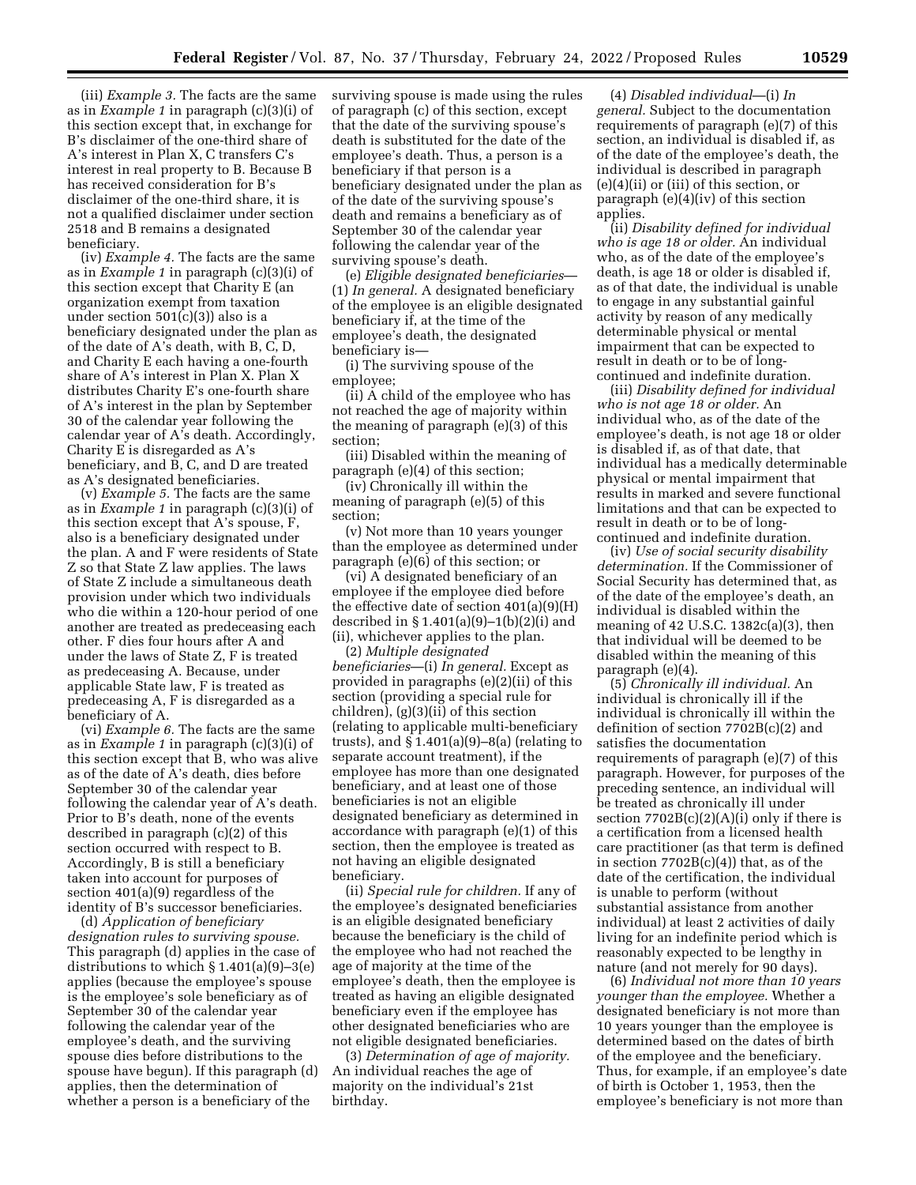(iii) *Example 3.* The facts are the same as in *Example 1* in paragraph (c)(3)(i) of this section except that, in exchange for B's disclaimer of the one-third share of A's interest in Plan X, C transfers C's interest in real property to B. Because B has received consideration for B's disclaimer of the one-third share, it is not a qualified disclaimer under section 2518 and B remains a designated beneficiary.

(iv) *Example 4.* The facts are the same as in *Example 1* in paragraph (c)(3)(i) of this section except that Charity E (an organization exempt from taxation under section  $501(c)(3)$ ) also is a beneficiary designated under the plan as of the date of A's death, with B, C, D, and Charity E each having a one-fourth share of A's interest in Plan X. Plan X distributes Charity E's one-fourth share of A's interest in the plan by September 30 of the calendar year following the calendar year of A's death. Accordingly, Charity E is disregarded as A's beneficiary, and B, C, and D are treated as A's designated beneficiaries.

(v) *Example 5.* The facts are the same as in *Example 1* in paragraph (c)(3)(i) of this section except that A's spouse, F, also is a beneficiary designated under the plan. A and F were residents of State Z so that State Z law applies. The laws of State Z include a simultaneous death provision under which two individuals who die within a 120-hour period of one another are treated as predeceasing each other. F dies four hours after A and under the laws of State Z, F is treated as predeceasing A. Because, under applicable State law, F is treated as predeceasing A, F is disregarded as a beneficiary of A.

(vi) *Example 6.* The facts are the same as in *Example 1* in paragraph (c)(3)(i) of this section except that B, who was alive as of the date of A's death, dies before September 30 of the calendar year following the calendar year of A's death. Prior to B's death, none of the events described in paragraph (c)(2) of this section occurred with respect to B. Accordingly, B is still a beneficiary taken into account for purposes of section 401(a)(9) regardless of the identity of B's successor beneficiaries.

(d) *Application of beneficiary designation rules to surviving spouse.*  This paragraph (d) applies in the case of distributions to which § 1.401(a)(9)–3(e) applies (because the employee's spouse is the employee's sole beneficiary as of September 30 of the calendar year following the calendar year of the employee's death, and the surviving spouse dies before distributions to the spouse have begun). If this paragraph (d) applies, then the determination of whether a person is a beneficiary of the

surviving spouse is made using the rules of paragraph (c) of this section, except that the date of the surviving spouse's death is substituted for the date of the employee's death. Thus, a person is a beneficiary if that person is a beneficiary designated under the plan as of the date of the surviving spouse's death and remains a beneficiary as of September 30 of the calendar year following the calendar year of the surviving spouse's death.

(e) *Eligible designated beneficiaries*— (1) *In general.* A designated beneficiary of the employee is an eligible designated beneficiary if, at the time of the employee's death, the designated beneficiary is—

(i) The surviving spouse of the employee;

(ii) A child of the employee who has not reached the age of majority within the meaning of paragraph (e)(3) of this section;

(iii) Disabled within the meaning of paragraph (e)(4) of this section;

(iv) Chronically ill within the meaning of paragraph (e)(5) of this section;

(v) Not more than 10 years younger than the employee as determined under paragraph (e)(6) of this section; or

(vi) A designated beneficiary of an employee if the employee died before the effective date of section 401(a)(9)(H) described in § 1.401(a)(9)–1(b)(2)(i) and (ii), whichever applies to the plan.

(2) *Multiple designated beneficiaries*—(i) *In general.* Except as provided in paragraphs (e)(2)(ii) of this section (providing a special rule for children), (g)(3)(ii) of this section (relating to applicable multi-beneficiary trusts), and  $\S 1.401(a)(9)-8(a)$  (relating to separate account treatment), if the employee has more than one designated beneficiary, and at least one of those beneficiaries is not an eligible designated beneficiary as determined in accordance with paragraph (e)(1) of this section, then the employee is treated as not having an eligible designated beneficiary.

(ii) *Special rule for children.* If any of the employee's designated beneficiaries is an eligible designated beneficiary because the beneficiary is the child of the employee who had not reached the age of majority at the time of the employee's death, then the employee is treated as having an eligible designated beneficiary even if the employee has other designated beneficiaries who are not eligible designated beneficiaries.

(3) *Determination of age of majority.*  An individual reaches the age of majority on the individual's 21st birthday.

(4) *Disabled individual*—(i) *In general.* Subject to the documentation requirements of paragraph (e)(7) of this section, an individual is disabled if, as of the date of the employee's death, the individual is described in paragraph (e)(4)(ii) or (iii) of this section, or paragraph (e)(4)(iv) of this section applies.

(ii) *Disability defined for individual who is age 18 or older.* An individual who, as of the date of the employee's death, is age 18 or older is disabled if, as of that date, the individual is unable to engage in any substantial gainful activity by reason of any medically determinable physical or mental impairment that can be expected to result in death or to be of longcontinued and indefinite duration.

(iii) *Disability defined for individual who is not age 18 or older.* An individual who, as of the date of the employee's death, is not age 18 or older is disabled if, as of that date, that individual has a medically determinable physical or mental impairment that results in marked and severe functional limitations and that can be expected to result in death or to be of longcontinued and indefinite duration.

(iv) *Use of social security disability determination.* If the Commissioner of Social Security has determined that, as of the date of the employee's death, an individual is disabled within the meaning of 42 U.S.C. 1382c(a)(3), then that individual will be deemed to be disabled within the meaning of this paragraph (e)(4).

(5) *Chronically ill individual.* An individual is chronically ill if the individual is chronically ill within the definition of section 7702B(c)(2) and satisfies the documentation requirements of paragraph (e)(7) of this paragraph. However, for purposes of the preceding sentence, an individual will be treated as chronically ill under section  $7702B(c)(2)(A)(i)$  only if there is a certification from a licensed health care practitioner (as that term is defined in section  $7702B(c)(4)$ ) that, as of the date of the certification, the individual is unable to perform (without substantial assistance from another individual) at least 2 activities of daily living for an indefinite period which is reasonably expected to be lengthy in nature (and not merely for 90 days).

(6) *Individual not more than 10 years younger than the employee.* Whether a designated beneficiary is not more than 10 years younger than the employee is determined based on the dates of birth of the employee and the beneficiary. Thus, for example, if an employee's date of birth is October 1, 1953, then the employee's beneficiary is not more than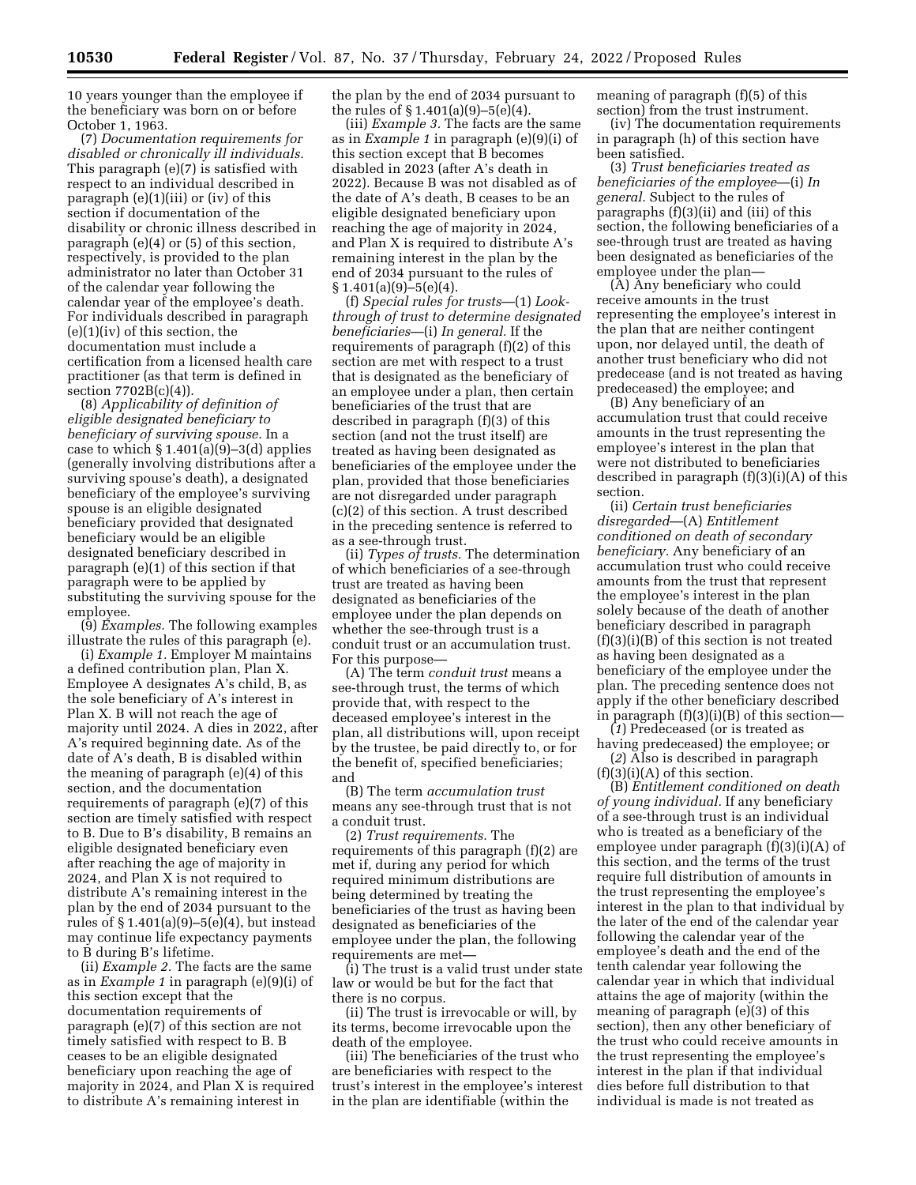10 years younger than the employee if the beneficiary was born on or before October 1, 1963.

(7) *Documentation requirements for disabled or chronically ill individuals.*  This paragraph (e)(7) is satisfied with respect to an individual described in paragraph (e)(1)(iii) or (iv) of this section if documentation of the disability or chronic illness described in paragraph (e)(4) or (5) of this section, respectively, is provided to the plan administrator no later than October 31 of the calendar year following the calendar year of the employee's death. For individuals described in paragraph (e)(1)(iv) of this section, the documentation must include a certification from a licensed health care practitioner (as that term is defined in section 7702B(c)(4)).

(8) *Applicability of definition of eligible designated beneficiary to beneficiary of surviving spouse.* In a case to which  $\S 1.401(a)(9)-3(d)$  applies (generally involving distributions after a surviving spouse's death), a designated beneficiary of the employee's surviving spouse is an eligible designated beneficiary provided that designated beneficiary would be an eligible designated beneficiary described in paragraph (e)(1) of this section if that paragraph were to be applied by substituting the surviving spouse for the employee.

(9) *Examples.* The following examples illustrate the rules of this paragraph (e).

(i) *Example 1.* Employer M maintains a defined contribution plan, Plan X. Employee A designates A's child, B, as the sole beneficiary of A's interest in Plan X. B will not reach the age of majority until 2024. A dies in 2022, after A's required beginning date. As of the date of A's death, B is disabled within the meaning of paragraph (e)(4) of this section, and the documentation requirements of paragraph (e)(7) of this section are timely satisfied with respect to B. Due to B's disability, B remains an eligible designated beneficiary even after reaching the age of majority in 2024, and Plan X is not required to distribute A's remaining interest in the plan by the end of 2034 pursuant to the rules of § 1.401(a)(9)–5(e)(4), but instead may continue life expectancy payments to B during B's lifetime.

(ii) *Example 2.* The facts are the same as in *Example 1* in paragraph (e)(9)(i) of this section except that the documentation requirements of paragraph (e)(7) of this section are not timely satisfied with respect to B. B ceases to be an eligible designated beneficiary upon reaching the age of majority in 2024, and Plan X is required to distribute A's remaining interest in

the plan by the end of 2034 pursuant to the rules of § 1.401(a)(9)–5(e)(4).

(iii) *Example 3.* The facts are the same as in *Example 1* in paragraph (e)(9)(i) of this section except that B becomes disabled in 2023 (after A's death in 2022). Because B was not disabled as of the date of A's death, B ceases to be an eligible designated beneficiary upon reaching the age of majority in 2024, and Plan X is required to distribute A's remaining interest in the plan by the end of 2034 pursuant to the rules of  $§ 1.401(a)(9) - 5(e)(4).$ 

(f) *Special rules for trusts*—(1) *Lookthrough of trust to determine designated beneficiaries*—(i) *In general.* If the requirements of paragraph (f)(2) of this section are met with respect to a trust that is designated as the beneficiary of an employee under a plan, then certain beneficiaries of the trust that are described in paragraph (f)(3) of this section (and not the trust itself) are treated as having been designated as beneficiaries of the employee under the plan, provided that those beneficiaries are not disregarded under paragraph (c)(2) of this section. A trust described in the preceding sentence is referred to as a see-through trust.

(ii) *Types of trusts.* The determination of which beneficiaries of a see-through trust are treated as having been designated as beneficiaries of the employee under the plan depends on whether the see-through trust is a conduit trust or an accumulation trust. For this purpose—

(A) The term *conduit trust* means a see-through trust, the terms of which provide that, with respect to the deceased employee's interest in the plan, all distributions will, upon receipt by the trustee, be paid directly to, or for the benefit of, specified beneficiaries; and

(B) The term *accumulation trust*  means any see-through trust that is not a conduit trust.

(2) *Trust requirements.* The requirements of this paragraph (f)(2) are met if, during any period for which required minimum distributions are being determined by treating the beneficiaries of the trust as having been designated as beneficiaries of the employee under the plan, the following requirements are met—

(i) The trust is a valid trust under state law or would be but for the fact that there is no corpus.

(ii) The trust is irrevocable or will, by its terms, become irrevocable upon the death of the employee.

(iii) The beneficiaries of the trust who are beneficiaries with respect to the trust's interest in the employee's interest in the plan are identifiable (within the

meaning of paragraph (f)(5) of this section) from the trust instrument.

(iv) The documentation requirements in paragraph (h) of this section have been satisfied.

(3) *Trust beneficiaries treated as beneficiaries of the employee*—(i) *In general.* Subject to the rules of paragraphs (f)(3)(ii) and (iii) of this section, the following beneficiaries of a see-through trust are treated as having been designated as beneficiaries of the employee under the plan—

(A) Any beneficiary who could receive amounts in the trust representing the employee's interest in the plan that are neither contingent upon, nor delayed until, the death of another trust beneficiary who did not predecease (and is not treated as having predeceased) the employee; and

(B) Any beneficiary of an accumulation trust that could receive amounts in the trust representing the employee's interest in the plan that were not distributed to beneficiaries described in paragraph (f)(3)(i)(A) of this section.

(ii) *Certain trust beneficiaries disregarded*—(A) *Entitlement conditioned on death of secondary beneficiary.* Any beneficiary of an accumulation trust who could receive amounts from the trust that represent the employee's interest in the plan solely because of the death of another beneficiary described in paragraph (f)(3)(i)(B) of this section is not treated as having been designated as a beneficiary of the employee under the plan. The preceding sentence does not apply if the other beneficiary described in paragraph  $(f)(3)(i)(B)$  of this section-

(*1*) Predeceased (or is treated as having predeceased) the employee; or

(*2*) Also is described in paragraph  $(f)(3)(i)(A)$  of this section.

(B) *Entitlement conditioned on death of young individual.* If any beneficiary of a see-through trust is an individual who is treated as a beneficiary of the employee under paragraph (f)(3)(i)(A) of this section, and the terms of the trust require full distribution of amounts in the trust representing the employee's interest in the plan to that individual by the later of the end of the calendar year following the calendar year of the employee's death and the end of the tenth calendar year following the calendar year in which that individual attains the age of majority (within the meaning of paragraph (e)(3) of this section), then any other beneficiary of the trust who could receive amounts in the trust representing the employee's interest in the plan if that individual dies before full distribution to that individual is made is not treated as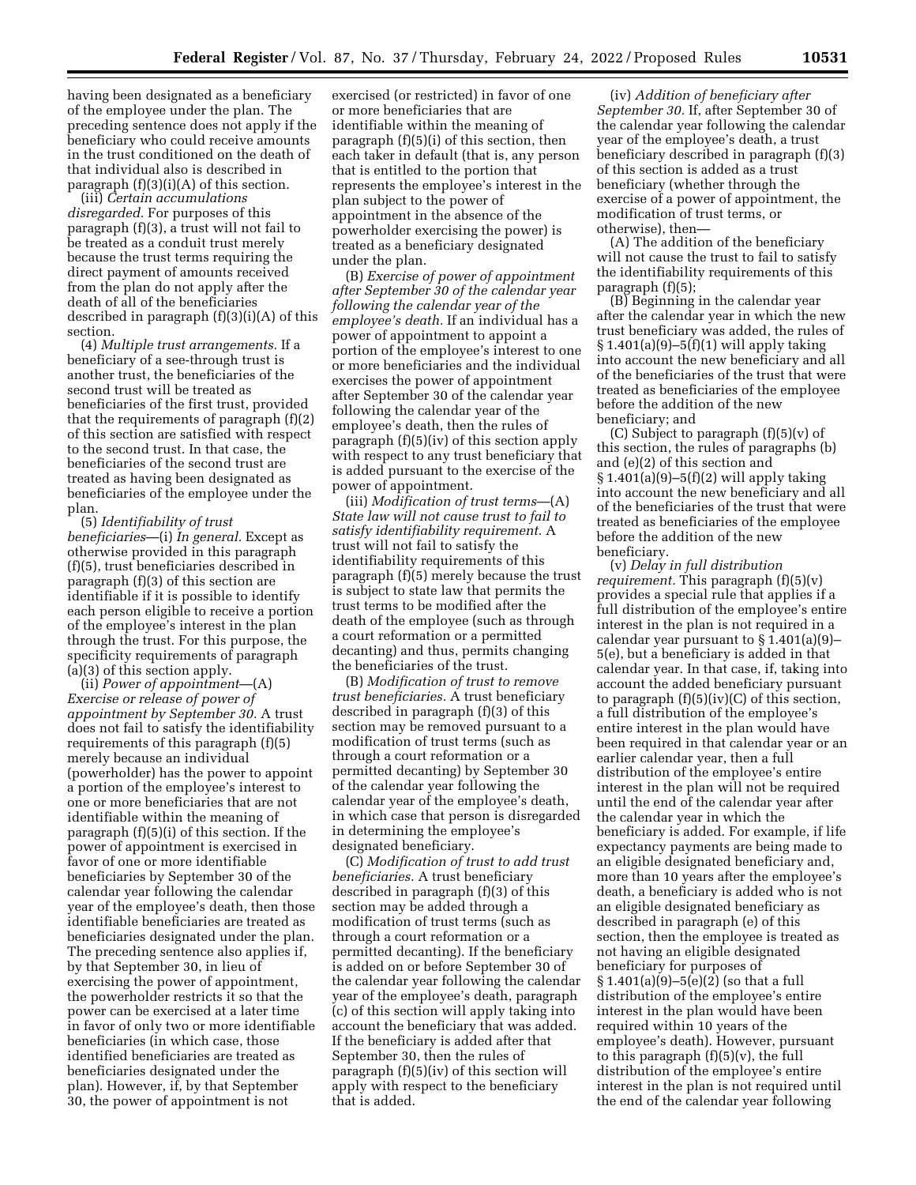having been designated as a beneficiary of the employee under the plan. The preceding sentence does not apply if the beneficiary who could receive amounts in the trust conditioned on the death of that individual also is described in paragraph (f)(3)(i)(A) of this section.

(iii) *Certain accumulations disregarded.* For purposes of this paragraph (f)(3), a trust will not fail to be treated as a conduit trust merely because the trust terms requiring the direct payment of amounts received from the plan do not apply after the death of all of the beneficiaries described in paragraph (f)(3)(i)(A) of this section.

(4) *Multiple trust arrangements.* If a beneficiary of a see-through trust is another trust, the beneficiaries of the second trust will be treated as beneficiaries of the first trust, provided that the requirements of paragraph (f)(2) of this section are satisfied with respect to the second trust. In that case, the beneficiaries of the second trust are treated as having been designated as beneficiaries of the employee under the plan.

(5) *Identifiability of trust beneficiaries*—(i) *In general.* Except as otherwise provided in this paragraph (f)(5), trust beneficiaries described in paragraph (f)(3) of this section are identifiable if it is possible to identify each person eligible to receive a portion of the employee's interest in the plan through the trust. For this purpose, the specificity requirements of paragraph (a)(3) of this section apply.

(ii) *Power of appointment*—(A) *Exercise or release of power of appointment by September 30.* A trust does not fail to satisfy the identifiability requirements of this paragraph (f)(5) merely because an individual (powerholder) has the power to appoint a portion of the employee's interest to one or more beneficiaries that are not identifiable within the meaning of paragraph (f)(5)(i) of this section. If the power of appointment is exercised in favor of one or more identifiable beneficiaries by September 30 of the calendar year following the calendar year of the employee's death, then those identifiable beneficiaries are treated as beneficiaries designated under the plan. The preceding sentence also applies if, by that September 30, in lieu of exercising the power of appointment, the powerholder restricts it so that the power can be exercised at a later time in favor of only two or more identifiable beneficiaries (in which case, those identified beneficiaries are treated as beneficiaries designated under the plan). However, if, by that September 30, the power of appointment is not

exercised (or restricted) in favor of one or more beneficiaries that are identifiable within the meaning of paragraph (f)(5)(i) of this section, then each taker in default (that is, any person that is entitled to the portion that represents the employee's interest in the plan subject to the power of appointment in the absence of the powerholder exercising the power) is treated as a beneficiary designated under the plan.

(B) *Exercise of power of appointment after September 30 of the calendar year following the calendar year of the employee's death.* If an individual has a power of appointment to appoint a portion of the employee's interest to one or more beneficiaries and the individual exercises the power of appointment after September 30 of the calendar year following the calendar year of the employee's death, then the rules of paragraph (f)(5)(iv) of this section apply with respect to any trust beneficiary that is added pursuant to the exercise of the power of appointment.

(iii) *Modification of trust terms*—(A) *State law will not cause trust to fail to satisfy identifiability requirement.* A trust will not fail to satisfy the identifiability requirements of this paragraph (f)(5) merely because the trust is subject to state law that permits the trust terms to be modified after the death of the employee (such as through a court reformation or a permitted decanting) and thus, permits changing the beneficiaries of the trust.

(B) *Modification of trust to remove trust beneficiaries.* A trust beneficiary described in paragraph (f)(3) of this section may be removed pursuant to a modification of trust terms (such as through a court reformation or a permitted decanting) by September 30 of the calendar year following the calendar year of the employee's death, in which case that person is disregarded in determining the employee's designated beneficiary.

(C) *Modification of trust to add trust beneficiaries.* A trust beneficiary described in paragraph (f)(3) of this section may be added through a modification of trust terms (such as through a court reformation or a permitted decanting). If the beneficiary is added on or before September 30 of the calendar year following the calendar year of the employee's death, paragraph (c) of this section will apply taking into account the beneficiary that was added. If the beneficiary is added after that September 30, then the rules of paragraph (f)(5)(iv) of this section will apply with respect to the beneficiary that is added.

(iv) *Addition of beneficiary after September 30.* If, after September 30 of the calendar year following the calendar year of the employee's death, a trust beneficiary described in paragraph (f)(3) of this section is added as a trust beneficiary (whether through the exercise of a power of appointment, the modification of trust terms, or otherwise), then—

(A) The addition of the beneficiary will not cause the trust to fail to satisfy the identifiability requirements of this paragraph (f)(5);

(B) Beginning in the calendar year after the calendar year in which the new trust beneficiary was added, the rules of § 1.401(a)(9)–5(f)(1) will apply taking into account the new beneficiary and all of the beneficiaries of the trust that were treated as beneficiaries of the employee before the addition of the new beneficiary; and

(C) Subject to paragraph  $(f)(5)(v)$  of this section, the rules of paragraphs (b) and (e)(2) of this section and § 1.401(a)(9)–5(f)(2) will apply taking into account the new beneficiary and all of the beneficiaries of the trust that were treated as beneficiaries of the employee before the addition of the new beneficiary.

(v) *Delay in full distribution requirement.* This paragraph (f)(5)(v) provides a special rule that applies if a full distribution of the employee's entire interest in the plan is not required in a calendar year pursuant to § 1.401(a)(9)– 5(e), but a beneficiary is added in that calendar year. In that case, if, taking into account the added beneficiary pursuant to paragraph  $(f)(5)(iv)(C)$  of this section, a full distribution of the employee's entire interest in the plan would have been required in that calendar year or an earlier calendar year, then a full distribution of the employee's entire interest in the plan will not be required until the end of the calendar year after the calendar year in which the beneficiary is added. For example, if life expectancy payments are being made to an eligible designated beneficiary and, more than 10 years after the employee's death, a beneficiary is added who is not an eligible designated beneficiary as described in paragraph (e) of this section, then the employee is treated as not having an eligible designated beneficiary for purposes of § 1.401(a)(9)–5(e)(2) (so that a full distribution of the employee's entire interest in the plan would have been required within 10 years of the employee's death). However, pursuant to this paragraph (f)(5)(v), the full distribution of the employee's entire interest in the plan is not required until the end of the calendar year following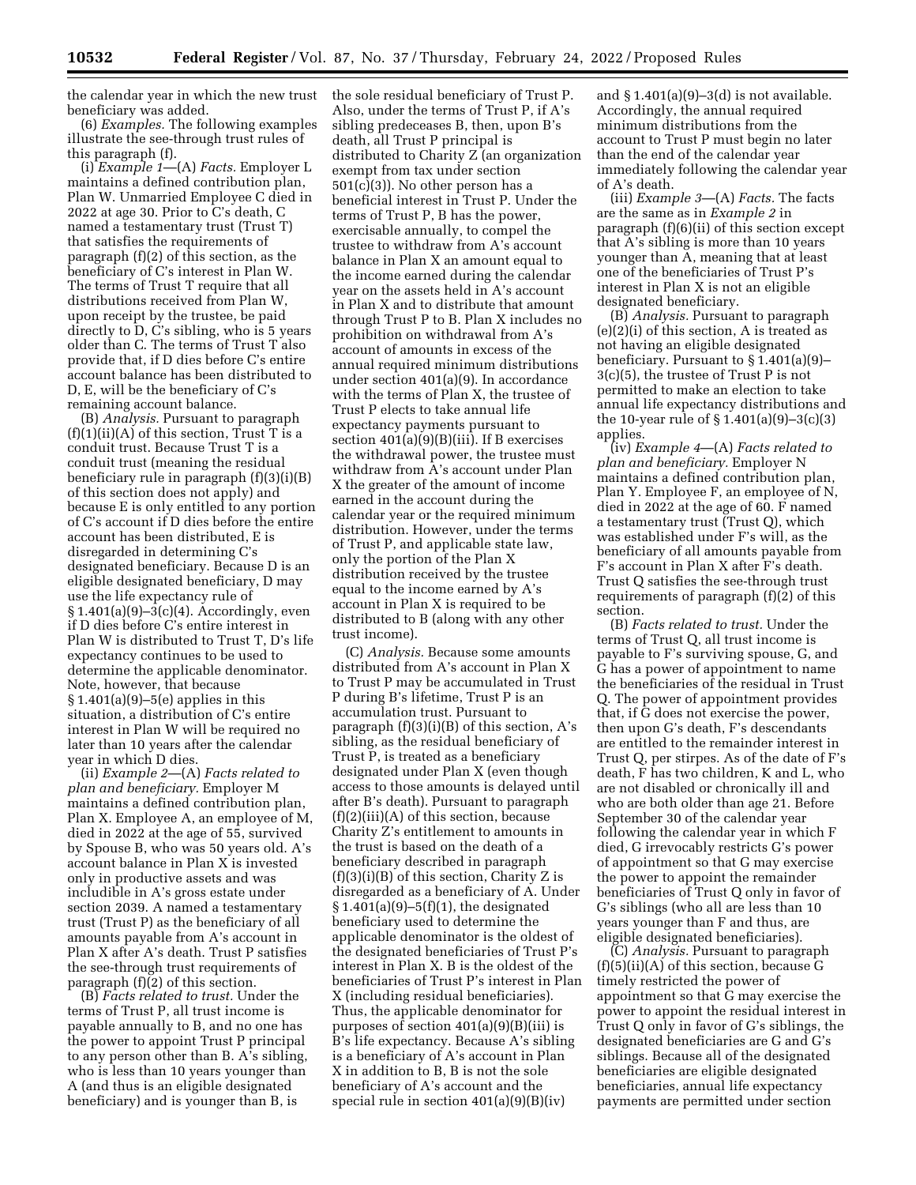the calendar year in which the new trust beneficiary was added.

(6) *Examples.* The following examples illustrate the see-through trust rules of this paragraph (f).

(i) *Example 1*—(A) *Facts.* Employer L maintains a defined contribution plan, Plan W. Unmarried Employee C died in 2022 at age 30. Prior to C's death, C named a testamentary trust (Trust T) that satisfies the requirements of paragraph (f)(2) of this section, as the beneficiary of C's interest in Plan W. The terms of Trust T require that all distributions received from Plan W, upon receipt by the trustee, be paid directly to D, C's sibling, who is 5 years older than C. The terms of Trust T also provide that, if D dies before C's entire account balance has been distributed to D, E, will be the beneficiary of C's remaining account balance.

(B) *Analysis.* Pursuant to paragraph  $(f)(1)(ii)(A)$  of this section, Trust T is a conduit trust. Because Trust T is a conduit trust (meaning the residual beneficiary rule in paragraph (f)(3)(i)(B) of this section does not apply) and because E is only entitled to any portion of C's account if D dies before the entire account has been distributed, E is disregarded in determining C's designated beneficiary. Because D is an eligible designated beneficiary, D may use the life expectancy rule of § 1.401(a)(9)–3(c)(4). Accordingly, even if D dies before C's entire interest in Plan W is distributed to Trust T, D's life expectancy continues to be used to determine the applicable denominator. Note, however, that because § 1.401(a)(9)–5(e) applies in this situation, a distribution of C's entire interest in Plan W will be required no later than 10 years after the calendar year in which D dies.

(ii) *Example 2*—(A) *Facts related to plan and beneficiary.* Employer M maintains a defined contribution plan, Plan X. Employee A, an employee of M, died in 2022 at the age of 55, survived by Spouse B, who was 50 years old. A's account balance in Plan X is invested only in productive assets and was includible in A's gross estate under section 2039. A named a testamentary trust (Trust P) as the beneficiary of all amounts payable from A's account in Plan X after A's death. Trust P satisfies the see-through trust requirements of paragraph (f)(2) of this section.

(B) *Facts related to trust.* Under the terms of Trust P, all trust income is payable annually to B, and no one has the power to appoint Trust P principal to any person other than B. A's sibling, who is less than 10 years younger than A (and thus is an eligible designated beneficiary) and is younger than B, is

the sole residual beneficiary of Trust P. Also, under the terms of Trust P, if A's sibling predeceases B, then, upon B's death, all Trust P principal is distributed to Charity Z (an organization exempt from tax under section 501(c)(3)). No other person has a beneficial interest in Trust P. Under the terms of Trust P, B has the power, exercisable annually, to compel the trustee to withdraw from A's account balance in Plan X an amount equal to the income earned during the calendar year on the assets held in A's account in Plan X and to distribute that amount through Trust P to B. Plan X includes no prohibition on withdrawal from A's account of amounts in excess of the annual required minimum distributions under section 401(a)(9). In accordance with the terms of Plan X, the trustee of Trust P elects to take annual life expectancy payments pursuant to section  $401(a)(9)(B)(iii)$ . If B exercises the withdrawal power, the trustee must withdraw from A's account under Plan X the greater of the amount of income earned in the account during the calendar year or the required minimum distribution. However, under the terms of Trust P, and applicable state law, only the portion of the Plan X distribution received by the trustee equal to the income earned by A's account in Plan X is required to be distributed to B (along with any other trust income).

(C) *Analysis.* Because some amounts distributed from A's account in Plan X to Trust P may be accumulated in Trust P during B's lifetime, Trust P is an accumulation trust. Pursuant to paragraph  $(f)(3)(i)(B)$  of this section, A's sibling, as the residual beneficiary of Trust P, is treated as a beneficiary designated under Plan X (even though access to those amounts is delayed until after B's death). Pursuant to paragraph  $(f)(2)(iii)(A)$  of this section, because Charity Z's entitlement to amounts in the trust is based on the death of a beneficiary described in paragraph  $(f)(3)(i)(B)$  of this section, Charity Z is disregarded as a beneficiary of A. Under § 1.401(a)(9)–5(f)(1), the designated beneficiary used to determine the applicable denominator is the oldest of the designated beneficiaries of Trust P's interest in Plan X. B is the oldest of the beneficiaries of Trust P's interest in Plan X (including residual beneficiaries). Thus, the applicable denominator for purposes of section  $401(a)(9)(B)(iii)$  is B's life expectancy. Because A's sibling is a beneficiary of A's account in Plan X in addition to B, B is not the sole beneficiary of A's account and the special rule in section 401(a)(9)(B)(iv)

and  $$1.401(a)(9)-3(d)$  is not available. Accordingly, the annual required minimum distributions from the account to Trust P must begin no later than the end of the calendar year immediately following the calendar year of A's death.

(iii) *Example 3*—(A) *Facts.* The facts are the same as in *Example 2* in paragraph (f)(6)(ii) of this section except that A's sibling is more than 10 years younger than A, meaning that at least one of the beneficiaries of Trust P's interest in Plan X is not an eligible designated beneficiary.

(B) *Analysis.* Pursuant to paragraph (e)(2)(i) of this section, A is treated as not having an eligible designated beneficiary. Pursuant to § 1.401(a)(9)– 3(c)(5), the trustee of Trust P is not permitted to make an election to take annual life expectancy distributions and the 10-year rule of § 1.401(a)(9)–3(c)(3) applies.

(iv) *Example 4*—(A) *Facts related to plan and beneficiary.* Employer N maintains a defined contribution plan, Plan Y. Employee F, an employee of N, died in 2022 at the age of 60. F named a testamentary trust (Trust Q), which was established under F's will, as the beneficiary of all amounts payable from F's account in Plan X after F's death. Trust Q satisfies the see-through trust requirements of paragraph (f)(2) of this section.

(B) *Facts related to trust.* Under the terms of Trust Q, all trust income is payable to F's surviving spouse, G, and G has a power of appointment to name the beneficiaries of the residual in Trust Q. The power of appointment provides that, if G does not exercise the power, then upon G's death, F's descendants are entitled to the remainder interest in Trust Q, per stirpes. As of the date of F's death, F has two children, K and L, who are not disabled or chronically ill and who are both older than age 21. Before September 30 of the calendar year following the calendar year in which F died, G irrevocably restricts G's power of appointment so that G may exercise the power to appoint the remainder beneficiaries of Trust Q only in favor of G's siblings (who all are less than 10 years younger than F and thus, are eligible designated beneficiaries).

(C) *Analysis.* Pursuant to paragraph (f)(5)(ii)(A) of this section, because G timely restricted the power of appointment so that G may exercise the power to appoint the residual interest in Trust Q only in favor of G's siblings, the designated beneficiaries are G and G's siblings. Because all of the designated beneficiaries are eligible designated beneficiaries, annual life expectancy payments are permitted under section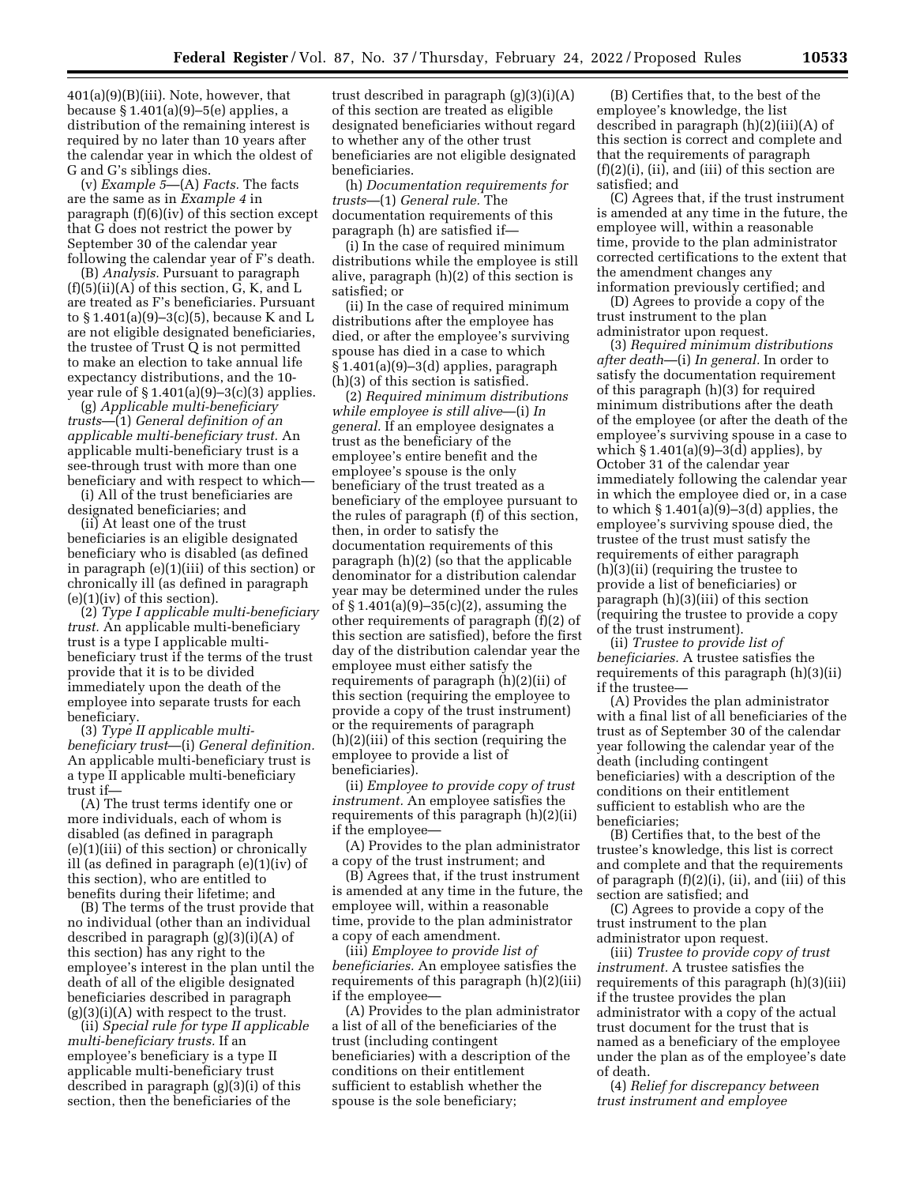401(a)(9)(B)(iii). Note, however, that because § 1.401(a)(9)–5(e) applies, a distribution of the remaining interest is required by no later than 10 years after the calendar year in which the oldest of G and G's siblings dies.

(v) *Example 5*—(A) *Facts.* The facts are the same as in *Example 4* in paragraph (f)(6)(iv) of this section except that G does not restrict the power by September 30 of the calendar year following the calendar year of F's death.

(B) *Analysis.* Pursuant to paragraph  $(f)(5)(ii)(A)$  of this section, G, K, and L are treated as F's beneficiaries. Pursuant to § 1.401(a)(9)–3(c)(5), because K and L are not eligible designated beneficiaries, the trustee of Trust Q is not permitted to make an election to take annual life expectancy distributions, and the 10 year rule of  $\S 1.401(a)(9)-3(c)(3)$  applies.

(g) *Applicable multi-beneficiary trusts*—(1) *General definition of an applicable multi-beneficiary trust.* An applicable multi-beneficiary trust is a see-through trust with more than one beneficiary and with respect to which—

(i) All of the trust beneficiaries are designated beneficiaries; and

(ii) At least one of the trust beneficiaries is an eligible designated beneficiary who is disabled (as defined in paragraph (e)(1)(iii) of this section) or chronically ill (as defined in paragraph  $(e)(1)(iv)$  of this section).

(2) *Type I applicable multi-beneficiary trust.* An applicable multi-beneficiary trust is a type I applicable multibeneficiary trust if the terms of the trust provide that it is to be divided immediately upon the death of the employee into separate trusts for each beneficiary.

(3) *Type II applicable multibeneficiary trust*—(i) *General definition.*  An applicable multi-beneficiary trust is a type II applicable multi-beneficiary trust if—

(A) The trust terms identify one or more individuals, each of whom is disabled (as defined in paragraph (e)(1)(iii) of this section) or chronically ill (as defined in paragraph (e)(1)(iv) of this section), who are entitled to benefits during their lifetime; and

(B) The terms of the trust provide that no individual (other than an individual described in paragraph (g)(3)(i)(A) of this section) has any right to the employee's interest in the plan until the death of all of the eligible designated beneficiaries described in paragraph  $(g)(3)(i)(A)$  with respect to the trust.

(ii) *Special rule for type II applicable multi-beneficiary trusts.* If an employee's beneficiary is a type II applicable multi-beneficiary trust described in paragraph (g)(3)(i) of this section, then the beneficiaries of the

trust described in paragraph (g)(3)(i)(A) of this section are treated as eligible designated beneficiaries without regard to whether any of the other trust beneficiaries are not eligible designated beneficiaries.

(h) *Documentation requirements for trusts*—(1) *General rule.* The documentation requirements of this paragraph (h) are satisfied if—

(i) In the case of required minimum distributions while the employee is still alive, paragraph (h)(2) of this section is satisfied; or

(ii) In the case of required minimum distributions after the employee has died, or after the employee's surviving spouse has died in a case to which § 1.401(a)(9)–3(d) applies, paragraph (h)(3) of this section is satisfied.

(2) *Required minimum distributions while employee is still alive*—(i) *In general.* If an employee designates a trust as the beneficiary of the employee's entire benefit and the employee's spouse is the only beneficiary of the trust treated as a beneficiary of the employee pursuant to the rules of paragraph (f) of this section, then, in order to satisfy the documentation requirements of this paragraph (h)(2) (so that the applicable denominator for a distribution calendar year may be determined under the rules of § 1.401(a)(9)–35(c)(2), assuming the other requirements of paragraph (f)(2) of this section are satisfied), before the first day of the distribution calendar year the employee must either satisfy the requirements of paragraph (h)(2)(ii) of this section (requiring the employee to provide a copy of the trust instrument) or the requirements of paragraph (h)(2)(iii) of this section (requiring the employee to provide a list of beneficiaries).

(ii) *Employee to provide copy of trust instrument.* An employee satisfies the requirements of this paragraph (h)(2)(ii) if the employee—

(A) Provides to the plan administrator a copy of the trust instrument; and

(B) Agrees that, if the trust instrument is amended at any time in the future, the employee will, within a reasonable time, provide to the plan administrator a copy of each amendment.

(iii) *Employee to provide list of beneficiaries.* An employee satisfies the requirements of this paragraph (h)(2)(iii) if the employee—

(A) Provides to the plan administrator a list of all of the beneficiaries of the trust (including contingent beneficiaries) with a description of the conditions on their entitlement sufficient to establish whether the spouse is the sole beneficiary;

(B) Certifies that, to the best of the employee's knowledge, the list described in paragraph (h)(2)(iii)(A) of this section is correct and complete and that the requirements of paragraph  $(f)(2)(i)$ ,  $(ii)$ , and  $(iii)$  of this section are satisfied; and

(C) Agrees that, if the trust instrument is amended at any time in the future, the employee will, within a reasonable time, provide to the plan administrator corrected certifications to the extent that the amendment changes any information previously certified; and

(D) Agrees to provide a copy of the trust instrument to the plan administrator upon request.

(3) *Required minimum distributions after death*—(i) *In general.* In order to satisfy the documentation requirement of this paragraph (h)(3) for required minimum distributions after the death of the employee (or after the death of the employee's surviving spouse in a case to which  $\S 1.401(a)(9)-3(d)$  applies), by October 31 of the calendar year immediately following the calendar year in which the employee died or, in a case to which  $\S 1.401(a)(9)-3(d)$  applies, the employee's surviving spouse died, the trustee of the trust must satisfy the requirements of either paragraph (h)(3)(ii) (requiring the trustee to provide a list of beneficiaries) or paragraph (h)(3)(iii) of this section (requiring the trustee to provide a copy of the trust instrument).

(ii) *Trustee to provide list of beneficiaries.* A trustee satisfies the requirements of this paragraph (h)(3)(ii) if the trustee—

(A) Provides the plan administrator with a final list of all beneficiaries of the trust as of September 30 of the calendar year following the calendar year of the death (including contingent beneficiaries) with a description of the conditions on their entitlement sufficient to establish who are the beneficiaries;

(B) Certifies that, to the best of the trustee's knowledge, this list is correct and complete and that the requirements of paragraph  $(f)(2)(i)$ ,  $(ii)$ , and  $(iii)$  of this section are satisfied; and

(C) Agrees to provide a copy of the trust instrument to the plan administrator upon request.

(iii) *Trustee to provide copy of trust instrument.* A trustee satisfies the requirements of this paragraph (h)(3)(iii) if the trustee provides the plan administrator with a copy of the actual trust document for the trust that is named as a beneficiary of the employee under the plan as of the employee's date of death.

(4) *Relief for discrepancy between trust instrument and employee*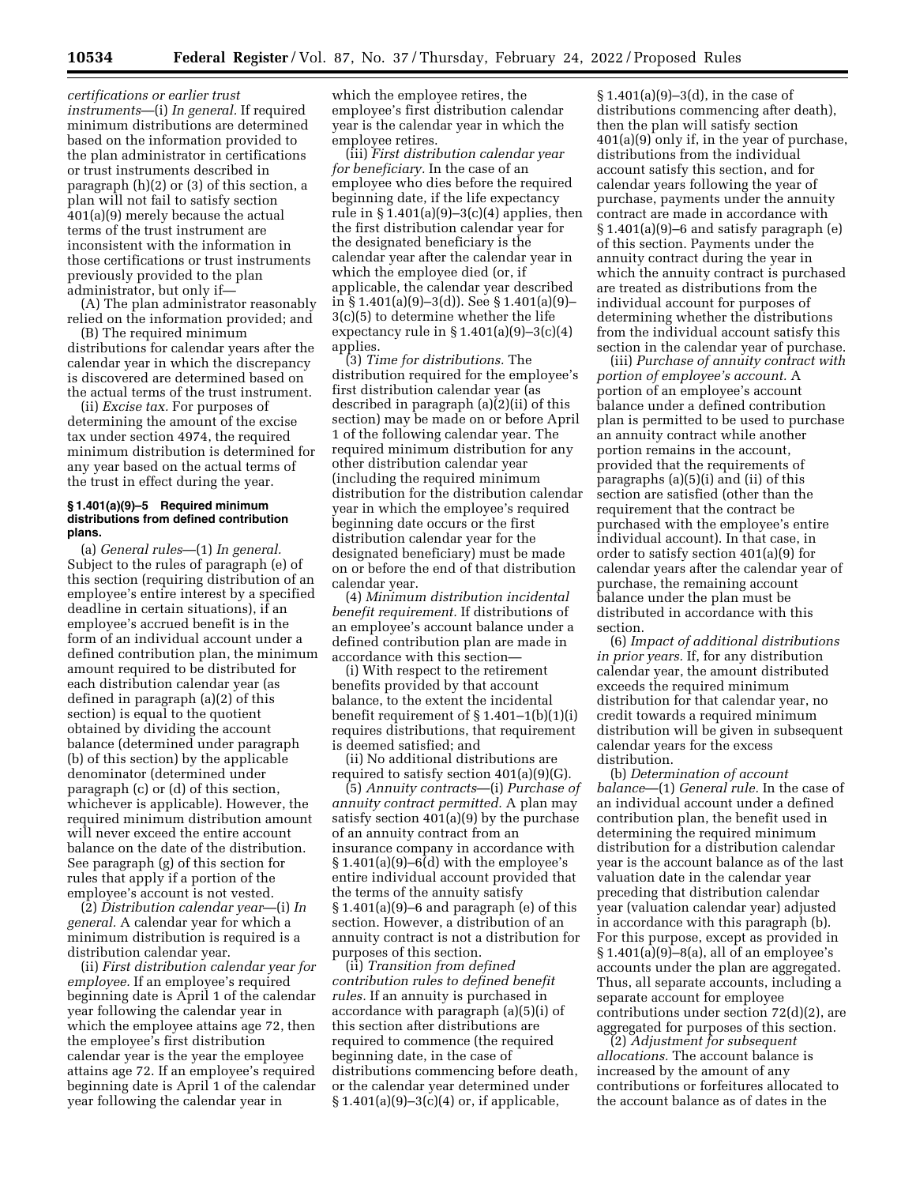*certifications or earlier trust instruments*—(i) *In general.* If required minimum distributions are determined based on the information provided to the plan administrator in certifications or trust instruments described in paragraph (h)(2) or (3) of this section, a plan will not fail to satisfy section 401(a)(9) merely because the actual terms of the trust instrument are inconsistent with the information in those certifications or trust instruments previously provided to the plan administrator, but only if—

(A) The plan administrator reasonably relied on the information provided; and

(B) The required minimum distributions for calendar years after the calendar year in which the discrepancy is discovered are determined based on the actual terms of the trust instrument.

(ii) *Excise tax.* For purposes of determining the amount of the excise tax under section 4974, the required minimum distribution is determined for any year based on the actual terms of the trust in effect during the year.

#### **§ 1.401(a)(9)–5 Required minimum distributions from defined contribution plans.**

(a) *General rules*—(1) *In general.*  Subject to the rules of paragraph (e) of this section (requiring distribution of an employee's entire interest by a specified deadline in certain situations), if an employee's accrued benefit is in the form of an individual account under a defined contribution plan, the minimum amount required to be distributed for each distribution calendar year (as defined in paragraph (a)(2) of this section) is equal to the quotient obtained by dividing the account balance (determined under paragraph (b) of this section) by the applicable denominator (determined under paragraph (c) or (d) of this section, whichever is applicable). However, the required minimum distribution amount will never exceed the entire account balance on the date of the distribution. See paragraph (g) of this section for rules that apply if a portion of the employee's account is not vested.

(2) *Distribution calendar year*—(i) *In general.* A calendar year for which a minimum distribution is required is a distribution calendar year.

(ii) *First distribution calendar year for employee.* If an employee's required beginning date is April 1 of the calendar year following the calendar year in which the employee attains age 72, then the employee's first distribution calendar year is the year the employee attains age 72. If an employee's required beginning date is April 1 of the calendar year following the calendar year in

which the employee retires, the employee's first distribution calendar year is the calendar year in which the employee retires.

(iii) *First distribution calendar year for beneficiary.* In the case of an employee who dies before the required beginning date, if the life expectancy rule in  $\S 1.401(a)(9)-3(c)(4)$  applies, then the first distribution calendar year for the designated beneficiary is the calendar year after the calendar year in which the employee died (or, if applicable, the calendar year described in § 1.401(a)(9)–3(d)). See § 1.401(a)(9)– 3(c)(5) to determine whether the life expectancy rule in  $\S 1.401(a)(9)-3(c)(4)$ applies.

(3) *Time for distributions.* The distribution required for the employee's first distribution calendar year (as described in paragraph (a)(2)(ii) of this section) may be made on or before April 1 of the following calendar year. The required minimum distribution for any other distribution calendar year (including the required minimum distribution for the distribution calendar year in which the employee's required beginning date occurs or the first distribution calendar year for the designated beneficiary) must be made on or before the end of that distribution calendar year.

(4) *Minimum distribution incidental benefit requirement.* If distributions of an employee's account balance under a defined contribution plan are made in accordance with this section—

(i) With respect to the retirement benefits provided by that account balance, to the extent the incidental benefit requirement of § 1.401–1(b)(1)(i) requires distributions, that requirement is deemed satisfied; and

(ii) No additional distributions are required to satisfy section 401(a)(9)(G).

(5) *Annuity contracts*—(i) *Purchase of annuity contract permitted.* A plan may satisfy section 401(a)(9) by the purchase of an annuity contract from an insurance company in accordance with  $§ 1.401(a)(9)-6(d)$  with the employee's entire individual account provided that the terms of the annuity satisfy  $§ 1.401(a)(9)-6$  and paragraph (e) of this section. However, a distribution of an annuity contract is not a distribution for purposes of this section.

(ii) *Transition from defined contribution rules to defined benefit rules.* If an annuity is purchased in accordance with paragraph (a)(5)(i) of this section after distributions are required to commence (the required beginning date, in the case of distributions commencing before death, or the calendar year determined under  $§ 1.401(a)(9)-3(c)(4)$  or, if applicable,

§ 1.401(a)(9)–3(d), in the case of distributions commencing after death), then the plan will satisfy section 401(a)(9) only if, in the year of purchase, distributions from the individual account satisfy this section, and for calendar years following the year of purchase, payments under the annuity contract are made in accordance with § 1.401(a)(9)–6 and satisfy paragraph (e) of this section. Payments under the annuity contract during the year in which the annuity contract is purchased are treated as distributions from the individual account for purposes of determining whether the distributions from the individual account satisfy this section in the calendar year of purchase.

(iii) *Purchase of annuity contract with portion of employee's account.* A portion of an employee's account balance under a defined contribution plan is permitted to be used to purchase an annuity contract while another portion remains in the account, provided that the requirements of paragraphs (a)(5)(i) and (ii) of this section are satisfied (other than the requirement that the contract be purchased with the employee's entire individual account). In that case, in order to satisfy section 401(a)(9) for calendar years after the calendar year of purchase, the remaining account balance under the plan must be distributed in accordance with this section.

(6) *Impact of additional distributions in prior years.* If, for any distribution calendar year, the amount distributed exceeds the required minimum distribution for that calendar year, no credit towards a required minimum distribution will be given in subsequent calendar years for the excess distribution.

(b) *Determination of account balance*—(1) *General rule.* In the case of an individual account under a defined contribution plan, the benefit used in determining the required minimum distribution for a distribution calendar year is the account balance as of the last valuation date in the calendar year preceding that distribution calendar year (valuation calendar year) adjusted in accordance with this paragraph (b). For this purpose, except as provided in § 1.401(a)(9)–8(a), all of an employee's accounts under the plan are aggregated. Thus, all separate accounts, including a separate account for employee contributions under section 72(d)(2), are aggregated for purposes of this section.

(2) *Adjustment for subsequent allocations.* The account balance is increased by the amount of any contributions or forfeitures allocated to the account balance as of dates in the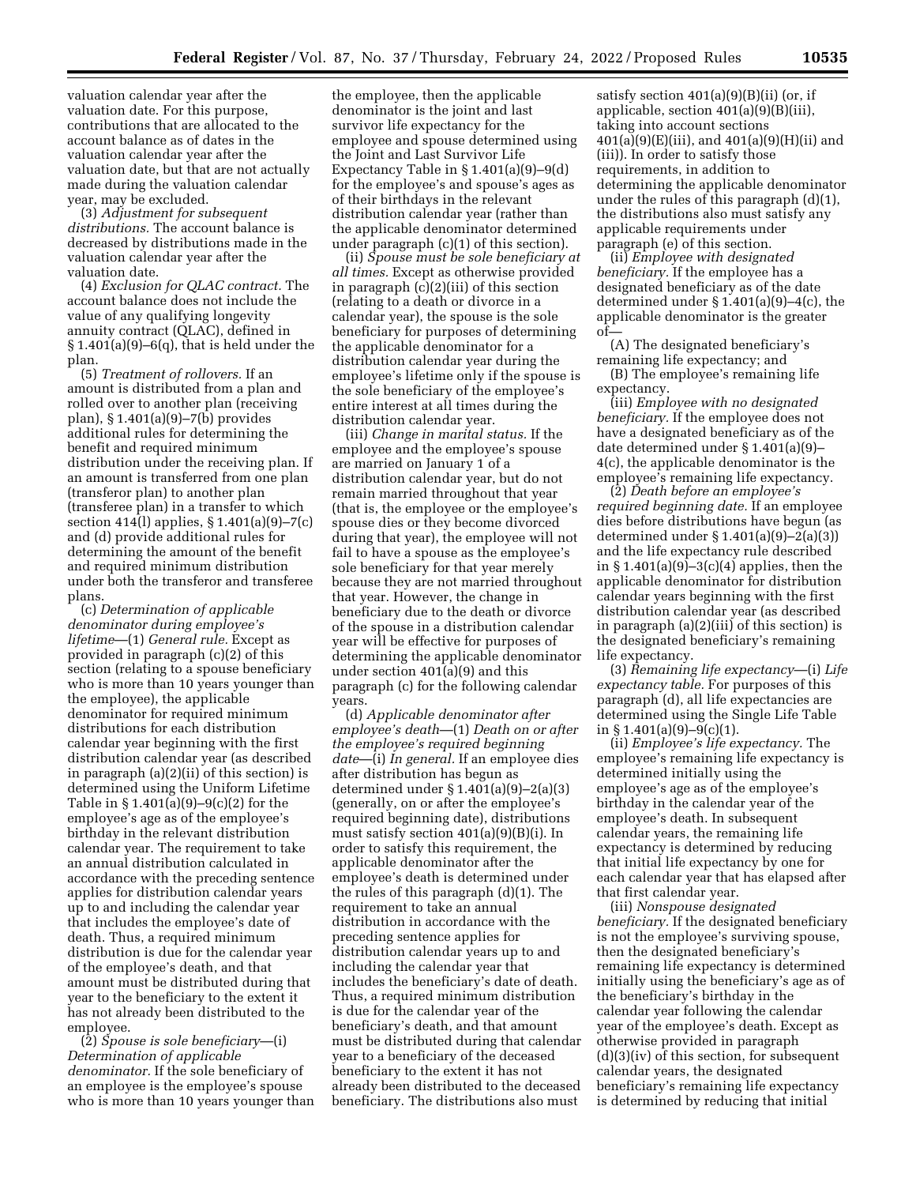valuation calendar year after the valuation date. For this purpose, contributions that are allocated to the account balance as of dates in the valuation calendar year after the valuation date, but that are not actually made during the valuation calendar year, may be excluded.

(3) *Adjustment for subsequent distributions.* The account balance is decreased by distributions made in the valuation calendar year after the valuation date.

(4) *Exclusion for QLAC contract.* The account balance does not include the value of any qualifying longevity annuity contract (QLAC), defined in  $\S 1.401(a)(9)-6(q)$ , that is held under the plan.

(5) *Treatment of rollovers.* If an amount is distributed from a plan and rolled over to another plan (receiving plan), § 1.401(a)(9)–7(b) provides additional rules for determining the benefit and required minimum distribution under the receiving plan. If an amount is transferred from one plan (transferor plan) to another plan (transferee plan) in a transfer to which section 414(l) applies, § 1.401(a)(9)–7(c) and (d) provide additional rules for determining the amount of the benefit and required minimum distribution under both the transferor and transferee plans.

(c) *Determination of applicable denominator during employee's lifetime*—(1) *General rule.* Except as provided in paragraph (c)(2) of this section (relating to a spouse beneficiary who is more than 10 years younger than the employee), the applicable denominator for required minimum distributions for each distribution calendar year beginning with the first distribution calendar year (as described in paragraph (a)(2)(ii) of this section) is determined using the Uniform Lifetime Table in § 1.401(a)(9)–9(c)(2) for the employee's age as of the employee's birthday in the relevant distribution calendar year. The requirement to take an annual distribution calculated in accordance with the preceding sentence applies for distribution calendar years up to and including the calendar year that includes the employee's date of death. Thus, a required minimum distribution is due for the calendar year of the employee's death, and that amount must be distributed during that year to the beneficiary to the extent it has not already been distributed to the employee.

(2) *Spouse is sole beneficiary*—(i) *Determination of applicable denominator.* If the sole beneficiary of an employee is the employee's spouse who is more than 10 years younger than the employee, then the applicable denominator is the joint and last survivor life expectancy for the employee and spouse determined using the Joint and Last Survivor Life Expectancy Table in § 1.401(a)(9)–9(d) for the employee's and spouse's ages as of their birthdays in the relevant distribution calendar year (rather than the applicable denominator determined under paragraph (c)(1) of this section).

(ii) *Spouse must be sole beneficiary at all times.* Except as otherwise provided in paragraph (c)(2)(iii) of this section (relating to a death or divorce in a calendar year), the spouse is the sole beneficiary for purposes of determining the applicable denominator for a distribution calendar year during the employee's lifetime only if the spouse is the sole beneficiary of the employee's entire interest at all times during the distribution calendar year.

(iii) *Change in marital status.* If the employee and the employee's spouse are married on January 1 of a distribution calendar year, but do not remain married throughout that year (that is, the employee or the employee's spouse dies or they become divorced during that year), the employee will not fail to have a spouse as the employee's sole beneficiary for that year merely because they are not married throughout that year. However, the change in beneficiary due to the death or divorce of the spouse in a distribution calendar year will be effective for purposes of determining the applicable denominator under section 401(a)(9) and this paragraph (c) for the following calendar years.

(d) *Applicable denominator after employee's death*—(1) *Death on or after the employee's required beginning date*—(i) *In general.* If an employee dies after distribution has begun as determined under § 1.401(a)(9)–2(a)(3) (generally, on or after the employee's required beginning date), distributions must satisfy section 401(a)(9)(B)(i). In order to satisfy this requirement, the applicable denominator after the employee's death is determined under the rules of this paragraph (d)(1). The requirement to take an annual distribution in accordance with the preceding sentence applies for distribution calendar years up to and including the calendar year that includes the beneficiary's date of death. Thus, a required minimum distribution is due for the calendar year of the beneficiary's death, and that amount must be distributed during that calendar year to a beneficiary of the deceased beneficiary to the extent it has not already been distributed to the deceased beneficiary. The distributions also must

satisfy section  $401(a)(9)(B)(ii)$  (or, if applicable, section 401(a)(9)(B)(iii), taking into account sections  $401(a)(9)(E)(iii)$ , and  $401(a)(9)(H)(ii)$  and (iii)). In order to satisfy those requirements, in addition to determining the applicable denominator under the rules of this paragraph (d)(1), the distributions also must satisfy any applicable requirements under paragraph (e) of this section.

(ii) *Employee with designated beneficiary.* If the employee has a designated beneficiary as of the date determined under § 1.401(a)(9)–4(c), the applicable denominator is the greater of—

(A) The designated beneficiary's remaining life expectancy; and (B) The employee's remaining life

expectancy.

(iii) *Employee with no designated beneficiary.* If the employee does not have a designated beneficiary as of the date determined under § 1.401(a)(9)– 4(c), the applicable denominator is the employee's remaining life expectancy.

(2) *Death before an employee's required beginning date.* If an employee dies before distributions have begun (as determined under § 1.401(a)(9)–2(a)(3)) and the life expectancy rule described in  $\S 1.401(a)(9) - 3(c)(4)$  applies, then the applicable denominator for distribution calendar years beginning with the first distribution calendar year (as described in paragraph (a)(2)(iii) of this section) is the designated beneficiary's remaining life expectancy.

(3) *Remaining life expectancy*—(i) *Life expectancy table.* For purposes of this paragraph (d), all life expectancies are determined using the Single Life Table in § 1.401(a)(9)–9(c)(1).

(ii) *Employee's life expectancy.* The employee's remaining life expectancy is determined initially using the employee's age as of the employee's birthday in the calendar year of the employee's death. In subsequent calendar years, the remaining life expectancy is determined by reducing that initial life expectancy by one for each calendar year that has elapsed after that first calendar year.

(iii) *Nonspouse designated beneficiary.* If the designated beneficiary is not the employee's surviving spouse, then the designated beneficiary's remaining life expectancy is determined initially using the beneficiary's age as of the beneficiary's birthday in the calendar year following the calendar year of the employee's death. Except as otherwise provided in paragraph (d)(3)(iv) of this section, for subsequent calendar years, the designated beneficiary's remaining life expectancy is determined by reducing that initial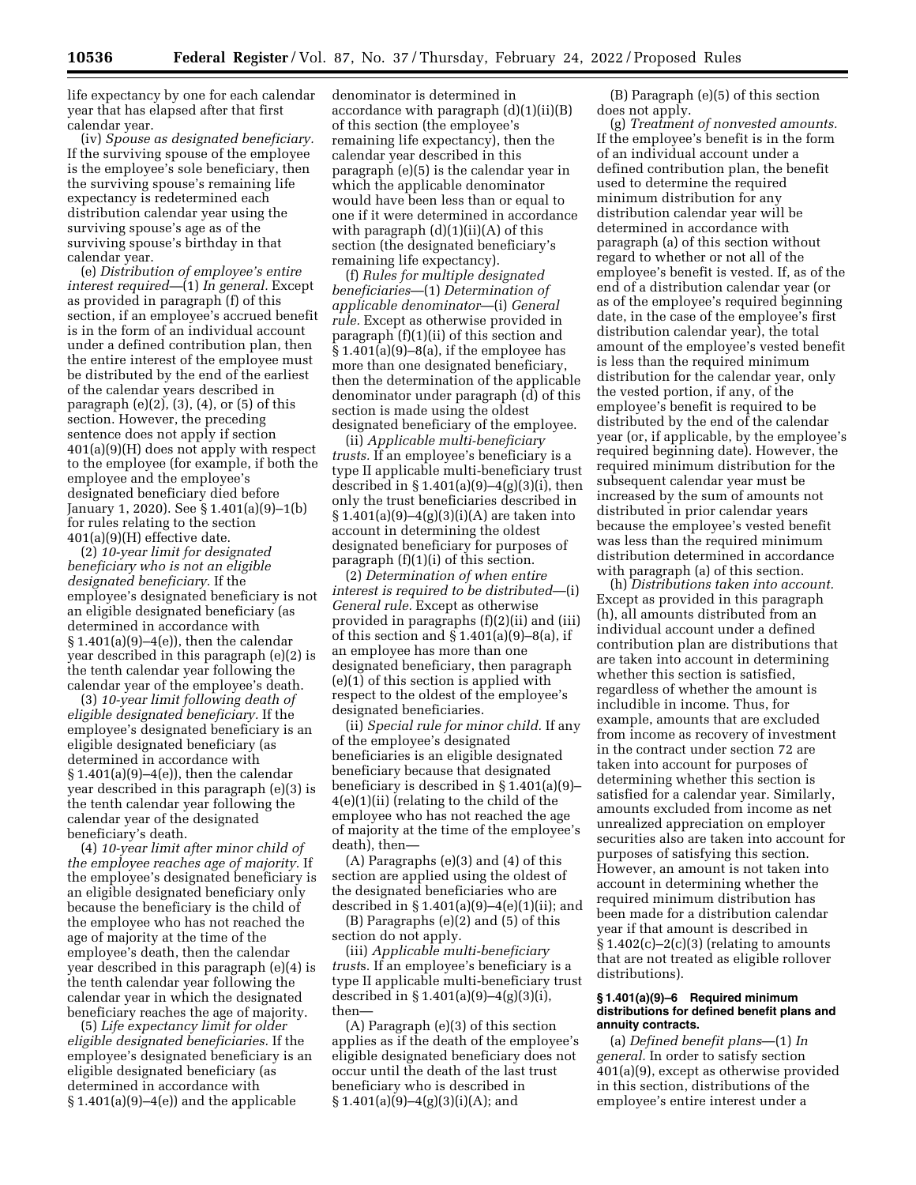life expectancy by one for each calendar year that has elapsed after that first calendar year.

(iv) *Spouse as designated beneficiary.*  If the surviving spouse of the employee is the employee's sole beneficiary, then the surviving spouse's remaining life expectancy is redetermined each distribution calendar year using the surviving spouse's age as of the surviving spouse's birthday in that calendar year.

(e) *Distribution of employee's entire interest required—*(1) *In general.* Except as provided in paragraph (f) of this section, if an employee's accrued benefit is in the form of an individual account under a defined contribution plan, then the entire interest of the employee must be distributed by the end of the earliest of the calendar years described in paragraph (e)(2), (3), (4), or (5) of this section. However, the preceding sentence does not apply if section 401(a)(9)(H) does not apply with respect to the employee (for example, if both the employee and the employee's designated beneficiary died before January 1, 2020). See § 1.401(a)(9)–1(b) for rules relating to the section 401(a)(9)(H) effective date.

(2) *10-year limit for designated beneficiary who is not an eligible designated beneficiary.* If the employee's designated beneficiary is not an eligible designated beneficiary (as determined in accordance with § 1.401(a)(9)–4(e)), then the calendar year described in this paragraph (e)(2) is the tenth calendar year following the calendar year of the employee's death.

(3) *10-year limit following death of eligible designated beneficiary.* If the employee's designated beneficiary is an eligible designated beneficiary (as determined in accordance with § 1.401(a)(9)–4(e)), then the calendar year described in this paragraph (e)(3) is the tenth calendar year following the calendar year of the designated beneficiary's death.

(4) *10-year limit after minor child of the employee reaches age of majority.* If the employee's designated beneficiary is an eligible designated beneficiary only because the beneficiary is the child of the employee who has not reached the age of majority at the time of the employee's death, then the calendar year described in this paragraph (e)(4) is the tenth calendar year following the calendar year in which the designated beneficiary reaches the age of majority.

(5) *Life expectancy limit for older eligible designated beneficiaries.* If the employee's designated beneficiary is an eligible designated beneficiary (as determined in accordance with  $§ 1.401(a)(9)-4(e)]$  and the applicable

denominator is determined in accordance with paragraph  $(d)(1)(ii)(B)$ of this section (the employee's remaining life expectancy), then the calendar year described in this paragraph (e)(5) is the calendar year in which the applicable denominator would have been less than or equal to one if it were determined in accordance with paragraph (d)(1)(ii)(A) of this section (the designated beneficiary's remaining life expectancy).

(f) *Rules for multiple designated beneficiaries*—(1) *Determination of applicable denominator*—(i) *General rule.* Except as otherwise provided in paragraph (f)(1)(ii) of this section and  $§ 1.401(a)(9)-8(a)$ , if the employee has more than one designated beneficiary, then the determination of the applicable denominator under paragraph (d) of this section is made using the oldest designated beneficiary of the employee.

(ii) *Applicable multi-beneficiary trusts.* If an employee's beneficiary is a type II applicable multi-beneficiary trust described in  $\S 1.401(a)(9)-4(g)(3)(i)$ , then only the trust beneficiaries described in § 1.401(a)(9)–4(g)(3)(i)(A) are taken into account in determining the oldest designated beneficiary for purposes of paragraph (f)(1)(i) of this section.

(2) *Determination of when entire interest is required to be distributed*—(i) *General rule.* Except as otherwise provided in paragraphs (f)(2)(ii) and (iii) of this section and  $\S 1.401(a)(9) - 8(a)$ , if an employee has more than one designated beneficiary, then paragraph  $(e)(1)$  of this section is applied with respect to the oldest of the employee's designated beneficiaries.

(ii) *Special rule for minor child.* If any of the employee's designated beneficiaries is an eligible designated beneficiary because that designated beneficiary is described in § 1.401(a)(9)– 4(e)(1)(ii) (relating to the child of the employee who has not reached the age of majority at the time of the employee's death), then—

(A) Paragraphs (e)(3) and (4) of this section are applied using the oldest of the designated beneficiaries who are described in  $\S 1.401(a)(9)-4(e)(1)(ii)$ ; and

(B) Paragraphs (e)(2) and (5) of this section do not apply.

(iii) *Applicable multi-beneficiary trust*s. If an employee's beneficiary is a type II applicable multi-beneficiary trust described in § 1.401(a)(9)–4(g)(3)(i), then—

(A) Paragraph (e)(3) of this section applies as if the death of the employee's eligible designated beneficiary does not occur until the death of the last trust beneficiary who is described in  $§ 1.401(a)(9)–4(g)(3)(i)(A);$  and

(B) Paragraph (e)(5) of this section does not apply.

(g) *Treatment of nonvested amounts.*  If the employee's benefit is in the form of an individual account under a defined contribution plan, the benefit used to determine the required minimum distribution for any distribution calendar year will be determined in accordance with paragraph (a) of this section without regard to whether or not all of the employee's benefit is vested. If, as of the end of a distribution calendar year (or as of the employee's required beginning date, in the case of the employee's first distribution calendar year), the total amount of the employee's vested benefit is less than the required minimum distribution for the calendar year, only the vested portion, if any, of the employee's benefit is required to be distributed by the end of the calendar year (or, if applicable, by the employee's required beginning date). However, the required minimum distribution for the subsequent calendar year must be increased by the sum of amounts not distributed in prior calendar years because the employee's vested benefit was less than the required minimum distribution determined in accordance with paragraph (a) of this section.

(h) *Distributions taken into account.*  Except as provided in this paragraph (h), all amounts distributed from an individual account under a defined contribution plan are distributions that are taken into account in determining whether this section is satisfied, regardless of whether the amount is includible in income. Thus, for example, amounts that are excluded from income as recovery of investment in the contract under section 72 are taken into account for purposes of determining whether this section is satisfied for a calendar year. Similarly, amounts excluded from income as net unrealized appreciation on employer securities also are taken into account for purposes of satisfying this section. However, an amount is not taken into account in determining whether the required minimum distribution has been made for a distribution calendar year if that amount is described in  $§ 1.402(c) - 2(c)(3)$  (relating to amounts that are not treated as eligible rollover distributions).

#### **§ 1.401(a)(9)–6 Required minimum distributions for defined benefit plans and annuity contracts.**

(a) *Defined benefit plans*—(1) *In general.* In order to satisfy section 401(a)(9), except as otherwise provided in this section, distributions of the employee's entire interest under a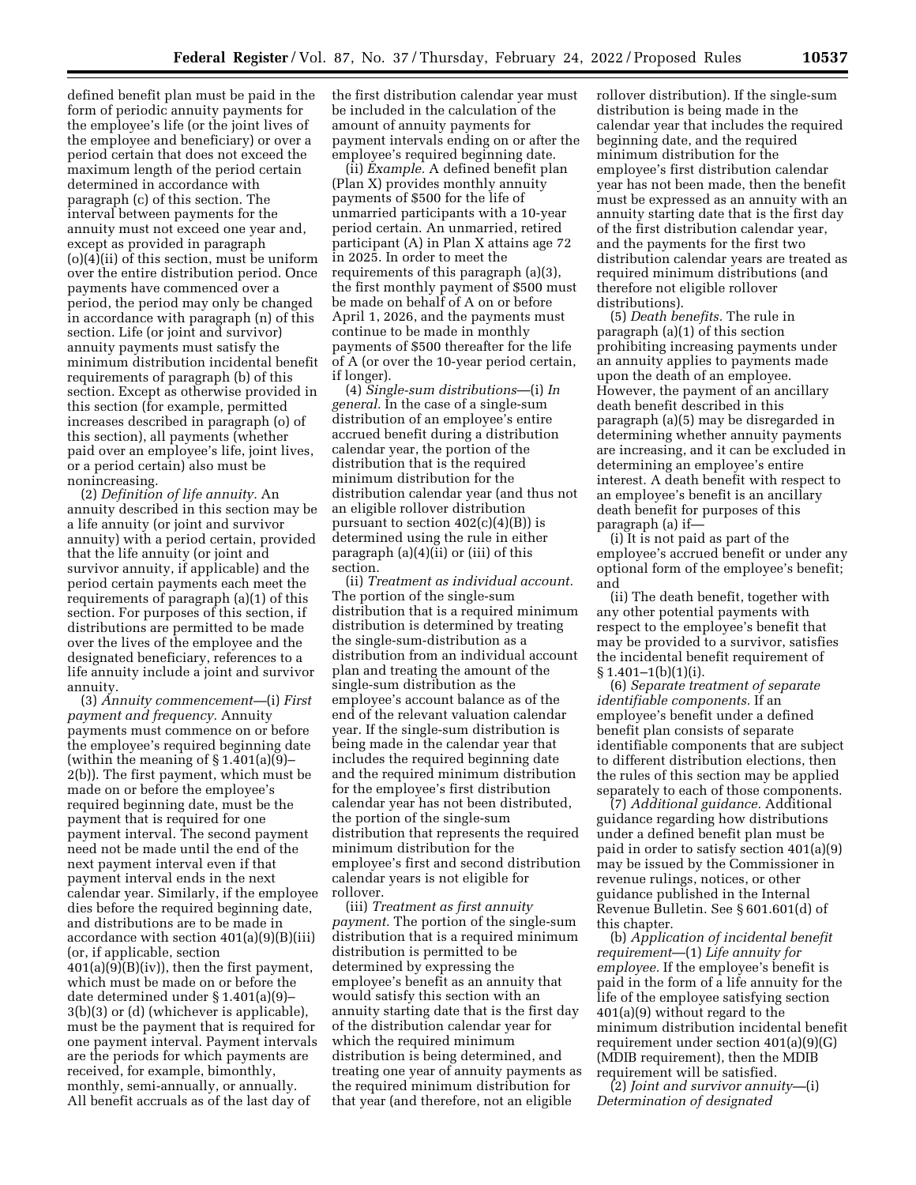defined benefit plan must be paid in the form of periodic annuity payments for the employee's life (or the joint lives of the employee and beneficiary) or over a period certain that does not exceed the maximum length of the period certain determined in accordance with paragraph (c) of this section. The interval between payments for the annuity must not exceed one year and, except as provided in paragraph (o)(4)(ii) of this section, must be uniform over the entire distribution period. Once payments have commenced over a period, the period may only be changed in accordance with paragraph (n) of this section. Life (or joint and survivor) annuity payments must satisfy the minimum distribution incidental benefit requirements of paragraph (b) of this section. Except as otherwise provided in this section (for example, permitted increases described in paragraph (o) of this section), all payments (whether paid over an employee's life, joint lives, or a period certain) also must be nonincreasing.

(2) *Definition of life annuity.* An annuity described in this section may be a life annuity (or joint and survivor annuity) with a period certain, provided that the life annuity (or joint and survivor annuity, if applicable) and the period certain payments each meet the requirements of paragraph (a)(1) of this section. For purposes of this section, if distributions are permitted to be made over the lives of the employee and the designated beneficiary, references to a life annuity include a joint and survivor annuity.

(3) *Annuity commencement—*(i) *First payment and frequency.* Annuity payments must commence on or before the employee's required beginning date (within the meaning of  $\S 1.401(a)(9)$ – 2(b)). The first payment, which must be made on or before the employee's required beginning date, must be the payment that is required for one payment interval. The second payment need not be made until the end of the next payment interval even if that payment interval ends in the next calendar year. Similarly, if the employee dies before the required beginning date, and distributions are to be made in accordance with section 401(a)(9)(B)(iii) (or, if applicable, section 401(a)(9)(B)(iv)), then the first payment, which must be made on or before the date determined under § 1.401(a)(9)– 3(b)(3) or (d) (whichever is applicable), must be the payment that is required for one payment interval. Payment intervals are the periods for which payments are received, for example, bimonthly, monthly, semi-annually, or annually. All benefit accruals as of the last day of

the first distribution calendar year must be included in the calculation of the amount of annuity payments for payment intervals ending on or after the employee's required beginning date.

(ii) *Example.* A defined benefit plan (Plan X) provides monthly annuity payments of \$500 for the life of unmarried participants with a 10-year period certain. An unmarried, retired participant (A) in Plan X attains age 72 in 2025. In order to meet the requirements of this paragraph (a)(3), the first monthly payment of \$500 must be made on behalf of A on or before April 1, 2026, and the payments must continue to be made in monthly payments of \$500 thereafter for the life of A (or over the 10-year period certain, if longer).

(4) *Single-sum distributions*—(i) *In general.* In the case of a single-sum distribution of an employee's entire accrued benefit during a distribution calendar year, the portion of the distribution that is the required minimum distribution for the distribution calendar year (and thus not an eligible rollover distribution pursuant to section  $402(c)(4)(B)$  is determined using the rule in either paragraph (a)(4)(ii) or (iii) of this section.

(ii) *Treatment as individual account.*  The portion of the single-sum distribution that is a required minimum distribution is determined by treating the single-sum-distribution as a distribution from an individual account plan and treating the amount of the single-sum distribution as the employee's account balance as of the end of the relevant valuation calendar year. If the single-sum distribution is being made in the calendar year that includes the required beginning date and the required minimum distribution for the employee's first distribution calendar year has not been distributed, the portion of the single-sum distribution that represents the required minimum distribution for the employee's first and second distribution calendar years is not eligible for rollover.

(iii) *Treatment as first annuity payment.* The portion of the single-sum distribution that is a required minimum distribution is permitted to be determined by expressing the employee's benefit as an annuity that would satisfy this section with an annuity starting date that is the first day of the distribution calendar year for which the required minimum distribution is being determined, and treating one year of annuity payments as the required minimum distribution for that year (and therefore, not an eligible

rollover distribution). If the single-sum distribution is being made in the calendar year that includes the required beginning date, and the required minimum distribution for the employee's first distribution calendar year has not been made, then the benefit must be expressed as an annuity with an annuity starting date that is the first day of the first distribution calendar year, and the payments for the first two distribution calendar years are treated as required minimum distributions (and therefore not eligible rollover distributions).

(5) *Death benefits.* The rule in paragraph (a)(1) of this section prohibiting increasing payments under an annuity applies to payments made upon the death of an employee. However, the payment of an ancillary death benefit described in this paragraph (a)(5) may be disregarded in determining whether annuity payments are increasing, and it can be excluded in determining an employee's entire interest. A death benefit with respect to an employee's benefit is an ancillary death benefit for purposes of this paragraph (a) if—

(i) It is not paid as part of the employee's accrued benefit or under any optional form of the employee's benefit; and

(ii) The death benefit, together with any other potential payments with respect to the employee's benefit that may be provided to a survivor, satisfies the incidental benefit requirement of  $§ 1.401-1(b)(1)(i).$ 

(6) *Separate treatment of separate identifiable components.* If an employee's benefit under a defined benefit plan consists of separate identifiable components that are subject to different distribution elections, then the rules of this section may be applied separately to each of those components.

(7) *Additional guidance.* Additional guidance regarding how distributions under a defined benefit plan must be paid in order to satisfy section 401(a)(9) may be issued by the Commissioner in revenue rulings, notices, or other guidance published in the Internal Revenue Bulletin. See § 601.601(d) of this chapter.

(b) *Application of incidental benefit requirement*—(1) *Life annuity for employee.* If the employee's benefit is paid in the form of a life annuity for the life of the employee satisfying section 401(a)(9) without regard to the minimum distribution incidental benefit requirement under section 401(a)(9)(G) (MDIB requirement), then the MDIB requirement will be satisfied.

(2) *Joint and survivor annuity—*(i) *Determination of designated*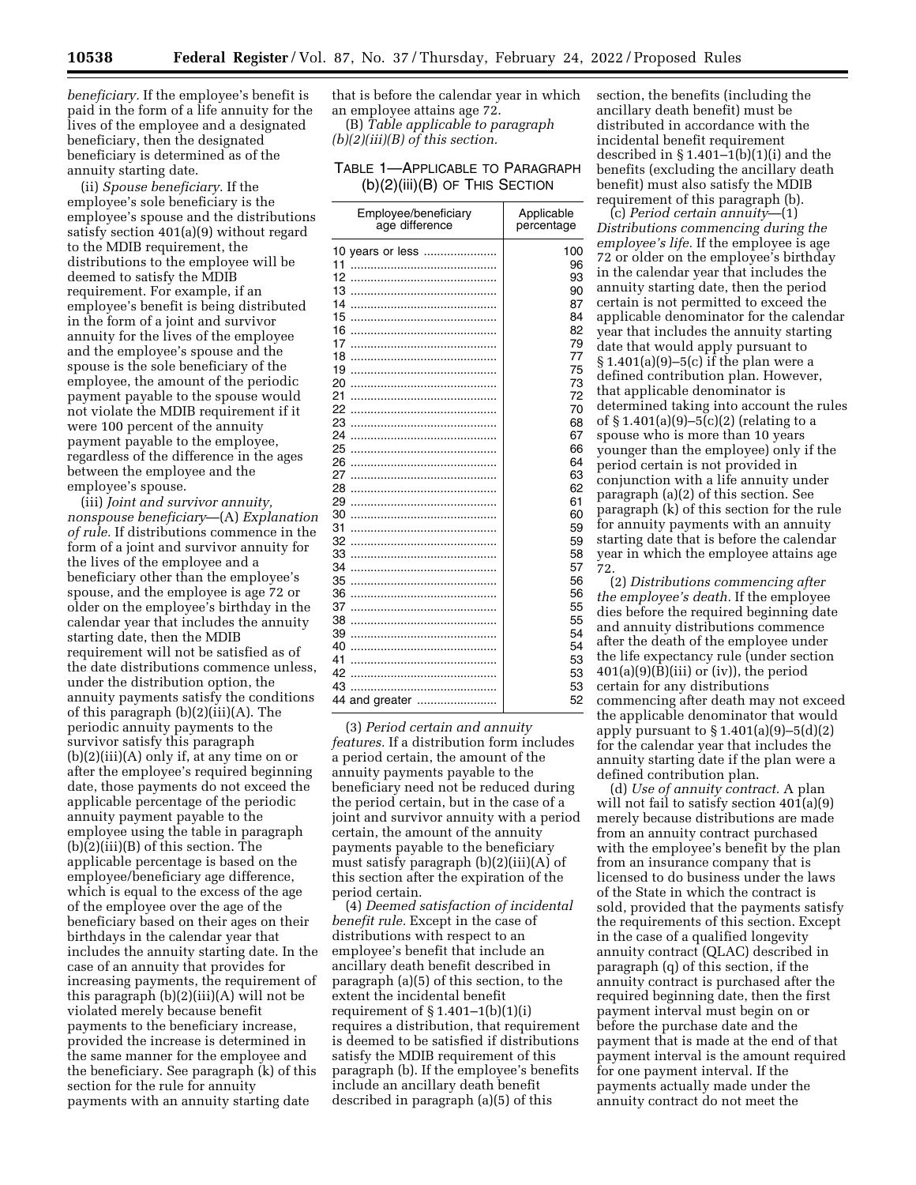*beneficiary.* If the employee's benefit is paid in the form of a life annuity for the lives of the employee and a designated beneficiary, then the designated beneficiary is determined as of the annuity starting date.

(ii) *Spouse beneficiary.* If the employee's sole beneficiary is the employee's spouse and the distributions satisfy section 401(a)(9) without regard to the MDIB requirement, the distributions to the employee will be deemed to satisfy the MDIB requirement. For example, if an employee's benefit is being distributed in the form of a joint and survivor annuity for the lives of the employee and the employee's spouse and the spouse is the sole beneficiary of the employee, the amount of the periodic payment payable to the spouse would not violate the MDIB requirement if it were 100 percent of the annuity payment payable to the employee, regardless of the difference in the ages between the employee and the employee's spouse.

(iii) *Joint and survivor annuity, nonspouse beneficiary*—(A) *Explanation of rule.* If distributions commence in the form of a joint and survivor annuity for the lives of the employee and a beneficiary other than the employee's spouse, and the employee is age 72 or older on the employee's birthday in the calendar year that includes the annuity starting date, then the MDIB requirement will not be satisfied as of the date distributions commence unless, under the distribution option, the annuity payments satisfy the conditions of this paragraph (b)(2)(iii)(A). The periodic annuity payments to the survivor satisfy this paragraph (b)(2)(iii)(A) only if, at any time on or after the employee's required beginning date, those payments do not exceed the applicable percentage of the periodic annuity payment payable to the employee using the table in paragraph (b)(2)(iii)(B) of this section. The applicable percentage is based on the employee/beneficiary age difference, which is equal to the excess of the age of the employee over the age of the beneficiary based on their ages on their birthdays in the calendar year that includes the annuity starting date. In the case of an annuity that provides for increasing payments, the requirement of this paragraph (b)(2)(iii)(A) will not be violated merely because benefit payments to the beneficiary increase, provided the increase is determined in the same manner for the employee and the beneficiary. See paragraph (k) of this section for the rule for annuity payments with an annuity starting date

that is before the calendar year in which an employee attains age 72. (B) *Table applicable to paragraph* 

*(b)(2)(iii)(B) of this section.* 

## TABLE 1—APPLICABLE TO PARAGRAPH (b)(2)(iii)(B) OF THIS SECTION

| Employee/beneficiary                                                   | Applicable                                                |
|------------------------------------------------------------------------|-----------------------------------------------------------|
| age difference                                                         | percentage                                                |
| 10 years or less<br>11<br>12<br>13<br>14<br>15<br>16<br>17<br>18<br>19 | 100<br>96<br>93<br>90<br>87<br>84<br>82<br>79<br>77<br>75 |
| 20                                                                     | 73                                                        |
| 21                                                                     | 72                                                        |
| 22                                                                     | 70                                                        |
| 23                                                                     | 68                                                        |
| 24                                                                     | 67                                                        |
| 25                                                                     | 66                                                        |
| 26                                                                     | 64                                                        |
| 27                                                                     | 63                                                        |
| 28                                                                     | 62                                                        |
| 29                                                                     | 61                                                        |
| 30                                                                     | 60                                                        |
| 31                                                                     | 59                                                        |
| 32                                                                     | 59                                                        |
| 33                                                                     | 58                                                        |
| 34                                                                     | 57                                                        |
| 35                                                                     | 56                                                        |
| 36                                                                     | 56                                                        |
| 37<br>38<br>39<br>40<br>41<br>42<br>43<br>44 and greater               | 55<br>55<br>54<br>54<br>53<br>53<br>53<br>52              |

(3) *Period certain and annuity features.* If a distribution form includes a period certain, the amount of the annuity payments payable to the beneficiary need not be reduced during the period certain, but in the case of a joint and survivor annuity with a period certain, the amount of the annuity payments payable to the beneficiary must satisfy paragraph (b)(2)(iii)(A) of this section after the expiration of the period certain.

(4) *Deemed satisfaction of incidental benefit rule.* Except in the case of distributions with respect to an employee's benefit that include an ancillary death benefit described in paragraph (a)(5) of this section, to the extent the incidental benefit requirement of  $\S 1.401-1(b)(1)(i)$ requires a distribution, that requirement is deemed to be satisfied if distributions satisfy the MDIB requirement of this paragraph (b). If the employee's benefits include an ancillary death benefit described in paragraph (a)(5) of this

section, the benefits (including the ancillary death benefit) must be distributed in accordance with the incidental benefit requirement described in  $\S 1.401-1(b)(1)(i)$  and the benefits (excluding the ancillary death benefit) must also satisfy the MDIB requirement of this paragraph (b).

(c) *Period certain annuity*—(1) *Distributions commencing during the employee's life.* If the employee is age 72 or older on the employee's birthday in the calendar year that includes the annuity starting date, then the period certain is not permitted to exceed the applicable denominator for the calendar year that includes the annuity starting date that would apply pursuant to § 1.401(a)(9)–5(c) if the plan were a defined contribution plan. However, that applicable denominator is determined taking into account the rules of § 1.401(a)(9)–5(c)(2) (relating to a spouse who is more than 10 years younger than the employee) only if the period certain is not provided in conjunction with a life annuity under paragraph (a)(2) of this section. See paragraph (k) of this section for the rule for annuity payments with an annuity starting date that is before the calendar year in which the employee attains age 72.

(2) *Distributions commencing after the employee's death.* If the employee dies before the required beginning date and annuity distributions commence after the death of the employee under the life expectancy rule (under section  $401(a)(9)(B)(iii)$  or (iv)), the period certain for any distributions commencing after death may not exceed the applicable denominator that would apply pursuant to  $\S 1.401(a)(9) - 5(d)(2)$ for the calendar year that includes the annuity starting date if the plan were a defined contribution plan.

(d) *Use of annuity contract.* A plan will not fail to satisfy section  $401(a)(9)$ merely because distributions are made from an annuity contract purchased with the employee's benefit by the plan from an insurance company that is licensed to do business under the laws of the State in which the contract is sold, provided that the payments satisfy the requirements of this section. Except in the case of a qualified longevity annuity contract (QLAC) described in paragraph (q) of this section, if the annuity contract is purchased after the required beginning date, then the first payment interval must begin on or before the purchase date and the payment that is made at the end of that payment interval is the amount required for one payment interval. If the payments actually made under the annuity contract do not meet the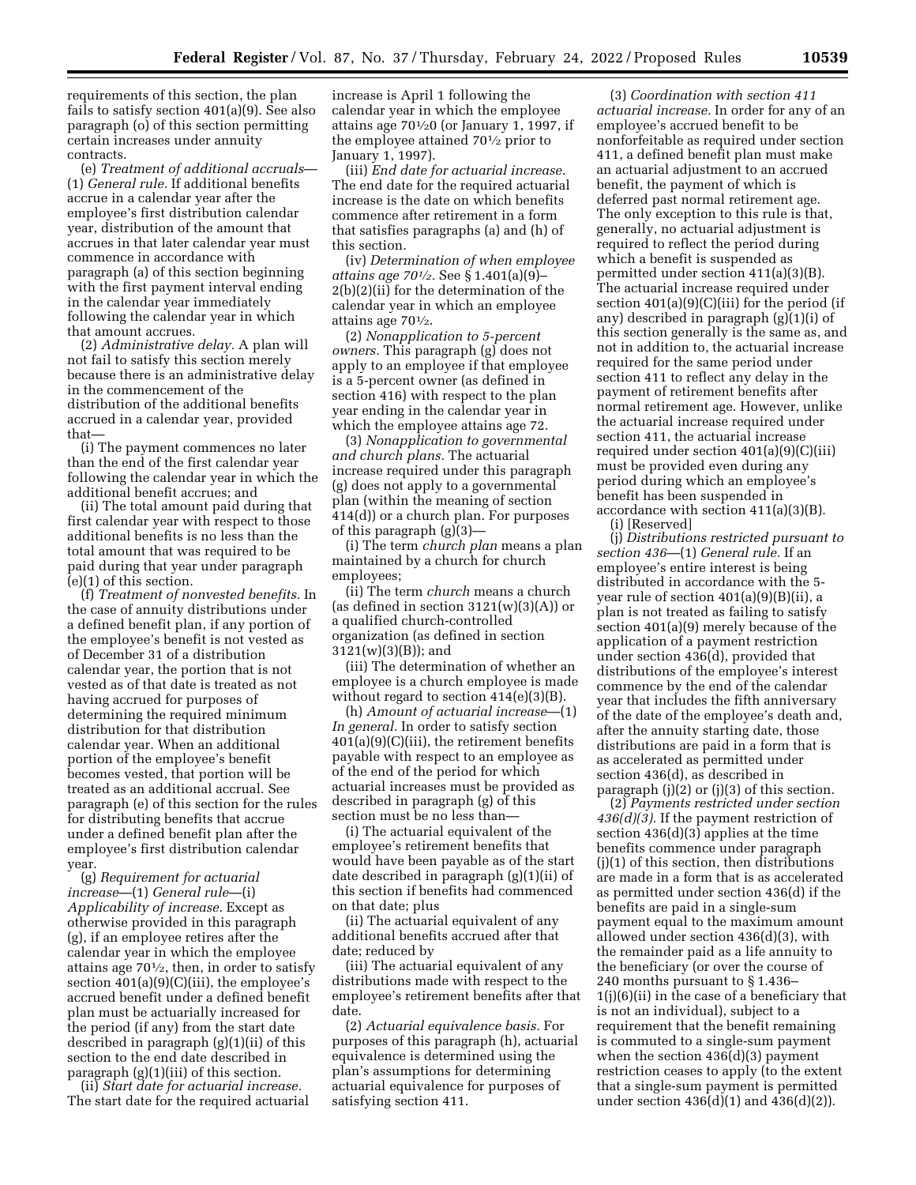requirements of this section, the plan fails to satisfy section 401(a)(9). See also paragraph (o) of this section permitting certain increases under annuity contracts.

(e) *Treatment of additional accruals*— (1) *General rule.* If additional benefits accrue in a calendar year after the employee's first distribution calendar year, distribution of the amount that accrues in that later calendar year must commence in accordance with paragraph (a) of this section beginning with the first payment interval ending in the calendar year immediately following the calendar year in which that amount accrues.

(2) *Administrative delay.* A plan will not fail to satisfy this section merely because there is an administrative delay in the commencement of the distribution of the additional benefits accrued in a calendar year, provided that—

(i) The payment commences no later than the end of the first calendar year following the calendar year in which the additional benefit accrues; and

(ii) The total amount paid during that first calendar year with respect to those additional benefits is no less than the total amount that was required to be paid during that year under paragraph (e)(1) of this section.

(f) *Treatment of nonvested benefits.* In the case of annuity distributions under a defined benefit plan, if any portion of the employee's benefit is not vested as of December 31 of a distribution calendar year, the portion that is not vested as of that date is treated as not having accrued for purposes of determining the required minimum distribution for that distribution calendar year. When an additional portion of the employee's benefit becomes vested, that portion will be treated as an additional accrual. See paragraph (e) of this section for the rules for distributing benefits that accrue under a defined benefit plan after the employee's first distribution calendar year.

(g) *Requirement for actuarial increase*—(1) *General rule*—(i) *Applicability of increase.* Except as otherwise provided in this paragraph (g), if an employee retires after the calendar year in which the employee attains age  $70\frac{1}{2}$ , then, in order to satisfy section  $401(a)(9)(C)(iii)$ , the employee's accrued benefit under a defined benefit plan must be actuarially increased for the period (if any) from the start date described in paragraph (g)(1)(ii) of this section to the end date described in paragraph (g)(1)(iii) of this section.

(ii) *Start date for actuarial increase.*  The start date for the required actuarial

increase is April 1 following the calendar year in which the employee attains age  $70\frac{1}{20}$  (or January 1, 1997, if the employee attained 701⁄2 prior to January 1, 1997).

(iii) *End date for actuarial increase.*  The end date for the required actuarial increase is the date on which benefits commence after retirement in a form that satisfies paragraphs (a) and (h) of this section.

(iv) *Determination of when employee attains age 701⁄2.* See § 1.401(a)(9)– 2(b)(2)(ii) for the determination of the calendar year in which an employee attains age  $70\frac{1}{2}$ .

(2) *Nonapplication to 5-percent owners.* This paragraph (g) does not apply to an employee if that employee is a 5-percent owner (as defined in section 416) with respect to the plan year ending in the calendar year in which the employee attains age 72.

(3) *Nonapplication to governmental and church plans.* The actuarial increase required under this paragraph (g) does not apply to a governmental plan (within the meaning of section 414(d)) or a church plan. For purposes of this paragraph (g)(3)—

(i) The term *church plan* means a plan maintained by a church for church employees;

(ii) The term *church* means a church (as defined in section  $3121(w)(3)(A)$ ) or a qualified church-controlled organization (as defined in section 3121(w)(3)(B)); and

(iii) The determination of whether an employee is a church employee is made without regard to section 414(e)(3)(B).

(h) *Amount of actuarial increase*—(1) *In general.* In order to satisfy section 401(a)(9)(C)(iii), the retirement benefits payable with respect to an employee as of the end of the period for which actuarial increases must be provided as described in paragraph (g) of this section must be no less than—

(i) The actuarial equivalent of the employee's retirement benefits that would have been payable as of the start date described in paragraph (g)(1)(ii) of this section if benefits had commenced on that date; plus

(ii) The actuarial equivalent of any additional benefits accrued after that date; reduced by

(iii) The actuarial equivalent of any distributions made with respect to the employee's retirement benefits after that date.

(2) *Actuarial equivalence basis.* For purposes of this paragraph (h), actuarial equivalence is determined using the plan's assumptions for determining actuarial equivalence for purposes of satisfying section 411.

(3) *Coordination with section 411 actuarial increase.* In order for any of an employee's accrued benefit to be nonforfeitable as required under section 411, a defined benefit plan must make an actuarial adjustment to an accrued benefit, the payment of which is deferred past normal retirement age. The only exception to this rule is that, generally, no actuarial adjustment is required to reflect the period during which a benefit is suspended as permitted under section 411(a)(3)(B). The actuarial increase required under section  $401(a)(9)(C)(iii)$  for the period (if any) described in paragraph (g)(1)(i) of this section generally is the same as, and not in addition to, the actuarial increase required for the same period under section 411 to reflect any delay in the payment of retirement benefits after normal retirement age. However, unlike the actuarial increase required under section 411, the actuarial increase required under section 401(a)(9)(C)(iii) must be provided even during any period during which an employee's benefit has been suspended in accordance with section 411(a)(3)(B).

(i) [Reserved]

(j) *Distributions restricted pursuant to section 436*—(1) *General rule.* If an employee's entire interest is being distributed in accordance with the 5 year rule of section 401(a)(9)(B)(ii), a plan is not treated as failing to satisfy section 401(a)(9) merely because of the application of a payment restriction under section 436(d), provided that distributions of the employee's interest commence by the end of the calendar year that includes the fifth anniversary of the date of the employee's death and, after the annuity starting date, those distributions are paid in a form that is as accelerated as permitted under section 436(d), as described in paragraph  $(i)(2)$  or  $(i)(3)$  of this section.

(2) *Payments restricted under section 436(d)(3).* If the payment restriction of section 436(d)(3) applies at the time benefits commence under paragraph (j)(1) of this section, then distributions are made in a form that is as accelerated as permitted under section 436(d) if the benefits are paid in a single-sum payment equal to the maximum amount allowed under section 436(d)(3), with the remainder paid as a life annuity to the beneficiary (or over the course of 240 months pursuant to § 1.436– 1(j)(6)(ii) in the case of a beneficiary that is not an individual), subject to a requirement that the benefit remaining is commuted to a single-sum payment when the section 436(d)(3) payment restriction ceases to apply (to the extent that a single-sum payment is permitted under section  $436(d)(1)$  and  $436(d)(2)$ .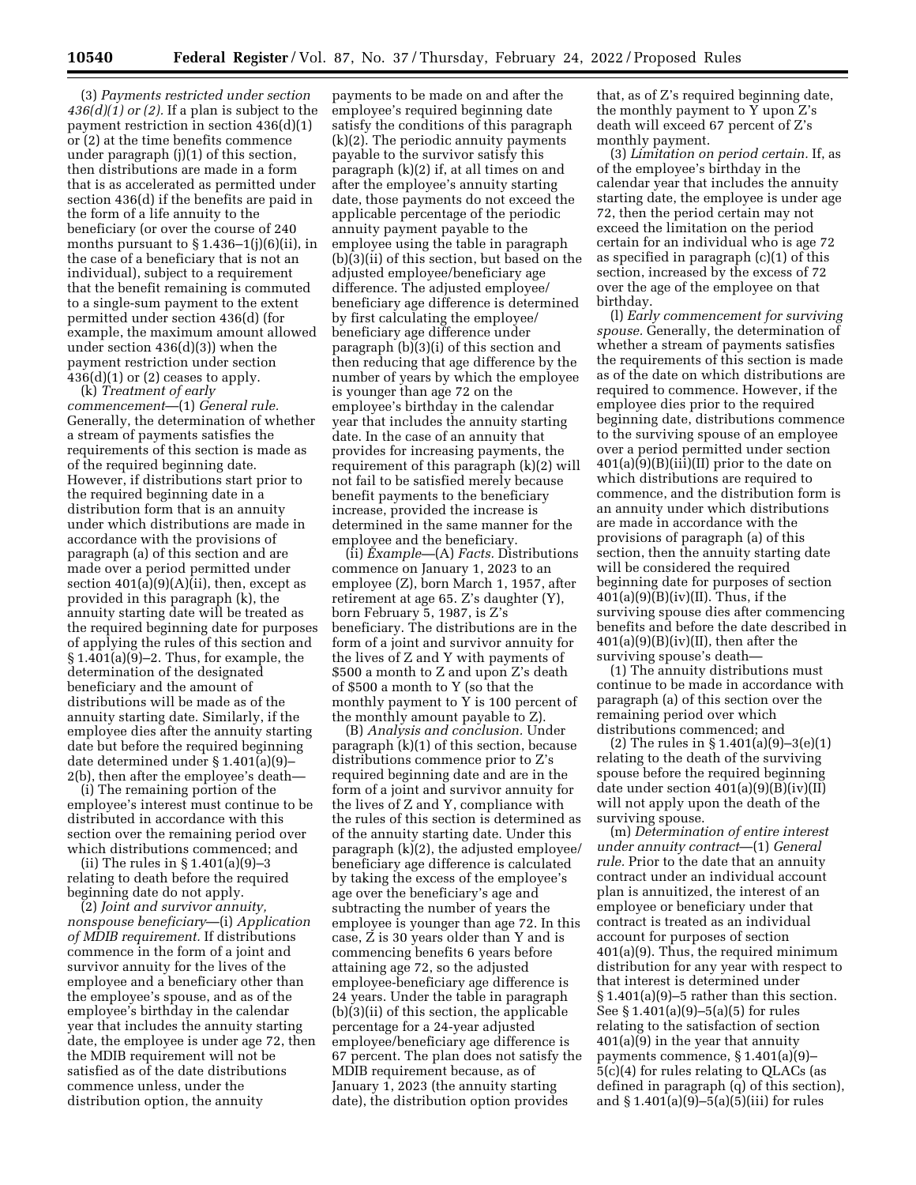(3) *Payments restricted under section 436(d)(1) or (2).* If a plan is subject to the payment restriction in section 436(d)(1) or (2) at the time benefits commence under paragraph (j)(1) of this section, then distributions are made in a form that is as accelerated as permitted under section 436(d) if the benefits are paid in the form of a life annuity to the beneficiary (or over the course of 240 months pursuant to  $\S 1.436-1(j)(6)(ii)$ , in the case of a beneficiary that is not an individual), subject to a requirement that the benefit remaining is commuted to a single-sum payment to the extent permitted under section 436(d) (for example, the maximum amount allowed under section 436(d)(3)) when the payment restriction under section  $436(d)(1)$  or  $(2)$  ceases to apply.

(k) *Treatment of early commencement*—(1) *General rule.*  Generally, the determination of whether a stream of payments satisfies the requirements of this section is made as of the required beginning date. However, if distributions start prior to the required beginning date in a distribution form that is an annuity under which distributions are made in accordance with the provisions of paragraph (a) of this section and are made over a period permitted under section  $401(a)(9)(A)(ii)$ , then, except as provided in this paragraph (k), the annuity starting date will be treated as the required beginning date for purposes of applying the rules of this section and § 1.401(a)(9)–2. Thus, for example, the determination of the designated beneficiary and the amount of distributions will be made as of the annuity starting date. Similarly, if the employee dies after the annuity starting date but before the required beginning date determined under § 1.401(a)(9)– 2(b), then after the employee's death—

(i) The remaining portion of the employee's interest must continue to be distributed in accordance with this section over the remaining period over which distributions commenced; and

(ii) The rules in § 1.401(a)(9)–3 relating to death before the required beginning date do not apply.

(2) *Joint and survivor annuity, nonspouse beneficiary*—(i) *Application of MDIB requirement.* If distributions commence in the form of a joint and survivor annuity for the lives of the employee and a beneficiary other than the employee's spouse, and as of the employee's birthday in the calendar year that includes the annuity starting date, the employee is under age 72, then the MDIB requirement will not be satisfied as of the date distributions commence unless, under the distribution option, the annuity

payments to be made on and after the employee's required beginning date satisfy the conditions of this paragraph (k)(2). The periodic annuity payments payable to the survivor satisfy this paragraph (k)(2) if, at all times on and after the employee's annuity starting date, those payments do not exceed the applicable percentage of the periodic annuity payment payable to the employee using the table in paragraph (b)(3)(ii) of this section, but based on the adjusted employee/beneficiary age difference. The adjusted employee/ beneficiary age difference is determined by first calculating the employee/ beneficiary age difference under paragraph (b)(3)(i) of this section and then reducing that age difference by the number of years by which the employee is younger than age 72 on the employee's birthday in the calendar year that includes the annuity starting date. In the case of an annuity that provides for increasing payments, the requirement of this paragraph (k)(2) will not fail to be satisfied merely because benefit payments to the beneficiary increase, provided the increase is determined in the same manner for the employee and the beneficiary.

(ii) *Example—*(A) *Facts.* Distributions commence on January 1, 2023 to an employee (Z), born March 1, 1957, after retirement at age 65. Z's daughter (Y), born February 5, 1987, is Z's beneficiary. The distributions are in the form of a joint and survivor annuity for the lives of Z and Y with payments of \$500 a month to Z and upon Z's death of \$500 a month to Y (so that the monthly payment to Y is 100 percent of the monthly amount payable to Z).

(B) *Analysis and conclusion.* Under paragraph (k)(1) of this section, because distributions commence prior to Z's required beginning date and are in the form of a joint and survivor annuity for the lives of Z and Y, compliance with the rules of this section is determined as of the annuity starting date. Under this paragraph (k)(2), the adjusted employee/ beneficiary age difference is calculated by taking the excess of the employee's age over the beneficiary's age and subtracting the number of years the employee is younger than age 72. In this case, Z is 30 years older than Y and is commencing benefits 6 years before attaining age 72, so the adjusted employee-beneficiary age difference is 24 years. Under the table in paragraph (b)(3)(ii) of this section, the applicable percentage for a 24-year adjusted employee/beneficiary age difference is 67 percent. The plan does not satisfy the MDIB requirement because, as of January 1, 2023 (the annuity starting date), the distribution option provides

that, as of Z's required beginning date, the monthly payment to  $\overline{Y}$  upon  $\overline{Z}$ 's death will exceed 67 percent of Z's monthly payment.

(3) *Limitation on period certain.* If, as of the employee's birthday in the calendar year that includes the annuity starting date, the employee is under age 72, then the period certain may not exceed the limitation on the period certain for an individual who is age 72 as specified in paragraph (c)(1) of this section, increased by the excess of 72 over the age of the employee on that birthday.

(l) *Early commencement for surviving spouse.* Generally, the determination of whether a stream of payments satisfies the requirements of this section is made as of the date on which distributions are required to commence. However, if the employee dies prior to the required beginning date, distributions commence to the surviving spouse of an employee over a period permitted under section  $401(a)(9)(B)(iii)(II)$  prior to the date on which distributions are required to commence, and the distribution form is an annuity under which distributions are made in accordance with the provisions of paragraph (a) of this section, then the annuity starting date will be considered the required beginning date for purposes of section  $401(a)(9)(B)(iv)(II)$ . Thus, if the surviving spouse dies after commencing benefits and before the date described in  $401(a)(9)(B)(iv)(II)$ , then after the surviving spouse's death—

(1) The annuity distributions must continue to be made in accordance with paragraph (a) of this section over the remaining period over which distributions commenced; and

(2) The rules in § 1.401(a)(9)–3(e)(1) relating to the death of the surviving spouse before the required beginning date under section  $401(a)(9)(B)(iv)(II)$ will not apply upon the death of the surviving spouse.

(m) *Determination of entire interest under annuity contract*—(1) *General rule.* Prior to the date that an annuity contract under an individual account plan is annuitized, the interest of an employee or beneficiary under that contract is treated as an individual account for purposes of section 401(a)(9). Thus, the required minimum distribution for any year with respect to that interest is determined under § 1.401(a)(9)–5 rather than this section. See § 1.401(a)(9)–5(a)(5) for rules relating to the satisfaction of section 401(a)(9) in the year that annuity payments commence, § 1.401(a)(9)– 5(c)(4) for rules relating to QLACs (as defined in paragraph (q) of this section), and § 1.401(a)(9)–5(a)(5)(iii) for rules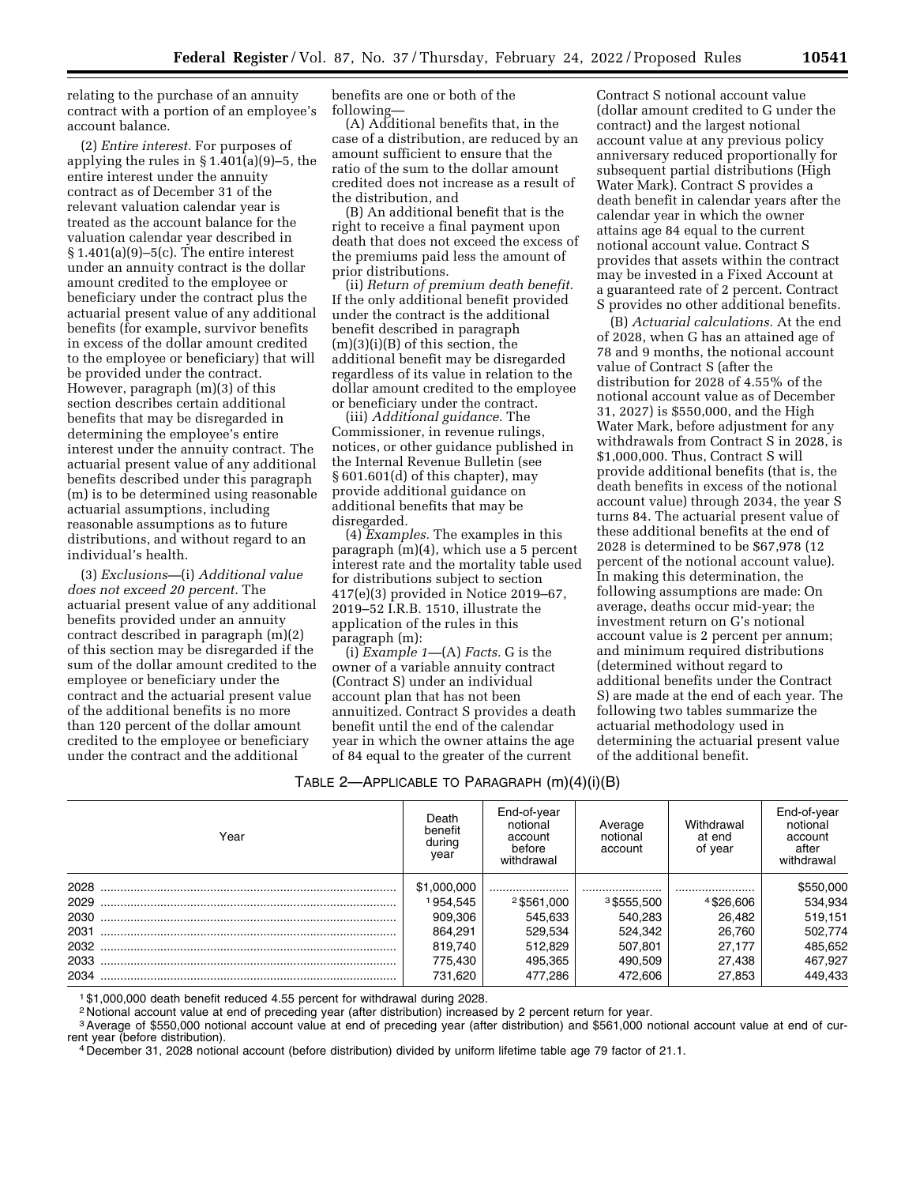relating to the purchase of an annuity contract with a portion of an employee's account balance.

(2) *Entire interest.* For purposes of applying the rules in § 1.401(a)(9)–5, the entire interest under the annuity contract as of December 31 of the relevant valuation calendar year is treated as the account balance for the valuation calendar year described in  $§ 1.401(a)(9) - 5(c)$ . The entire interest under an annuity contract is the dollar amount credited to the employee or beneficiary under the contract plus the actuarial present value of any additional benefits (for example, survivor benefits in excess of the dollar amount credited to the employee or beneficiary) that will be provided under the contract. However, paragraph (m)(3) of this section describes certain additional benefits that may be disregarded in determining the employee's entire interest under the annuity contract. The actuarial present value of any additional benefits described under this paragraph (m) is to be determined using reasonable actuarial assumptions, including reasonable assumptions as to future distributions, and without regard to an individual's health.

(3) *Exclusions—*(i) *Additional value does not exceed 20 percent.* The actuarial present value of any additional benefits provided under an annuity contract described in paragraph (m)(2) of this section may be disregarded if the sum of the dollar amount credited to the employee or beneficiary under the contract and the actuarial present value of the additional benefits is no more than 120 percent of the dollar amount credited to the employee or beneficiary under the contract and the additional

benefits are one or both of the following—

(A) Additional benefits that, in the case of a distribution, are reduced by an amount sufficient to ensure that the ratio of the sum to the dollar amount credited does not increase as a result of the distribution, and

(B) An additional benefit that is the right to receive a final payment upon death that does not exceed the excess of the premiums paid less the amount of prior distributions.

(ii) *Return of premium death benefit.*  If the only additional benefit provided under the contract is the additional benefit described in paragraph  $(m)(3)(i)(B)$  of this section, the additional benefit may be disregarded regardless of its value in relation to the dollar amount credited to the employee or beneficiary under the contract.

(iii) *Additional guidance.* The Commissioner, in revenue rulings, notices, or other guidance published in the Internal Revenue Bulletin (see § 601.601(d) of this chapter), may provide additional guidance on additional benefits that may be disregarded.

(4) *Examples.* The examples in this paragraph (m)(4), which use a 5 percent interest rate and the mortality table used for distributions subject to section 417(e)(3) provided in Notice 2019–67, 2019–52 I.R.B. 1510, illustrate the application of the rules in this paragraph (m):

(i) *Example 1—*(A) *Facts.* G is the owner of a variable annuity contract (Contract S) under an individual account plan that has not been annuitized. Contract S provides a death benefit until the end of the calendar year in which the owner attains the age of 84 equal to the greater of the current

Contract S notional account value (dollar amount credited to G under the contract) and the largest notional account value at any previous policy anniversary reduced proportionally for subsequent partial distributions (High Water Mark). Contract S provides a death benefit in calendar years after the calendar year in which the owner attains age 84 equal to the current notional account value. Contract S provides that assets within the contract may be invested in a Fixed Account at a guaranteed rate of 2 percent. Contract S provides no other additional benefits.

(B) *Actuarial calculations.* At the end of 2028, when G has an attained age of 78 and 9 months, the notional account value of Contract S (after the distribution for 2028 of 4.55% of the notional account value as of December 31, 2027) is \$550,000, and the High Water Mark, before adjustment for any withdrawals from Contract S in 2028, is \$1,000,000. Thus, Contract S will provide additional benefits (that is, the death benefits in excess of the notional account value) through 2034, the year S turns 84. The actuarial present value of these additional benefits at the end of 2028 is determined to be \$67,978 (12 percent of the notional account value). In making this determination, the following assumptions are made: On average, deaths occur mid-year; the investment return on G's notional account value is 2 percent per annum; and minimum required distributions (determined without regard to additional benefits under the Contract S) are made at the end of each year. The following two tables summarize the actuarial methodology used in determining the actuarial present value of the additional benefit.

## TABLE 2—APPLICABLE TO PARAGRAPH (m)(4)(i)(B)

| Year | Death<br>benefit<br>during<br>year | End-of-year<br>notional<br>account<br>before<br>withdrawal | Average<br>notional<br>account | Withdrawal<br>at end<br>of year | End-of-year<br>notional<br>account<br>after<br>withdrawal |
|------|------------------------------------|------------------------------------------------------------|--------------------------------|---------------------------------|-----------------------------------------------------------|
| 2028 | \$1,000,000                        |                                                            |                                |                                 | \$550,000                                                 |
| 2029 | 1954,545                           | $2$ \$561,000                                              | $3$ \$555,500                  | 4\$26,606                       | 534,934                                                   |
| 2030 | 909.306                            | 545.633                                                    | 540,283                        | 26.482                          | 519,151                                                   |
| 2031 | 864.291                            | 529.534                                                    | 524.342                        | 26.760                          | 502,774                                                   |
|      | 819.740                            | 512.829                                                    | 507,801                        | 27.177                          | 485,652                                                   |
| 2033 | 775.430                            | 495.365                                                    | 490.509                        | 27.438                          | 467.927                                                   |
|      | 731.620                            | 477.286                                                    | 472.606                        | 27.853                          | 449,433                                                   |

1 \$1,000,000 death benefit reduced 4.55 percent for withdrawal during 2028.

2 Notional account value at end of preceding year (after distribution) increased by 2 percent return for year.

<sup>3</sup> Average of \$550,000 notional account value at end of preceding year (after distribution) and \$561,000 notional account value at end of cur-<br>rent year (before distribution).

<sup>4</sup> December 31, 2028 notional account (before distribution) divided by uniform lifetime table age 79 factor of 21.1.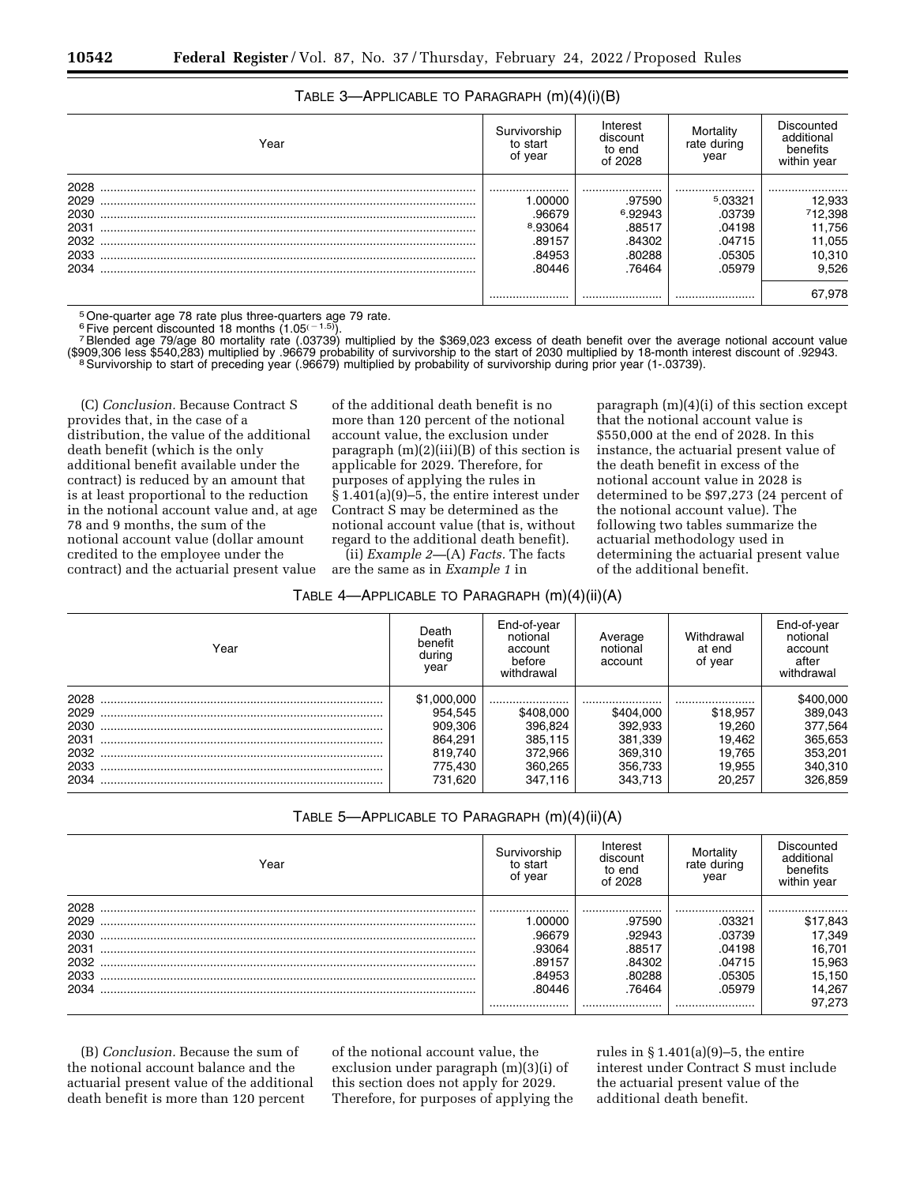# TABLE 3—APPLICABLE TO PARAGRAPH (m)(4)(i)(B)

| Year | Survivorship<br>to start<br>of year | Interest<br>discount<br>to end<br>of 2028 | Mortality<br>rate during<br>year | Discounted<br>additional<br>benefits<br>within year |
|------|-------------------------------------|-------------------------------------------|----------------------------------|-----------------------------------------------------|
| 2028 |                                     |                                           |                                  |                                                     |
| 2029 | 1.00000                             | .97590                                    | 5.03321                          | 12,933                                              |
| 2030 | .96679                              | 6.92943                                   | .03739                           | 12,398                                              |
| 2031 | <sup>8</sup> .93064                 | .88517                                    | .04198                           | 11,756                                              |
| 2032 | .89157                              | .84302                                    | .04715                           | 11,055                                              |
| 2033 | .84953                              | .80288                                    | .05305                           | 10,310                                              |
| 2034 | .80446                              | .76464                                    | .05979                           | 9,526                                               |
|      |                                     |                                           |                                  | 67,978                                              |

<sup>5</sup> One-quarter age 78 rate plus three-quarters age 79 rate.<br><sup>6</sup> Five percent discounted 18 months (1.05<sup> $(-1.5)$ </sup>).

<sup>7</sup>Blended age 79/age 80 mortality rate (.03739) multiplied by the \$369,023 excess of death benefit over the average notional account value Exposition and the start of 2030 multiplied by 18-month interest discount of 2090,306 less \$540,283) multiplied by 196679 probability of survivorship to the start of 2030 multiplied by 18-month interest discount of 192943.

(C) *Conclusion.* Because Contract S provides that, in the case of a distribution, the value of the additional death benefit (which is the only additional benefit available under the contract) is reduced by an amount that is at least proportional to the reduction in the notional account value and, at age 78 and 9 months, the sum of the notional account value (dollar amount credited to the employee under the contract) and the actuarial present value

of the additional death benefit is no more than 120 percent of the notional account value, the exclusion under paragraph (m)(2)(iii)(B) of this section is applicable for 2029. Therefore, for purposes of applying the rules in § 1.401(a)(9)–5, the entire interest under Contract S may be determined as the notional account value (that is, without regard to the additional death benefit).

(ii) *Example 2—*(A) *Facts.* The facts are the same as in *Example 1* in

| TABLE 4—APPLICABLE TO PARAGRAPH $(m)(4)(ii)(A)$ |  |  |  |  |
|-------------------------------------------------|--|--|--|--|
|-------------------------------------------------|--|--|--|--|

paragraph (m)(4)(i) of this section except that the notional account value is \$550,000 at the end of 2028. In this instance, the actuarial present value of the death benefit in excess of the notional account value in 2028 is determined to be \$97,273 (24 percent of the notional account value). The following two tables summarize the actuarial methodology used in determining the actuarial present value of the additional benefit.

| Year | Death<br>benefit<br>during<br>year | End-of-year<br>notional<br>account<br>before<br>withdrawal | Average<br>notional<br>account | Withdrawal<br>at end<br>of year | End-of-year<br>notional<br>account<br>after<br>withdrawal |
|------|------------------------------------|------------------------------------------------------------|--------------------------------|---------------------------------|-----------------------------------------------------------|
| 2028 | \$1,000,000                        |                                                            |                                |                                 | \$400,000                                                 |
| 2029 | 954.545                            | \$408,000                                                  | \$404.000                      | \$18,957                        | 389,043                                                   |
| 2030 | 909.306                            | 396.824                                                    | 392.933                        | 19.260                          | 377,564                                                   |
| 2031 | 864.291                            | 385,115                                                    | 381,339                        | 19.462                          | 365,653                                                   |
| 2032 | 819.740                            | 372.966                                                    | 369,310                        | 19.765                          | 353,201                                                   |
| 2033 | 775,430                            | 360.265                                                    | 356,733                        | 19.955                          | 340,310                                                   |
| 2034 | 731.620                            | 347.116                                                    | 343,713                        | 20.257                          | 326.859                                                   |

## TABLE 5—APPLICABLE TO PARAGRAPH (m)(4)(ii)(A)

| Year | Survivorship<br>to start<br>of year | Interest<br>discount<br>to end<br>of 2028 | Mortality<br>rate during<br>year | Discounted<br>additional<br>benefits<br>within year |
|------|-------------------------------------|-------------------------------------------|----------------------------------|-----------------------------------------------------|
| 2028 |                                     |                                           |                                  |                                                     |
| 2029 | .00000                              | .97590                                    | .03321                           | \$17,843                                            |
| 2030 | .96679                              | .92943                                    | .03739                           | 17,349                                              |
| 2031 | .93064                              | .88517                                    | .04198                           | 16,701                                              |
| 2032 | .89157                              | .84302                                    | .04715                           | 15,963                                              |
| 2033 | .84953                              | .80288                                    | .05305                           | 15,150                                              |
| 2034 | 80446                               | .76464                                    | .05979                           | 14.267                                              |
|      |                                     |                                           |                                  | 97.273                                              |

(B) *Conclusion.* Because the sum of the notional account balance and the actuarial present value of the additional death benefit is more than 120 percent

of the notional account value, the exclusion under paragraph (m)(3)(i) of this section does not apply for 2029. Therefore, for purposes of applying the rules in § 1.401(a)(9)–5, the entire interest under Contract S must include the actuarial present value of the additional death benefit.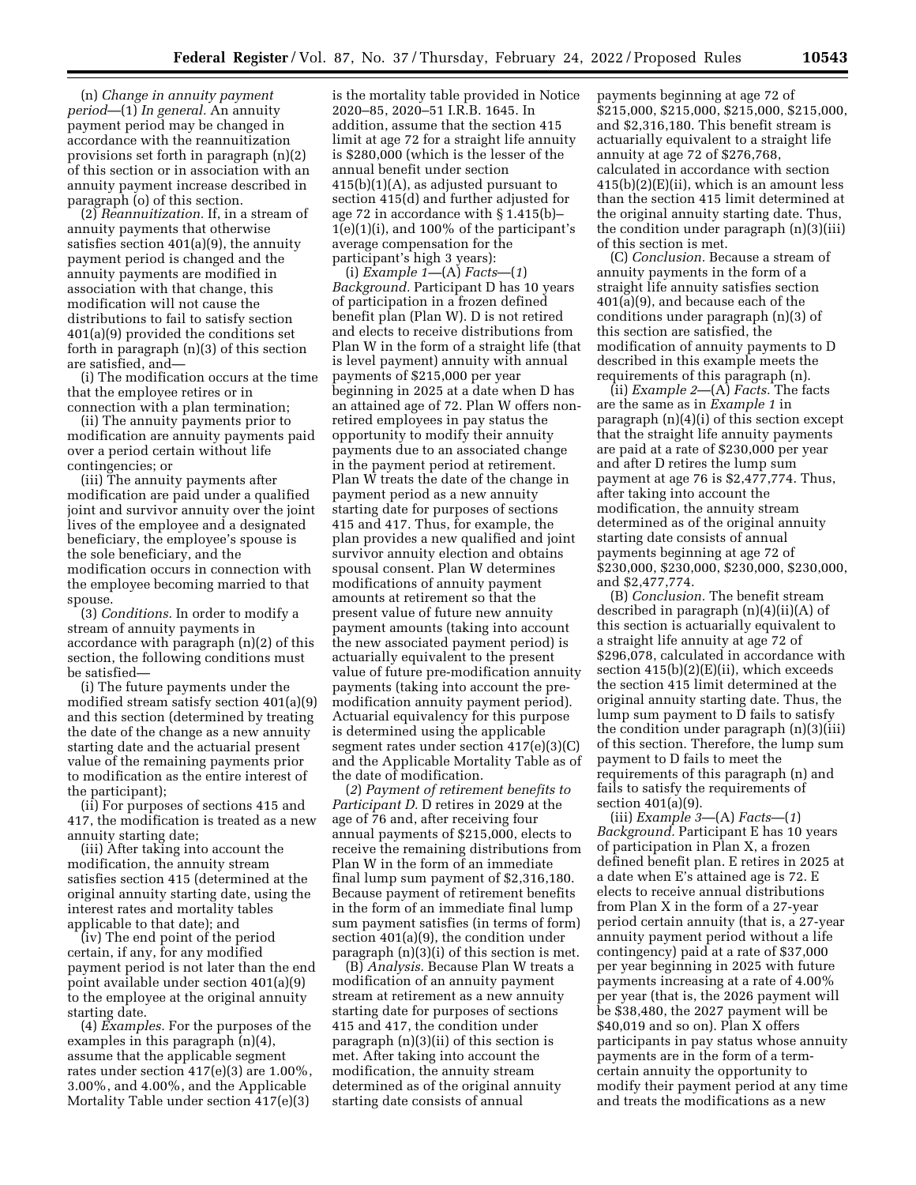(n) *Change in annuity payment period*—(1) *In general.* An annuity payment period may be changed in accordance with the reannuitization provisions set forth in paragraph (n)(2) of this section or in association with an annuity payment increase described in paragraph (o) of this section.

(2) *Reannuitization.* If, in a stream of annuity payments that otherwise satisfies section 401(a)(9), the annuity payment period is changed and the annuity payments are modified in association with that change, this modification will not cause the distributions to fail to satisfy section 401(a)(9) provided the conditions set forth in paragraph (n)(3) of this section are satisfied, and—

(i) The modification occurs at the time that the employee retires or in connection with a plan termination;

(ii) The annuity payments prior to modification are annuity payments paid over a period certain without life contingencies; or

(iii) The annuity payments after modification are paid under a qualified joint and survivor annuity over the joint lives of the employee and a designated beneficiary, the employee's spouse is the sole beneficiary, and the modification occurs in connection with the employee becoming married to that spouse.

(3) *Conditions.* In order to modify a stream of annuity payments in accordance with paragraph (n)(2) of this section, the following conditions must be satisfied—

(i) The future payments under the modified stream satisfy section 401(a)(9) and this section (determined by treating the date of the change as a new annuity starting date and the actuarial present value of the remaining payments prior to modification as the entire interest of the participant);

(ii) For purposes of sections 415 and 417, the modification is treated as a new annuity starting date;

(iii) After taking into account the modification, the annuity stream satisfies section 415 (determined at the original annuity starting date, using the interest rates and mortality tables applicable to that date); and

(iv) The end point of the period certain, if any, for any modified payment period is not later than the end point available under section 401(a)(9) to the employee at the original annuity starting date.

(4) *Examples.* For the purposes of the examples in this paragraph (n)(4), assume that the applicable segment rates under section 417(e)(3) are 1.00%, 3.00%, and 4.00%, and the Applicable Mortality Table under section 417(e)(3)

is the mortality table provided in Notice 2020–85, 2020–51 I.R.B. 1645. In addition, assume that the section 415 limit at age 72 for a straight life annuity is \$280,000 (which is the lesser of the annual benefit under section 415(b)(1)(A), as adjusted pursuant to section 415(d) and further adjusted for age 72 in accordance with § 1.415(b)– 1(e)(1)(i), and 100% of the participant's average compensation for the participant's high 3 years):

(i) *Example 1—*(A) *Facts*—(*1*) *Background.* Participant D has 10 years of participation in a frozen defined benefit plan (Plan W). D is not retired and elects to receive distributions from Plan W in the form of a straight life (that is level payment) annuity with annual payments of \$215,000 per year beginning in 2025 at a date when D has an attained age of 72. Plan W offers nonretired employees in pay status the opportunity to modify their annuity payments due to an associated change in the payment period at retirement. Plan W treats the date of the change in payment period as a new annuity starting date for purposes of sections 415 and 417. Thus, for example, the plan provides a new qualified and joint survivor annuity election and obtains spousal consent. Plan W determines modifications of annuity payment amounts at retirement so that the present value of future new annuity payment amounts (taking into account the new associated payment period) is actuarially equivalent to the present value of future pre-modification annuity payments (taking into account the premodification annuity payment period). Actuarial equivalency for this purpose is determined using the applicable segment rates under section 417(e)(3)(C) and the Applicable Mortality Table as of the date of modification.

(*2*) *Payment of retirement benefits to Participant D.* D retires in 2029 at the age of 76 and, after receiving four annual payments of \$215,000, elects to receive the remaining distributions from Plan W in the form of an immediate final lump sum payment of \$2,316,180. Because payment of retirement benefits in the form of an immediate final lump sum payment satisfies (in terms of form) section 401(a)(9), the condition under paragraph (n)(3)(i) of this section is met.

(B) *Analysis.* Because Plan W treats a modification of an annuity payment stream at retirement as a new annuity starting date for purposes of sections 415 and 417, the condition under paragraph (n)(3)(ii) of this section is met. After taking into account the modification, the annuity stream determined as of the original annuity starting date consists of annual

payments beginning at age 72 of \$215,000, \$215,000, \$215,000, \$215,000, and \$2,316,180. This benefit stream is actuarially equivalent to a straight life annuity at age 72 of \$276,768, calculated in accordance with section 415(b)(2)(E)(ii), which is an amount less than the section 415 limit determined at the original annuity starting date. Thus, the condition under paragraph (n)(3)(iii) of this section is met.

(C) *Conclusion.* Because a stream of annuity payments in the form of a straight life annuity satisfies section 401(a)(9), and because each of the conditions under paragraph (n)(3) of this section are satisfied, the modification of annuity payments to D described in this example meets the requirements of this paragraph (n).

(ii) *Example 2*—(A) *Facts.* The facts are the same as in *Example 1* in paragraph (n)(4)(i) of this section except that the straight life annuity payments are paid at a rate of \$230,000 per year and after D retires the lump sum payment at age 76 is \$2,477,774. Thus, after taking into account the modification, the annuity stream determined as of the original annuity starting date consists of annual payments beginning at age 72 of \$230,000, \$230,000, \$230,000, \$230,000, and \$2,477,774.

(B) *Conclusion.* The benefit stream described in paragraph (n)(4)(ii)(A) of this section is actuarially equivalent to a straight life annuity at age 72 of \$296,078, calculated in accordance with section 415(b)(2)(E)(ii), which exceeds the section 415 limit determined at the original annuity starting date. Thus, the lump sum payment to D fails to satisfy the condition under paragraph (n)(3)(iii) of this section. Therefore, the lump sum payment to D fails to meet the requirements of this paragraph (n) and fails to satisfy the requirements of section 401(a)(9).

(iii) *Example 3*—(A) *Facts*—(*1*) *Background.* Participant E has 10 years of participation in Plan X, a frozen defined benefit plan. E retires in 2025 at a date when E's attained age is 72. E elects to receive annual distributions from Plan X in the form of a 27-year period certain annuity (that is, a 27-year annuity payment period without a life contingency) paid at a rate of \$37,000 per year beginning in 2025 with future payments increasing at a rate of 4.00% per year (that is, the 2026 payment will be \$38,480, the 2027 payment will be \$40,019 and so on). Plan X offers participants in pay status whose annuity payments are in the form of a termcertain annuity the opportunity to modify their payment period at any time and treats the modifications as a new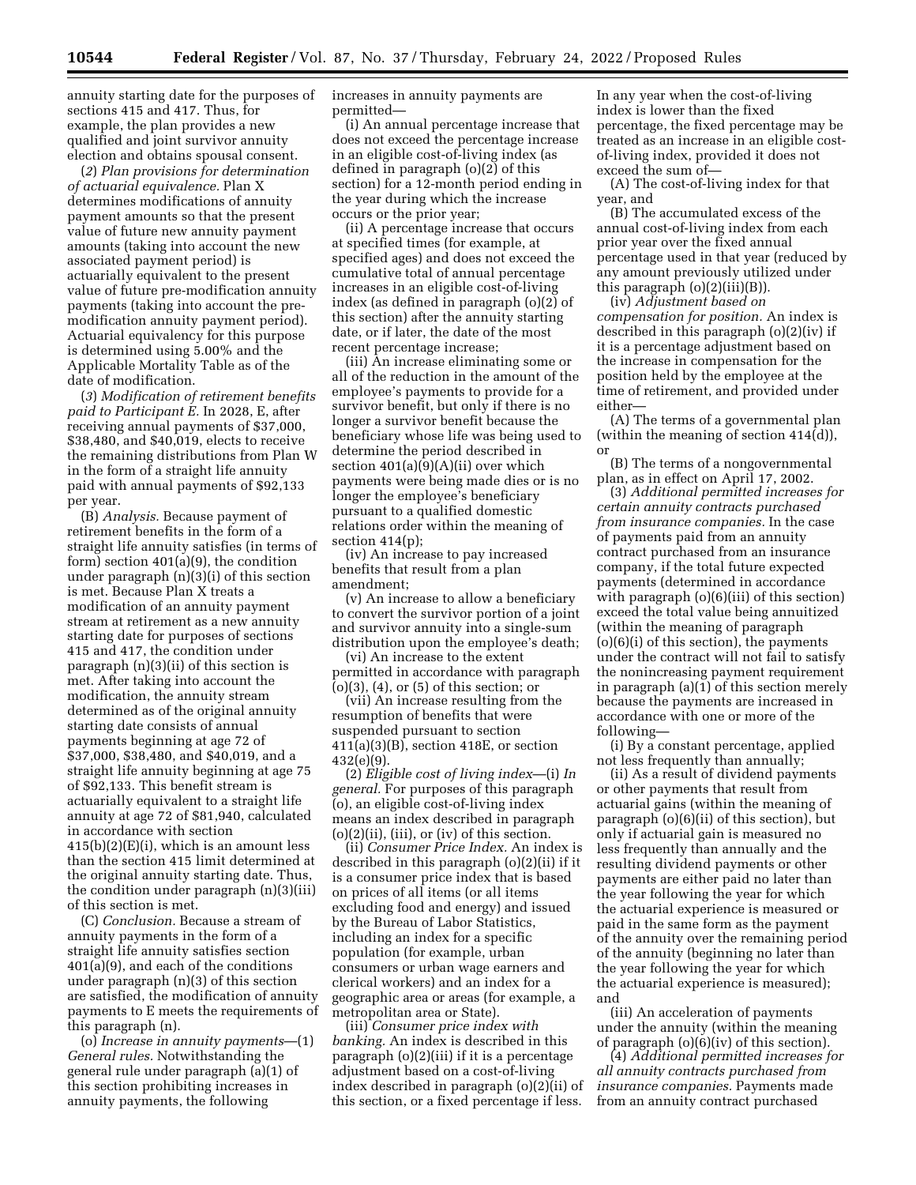annuity starting date for the purposes of sections 415 and 417. Thus, for example, the plan provides a new qualified and joint survivor annuity election and obtains spousal consent.

(*2*) *Plan provisions for determination of actuarial equivalence.* Plan X determines modifications of annuity payment amounts so that the present value of future new annuity payment amounts (taking into account the new associated payment period) is actuarially equivalent to the present value of future pre-modification annuity payments (taking into account the premodification annuity payment period). Actuarial equivalency for this purpose is determined using 5.00% and the Applicable Mortality Table as of the date of modification.

(*3*) *Modification of retirement benefits paid to Participant E.* In 2028, E, after receiving annual payments of \$37,000, \$38,480, and \$40,019, elects to receive the remaining distributions from Plan W in the form of a straight life annuity paid with annual payments of \$92,133 per year.

(B) *Analysis.* Because payment of retirement benefits in the form of a straight life annuity satisfies (in terms of form) section 401(a)(9), the condition under paragraph (n)(3)(i) of this section is met. Because Plan X treats a modification of an annuity payment stream at retirement as a new annuity starting date for purposes of sections 415 and 417, the condition under paragraph (n)(3)(ii) of this section is met. After taking into account the modification, the annuity stream determined as of the original annuity starting date consists of annual payments beginning at age 72 of \$37,000, \$38,480, and \$40,019, and a straight life annuity beginning at age 75 of \$92,133. This benefit stream is actuarially equivalent to a straight life annuity at age 72 of \$81,940, calculated in accordance with section 415(b)(2)(E)(i), which is an amount less than the section 415 limit determined at the original annuity starting date. Thus, the condition under paragraph (n)(3)(iii) of this section is met.

(C) *Conclusion.* Because a stream of annuity payments in the form of a straight life annuity satisfies section 401(a)(9), and each of the conditions under paragraph (n)(3) of this section are satisfied, the modification of annuity payments to E meets the requirements of this paragraph (n).

(o) *Increase in annuity payments*—(1) *General rules.* Notwithstanding the general rule under paragraph (a)(1) of this section prohibiting increases in annuity payments, the following

increases in annuity payments are permitted—

(i) An annual percentage increase that does not exceed the percentage increase in an eligible cost-of-living index (as defined in paragraph (o)(2) of this section) for a 12-month period ending in the year during which the increase occurs or the prior year;

(ii) A percentage increase that occurs at specified times (for example, at specified ages) and does not exceed the cumulative total of annual percentage increases in an eligible cost-of-living index (as defined in paragraph (o)(2) of this section) after the annuity starting date, or if later, the date of the most recent percentage increase;

(iii) An increase eliminating some or all of the reduction in the amount of the employee's payments to provide for a survivor benefit, but only if there is no longer a survivor benefit because the beneficiary whose life was being used to determine the period described in section 401(a)(9)(A)(ii) over which payments were being made dies or is no longer the employee's beneficiary pursuant to a qualified domestic relations order within the meaning of section 414(p);

(iv) An increase to pay increased benefits that result from a plan amendment;

(v) An increase to allow a beneficiary to convert the survivor portion of a joint and survivor annuity into a single-sum distribution upon the employee's death;

(vi) An increase to the extent permitted in accordance with paragraph (o)(3), (4), or (5) of this section; or

(vii) An increase resulting from the resumption of benefits that were suspended pursuant to section 411(a)(3)(B), section 418E, or section 432(e)(9).

(2) *Eligible cost of living index*—(i) *In general.* For purposes of this paragraph (o), an eligible cost-of-living index means an index described in paragraph  $(o)(2)(ii)$ ,  $(iii)$ , or  $(iv)$  of this section.

(ii) *Consumer Price Index.* An index is described in this paragraph (o)(2)(ii) if it is a consumer price index that is based on prices of all items (or all items excluding food and energy) and issued by the Bureau of Labor Statistics, including an index for a specific population (for example, urban consumers or urban wage earners and clerical workers) and an index for a geographic area or areas (for example, a metropolitan area or State).

(iii) *Consumer price index with banking.* An index is described in this paragraph (o)(2)(iii) if it is a percentage adjustment based on a cost-of-living index described in paragraph (o)(2)(ii) of this section, or a fixed percentage if less.

In any year when the cost-of-living index is lower than the fixed percentage, the fixed percentage may be treated as an increase in an eligible costof-living index, provided it does not exceed the sum of—

(A) The cost-of-living index for that year, and

(B) The accumulated excess of the annual cost-of-living index from each prior year over the fixed annual percentage used in that year (reduced by any amount previously utilized under this paragraph  $(o)(2)(iii)(B)$ ).

(iv) *Adjustment based on compensation for position.* An index is described in this paragraph (o)(2)(iv) if it is a percentage adjustment based on the increase in compensation for the position held by the employee at the time of retirement, and provided under either—

(A) The terms of a governmental plan (within the meaning of section 414(d)), or

(B) The terms of a nongovernmental plan, as in effect on April 17, 2002.

(3) *Additional permitted increases for certain annuity contracts purchased from insurance companies.* In the case of payments paid from an annuity contract purchased from an insurance company, if the total future expected payments (determined in accordance with paragraph (o)(6)(iii) of this section) exceed the total value being annuitized (within the meaning of paragraph (o)(6)(i) of this section), the payments under the contract will not fail to satisfy the nonincreasing payment requirement in paragraph (a)(1) of this section merely because the payments are increased in accordance with one or more of the following—

(i) By a constant percentage, applied not less frequently than annually;

(ii) As a result of dividend payments or other payments that result from actuarial gains (within the meaning of paragraph (o)(6)(ii) of this section), but only if actuarial gain is measured no less frequently than annually and the resulting dividend payments or other payments are either paid no later than the year following the year for which the actuarial experience is measured or paid in the same form as the payment of the annuity over the remaining period of the annuity (beginning no later than the year following the year for which the actuarial experience is measured); and

(iii) An acceleration of payments under the annuity (within the meaning of paragraph (o)(6)(iv) of this section).

(4) *Additional permitted increases for all annuity contracts purchased from insurance companies.* Payments made from an annuity contract purchased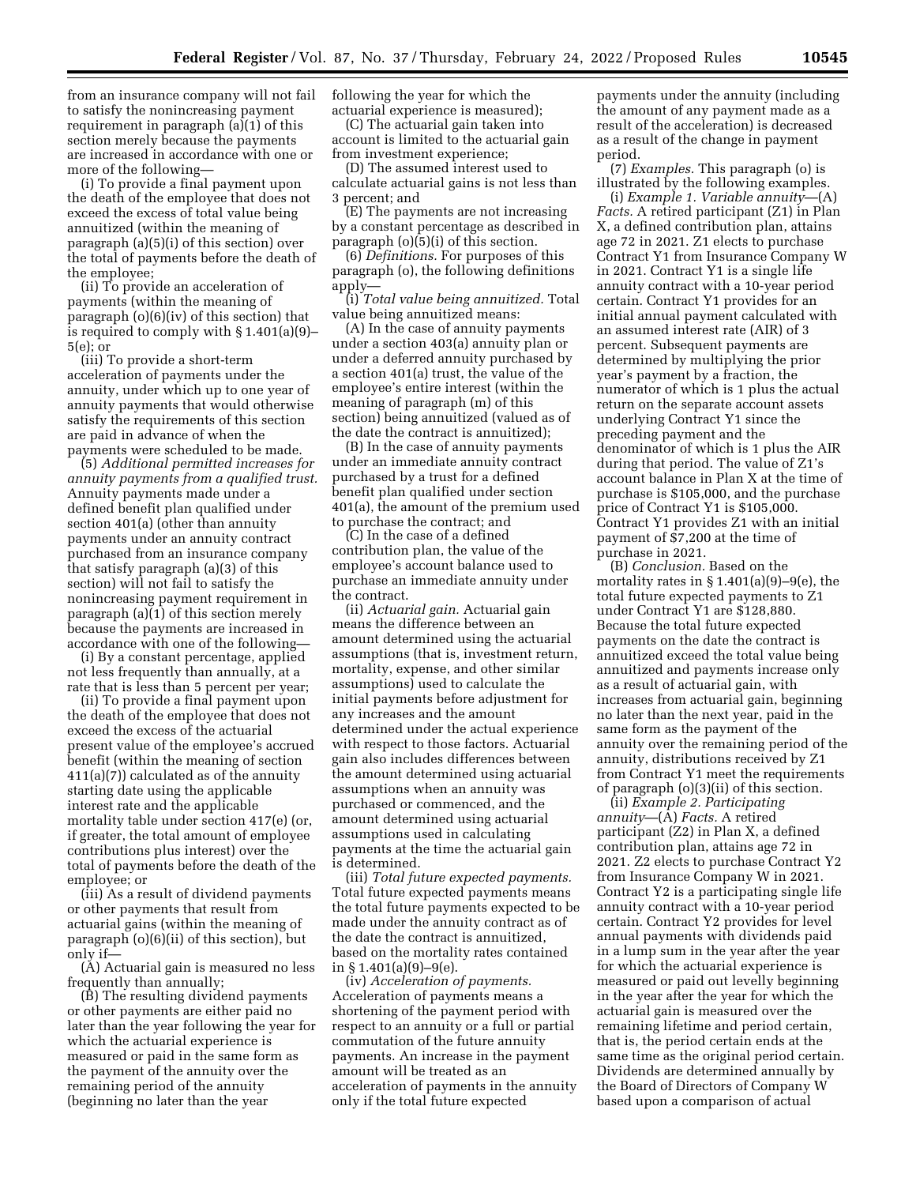from an insurance company will not fail to satisfy the nonincreasing payment requirement in paragraph (a)(1) of this section merely because the payments are increased in accordance with one or more of the following—

(i) To provide a final payment upon the death of the employee that does not exceed the excess of total value being annuitized (within the meaning of paragraph (a)(5)(i) of this section) over the total of payments before the death of the employee;

(ii) To provide an acceleration of payments (within the meaning of paragraph (o)(6)(iv) of this section) that is required to comply with § 1.401(a)(9)– 5(e); or

(iii) To provide a short-term acceleration of payments under the annuity, under which up to one year of annuity payments that would otherwise satisfy the requirements of this section are paid in advance of when the payments were scheduled to be made.

(5) *Additional permitted increases for annuity payments from a qualified trust.*  Annuity payments made under a defined benefit plan qualified under section 401(a) (other than annuity payments under an annuity contract purchased from an insurance company that satisfy paragraph (a)(3) of this section) will not fail to satisfy the nonincreasing payment requirement in paragraph (a)(1) of this section merely because the payments are increased in accordance with one of the following—

(i) By a constant percentage, applied not less frequently than annually, at a rate that is less than 5 percent per year;

(ii) To provide a final payment upon the death of the employee that does not exceed the excess of the actuarial present value of the employee's accrued benefit (within the meaning of section 411(a)(7)) calculated as of the annuity starting date using the applicable interest rate and the applicable mortality table under section 417(e) (or, if greater, the total amount of employee contributions plus interest) over the total of payments before the death of the employee; or

(iii) As a result of dividend payments or other payments that result from actuarial gains (within the meaning of paragraph (o)(6)(ii) of this section), but only if—

(A) Actuarial gain is measured no less frequently than annually;

(B) The resulting dividend payments or other payments are either paid no later than the year following the year for which the actuarial experience is measured or paid in the same form as the payment of the annuity over the remaining period of the annuity (beginning no later than the year

following the year for which the actuarial experience is measured);

(C) The actuarial gain taken into account is limited to the actuarial gain from investment experience;

(D) The assumed interest used to calculate actuarial gains is not less than 3 percent; and

(E) The payments are not increasing by a constant percentage as described in paragraph (o)(5)(i) of this section.

(6) *Definitions.* For purposes of this paragraph (o), the following definitions apply—

(i) *Total value being annuitized.* Total value being annuitized means:

(A) In the case of annuity payments under a section 403(a) annuity plan or under a deferred annuity purchased by a section 401(a) trust, the value of the employee's entire interest (within the meaning of paragraph (m) of this section) being annuitized (valued as of the date the contract is annuitized);

(B) In the case of annuity payments under an immediate annuity contract purchased by a trust for a defined benefit plan qualified under section 401(a), the amount of the premium used to purchase the contract; and

(C) In the case of a defined contribution plan, the value of the employee's account balance used to purchase an immediate annuity under the contract.

(ii) *Actuarial gain.* Actuarial gain means the difference between an amount determined using the actuarial assumptions (that is, investment return, mortality, expense, and other similar assumptions) used to calculate the initial payments before adjustment for any increases and the amount determined under the actual experience with respect to those factors. Actuarial gain also includes differences between the amount determined using actuarial assumptions when an annuity was purchased or commenced, and the amount determined using actuarial assumptions used in calculating payments at the time the actuarial gain is determined.

(iii) *Total future expected payments.*  Total future expected payments means the total future payments expected to be made under the annuity contract as of the date the contract is annuitized, based on the mortality rates contained in § 1.401(a)(9)–9(e).

(iv) *Acceleration of payments.*  Acceleration of payments means a shortening of the payment period with respect to an annuity or a full or partial commutation of the future annuity payments. An increase in the payment amount will be treated as an acceleration of payments in the annuity only if the total future expected

payments under the annuity (including the amount of any payment made as a result of the acceleration) is decreased as a result of the change in payment period.

(7) *Examples.* This paragraph (o) is illustrated by the following examples. (i) *Example 1. Variable annuity*—(A) *Facts.* A retired participant (Z1) in Plan X, a defined contribution plan, attains age 72 in 2021. Z1 elects to purchase Contract Y1 from Insurance Company W in 2021. Contract Y1 is a single life annuity contract with a 10-year period certain. Contract Y1 provides for an initial annual payment calculated with an assumed interest rate (AIR) of 3 percent. Subsequent payments are determined by multiplying the prior year's payment by a fraction, the numerator of which is 1 plus the actual return on the separate account assets underlying Contract Y1 since the preceding payment and the denominator of which is 1 plus the AIR during that period. The value of Z1's account balance in Plan X at the time of purchase is \$105,000, and the purchase price of Contract Y1 is \$105,000. Contract Y1 provides Z1 with an initial payment of \$7,200 at the time of purchase in 2021.

(B) *Conclusion.* Based on the mortality rates in  $\S 1.401(a)(9)-9(e)$ , the total future expected payments to Z1 under Contract Y1 are \$128,880. Because the total future expected payments on the date the contract is annuitized exceed the total value being annuitized and payments increase only as a result of actuarial gain, with increases from actuarial gain, beginning no later than the next year, paid in the same form as the payment of the annuity over the remaining period of the annuity, distributions received by Z1 from Contract Y1 meet the requirements of paragraph (o)(3)(ii) of this section.

(ii) *Example 2. Participating annuity*—(A) *Facts.* A retired participant (Z2) in Plan X, a defined contribution plan, attains age 72 in 2021. Z2 elects to purchase Contract Y2 from Insurance Company W in 2021. Contract Y2 is a participating single life annuity contract with a 10-year period certain. Contract Y2 provides for level annual payments with dividends paid in a lump sum in the year after the year for which the actuarial experience is measured or paid out levelly beginning in the year after the year for which the actuarial gain is measured over the remaining lifetime and period certain, that is, the period certain ends at the same time as the original period certain. Dividends are determined annually by the Board of Directors of Company W based upon a comparison of actual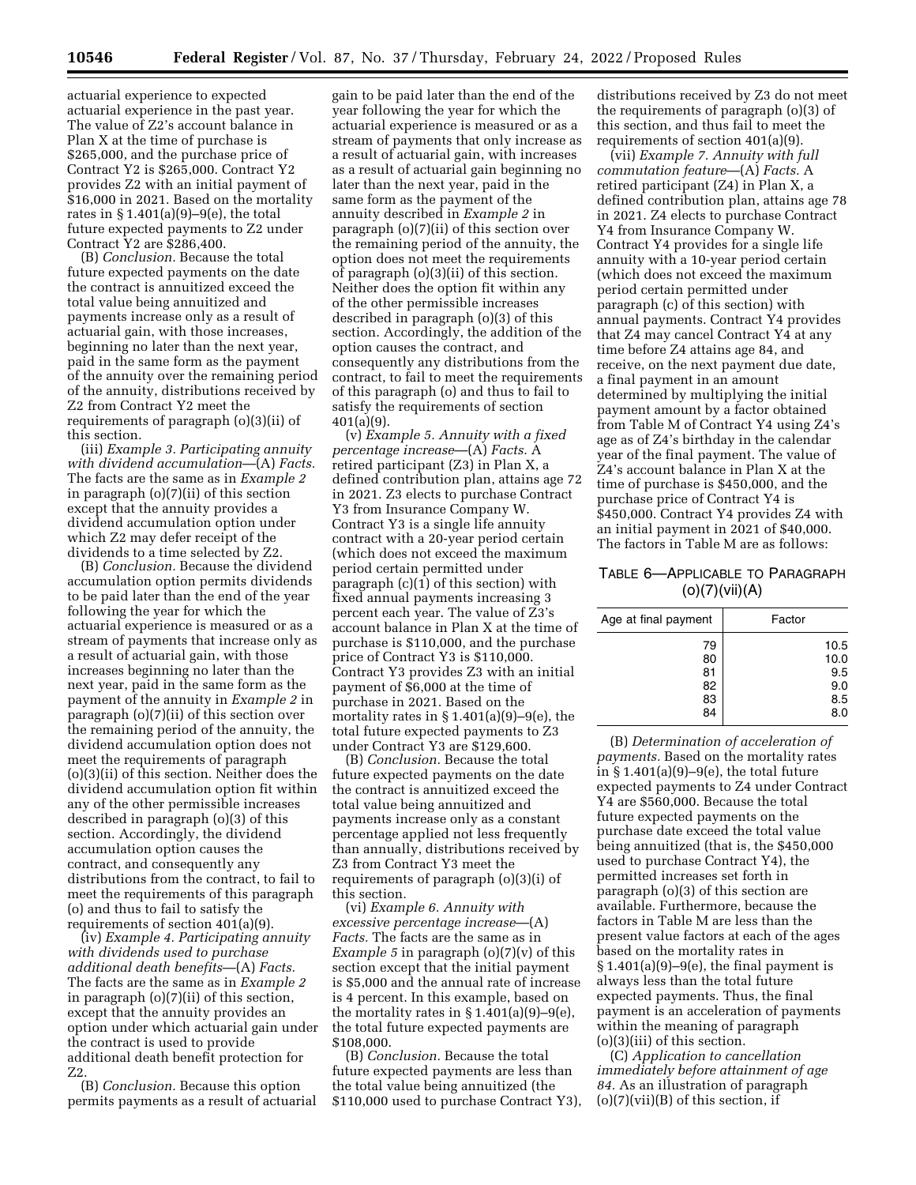actuarial experience to expected actuarial experience in the past year. The value of Z2's account balance in Plan X at the time of purchase is \$265,000, and the purchase price of Contract Y2 is \$265,000. Contract Y2 provides Z2 with an initial payment of \$16,000 in 2021. Based on the mortality rates in  $\S 1.401(a)(9)-9(e)$ , the total future expected payments to Z2 under Contract Y2 are \$286,400.

(B) *Conclusion.* Because the total future expected payments on the date the contract is annuitized exceed the total value being annuitized and payments increase only as a result of actuarial gain, with those increases, beginning no later than the next year, paid in the same form as the payment of the annuity over the remaining period of the annuity, distributions received by Z2 from Contract Y2 meet the requirements of paragraph (o)(3)(ii) of this section.

(iii) *Example 3. Participating annuity with dividend accumulation*—(A) *Facts.*  The facts are the same as in *Example 2*  in paragraph (o)(7)(ii) of this section except that the annuity provides a dividend accumulation option under which Z2 may defer receipt of the dividends to a time selected by Z2.

(B) *Conclusion.* Because the dividend accumulation option permits dividends to be paid later than the end of the year following the year for which the actuarial experience is measured or as a stream of payments that increase only as a result of actuarial gain, with those increases beginning no later than the next year, paid in the same form as the payment of the annuity in *Example 2* in paragraph (o)(7)(ii) of this section over the remaining period of the annuity, the dividend accumulation option does not meet the requirements of paragraph (o)(3)(ii) of this section. Neither does the dividend accumulation option fit within any of the other permissible increases described in paragraph (o)(3) of this section. Accordingly, the dividend accumulation option causes the contract, and consequently any distributions from the contract, to fail to meet the requirements of this paragraph (o) and thus to fail to satisfy the requirements of section 401(a)(9).

(iv) *Example 4. Participating annuity with dividends used to purchase additional death benefits*—(A) *Facts.*  The facts are the same as in *Example 2*  in paragraph (o)(7)(ii) of this section, except that the annuity provides an option under which actuarial gain under the contract is used to provide additional death benefit protection for Z2.

(B) *Conclusion.* Because this option permits payments as a result of actuarial

gain to be paid later than the end of the year following the year for which the actuarial experience is measured or as a stream of payments that only increase as a result of actuarial gain, with increases as a result of actuarial gain beginning no later than the next year, paid in the same form as the payment of the annuity described in *Example 2* in paragraph (o)(7)(ii) of this section over the remaining period of the annuity, the option does not meet the requirements of paragraph (o)(3)(ii) of this section. Neither does the option fit within any of the other permissible increases described in paragraph (o)(3) of this section. Accordingly, the addition of the option causes the contract, and consequently any distributions from the contract, to fail to meet the requirements of this paragraph (o) and thus to fail to satisfy the requirements of section 401(a)(9).

(v) *Example 5. Annuity with a fixed percentage increase*—(A) *Facts.* A retired participant (Z3) in Plan X, a defined contribution plan, attains age 72 in 2021. Z3 elects to purchase Contract Y3 from Insurance Company W. Contract Y3 is a single life annuity contract with a 20-year period certain (which does not exceed the maximum period certain permitted under paragraph (c)(1) of this section) with fixed annual payments increasing 3 percent each year. The value of Z3's account balance in Plan X at the time of purchase is \$110,000, and the purchase price of Contract Y3 is \$110,000. Contract Y3 provides Z3 with an initial payment of \$6,000 at the time of purchase in 2021. Based on the mortality rates in § 1.401(a)(9)–9(e), the total future expected payments to Z3 under Contract Y3 are \$129,600.

(B) *Conclusion.* Because the total future expected payments on the date the contract is annuitized exceed the total value being annuitized and payments increase only as a constant percentage applied not less frequently than annually, distributions received by Z3 from Contract Y3 meet the requirements of paragraph (o)(3)(i) of this section.

(vi) *Example 6. Annuity with excessive percentage increase*—(A) *Facts.* The facts are the same as in *Example 5* in paragraph (o)(7)(v) of this section except that the initial payment is \$5,000 and the annual rate of increase is 4 percent. In this example, based on the mortality rates in  $\S 1.401(a)(9)-9(e)$ , the total future expected payments are \$108,000.

(B) *Conclusion.* Because the total future expected payments are less than the total value being annuitized (the \$110,000 used to purchase Contract Y3),

distributions received by Z3 do not meet the requirements of paragraph (o)(3) of this section, and thus fail to meet the requirements of section 401(a)(9).

(vii) *Example 7. Annuity with full commutation feature*—(A) *Facts.* A retired participant (Z4) in Plan X, a defined contribution plan, attains age 78 in 2021. Z4 elects to purchase Contract Y4 from Insurance Company W. Contract Y4 provides for a single life annuity with a 10-year period certain (which does not exceed the maximum period certain permitted under paragraph (c) of this section) with annual payments. Contract Y4 provides that Z4 may cancel Contract Y4 at any time before Z4 attains age 84, and receive, on the next payment due date, a final payment in an amount determined by multiplying the initial payment amount by a factor obtained from Table M of Contract Y4 using Z4's age as of Z4's birthday in the calendar year of the final payment. The value of Z4's account balance in Plan X at the time of purchase is \$450,000, and the purchase price of Contract Y4 is \$450,000. Contract Y4 provides Z4 with an initial payment in 2021 of \$40,000. The factors in Table M are as follows:

## TABLE 6—APPLICABLE TO PARAGRAPH (o)(7)(vii)(A)

| Age at final payment | Factor |
|----------------------|--------|
| 79                   | 10.5   |
| 80                   | 10.0   |
| 81                   | 9.5    |
| 82                   | 9.0    |
| 83                   | 8.5    |
| 84                   | 8.0    |

(B) *Determination of acceleration of payments.* Based on the mortality rates in  $§ 1.401(a)(9)-9(e)$ , the total future expected payments to Z4 under Contract Y4 are \$560,000. Because the total future expected payments on the purchase date exceed the total value being annuitized (that is, the \$450,000 used to purchase Contract Y4), the permitted increases set forth in paragraph (o)(3) of this section are available. Furthermore, because the factors in Table M are less than the present value factors at each of the ages based on the mortality rates in  $\S 1.401(a)(9)-9(e)$ , the final payment is always less than the total future expected payments. Thus, the final payment is an acceleration of payments within the meaning of paragraph (o)(3)(iii) of this section.

(C) *Application to cancellation immediately before attainment of age 84.* As an illustration of paragraph  $(o)(7)(vii)(B)$  of this section, if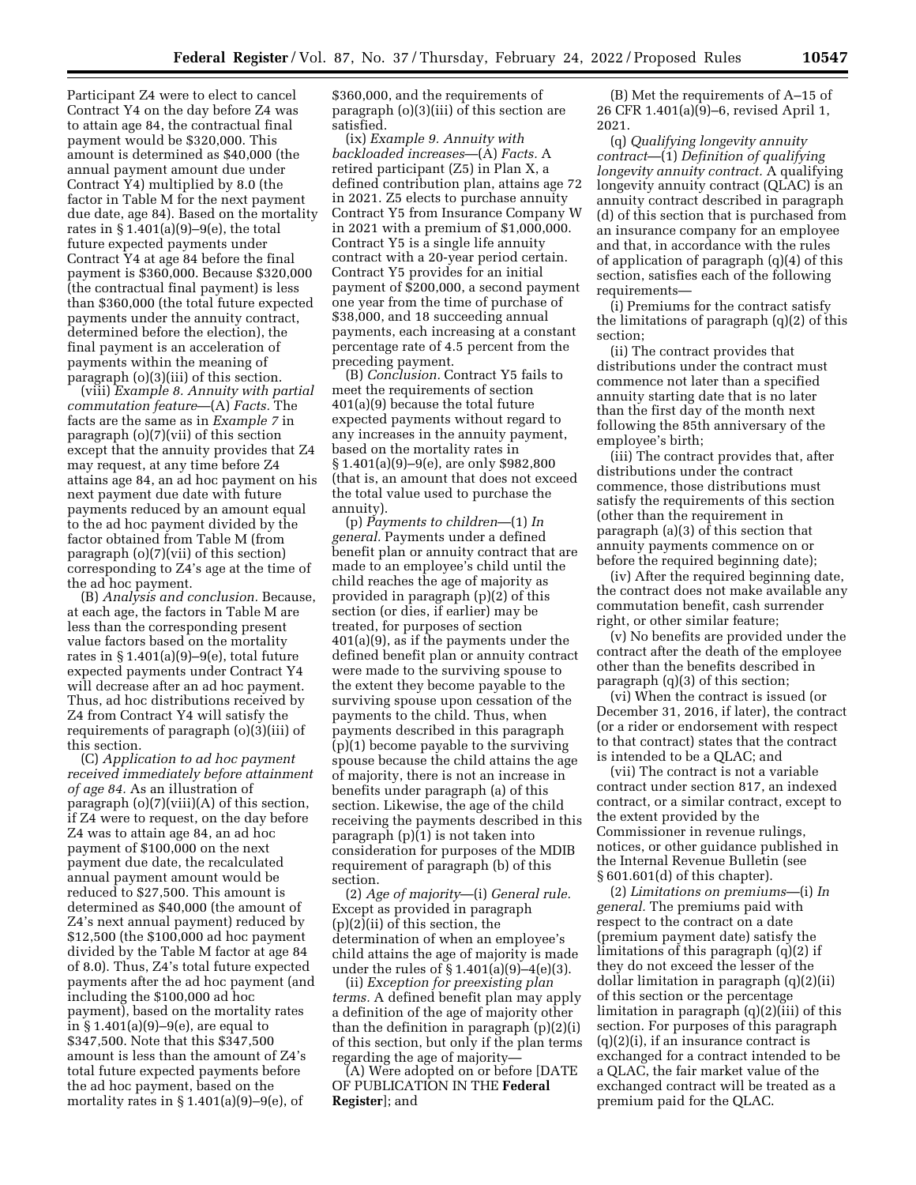Participant Z4 were to elect to cancel Contract Y4 on the day before Z4 was to attain age 84, the contractual final payment would be \$320,000. This amount is determined as \$40,000 (the annual payment amount due under Contract Y4) multiplied by 8.0 (the factor in Table M for the next payment due date, age 84). Based on the mortality rates in  $\S 1.401(a)(9)-9(e)$ , the total future expected payments under Contract Y4 at age 84 before the final payment is \$360,000. Because \$320,000 (the contractual final payment) is less than \$360,000 (the total future expected payments under the annuity contract, determined before the election), the final payment is an acceleration of payments within the meaning of paragraph (o)(3)(iii) of this section.

(viii) *Example 8. Annuity with partial commutation feature*—(A) *Facts.* The facts are the same as in *Example 7* in paragraph (o)(7)(vii) of this section except that the annuity provides that Z4 may request, at any time before Z4 attains age 84, an ad hoc payment on his next payment due date with future payments reduced by an amount equal to the ad hoc payment divided by the factor obtained from Table M (from paragraph (o)(7)(vii) of this section) corresponding to Z4's age at the time of the ad hoc payment.

(B) *Analysis and conclusion.* Because, at each age, the factors in Table M are less than the corresponding present value factors based on the mortality rates in § 1.401(a)(9)–9(e), total future expected payments under Contract Y4 will decrease after an ad hoc payment. Thus, ad hoc distributions received by Z4 from Contract Y4 will satisfy the requirements of paragraph (o)(3)(iii) of this section.

(C) *Application to ad hoc payment received immediately before attainment of age 84.* As an illustration of paragraph  $(o)(7)(viii)(A)$  of this section, if Z4 were to request, on the day before Z4 was to attain age 84, an ad hoc payment of \$100,000 on the next payment due date, the recalculated annual payment amount would be reduced to \$27,500. This amount is determined as \$40,000 (the amount of Z4's next annual payment) reduced by \$12,500 (the \$100,000 ad hoc payment divided by the Table M factor at age 84 of 8.0). Thus, Z4's total future expected payments after the ad hoc payment (and including the \$100,000 ad hoc payment), based on the mortality rates in § 1.401(a)(9)–9(e), are equal to \$347,500. Note that this \$347,500 amount is less than the amount of Z4's total future expected payments before the ad hoc payment, based on the mortality rates in  $§ 1.401(a)(9)-9(e)$ , of

\$360,000, and the requirements of paragraph (o)(3)(iii) of this section are satisfied.

(ix) *Example 9. Annuity with backloaded increases*—(A) *Facts.* A retired participant (Z5) in Plan X, a defined contribution plan, attains age 72 in 2021. Z5 elects to purchase annuity Contract Y5 from Insurance Company W in 2021 with a premium of \$1,000,000. Contract Y5 is a single life annuity contract with a 20-year period certain. Contract Y5 provides for an initial payment of \$200,000, a second payment one year from the time of purchase of \$38,000, and 18 succeeding annual payments, each increasing at a constant percentage rate of 4.5 percent from the preceding payment.

(B) *Conclusion.* Contract Y5 fails to meet the requirements of section 401(a)(9) because the total future expected payments without regard to any increases in the annuity payment, based on the mortality rates in § 1.401(a)(9)–9(e), are only \$982,800 (that is, an amount that does not exceed the total value used to purchase the annuity).

(p) *Payments to children*—(1) *In general.* Payments under a defined benefit plan or annuity contract that are made to an employee's child until the child reaches the age of majority as provided in paragraph (p)(2) of this section (or dies, if earlier) may be treated, for purposes of section 401(a)(9), as if the payments under the defined benefit plan or annuity contract were made to the surviving spouse to the extent they become payable to the surviving spouse upon cessation of the payments to the child. Thus, when payments described in this paragraph (p)(1) become payable to the surviving spouse because the child attains the age of majority, there is not an increase in benefits under paragraph (a) of this section. Likewise, the age of the child receiving the payments described in this paragraph (p)(1) is not taken into consideration for purposes of the MDIB requirement of paragraph (b) of this section.

(2) *Age of majority*—(i) *General rule.*  Except as provided in paragraph (p)(2)(ii) of this section, the determination of when an employee's child attains the age of majority is made under the rules of § 1.401(a)(9)–4(e)(3).

(ii) *Exception for preexisting plan terms.* A defined benefit plan may apply a definition of the age of majority other than the definition in paragraph (p)(2)(i) of this section, but only if the plan terms regarding the age of majority—

(A) Were adopted on or before [DATE OF PUBLICATION IN THE **Federal Register**]; and

(B) Met the requirements of A–15 of 26 CFR 1.401(a)(9)–6, revised April 1, 2021.

(q) *Qualifying longevity annuity contract*—(1) *Definition of qualifying longevity annuity contract.* A qualifying longevity annuity contract (QLAC) is an annuity contract described in paragraph (d) of this section that is purchased from an insurance company for an employee and that, in accordance with the rules of application of paragraph (q)(4) of this section, satisfies each of the following requirements—

(i) Premiums for the contract satisfy the limitations of paragraph (q)(2) of this section;

(ii) The contract provides that distributions under the contract must commence not later than a specified annuity starting date that is no later than the first day of the month next following the 85th anniversary of the employee's birth;

(iii) The contract provides that, after distributions under the contract commence, those distributions must satisfy the requirements of this section (other than the requirement in paragraph (a)(3) of this section that annuity payments commence on or before the required beginning date);

(iv) After the required beginning date, the contract does not make available any commutation benefit, cash surrender right, or other similar feature;

(v) No benefits are provided under the contract after the death of the employee other than the benefits described in paragraph (q)(3) of this section;

(vi) When the contract is issued (or December 31, 2016, if later), the contract (or a rider or endorsement with respect to that contract) states that the contract is intended to be a QLAC; and

(vii) The contract is not a variable contract under section 817, an indexed contract, or a similar contract, except to the extent provided by the Commissioner in revenue rulings, notices, or other guidance published in the Internal Revenue Bulletin (see § 601.601(d) of this chapter).

(2) *Limitations on premiums*—(i) *In general.* The premiums paid with respect to the contract on a date (premium payment date) satisfy the limitations of this paragraph (q)(2) if they do not exceed the lesser of the dollar limitation in paragraph (q)(2)(ii) of this section or the percentage limitation in paragraph (q)(2)(iii) of this section. For purposes of this paragraph  $(q)(2)(i)$ , if an insurance contract is exchanged for a contract intended to be a QLAC, the fair market value of the exchanged contract will be treated as a premium paid for the QLAC.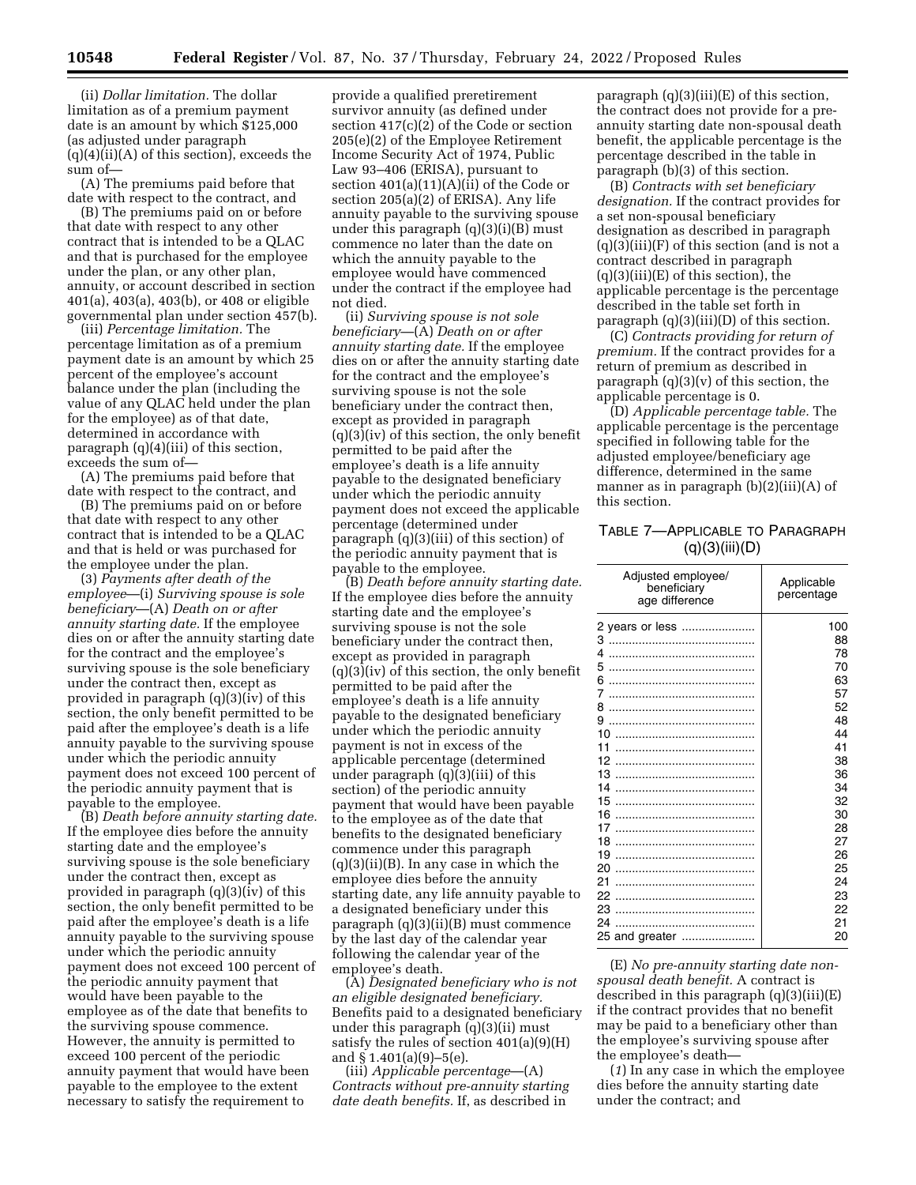(ii) *Dollar limitation.* The dollar limitation as of a premium payment date is an amount by which \$125,000 (as adjusted under paragraph  $(q)(4)(ii)(A)$  of this section), exceeds the sum of—

(A) The premiums paid before that date with respect to the contract, and

(B) The premiums paid on or before that date with respect to any other contract that is intended to be a QLAC and that is purchased for the employee under the plan, or any other plan, annuity, or account described in section 401(a), 403(a), 403(b), or 408 or eligible governmental plan under section 457(b).

(iii) *Percentage limitation.* The percentage limitation as of a premium payment date is an amount by which 25 percent of the employee's account balance under the plan (including the value of any QLAC held under the plan for the employee) as of that date, determined in accordance with paragraph (q)(4)(iii) of this section, exceeds the sum of—

(A) The premiums paid before that date with respect to the contract, and

(B) The premiums paid on or before that date with respect to any other contract that is intended to be a QLAC and that is held or was purchased for the employee under the plan.

(3) *Payments after death of the employee*—(i) *Surviving spouse is sole beneficiary*—(A) *Death on or after annuity starting date.* If the employee dies on or after the annuity starting date for the contract and the employee's surviving spouse is the sole beneficiary under the contract then, except as provided in paragraph (q)(3)(iv) of this section, the only benefit permitted to be paid after the employee's death is a life annuity payable to the surviving spouse under which the periodic annuity payment does not exceed 100 percent of the periodic annuity payment that is payable to the employee.

(B) *Death before annuity starting date.*  If the employee dies before the annuity starting date and the employee's surviving spouse is the sole beneficiary under the contract then, except as provided in paragraph (q)(3)(iv) of this section, the only benefit permitted to be paid after the employee's death is a life annuity payable to the surviving spouse under which the periodic annuity payment does not exceed 100 percent of the periodic annuity payment that would have been payable to the employee as of the date that benefits to the surviving spouse commence. However, the annuity is permitted to exceed 100 percent of the periodic annuity payment that would have been payable to the employee to the extent necessary to satisfy the requirement to

provide a qualified preretirement survivor annuity (as defined under section 417(c)(2) of the Code or section 205(e)(2) of the Employee Retirement Income Security Act of 1974, Public Law 93–406 (ERISA), pursuant to section 401(a)(11)(A)(ii) of the Code or section 205(a)(2) of ERISA). Any life annuity payable to the surviving spouse under this paragraph (q)(3)(i)(B) must commence no later than the date on which the annuity payable to the employee would have commenced under the contract if the employee had not died.

(ii) *Surviving spouse is not sole beneficiary*—(A) *Death on or after annuity starting date.* If the employee dies on or after the annuity starting date for the contract and the employee's surviving spouse is not the sole beneficiary under the contract then, except as provided in paragraph (q)(3)(iv) of this section, the only benefit permitted to be paid after the employee's death is a life annuity payable to the designated beneficiary under which the periodic annuity payment does not exceed the applicable percentage (determined under paragraph (q)(3)(iii) of this section) of the periodic annuity payment that is payable to the employee.

(B) *Death before annuity starting date.*  If the employee dies before the annuity starting date and the employee's surviving spouse is not the sole beneficiary under the contract then, except as provided in paragraph (q)(3)(iv) of this section, the only benefit permitted to be paid after the employee's death is a life annuity payable to the designated beneficiary under which the periodic annuity payment is not in excess of the applicable percentage (determined under paragraph  $(q)\bar{q}(3)$ (iii) of this section) of the periodic annuity payment that would have been payable to the employee as of the date that benefits to the designated beneficiary commence under this paragraph  $(q)(3)(ii)(B)$ . In any case in which the employee dies before the annuity starting date, any life annuity payable to a designated beneficiary under this paragraph (q)(3)(ii)(B) must commence by the last day of the calendar year following the calendar year of the employee's death.

(A) *Designated beneficiary who is not an eligible designated beneficiary.*  Benefits paid to a designated beneficiary under this paragraph (q)(3)(ii) must satisfy the rules of section 401(a)(9)(H) and § 1.401(a)(9)–5(e).

(iii) *Applicable percentage*—(A) *Contracts without pre-annuity starting date death benefits.* If, as described in

paragraph (q)(3)(iii)(E) of this section, the contract does not provide for a preannuity starting date non-spousal death benefit, the applicable percentage is the percentage described in the table in paragraph (b)(3) of this section.

(B) *Contracts with set beneficiary designation.* If the contract provides for a set non-spousal beneficiary designation as described in paragraph  $(q)(3)(iii)(F)$  of this section (and is not a contract described in paragraph  $(q)(3)(iii)(E)$  of this section), the applicable percentage is the percentage described in the table set forth in paragraph (q)(3)(iii)(D) of this section.

(C) *Contracts providing for return of premium.* If the contract provides for a return of premium as described in paragraph (q)(3)(v) of this section, the applicable percentage is 0.

(D) *Applicable percentage table.* The applicable percentage is the percentage specified in following table for the adjusted employee/beneficiary age difference, determined in the same manner as in paragraph (b)(2)(iii)(A) of this section.

## TABLE 7—APPLICABLE TO PARAGRAPH  $(q)(3)(iii)(D)$

| Adjusted employee/<br>beneficiary<br>age difference | Applicable<br>percentage |
|-----------------------------------------------------|--------------------------|
| 2 years or less                                     | 100                      |
| 3                                                   | 88                       |
| 4                                                   | 78                       |
| 5                                                   | 70                       |
| 6                                                   | 63                       |
| 7                                                   | 57                       |
| 8                                                   | 52                       |
| 9                                                   | 48                       |
| 10                                                  | 44                       |
| 11                                                  | 41                       |
| 12                                                  | 38                       |
| 13                                                  | 36                       |
| 14                                                  | 34                       |
| 15                                                  | 32                       |
| 16                                                  | 30                       |
| 17                                                  | 28                       |
| 18                                                  | 27                       |
| 19                                                  | 26                       |
| 20                                                  | 25                       |
| 21                                                  | 24                       |
| 22                                                  | 23                       |
| 23                                                  | 22                       |
| 24                                                  | 21                       |
| 25 and greater                                      | 20                       |

(E) *No pre-annuity starting date nonspousal death benefit.* A contract is described in this paragraph  $(q)(3)(iii)(E)$ if the contract provides that no benefit may be paid to a beneficiary other than the employee's surviving spouse after the employee's death—

(*1*) In any case in which the employee dies before the annuity starting date under the contract; and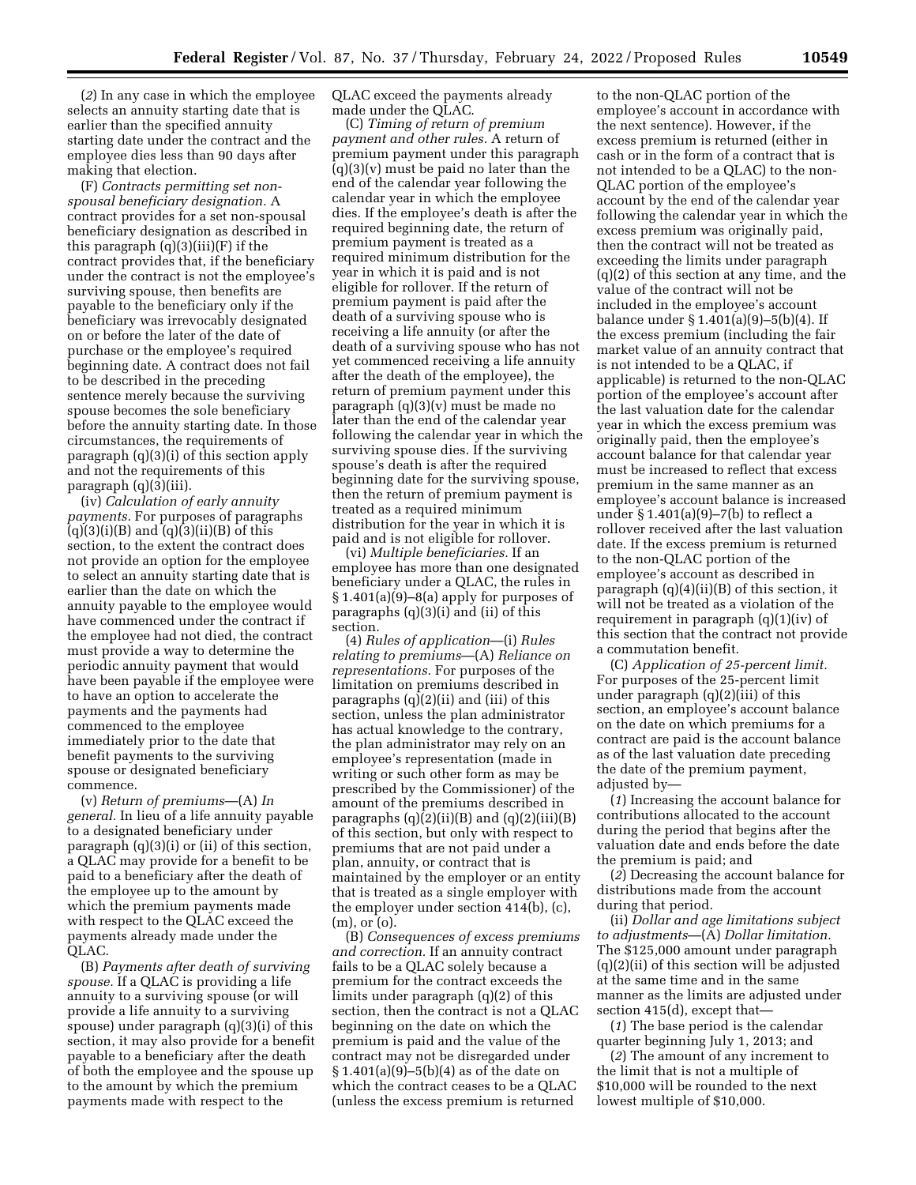(*2*) In any case in which the employee selects an annuity starting date that is earlier than the specified annuity starting date under the contract and the employee dies less than 90 days after making that election.

(F) *Contracts permitting set nonspousal beneficiary designation.* A contract provides for a set non-spousal beneficiary designation as described in this paragraph (q)(3)(iii)(F) if the contract provides that, if the beneficiary under the contract is not the employee's surviving spouse, then benefits are payable to the beneficiary only if the beneficiary was irrevocably designated on or before the later of the date of purchase or the employee's required beginning date. A contract does not fail to be described in the preceding sentence merely because the surviving spouse becomes the sole beneficiary before the annuity starting date. In those circumstances, the requirements of paragraph (q)(3)(i) of this section apply and not the requirements of this paragraph (q)(3)(iii).

(iv) *Calculation of early annuity payments.* For purposes of paragraphs  $(q)(3)(i)(B)$  and  $(q)(3)(ii)(B)$  of this section, to the extent the contract does not provide an option for the employee to select an annuity starting date that is earlier than the date on which the annuity payable to the employee would have commenced under the contract if the employee had not died, the contract must provide a way to determine the periodic annuity payment that would have been payable if the employee were to have an option to accelerate the payments and the payments had commenced to the employee immediately prior to the date that benefit payments to the surviving spouse or designated beneficiary commence.

(v) *Return of premiums*—(A) *In general.* In lieu of a life annuity payable to a designated beneficiary under paragraph (q)(3)(i) or (ii) of this section, a QLAC may provide for a benefit to be paid to a beneficiary after the death of the employee up to the amount by which the premium payments made with respect to the QLAC exceed the payments already made under the QLAC.

(B) *Payments after death of surviving spouse.* If a QLAC is providing a life annuity to a surviving spouse (or will provide a life annuity to a surviving spouse) under paragraph (q)(3)(i) of this section, it may also provide for a benefit payable to a beneficiary after the death of both the employee and the spouse up to the amount by which the premium payments made with respect to the

QLAC exceed the payments already made under the QLAC.

(C) *Timing of return of premium payment and other rules.* A return of premium payment under this paragraph  $(q)(3)(v)$  must be paid no later than the end of the calendar year following the calendar year in which the employee dies. If the employee's death is after the required beginning date, the return of premium payment is treated as a required minimum distribution for the year in which it is paid and is not eligible for rollover. If the return of premium payment is paid after the death of a surviving spouse who is receiving a life annuity (or after the death of a surviving spouse who has not yet commenced receiving a life annuity after the death of the employee), the return of premium payment under this paragraph (q)(3)(v) must be made no later than the end of the calendar year following the calendar year in which the surviving spouse dies. If the surviving spouse's death is after the required beginning date for the surviving spouse, then the return of premium payment is treated as a required minimum distribution for the year in which it is paid and is not eligible for rollover.

(vi) *Multiple beneficiaries.* If an employee has more than one designated beneficiary under a QLAC, the rules in § 1.401(a)(9)–8(a) apply for purposes of paragraphs (q)(3)(i) and (ii) of this section.

(4) *Rules of application*—(i) *Rules relating to premiums*—(A) *Reliance on representations.* For purposes of the limitation on premiums described in paragraphs (q)(2)(ii) and (iii) of this section, unless the plan administrator has actual knowledge to the contrary, the plan administrator may rely on an employee's representation (made in writing or such other form as may be prescribed by the Commissioner) of the amount of the premiums described in paragraphs  $(q)(2)(ii)(B)$  and  $(q)(2)(iii)(B)$ of this section, but only with respect to premiums that are not paid under a plan, annuity, or contract that is maintained by the employer or an entity that is treated as a single employer with the employer under section 414(b), (c), (m), or (o).

(B) *Consequences of excess premiums and correction.* If an annuity contract fails to be a QLAC solely because a premium for the contract exceeds the limits under paragraph (q)(2) of this section, then the contract is not a QLAC beginning on the date on which the premium is paid and the value of the contract may not be disregarded under § 1.401(a)(9)–5(b)(4) as of the date on which the contract ceases to be a QLAC (unless the excess premium is returned

to the non-QLAC portion of the employee's account in accordance with the next sentence). However, if the excess premium is returned (either in cash or in the form of a contract that is not intended to be a QLAC) to the non-QLAC portion of the employee's account by the end of the calendar year following the calendar year in which the excess premium was originally paid, then the contract will not be treated as exceeding the limits under paragraph (q)(2) of this section at any time, and the value of the contract will not be included in the employee's account balance under § 1.401(a)(9)–5(b)(4). If the excess premium (including the fair market value of an annuity contract that is not intended to be a QLAC, if applicable) is returned to the non-QLAC portion of the employee's account after the last valuation date for the calendar year in which the excess premium was originally paid, then the employee's account balance for that calendar year must be increased to reflect that excess premium in the same manner as an employee's account balance is increased under § 1.401(a)(9)–7(b) to reflect a rollover received after the last valuation date. If the excess premium is returned to the non-QLAC portion of the employee's account as described in paragraph  $(q)(4)(ii)(B)$  of this section, it will not be treated as a violation of the requirement in paragraph (q)(1)(iv) of this section that the contract not provide a commutation benefit.

(C) *Application of 25-percent limit.*  For purposes of the 25-percent limit under paragraph (q)(2)(iii) of this section, an employee's account balance on the date on which premiums for a contract are paid is the account balance as of the last valuation date preceding the date of the premium payment, adjusted by—

(*1*) Increasing the account balance for contributions allocated to the account during the period that begins after the valuation date and ends before the date the premium is paid; and

(*2*) Decreasing the account balance for distributions made from the account during that period.

(ii) *Dollar and age limitations subject to adjustments*—(A) *Dollar limitation.*  The \$125,000 amount under paragraph (q)(2)(ii) of this section will be adjusted at the same time and in the same manner as the limits are adjusted under section 415(d), except that—

(*1*) The base period is the calendar quarter beginning July 1, 2013; and

(*2*) The amount of any increment to the limit that is not a multiple of \$10,000 will be rounded to the next lowest multiple of \$10,000.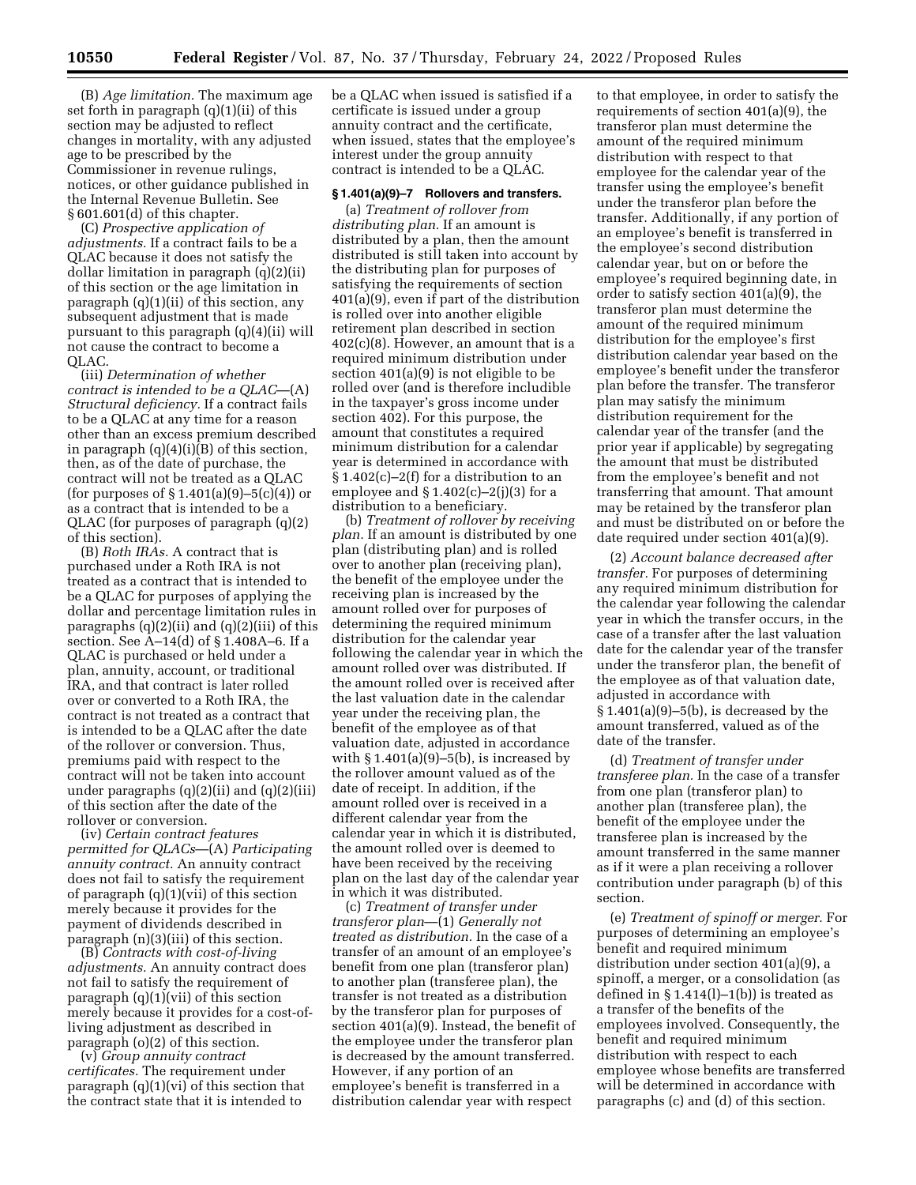(B) *Age limitation.* The maximum age set forth in paragraph (q)(1)(ii) of this section may be adjusted to reflect changes in mortality, with any adjusted age to be prescribed by the Commissioner in revenue rulings, notices, or other guidance published in the Internal Revenue Bulletin. See § 601.601(d) of this chapter.

(C) *Prospective application of adjustments.* If a contract fails to be a QLAC because it does not satisfy the dollar limitation in paragraph (q)(2)(ii) of this section or the age limitation in paragraph (q)(1)(ii) of this section, any subsequent adjustment that is made pursuant to this paragraph (q)(4)(ii) will not cause the contract to become a QLAC.

(iii) *Determination of whether contract is intended to be a QLAC*—(A) *Structural deficiency.* If a contract fails to be a QLAC at any time for a reason other than an excess premium described in paragraph (q)(4)(i)(B) of this section, then, as of the date of purchase, the contract will not be treated as a QLAC (for purposes of  $\S 1.401(a)(9) - 5(c)(4)$ ) or as a contract that is intended to be a QLAC (for purposes of paragraph (q)(2) of this section).

(B) *Roth IRAs.* A contract that is purchased under a Roth IRA is not treated as a contract that is intended to be a QLAC for purposes of applying the dollar and percentage limitation rules in paragraphs  $(q)(2)(ii)$  and  $(q)(2)(iii)$  of this section. See A–14(d) of § 1.408A–6. If a QLAC is purchased or held under a plan, annuity, account, or traditional IRA, and that contract is later rolled over or converted to a Roth IRA, the contract is not treated as a contract that is intended to be a QLAC after the date of the rollover or conversion. Thus, premiums paid with respect to the contract will not be taken into account under paragraphs  $(q)(2)(ii)$  and  $(q)(2)(iii)$ of this section after the date of the rollover or conversion.

(iv) *Certain contract features permitted for QLACs*—(A) *Participating annuity contract.* An annuity contract does not fail to satisfy the requirement of paragraph (q)(1)(vii) of this section merely because it provides for the payment of dividends described in paragraph (n)(3)(iii) of this section.

(B) *Contracts with cost-of-living adjustments.* An annuity contract does not fail to satisfy the requirement of paragraph (q)(1)(vii) of this section merely because it provides for a cost-ofliving adjustment as described in paragraph (o)(2) of this section.

(v) *Group annuity contract certificates.* The requirement under paragraph  $(q)(1)(vi)$  of this section that the contract state that it is intended to

be a QLAC when issued is satisfied if a certificate is issued under a group annuity contract and the certificate, when issued, states that the employee's interest under the group annuity contract is intended to be a QLAC.

## **§ 1.401(a)(9)–7 Rollovers and transfers.**

(a) *Treatment of rollover from distributing plan.* If an amount is distributed by a plan, then the amount distributed is still taken into account by the distributing plan for purposes of satisfying the requirements of section 401(a)(9), even if part of the distribution is rolled over into another eligible retirement plan described in section 402(c)(8). However, an amount that is a required minimum distribution under section 401(a)(9) is not eligible to be rolled over (and is therefore includible in the taxpayer's gross income under section 402). For this purpose, the amount that constitutes a required minimum distribution for a calendar year is determined in accordance with  $§ 1.402(c) - 2(f)$  for a distribution to an employee and  $\S 1.402(c) - 2(j)(3)$  for a distribution to a beneficiary.

(b) *Treatment of rollover by receiving plan.* If an amount is distributed by one plan (distributing plan) and is rolled over to another plan (receiving plan), the benefit of the employee under the receiving plan is increased by the amount rolled over for purposes of determining the required minimum distribution for the calendar year following the calendar year in which the amount rolled over was distributed. If the amount rolled over is received after the last valuation date in the calendar year under the receiving plan, the benefit of the employee as of that valuation date, adjusted in accordance with  $\S 1.401(a)(9)-5(b)$ , is increased by the rollover amount valued as of the date of receipt. In addition, if the amount rolled over is received in a different calendar year from the calendar year in which it is distributed, the amount rolled over is deemed to have been received by the receiving plan on the last day of the calendar year in which it was distributed.

(c) *Treatment of transfer under transferor plan*—(1) *Generally not treated as distribution.* In the case of a transfer of an amount of an employee's benefit from one plan (transferor plan) to another plan (transferee plan), the transfer is not treated as a distribution by the transferor plan for purposes of section 401(a)(9). Instead, the benefit of the employee under the transferor plan is decreased by the amount transferred. However, if any portion of an employee's benefit is transferred in a distribution calendar year with respect

to that employee, in order to satisfy the requirements of section 401(a)(9), the transferor plan must determine the amount of the required minimum distribution with respect to that employee for the calendar year of the transfer using the employee's benefit under the transferor plan before the transfer. Additionally, if any portion of an employee's benefit is transferred in the employee's second distribution calendar year, but on or before the employee's required beginning date, in order to satisfy section 401(a)(9), the transferor plan must determine the amount of the required minimum distribution for the employee's first distribution calendar year based on the employee's benefit under the transferor plan before the transfer. The transferor plan may satisfy the minimum distribution requirement for the calendar year of the transfer (and the prior year if applicable) by segregating the amount that must be distributed from the employee's benefit and not transferring that amount. That amount may be retained by the transferor plan and must be distributed on or before the date required under section 401(a)(9).

(2) *Account balance decreased after transfer.* For purposes of determining any required minimum distribution for the calendar year following the calendar year in which the transfer occurs, in the case of a transfer after the last valuation date for the calendar year of the transfer under the transferor plan, the benefit of the employee as of that valuation date, adjusted in accordance with  $§ 1.401(a)(9)–5(b),$  is decreased by the amount transferred, valued as of the date of the transfer.

(d) *Treatment of transfer under transferee plan.* In the case of a transfer from one plan (transferor plan) to another plan (transferee plan), the benefit of the employee under the transferee plan is increased by the amount transferred in the same manner as if it were a plan receiving a rollover contribution under paragraph (b) of this section.

(e) *Treatment of spinoff or merger.* For purposes of determining an employee's benefit and required minimum distribution under section 401(a)(9), a spinoff, a merger, or a consolidation (as defined in  $\S 1.414(l)-1(b)$  is treated as a transfer of the benefits of the employees involved. Consequently, the benefit and required minimum distribution with respect to each employee whose benefits are transferred will be determined in accordance with paragraphs (c) and (d) of this section.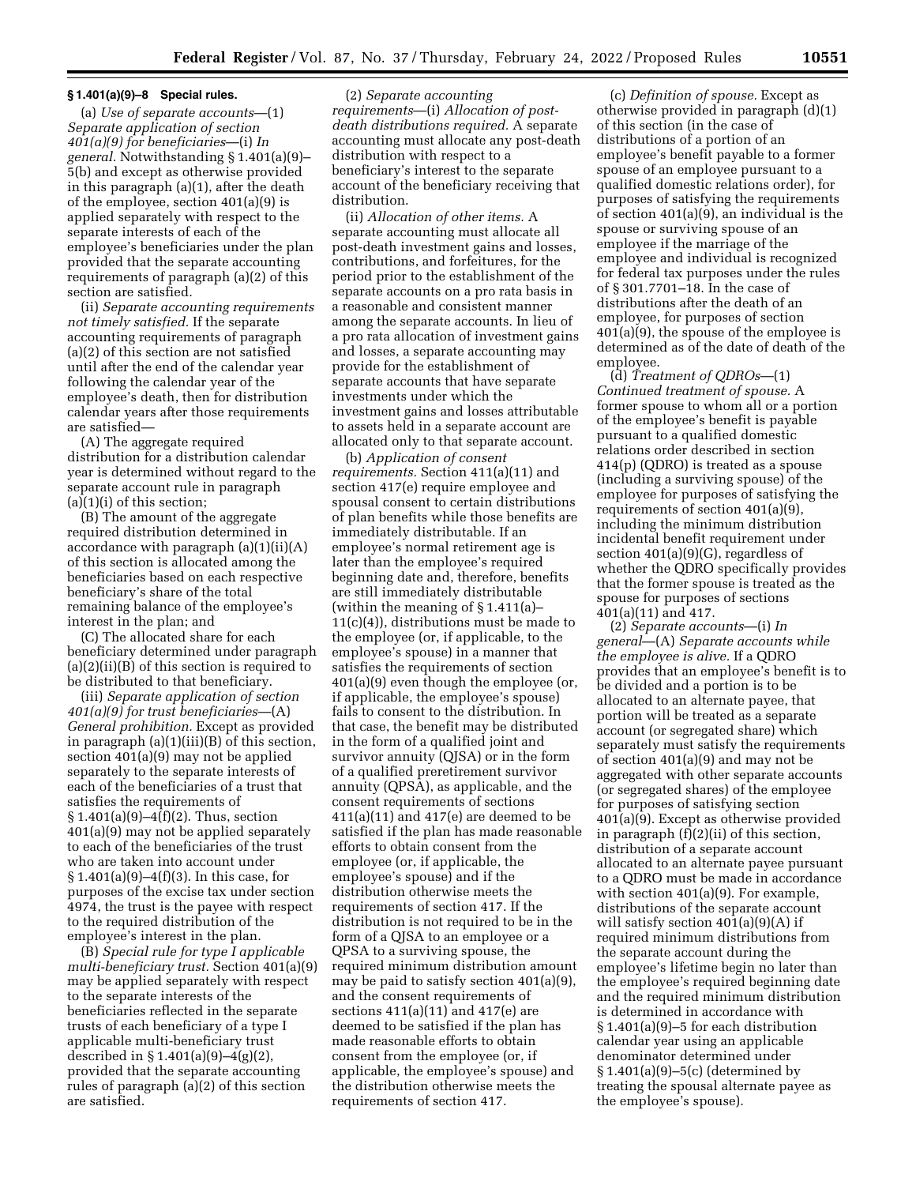#### **§ 1.401(a)(9)–8 Special rules.**

(a) *Use of separate accounts*—(1) *Separate application of section 401(a)(9) for beneficiaries*—(i) *In general.* Notwithstanding § 1.401(a)(9)– 5(b) and except as otherwise provided in this paragraph (a)(1), after the death of the employee, section 401(a)(9) is applied separately with respect to the separate interests of each of the employee's beneficiaries under the plan provided that the separate accounting requirements of paragraph (a)(2) of this section are satisfied.

(ii) *Separate accounting requirements not timely satisfied.* If the separate accounting requirements of paragraph (a)(2) of this section are not satisfied until after the end of the calendar year following the calendar year of the employee's death, then for distribution calendar years after those requirements are satisfied—

(A) The aggregate required distribution for a distribution calendar year is determined without regard to the separate account rule in paragraph  $(a)(1)(i)$  of this section;

(B) The amount of the aggregate required distribution determined in accordance with paragraph (a)(1)(ii)(A) of this section is allocated among the beneficiaries based on each respective beneficiary's share of the total remaining balance of the employee's interest in the plan; and

(C) The allocated share for each beneficiary determined under paragraph (a)(2)(ii)(B) of this section is required to be distributed to that beneficiary.

(iii) *Separate application of section 401(a)(9) for trust beneficiaries*—(A) *General prohibition.* Except as provided in paragraph (a)(1)(iii)(B) of this section, section 401(a)(9) may not be applied separately to the separate interests of each of the beneficiaries of a trust that satisfies the requirements of § 1.401(a)(9)–4(f)(2). Thus, section 401(a)(9) may not be applied separately to each of the beneficiaries of the trust who are taken into account under § 1.401(a)(9)–4(f)(3). In this case, for purposes of the excise tax under section 4974, the trust is the payee with respect to the required distribution of the employee's interest in the plan.

(B) *Special rule for type I applicable multi-beneficiary trust.* Section 401(a)(9) may be applied separately with respect to the separate interests of the beneficiaries reflected in the separate trusts of each beneficiary of a type I applicable multi-beneficiary trust described in § 1.401(a)(9)–4(g)(2), provided that the separate accounting rules of paragraph (a)(2) of this section are satisfied.

(2) *Separate accounting requirements*—(i) *Allocation of postdeath distributions required.* A separate accounting must allocate any post-death distribution with respect to a beneficiary's interest to the separate account of the beneficiary receiving that distribution.

(ii) *Allocation of other items.* A separate accounting must allocate all post-death investment gains and losses, contributions, and forfeitures, for the period prior to the establishment of the separate accounts on a pro rata basis in a reasonable and consistent manner among the separate accounts. In lieu of a pro rata allocation of investment gains and losses, a separate accounting may provide for the establishment of separate accounts that have separate investments under which the investment gains and losses attributable to assets held in a separate account are allocated only to that separate account.

(b) *Application of consent requirements.* Section 411(a)(11) and section 417(e) require employee and spousal consent to certain distributions of plan benefits while those benefits are immediately distributable. If an employee's normal retirement age is later than the employee's required beginning date and, therefore, benefits are still immediately distributable (within the meaning of § 1.411(a)– 11(c)(4)), distributions must be made to the employee (or, if applicable, to the employee's spouse) in a manner that satisfies the requirements of section 401(a)(9) even though the employee (or, if applicable, the employee's spouse) fails to consent to the distribution. In that case, the benefit may be distributed in the form of a qualified joint and survivor annuity (QJSA) or in the form of a qualified preretirement survivor annuity (QPSA), as applicable, and the consent requirements of sections  $411(a)(11)$  and  $417(e)$  are deemed to be satisfied if the plan has made reasonable efforts to obtain consent from the employee (or, if applicable, the employee's spouse) and if the distribution otherwise meets the requirements of section 417. If the distribution is not required to be in the form of a QJSA to an employee or a QPSA to a surviving spouse, the required minimum distribution amount may be paid to satisfy section 401(a)(9), and the consent requirements of sections 411(a)(11) and 417(e) are deemed to be satisfied if the plan has made reasonable efforts to obtain consent from the employee (or, if applicable, the employee's spouse) and the distribution otherwise meets the requirements of section 417.

(c) *Definition of spouse.* Except as otherwise provided in paragraph (d)(1) of this section (in the case of distributions of a portion of an employee's benefit payable to a former spouse of an employee pursuant to a qualified domestic relations order), for purposes of satisfying the requirements of section 401(a)(9), an individual is the spouse or surviving spouse of an employee if the marriage of the employee and individual is recognized for federal tax purposes under the rules of § 301.7701–18. In the case of distributions after the death of an employee, for purposes of section 401(a)(9), the spouse of the employee is determined as of the date of death of the employee.

(d) *Treatment of QDROs*—(1) *Continued treatment of spouse.* A former spouse to whom all or a portion of the employee's benefit is payable pursuant to a qualified domestic relations order described in section 414(p) (QDRO) is treated as a spouse (including a surviving spouse) of the employee for purposes of satisfying the requirements of section 401(a)(9), including the minimum distribution incidental benefit requirement under section 401(a)(9)(G), regardless of whether the QDRO specifically provides that the former spouse is treated as the spouse for purposes of sections 401(a)(11) and 417.

(2) *Separate accounts*—(i) *In general*—(A) *Separate accounts while the employee is alive.* If a QDRO provides that an employee's benefit is to be divided and a portion is to be allocated to an alternate payee, that portion will be treated as a separate account (or segregated share) which separately must satisfy the requirements of section 401(a)(9) and may not be aggregated with other separate accounts (or segregated shares) of the employee for purposes of satisfying section 401(a)(9). Except as otherwise provided in paragraph (f)(2)(ii) of this section, distribution of a separate account allocated to an alternate payee pursuant to a QDRO must be made in accordance with section 401(a)(9). For example, distributions of the separate account will satisfy section 401(a)(9)(A) if required minimum distributions from the separate account during the employee's lifetime begin no later than the employee's required beginning date and the required minimum distribution is determined in accordance with § 1.401(a)(9)–5 for each distribution calendar year using an applicable denominator determined under § 1.401(a)(9)–5(c) (determined by treating the spousal alternate payee as the employee's spouse).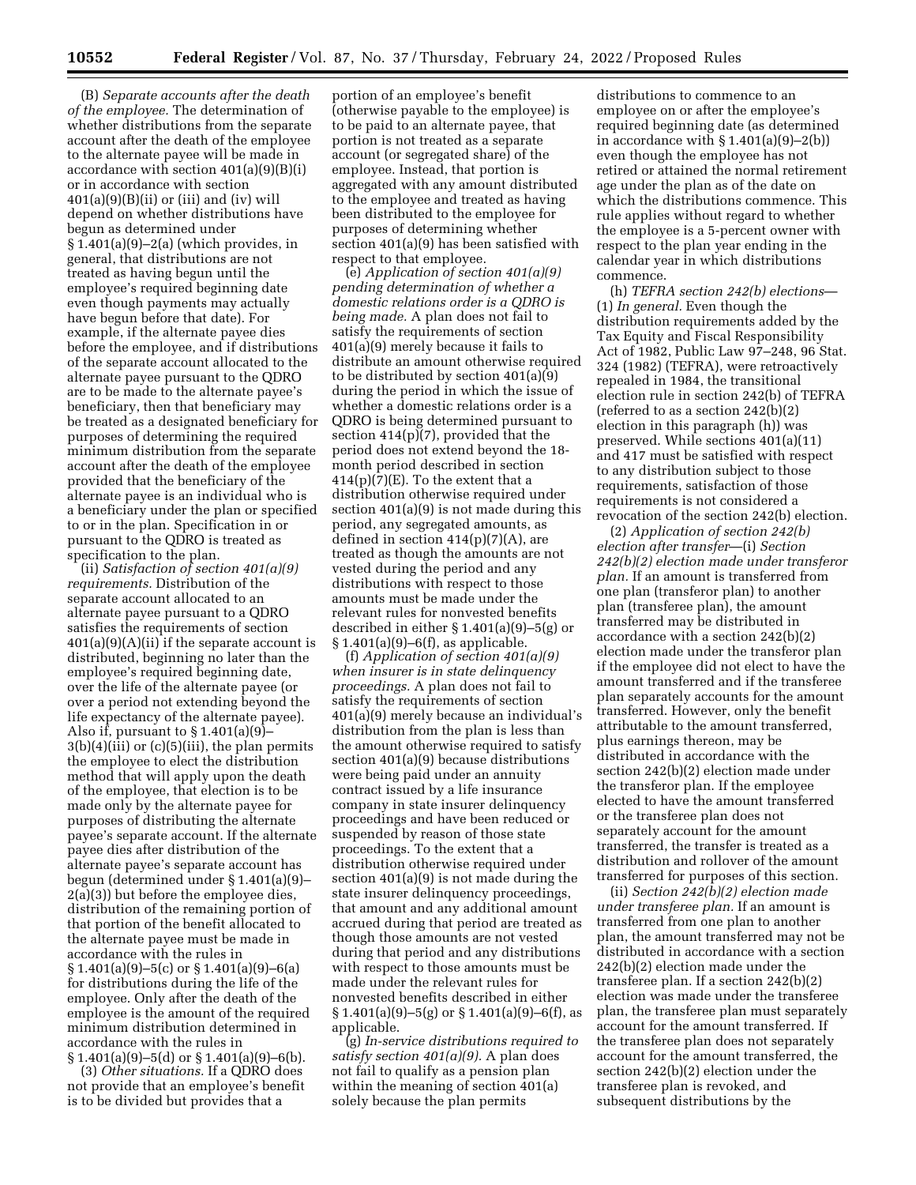(B) *Separate accounts after the death of the employee.* The determination of whether distributions from the separate account after the death of the employee to the alternate payee will be made in accordance with section 401(a)(9)(B)(i) or in accordance with section  $401(a)(9)(B)(ii)$  or (iii) and (iv) will depend on whether distributions have begun as determined under § 1.401(a)(9)–2(a) (which provides, in general, that distributions are not treated as having begun until the employee's required beginning date even though payments may actually have begun before that date). For example, if the alternate payee dies before the employee, and if distributions of the separate account allocated to the alternate payee pursuant to the QDRO are to be made to the alternate payee's beneficiary, then that beneficiary may be treated as a designated beneficiary for purposes of determining the required minimum distribution from the separate account after the death of the employee provided that the beneficiary of the alternate payee is an individual who is a beneficiary under the plan or specified to or in the plan. Specification in or pursuant to the QDRO is treated as specification to the plan.

(ii) *Satisfaction of section 401(a)(9) requirements.* Distribution of the separate account allocated to an alternate payee pursuant to a QDRO satisfies the requirements of section  $401(a)(9)(A)(ii)$  if the separate account is distributed, beginning no later than the employee's required beginning date, over the life of the alternate payee (or over a period not extending beyond the life expectancy of the alternate payee). Also if, pursuant to  $\S 1.401(a)(9)$ –  $3(b)(4)(iii)$  or  $(c)(5)(iii)$ , the plan permits the employee to elect the distribution method that will apply upon the death of the employee, that election is to be made only by the alternate payee for purposes of distributing the alternate payee's separate account. If the alternate payee dies after distribution of the alternate payee's separate account has begun (determined under § 1.401(a)(9)– 2(a)(3)) but before the employee dies, distribution of the remaining portion of that portion of the benefit allocated to the alternate payee must be made in accordance with the rules in  $§ 1.401(a)(9) - 5(c)$  or  $§ 1.401(a)(9) - 6(a)$ for distributions during the life of the employee. Only after the death of the employee is the amount of the required minimum distribution determined in accordance with the rules in  $§ 1.401(a)(9) - 5(d)$  or  $§ 1.401(a)(9) - 6(b)$ .

(3) *Other situations.* If a QDRO does not provide that an employee's benefit is to be divided but provides that a

portion of an employee's benefit (otherwise payable to the employee) is to be paid to an alternate payee, that portion is not treated as a separate account (or segregated share) of the employee. Instead, that portion is aggregated with any amount distributed to the employee and treated as having been distributed to the employee for purposes of determining whether section 401(a)(9) has been satisfied with respect to that employee.

(e) *Application of section 401(a)(9) pending determination of whether a domestic relations order is a QDRO is being made.* A plan does not fail to satisfy the requirements of section 401(a)(9) merely because it fails to distribute an amount otherwise required to be distributed by section  $401(a)(9)$ during the period in which the issue of whether a domestic relations order is a QDRO is being determined pursuant to section  $414(p)(7)$ , provided that the period does not extend beyond the 18 month period described in section  $414(p)(7)(E)$ . To the extent that a distribution otherwise required under section 401(a)(9) is not made during this period, any segregated amounts, as defined in section  $414(p)(7)(A)$ , are treated as though the amounts are not vested during the period and any distributions with respect to those amounts must be made under the relevant rules for nonvested benefits described in either § 1.401(a)(9)–5(g) or § 1.401(a)(9)–6(f), as applicable.

(f) *Application of section 401(a)(9) when insurer is in state delinquency proceedings.* A plan does not fail to satisfy the requirements of section 401(a)(9) merely because an individual's distribution from the plan is less than the amount otherwise required to satisfy section 401(a)(9) because distributions were being paid under an annuity contract issued by a life insurance company in state insurer delinquency proceedings and have been reduced or suspended by reason of those state proceedings. To the extent that a distribution otherwise required under section 401(a)(9) is not made during the state insurer delinquency proceedings, that amount and any additional amount accrued during that period are treated as though those amounts are not vested during that period and any distributions with respect to those amounts must be made under the relevant rules for nonvested benefits described in either  $§ 1.401(a)(9) - 5(g)$  or  $§ 1.401(a)(9) - 6(f)$ , as applicable.

(g) *In-service distributions required to satisfy section 401(a)(9).* A plan does not fail to qualify as a pension plan within the meaning of section 401(a) solely because the plan permits

distributions to commence to an employee on or after the employee's required beginning date (as determined in accordance with  $\S 1.401(a)(9)-2(b)$ even though the employee has not retired or attained the normal retirement age under the plan as of the date on which the distributions commence. This rule applies without regard to whether the employee is a 5-percent owner with respect to the plan year ending in the calendar year in which distributions commence.

(h) *TEFRA section 242(b) elections*— (1) *In general.* Even though the distribution requirements added by the Tax Equity and Fiscal Responsibility Act of 1982, Public Law 97–248, 96 Stat. 324 (1982) (TEFRA), were retroactively repealed in 1984, the transitional election rule in section 242(b) of TEFRA (referred to as a section 242(b)(2) election in this paragraph (h)) was preserved. While sections 401(a)(11) and 417 must be satisfied with respect to any distribution subject to those requirements, satisfaction of those requirements is not considered a revocation of the section 242(b) election.

(2) *Application of section 242(b) election after transfer*—(i) *Section 242(b)(2) election made under transferor plan.* If an amount is transferred from one plan (transferor plan) to another plan (transferee plan), the amount transferred may be distributed in accordance with a section 242(b)(2) election made under the transferor plan if the employee did not elect to have the amount transferred and if the transferee plan separately accounts for the amount transferred. However, only the benefit attributable to the amount transferred, plus earnings thereon, may be distributed in accordance with the section 242(b)(2) election made under the transferor plan. If the employee elected to have the amount transferred or the transferee plan does not separately account for the amount transferred, the transfer is treated as a distribution and rollover of the amount transferred for purposes of this section.

(ii) *Section 242(b)(2) election made under transferee plan.* If an amount is transferred from one plan to another plan, the amount transferred may not be distributed in accordance with a section 242(b)(2) election made under the transferee plan. If a section 242(b)(2) election was made under the transferee plan, the transferee plan must separately account for the amount transferred. If the transferee plan does not separately account for the amount transferred, the section 242(b)(2) election under the transferee plan is revoked, and subsequent distributions by the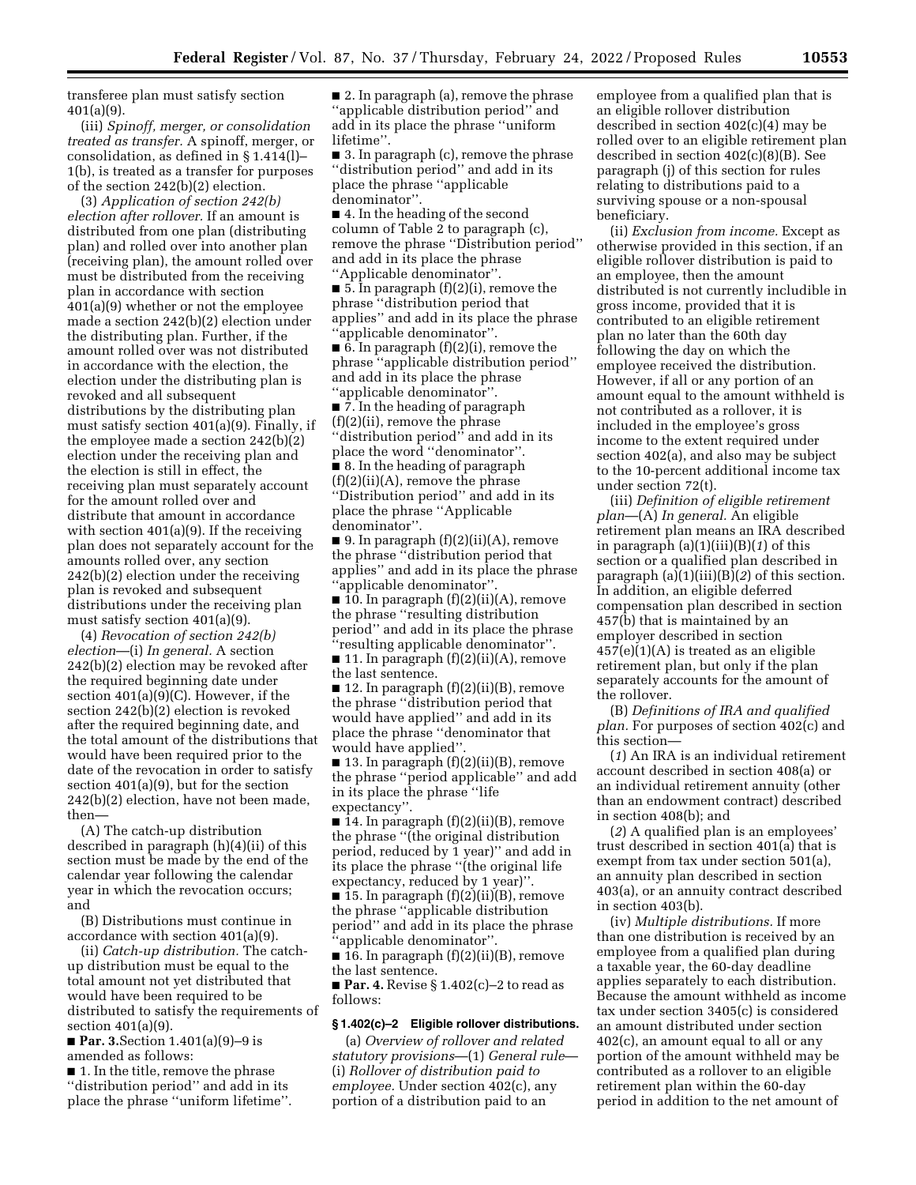transferee plan must satisfy section 401(a)(9).

(iii) *Spinoff, merger, or consolidation treated as transfer.* A spinoff, merger, or consolidation, as defined in § 1.414(l)– 1(b), is treated as a transfer for purposes of the section 242(b)(2) election.

(3) *Application of section 242(b) election after rollover.* If an amount is distributed from one plan (distributing plan) and rolled over into another plan (receiving plan), the amount rolled over must be distributed from the receiving plan in accordance with section 401(a)(9) whether or not the employee made a section 242(b)(2) election under the distributing plan. Further, if the amount rolled over was not distributed in accordance with the election, the election under the distributing plan is revoked and all subsequent distributions by the distributing plan must satisfy section 401(a)(9). Finally, if the employee made a section 242(b)(2) election under the receiving plan and the election is still in effect, the receiving plan must separately account for the amount rolled over and distribute that amount in accordance with section 401(a)(9). If the receiving plan does not separately account for the amounts rolled over, any section 242(b)(2) election under the receiving plan is revoked and subsequent distributions under the receiving plan must satisfy section 401(a)(9).

(4) *Revocation of section 242(b) election*—(i) *In general.* A section 242(b)(2) election may be revoked after the required beginning date under section 401(a)(9)(C). However, if the section 242(b)(2) election is revoked after the required beginning date, and the total amount of the distributions that would have been required prior to the date of the revocation in order to satisfy section 401(a)(9), but for the section 242(b)(2) election, have not been made, then—

(A) The catch-up distribution described in paragraph (h)(4)(ii) of this section must be made by the end of the calendar year following the calendar year in which the revocation occurs; and

(B) Distributions must continue in accordance with section 401(a)(9).

(ii) *Catch-up distribution.* The catchup distribution must be equal to the total amount not yet distributed that would have been required to be distributed to satisfy the requirements of section 401(a)(9).

■ **Par. 3.**Section 1.401(a)(9)–9 is amended as follows:

■ 1. In the title, remove the phrase ''distribution period'' and add in its place the phrase ''uniform lifetime''.

■ 2. In paragraph (a), remove the phrase ''applicable distribution period'' and add in its place the phrase ''uniform lifetime''.

■ 3. In paragraph (c), remove the phrase ''distribution period'' and add in its place the phrase ''applicable denominator''.

■ 4. In the heading of the second column of Table 2 to paragraph (c), remove the phrase ''Distribution period'' and add in its place the phrase ''Applicable denominator''.

■ 5. In paragraph (f)(2)(i), remove the phrase ''distribution period that applies'' and add in its place the phrase ''applicable denominator''.

 $\blacksquare$  6. In paragraph  $(f)(2)(i)$ , remove the phrase ''applicable distribution period'' and add in its place the phrase ''applicable denominator''.

■ 7. In the heading of paragraph (f)(2)(ii), remove the phrase ''distribution period'' and add in its place the word ''denominator''. ■ 8. In the heading of paragraph  $(f)(2)(ii)(A)$ , remove the phrase ''Distribution period'' and add in its place the phrase ''Applicable

denominator''.

■ 9. In paragraph  $(f)(2)(ii)(A)$ , remove the phrase ''distribution period that applies'' and add in its place the phrase ''applicable denominator''.

 $\blacksquare$  10. In paragraph  $(f)(2)(ii)(A)$ , remove the phrase ''resulting distribution period'' and add in its place the phrase ''resulting applicable denominator''.

■ 11. In paragraph (f)(2)(ii)(A), remove the last sentence.

 $\blacksquare$  12. In paragraph  $(f)(2)(ii)(B)$ , remove the phrase ''distribution period that would have applied'' and add in its place the phrase ''denominator that would have applied''.

 $\blacksquare$  13. In paragraph  $(f)(2)(ii)(B)$ , remove the phrase ''period applicable'' and add in its place the phrase ''life expectancy''.

 $\blacksquare$  14. In paragraph  $(f)(2)(ii)(B)$ , remove the phrase ''(the original distribution period, reduced by 1 year)'' and add in its place the phrase "(the original life expectancy, reduced by 1 year)''.

■ 15. In paragraph (f)(2)(ii)(B), remove the phrase ''applicable distribution period'' and add in its place the phrase 'applicable denominator''

■ 16. In paragraph (f)(2)(ii)(B), remove the last sentence.

■ **Par. 4.** Revise § 1.402(c)–2 to read as follows:

## **§ 1.402(c)–2 Eligible rollover distributions.**

(a) *Overview of rollover and related statutory provisions*—(1) *General rule*— (i) *Rollover of distribution paid to employee.* Under section 402(c), any portion of a distribution paid to an

employee from a qualified plan that is an eligible rollover distribution described in section 402(c)(4) may be rolled over to an eligible retirement plan described in section 402(c)(8)(B). See paragraph (j) of this section for rules relating to distributions paid to a surviving spouse or a non-spousal beneficiary.

(ii) *Exclusion from income.* Except as otherwise provided in this section, if an eligible rollover distribution is paid to an employee, then the amount distributed is not currently includible in gross income, provided that it is contributed to an eligible retirement plan no later than the 60th day following the day on which the employee received the distribution. However, if all or any portion of an amount equal to the amount withheld is not contributed as a rollover, it is included in the employee's gross income to the extent required under section 402(a), and also may be subject to the 10-percent additional income tax under section 72(t).

(iii) *Definition of eligible retirement plan*—(A) *In general.* An eligible retirement plan means an IRA described in paragraph (a)(1)(iii)(B)(*1*) of this section or a qualified plan described in paragraph (a)(1)(iii)(B)(*2*) of this section. In addition, an eligible deferred compensation plan described in section 457(b) that is maintained by an employer described in section 457(e)(1)(A) is treated as an eligible retirement plan, but only if the plan separately accounts for the amount of the rollover.

(B) *Definitions of IRA and qualified plan.* For purposes of section 402(c) and this section—

(*1*) An IRA is an individual retirement account described in section 408(a) or an individual retirement annuity (other than an endowment contract) described in section 408(b); and

(*2*) A qualified plan is an employees' trust described in section 401(a) that is exempt from tax under section 501(a), an annuity plan described in section 403(a), or an annuity contract described in section 403(b).

(iv) *Multiple distributions.* If more than one distribution is received by an employee from a qualified plan during a taxable year, the 60-day deadline applies separately to each distribution. Because the amount withheld as income tax under section 3405(c) is considered an amount distributed under section 402(c), an amount equal to all or any portion of the amount withheld may be contributed as a rollover to an eligible retirement plan within the 60-day period in addition to the net amount of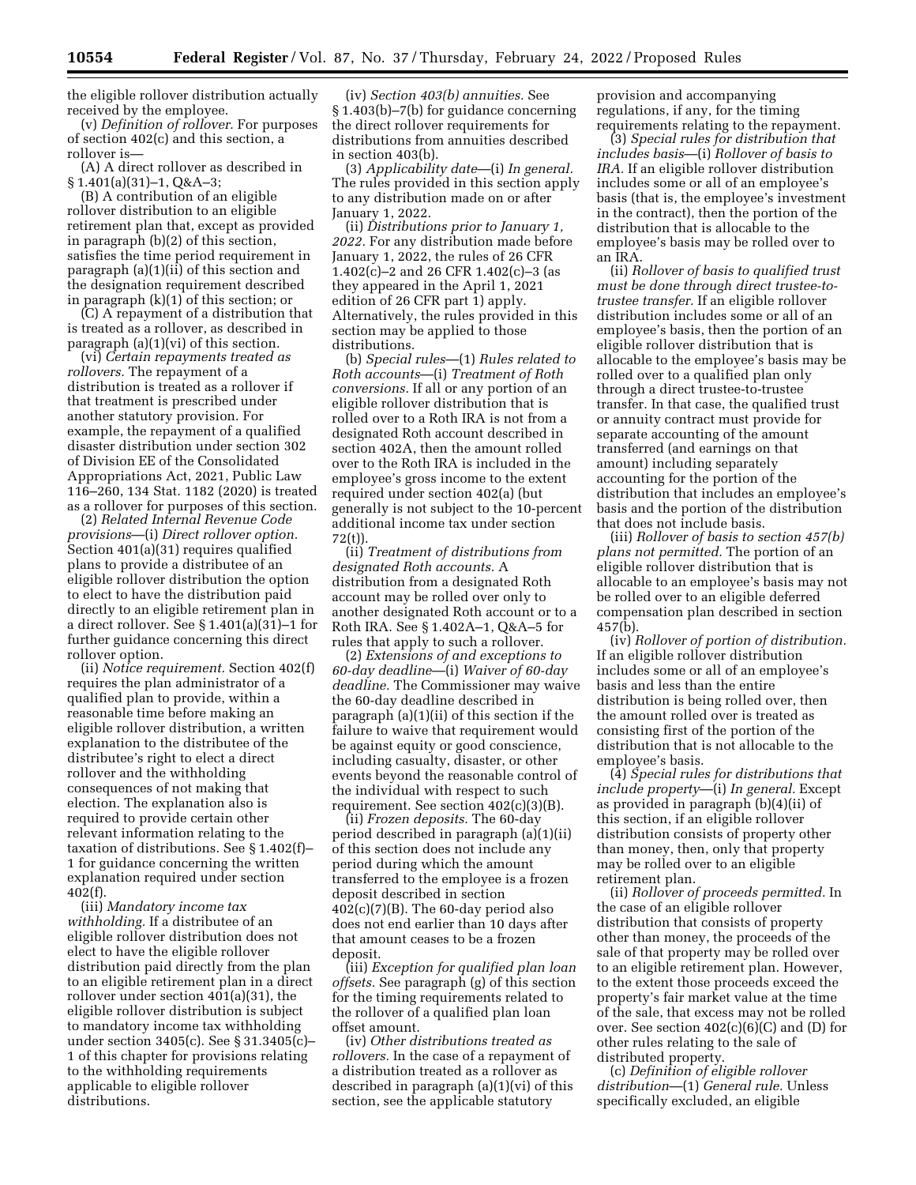the eligible rollover distribution actually received by the employee.

(v) *Definition of rollover.* For purposes of section 402(c) and this section, a rollover is—

(A) A direct rollover as described in § 1.401(a)(31)–1, Q&A–3;

(B) A contribution of an eligible rollover distribution to an eligible retirement plan that, except as provided in paragraph (b)(2) of this section, satisfies the time period requirement in paragraph (a)(1)(ii) of this section and the designation requirement described in paragraph (k)(1) of this section; or

(C) A repayment of a distribution that is treated as a rollover, as described in paragraph (a)(1)(vi) of this section.

(vi) *Certain repayments treated as rollovers.* The repayment of a distribution is treated as a rollover if that treatment is prescribed under another statutory provision. For example, the repayment of a qualified disaster distribution under section 302 of Division EE of the Consolidated Appropriations Act, 2021, Public Law 116–260, 134 Stat. 1182 (2020) is treated as a rollover for purposes of this section.

(2) *Related Internal Revenue Code provisions*—(i) *Direct rollover option.*  Section 401(a)(31) requires qualified plans to provide a distributee of an eligible rollover distribution the option to elect to have the distribution paid directly to an eligible retirement plan in a direct rollover. See § 1.401(a)(31)–1 for further guidance concerning this direct rollover option.

(ii) *Notice requirement.* Section 402(f) requires the plan administrator of a qualified plan to provide, within a reasonable time before making an eligible rollover distribution, a written explanation to the distributee of the distributee's right to elect a direct rollover and the withholding consequences of not making that election. The explanation also is required to provide certain other relevant information relating to the taxation of distributions. See § 1.402(f)– 1 for guidance concerning the written explanation required under section 402(f).

(iii) *Mandatory income tax withholding.* If a distributee of an eligible rollover distribution does not elect to have the eligible rollover distribution paid directly from the plan to an eligible retirement plan in a direct rollover under section 401(a)(31), the eligible rollover distribution is subject to mandatory income tax withholding under section 3405(c). See § 31.3405(c)– 1 of this chapter for provisions relating to the withholding requirements applicable to eligible rollover distributions.

(iv) *Section 403(b) annuities.* See § 1.403(b)–7(b) for guidance concerning the direct rollover requirements for distributions from annuities described in section 403(b).

(3) *Applicability date*—(i) *In general.*  The rules provided in this section apply to any distribution made on or after January 1, 2022.

(ii) *Distributions prior to January 1, 2022.* For any distribution made before January 1, 2022, the rules of 26 CFR 1.402(c)–2 and 26 CFR 1.402(c)–3 (as they appeared in the April 1, 2021 edition of 26 CFR part 1) apply. Alternatively, the rules provided in this section may be applied to those distributions.

(b) *Special rules*—(1) *Rules related to Roth accounts*—(i) *Treatment of Roth conversions.* If all or any portion of an eligible rollover distribution that is rolled over to a Roth IRA is not from a designated Roth account described in section 402A, then the amount rolled over to the Roth IRA is included in the employee's gross income to the extent required under section 402(a) (but generally is not subject to the 10-percent additional income tax under section 72(t)).

(ii) *Treatment of distributions from designated Roth accounts.* A distribution from a designated Roth account may be rolled over only to another designated Roth account or to a Roth IRA. See § 1.402A–1, Q&A–5 for rules that apply to such a rollover.

(2) *Extensions of and exceptions to 60-day deadline*—(i) *Waiver of 60-day deadline.* The Commissioner may waive the 60-day deadline described in paragraph (a)(1)(ii) of this section if the failure to waive that requirement would be against equity or good conscience, including casualty, disaster, or other events beyond the reasonable control of the individual with respect to such requirement. See section 402(c)(3)(B).

(ii) *Frozen deposits.* The 60-day period described in paragraph (a)(1)(ii) of this section does not include any period during which the amount transferred to the employee is a frozen deposit described in section  $402(c)(7)(B)$ . The 60-day period also does not end earlier than 10 days after that amount ceases to be a frozen deposit.

(iii) *Exception for qualified plan loan offsets.* See paragraph (g) of this section for the timing requirements related to the rollover of a qualified plan loan offset amount.

(iv) *Other distributions treated as rollovers.* In the case of a repayment of a distribution treated as a rollover as described in paragraph (a)(1)(vi) of this section, see the applicable statutory

provision and accompanying regulations, if any, for the timing requirements relating to the repayment.

(3) *Special rules for distribution that includes basis*—(i) *Rollover of basis to IRA.* If an eligible rollover distribution includes some or all of an employee's basis (that is, the employee's investment in the contract), then the portion of the distribution that is allocable to the employee's basis may be rolled over to an IRA.

(ii) *Rollover of basis to qualified trust must be done through direct trustee-totrustee transfer.* If an eligible rollover distribution includes some or all of an employee's basis, then the portion of an eligible rollover distribution that is allocable to the employee's basis may be rolled over to a qualified plan only through a direct trustee-to-trustee transfer. In that case, the qualified trust or annuity contract must provide for separate accounting of the amount transferred (and earnings on that amount) including separately accounting for the portion of the distribution that includes an employee's basis and the portion of the distribution that does not include basis.

(iii) *Rollover of basis to section 457(b) plans not permitted.* The portion of an eligible rollover distribution that is allocable to an employee's basis may not be rolled over to an eligible deferred compensation plan described in section 457(b).

(iv) *Rollover of portion of distribution.*  If an eligible rollover distribution includes some or all of an employee's basis and less than the entire distribution is being rolled over, then the amount rolled over is treated as consisting first of the portion of the distribution that is not allocable to the employee's basis.

(4) *Special rules for distributions that include property*—(i) *In general.* Except as provided in paragraph (b)(4)(ii) of this section, if an eligible rollover distribution consists of property other than money, then, only that property may be rolled over to an eligible retirement plan.

(ii) *Rollover of proceeds permitted.* In the case of an eligible rollover distribution that consists of property other than money, the proceeds of the sale of that property may be rolled over to an eligible retirement plan. However, to the extent those proceeds exceed the property's fair market value at the time of the sale, that excess may not be rolled over. See section  $402(c)(6)(C)$  and  $(D)$  for other rules relating to the sale of distributed property.

(c) *Definition of eligible rollover distribution*—(1) *General rule.* Unless specifically excluded, an eligible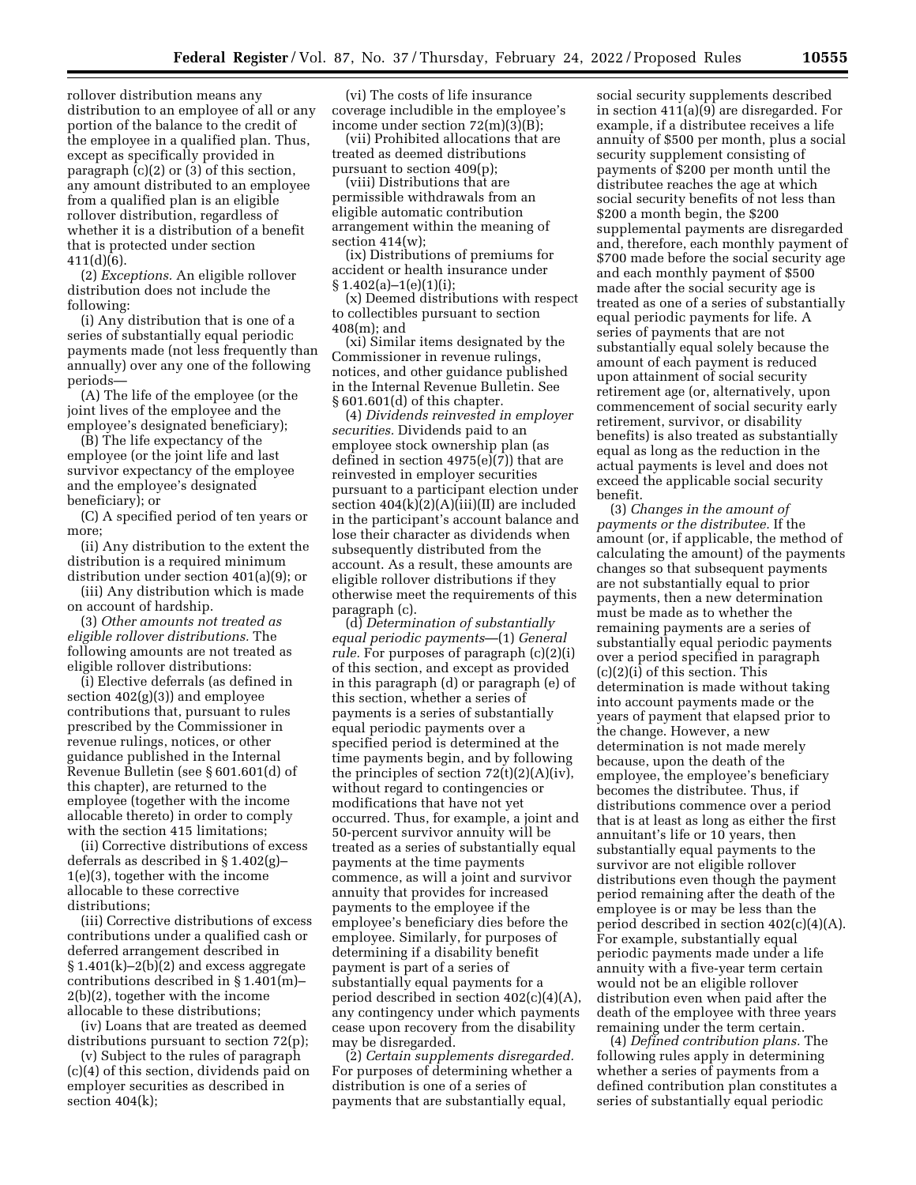rollover distribution means any distribution to an employee of all or any portion of the balance to the credit of the employee in a qualified plan. Thus, except as specifically provided in paragraph  $(c)(2)$  or  $(3)$  of this section, any amount distributed to an employee from a qualified plan is an eligible rollover distribution, regardless of whether it is a distribution of a benefit that is protected under section 411(d)(6).

(2) *Exceptions.* An eligible rollover distribution does not include the following:

(i) Any distribution that is one of a series of substantially equal periodic payments made (not less frequently than annually) over any one of the following periods—

(A) The life of the employee (or the joint lives of the employee and the employee's designated beneficiary);

(B) The life expectancy of the employee (or the joint life and last survivor expectancy of the employee and the employee's designated beneficiary); or

(C) A specified period of ten years or more;

(ii) Any distribution to the extent the distribution is a required minimum distribution under section 401(a)(9); or

(iii) Any distribution which is made on account of hardship.

(3) *Other amounts not treated as eligible rollover distributions.* The following amounts are not treated as eligible rollover distributions:

(i) Elective deferrals (as defined in section 402(g)(3)) and employee contributions that, pursuant to rules prescribed by the Commissioner in revenue rulings, notices, or other guidance published in the Internal Revenue Bulletin (see § 601.601(d) of this chapter), are returned to the employee (together with the income allocable thereto) in order to comply with the section 415 limitations;

(ii) Corrective distributions of excess deferrals as described in § 1.402(g)– 1(e)(3), together with the income allocable to these corrective distributions;

(iii) Corrective distributions of excess contributions under a qualified cash or deferred arrangement described in  $\S 1.401(k) - 2(b)(2)$  and excess aggregate contributions described in § 1.401(m)– 2(b)(2), together with the income allocable to these distributions;

(iv) Loans that are treated as deemed distributions pursuant to section 72(p);

(v) Subject to the rules of paragraph (c)(4) of this section, dividends paid on employer securities as described in section 404(k);

(vi) The costs of life insurance coverage includible in the employee's income under section 72(m)(3)(B);

(vii) Prohibited allocations that are treated as deemed distributions pursuant to section 409(p);

(viii) Distributions that are permissible withdrawals from an eligible automatic contribution arrangement within the meaning of section 414(w);

(ix) Distributions of premiums for accident or health insurance under  $§ 1.402(a)-1(e)(1)(i);$ 

(x) Deemed distributions with respect to collectibles pursuant to section 408(m); and

(xi) Similar items designated by the Commissioner in revenue rulings, notices, and other guidance published in the Internal Revenue Bulletin. See § 601.601(d) of this chapter.

(4) *Dividends reinvested in employer securities.* Dividends paid to an employee stock ownership plan (as defined in section 4975(e)(7)) that are reinvested in employer securities pursuant to a participant election under section  $404(k)(2)(A)(iii)(II)$  are included in the participant's account balance and lose their character as dividends when subsequently distributed from the account. As a result, these amounts are eligible rollover distributions if they otherwise meet the requirements of this paragraph (c).

(d) *Determination of substantially equal periodic payments*—(1) *General rule.* For purposes of paragraph (c)(2)(i) of this section, and except as provided in this paragraph (d) or paragraph (e) of this section, whether a series of payments is a series of substantially equal periodic payments over a specified period is determined at the time payments begin, and by following the principles of section  $72(t)(2)(A)(iv)$ , without regard to contingencies or modifications that have not yet occurred. Thus, for example, a joint and 50-percent survivor annuity will be treated as a series of substantially equal payments at the time payments commence, as will a joint and survivor annuity that provides for increased payments to the employee if the employee's beneficiary dies before the employee. Similarly, for purposes of determining if a disability benefit payment is part of a series of substantially equal payments for a period described in section 402(c)(4)(A), any contingency under which payments cease upon recovery from the disability may be disregarded.

(2) *Certain supplements disregarded.*  For purposes of determining whether a distribution is one of a series of payments that are substantially equal,

social security supplements described in section 411(a)(9) are disregarded. For example, if a distributee receives a life annuity of \$500 per month, plus a social security supplement consisting of payments of \$200 per month until the distributee reaches the age at which social security benefits of not less than \$200 a month begin, the \$200 supplemental payments are disregarded and, therefore, each monthly payment of \$700 made before the social security age and each monthly payment of \$500 made after the social security age is treated as one of a series of substantially equal periodic payments for life. A series of payments that are not substantially equal solely because the amount of each payment is reduced upon attainment of social security retirement age (or, alternatively, upon commencement of social security early retirement, survivor, or disability benefits) is also treated as substantially equal as long as the reduction in the actual payments is level and does not exceed the applicable social security benefit.

(3) *Changes in the amount of payments or the distributee.* If the amount (or, if applicable, the method of calculating the amount) of the payments changes so that subsequent payments are not substantially equal to prior payments, then a new determination must be made as to whether the remaining payments are a series of substantially equal periodic payments over a period specified in paragraph (c)(2)(i) of this section. This determination is made without taking into account payments made or the years of payment that elapsed prior to the change. However, a new determination is not made merely because, upon the death of the employee, the employee's beneficiary becomes the distributee. Thus, if distributions commence over a period that is at least as long as either the first annuitant's life or 10 years, then substantially equal payments to the survivor are not eligible rollover distributions even though the payment period remaining after the death of the employee is or may be less than the period described in section 402(c)(4)(A). For example, substantially equal periodic payments made under a life annuity with a five-year term certain would not be an eligible rollover distribution even when paid after the death of the employee with three years remaining under the term certain.

(4) *Defined contribution plans.* The following rules apply in determining whether a series of payments from a defined contribution plan constitutes a series of substantially equal periodic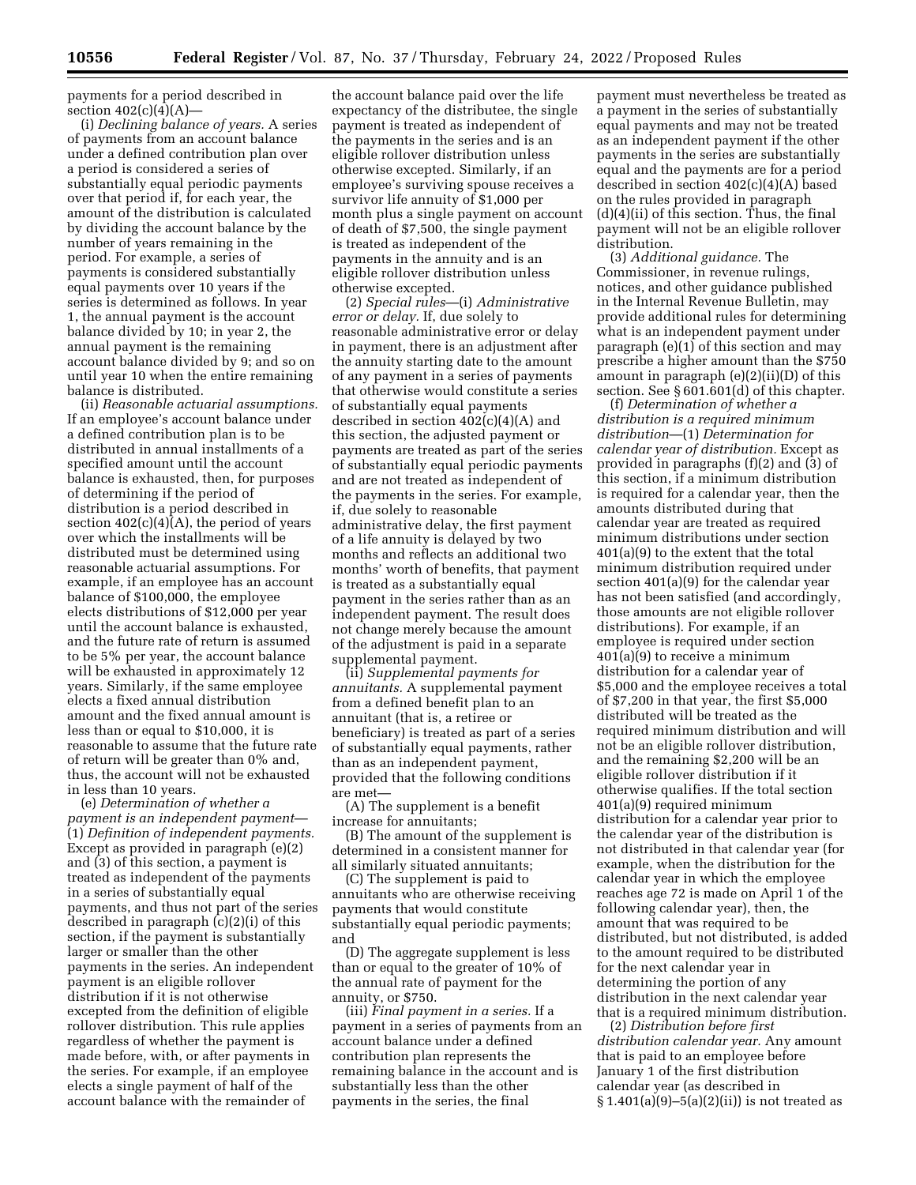payments for a period described in section  $402(c)(4)(A)$ —

(i) *Declining balance of years.* A series of payments from an account balance under a defined contribution plan over a period is considered a series of substantially equal periodic payments over that period if, for each year, the amount of the distribution is calculated by dividing the account balance by the number of years remaining in the period. For example, a series of payments is considered substantially equal payments over 10 years if the series is determined as follows. In year 1, the annual payment is the account balance divided by 10; in year 2, the annual payment is the remaining account balance divided by 9; and so on until year 10 when the entire remaining balance is distributed.

(ii) *Reasonable actuarial assumptions.*  If an employee's account balance under a defined contribution plan is to be distributed in annual installments of a specified amount until the account balance is exhausted, then, for purposes of determining if the period of distribution is a period described in section  $402(c)(4)(A)$ , the period of years over which the installments will be distributed must be determined using reasonable actuarial assumptions. For example, if an employee has an account balance of \$100,000, the employee elects distributions of \$12,000 per year until the account balance is exhausted, and the future rate of return is assumed to be 5% per year, the account balance will be exhausted in approximately 12 years. Similarly, if the same employee elects a fixed annual distribution amount and the fixed annual amount is less than or equal to \$10,000, it is reasonable to assume that the future rate of return will be greater than 0% and, thus, the account will not be exhausted in less than 10 years.

(e) *Determination of whether a payment is an independent payment*— (1) *Definition of independent payments.*  Except as provided in paragraph (e)(2) and (3) of this section, a payment is treated as independent of the payments in a series of substantially equal payments, and thus not part of the series described in paragraph (c)(2)(i) of this section, if the payment is substantially larger or smaller than the other payments in the series. An independent payment is an eligible rollover distribution if it is not otherwise excepted from the definition of eligible rollover distribution. This rule applies regardless of whether the payment is made before, with, or after payments in the series. For example, if an employee elects a single payment of half of the account balance with the remainder of

the account balance paid over the life expectancy of the distributee, the single payment is treated as independent of the payments in the series and is an eligible rollover distribution unless otherwise excepted. Similarly, if an employee's surviving spouse receives a survivor life annuity of \$1,000 per month plus a single payment on account of death of \$7,500, the single payment is treated as independent of the payments in the annuity and is an eligible rollover distribution unless otherwise excepted.

(2) *Special rules*—(i) *Administrative error or delay.* If, due solely to reasonable administrative error or delay in payment, there is an adjustment after the annuity starting date to the amount of any payment in a series of payments that otherwise would constitute a series of substantially equal payments described in section 402(c)(4)(A) and this section, the adjusted payment or payments are treated as part of the series of substantially equal periodic payments and are not treated as independent of the payments in the series. For example, if, due solely to reasonable administrative delay, the first payment of a life annuity is delayed by two months and reflects an additional two months' worth of benefits, that payment is treated as a substantially equal payment in the series rather than as an independent payment. The result does not change merely because the amount of the adjustment is paid in a separate supplemental payment.

(ii) *Supplemental payments for annuitants.* A supplemental payment from a defined benefit plan to an annuitant (that is, a retiree or beneficiary) is treated as part of a series of substantially equal payments, rather than as an independent payment, provided that the following conditions are met—

(A) The supplement is a benefit increase for annuitants;

(B) The amount of the supplement is determined in a consistent manner for all similarly situated annuitants;

(C) The supplement is paid to annuitants who are otherwise receiving payments that would constitute substantially equal periodic payments; and

(D) The aggregate supplement is less than or equal to the greater of 10% of the annual rate of payment for the annuity, or \$750.

(iii) *Final payment in a series.* If a payment in a series of payments from an account balance under a defined contribution plan represents the remaining balance in the account and is substantially less than the other payments in the series, the final

payment must nevertheless be treated as a payment in the series of substantially equal payments and may not be treated as an independent payment if the other payments in the series are substantially equal and the payments are for a period described in section 402(c)(4)(A) based on the rules provided in paragraph (d)(4)(ii) of this section. Thus, the final payment will not be an eligible rollover distribution.

(3) *Additional guidance.* The Commissioner, in revenue rulings, notices, and other guidance published in the Internal Revenue Bulletin, may provide additional rules for determining what is an independent payment under paragraph (e)(1) of this section and may prescribe a higher amount than the \$750 amount in paragraph (e)(2)(ii)(D) of this section. See § 601.601(d) of this chapter.

(f) *Determination of whether a distribution is a required minimum distribution*—(1) *Determination for calendar year of distribution.* Except as provided in paragraphs (f)(2) and (3) of this section, if a minimum distribution is required for a calendar year, then the amounts distributed during that calendar year are treated as required minimum distributions under section 401(a)(9) to the extent that the total minimum distribution required under section 401(a)(9) for the calendar year has not been satisfied (and accordingly, those amounts are not eligible rollover distributions). For example, if an employee is required under section 401(a)(9) to receive a minimum distribution for a calendar year of \$5,000 and the employee receives a total of \$7,200 in that year, the first \$5,000 distributed will be treated as the required minimum distribution and will not be an eligible rollover distribution, and the remaining \$2,200 will be an eligible rollover distribution if it otherwise qualifies. If the total section 401(a)(9) required minimum distribution for a calendar year prior to the calendar year of the distribution is not distributed in that calendar year (for example, when the distribution for the calendar year in which the employee reaches age 72 is made on April 1 of the following calendar year), then, the amount that was required to be distributed, but not distributed, is added to the amount required to be distributed for the next calendar year in determining the portion of any distribution in the next calendar year that is a required minimum distribution.

(2) *Distribution before first distribution calendar year.* Any amount that is paid to an employee before January 1 of the first distribution calendar year (as described in  $§ 1.401(a)(9) - 5(a)(2)(ii)$  is not treated as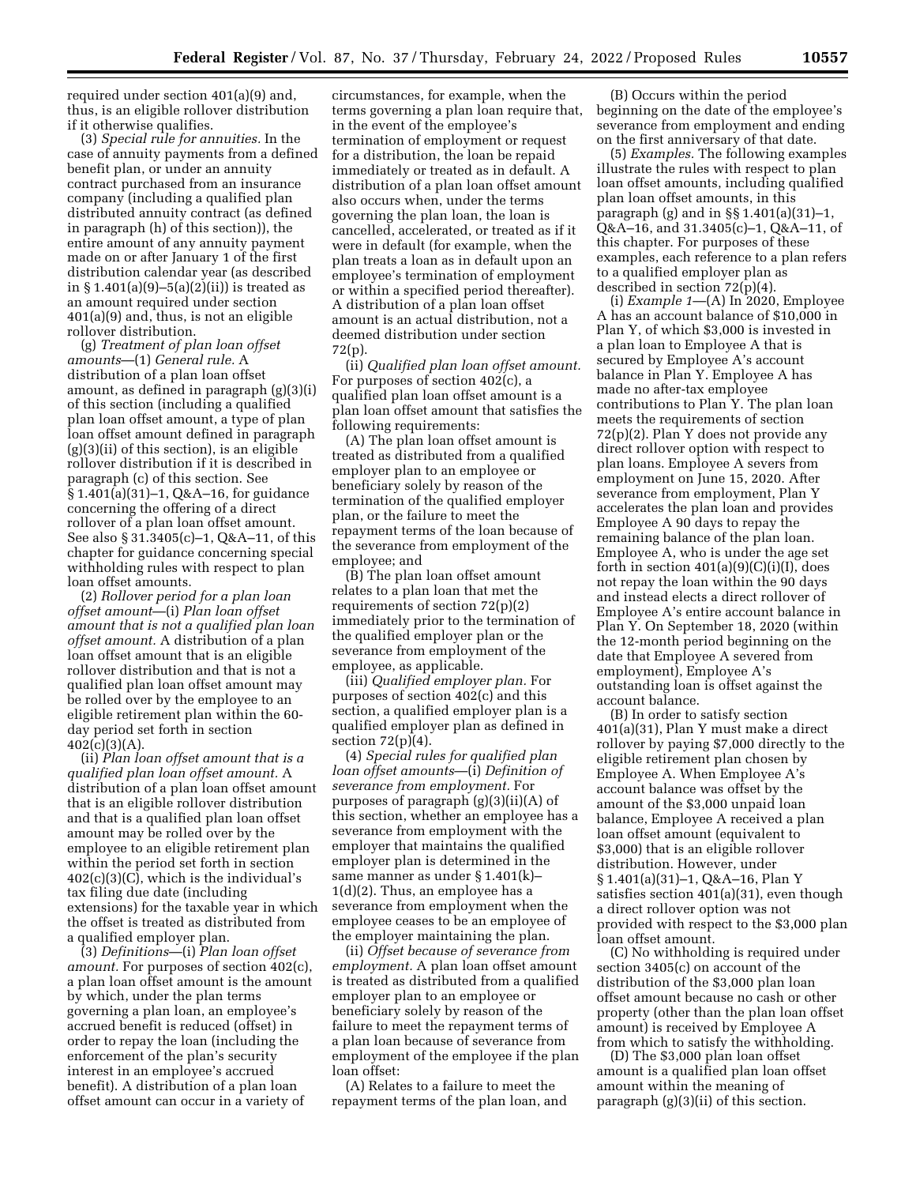required under section 401(a)(9) and, thus, is an eligible rollover distribution if it otherwise qualifies.

(3) *Special rule for annuities.* In the case of annuity payments from a defined benefit plan, or under an annuity contract purchased from an insurance company (including a qualified plan distributed annuity contract (as defined in paragraph (h) of this section)), the entire amount of any annuity payment made on or after January 1 of the first distribution calendar year (as described in  $§ 1.401(a)(9) - 5(a)(2)(ii)$  is treated as an amount required under section 401(a)(9) and, thus, is not an eligible rollover distribution.

(g) *Treatment of plan loan offset amounts*—(1) *General rule.* A distribution of a plan loan offset amount, as defined in paragraph (g)(3)(i) of this section (including a qualified plan loan offset amount, a type of plan loan offset amount defined in paragraph  $(g)(3)(ii)$  of this section), is an eligible rollover distribution if it is described in paragraph (c) of this section. See § 1.401(a)(31)–1, Q&A–16, for guidance concerning the offering of a direct rollover of a plan loan offset amount. See also § 31.3405(c)–1, Q&A–11, of this chapter for guidance concerning special withholding rules with respect to plan loan offset amounts.

(2) *Rollover period for a plan loan offset amount*—(i) *Plan loan offset amount that is not a qualified plan loan offset amount.* A distribution of a plan loan offset amount that is an eligible rollover distribution and that is not a qualified plan loan offset amount may be rolled over by the employee to an eligible retirement plan within the 60 day period set forth in section  $402(c)(3)(A).$ 

(ii) *Plan loan offset amount that is a qualified plan loan offset amount.* A distribution of a plan loan offset amount that is an eligible rollover distribution and that is a qualified plan loan offset amount may be rolled over by the employee to an eligible retirement plan within the period set forth in section 402(c)(3)(C), which is the individual's tax filing due date (including extensions) for the taxable year in which the offset is treated as distributed from a qualified employer plan.

(3) *Definitions*—(i) *Plan loan offset amount.* For purposes of section 402(c), a plan loan offset amount is the amount by which, under the plan terms governing a plan loan, an employee's accrued benefit is reduced (offset) in order to repay the loan (including the enforcement of the plan's security interest in an employee's accrued benefit). A distribution of a plan loan offset amount can occur in a variety of

circumstances, for example, when the terms governing a plan loan require that, in the event of the employee's termination of employment or request for a distribution, the loan be repaid immediately or treated as in default. A distribution of a plan loan offset amount also occurs when, under the terms governing the plan loan, the loan is cancelled, accelerated, or treated as if it were in default (for example, when the plan treats a loan as in default upon an employee's termination of employment or within a specified period thereafter). A distribution of a plan loan offset amount is an actual distribution, not a deemed distribution under section 72(p).

(ii) *Qualified plan loan offset amount.*  For purposes of section 402(c), a qualified plan loan offset amount is a plan loan offset amount that satisfies the following requirements:

(A) The plan loan offset amount is treated as distributed from a qualified employer plan to an employee or beneficiary solely by reason of the termination of the qualified employer plan, or the failure to meet the repayment terms of the loan because of the severance from employment of the employee; and

(B) The plan loan offset amount relates to a plan loan that met the requirements of section 72(p)(2) immediately prior to the termination of the qualified employer plan or the severance from employment of the employee, as applicable.

(iii) *Qualified employer plan.* For purposes of section 402(c) and this section, a qualified employer plan is a qualified employer plan as defined in section  $72(p)(4)$ .

(4) *Special rules for qualified plan loan offset amounts*—(i) *Definition of severance from employment.* For purposes of paragraph (g)(3)(ii)(A) of this section, whether an employee has a severance from employment with the employer that maintains the qualified employer plan is determined in the same manner as under § 1.401(k)– 1(d)(2). Thus, an employee has a severance from employment when the employee ceases to be an employee of the employer maintaining the plan.

(ii) *Offset because of severance from employment.* A plan loan offset amount is treated as distributed from a qualified employer plan to an employee or beneficiary solely by reason of the failure to meet the repayment terms of a plan loan because of severance from employment of the employee if the plan loan offset:

(A) Relates to a failure to meet the repayment terms of the plan loan, and

(B) Occurs within the period beginning on the date of the employee's severance from employment and ending on the first anniversary of that date.

(5) *Examples.* The following examples illustrate the rules with respect to plan loan offset amounts, including qualified plan loan offset amounts, in this paragraph (g) and in §§ 1.401(a)(31)–1, Q&A–16, and 31.3405(c)–1, Q&A–11, of this chapter. For purposes of these examples, each reference to a plan refers to a qualified employer plan as described in section 72(p)(4).

(i) *Example 1*—(A) In 2020, Employee A has an account balance of \$10,000 in Plan Y, of which \$3,000 is invested in a plan loan to Employee A that is secured by Employee A's account balance in Plan Y. Employee A has made no after-tax employee contributions to Plan Y. The plan loan meets the requirements of section 72(p)(2). Plan Y does not provide any direct rollover option with respect to plan loans. Employee A severs from employment on June 15, 2020. After severance from employment, Plan Y accelerates the plan loan and provides Employee A 90 days to repay the remaining balance of the plan loan. Employee A, who is under the age set forth in section  $401(a)(9)(C)(i)(I)$ , does not repay the loan within the 90 days and instead elects a direct rollover of Employee A's entire account balance in Plan Y. On September 18, 2020 (within the 12-month period beginning on the date that Employee A severed from employment), Employee A's outstanding loan is offset against the account balance.

(B) In order to satisfy section 401(a)(31), Plan Y must make a direct rollover by paying \$7,000 directly to the eligible retirement plan chosen by Employee A. When Employee A's account balance was offset by the amount of the \$3,000 unpaid loan balance, Employee A received a plan loan offset amount (equivalent to \$3,000) that is an eligible rollover distribution. However, under § 1.401(a)(31)–1, Q&A–16, Plan Y satisfies section 401(a)(31), even though a direct rollover option was not provided with respect to the \$3,000 plan loan offset amount.

(C) No withholding is required under section 3405(c) on account of the distribution of the \$3,000 plan loan offset amount because no cash or other property (other than the plan loan offset amount) is received by Employee A from which to satisfy the withholding.

(D) The \$3,000 plan loan offset amount is a qualified plan loan offset amount within the meaning of paragraph (g)(3)(ii) of this section.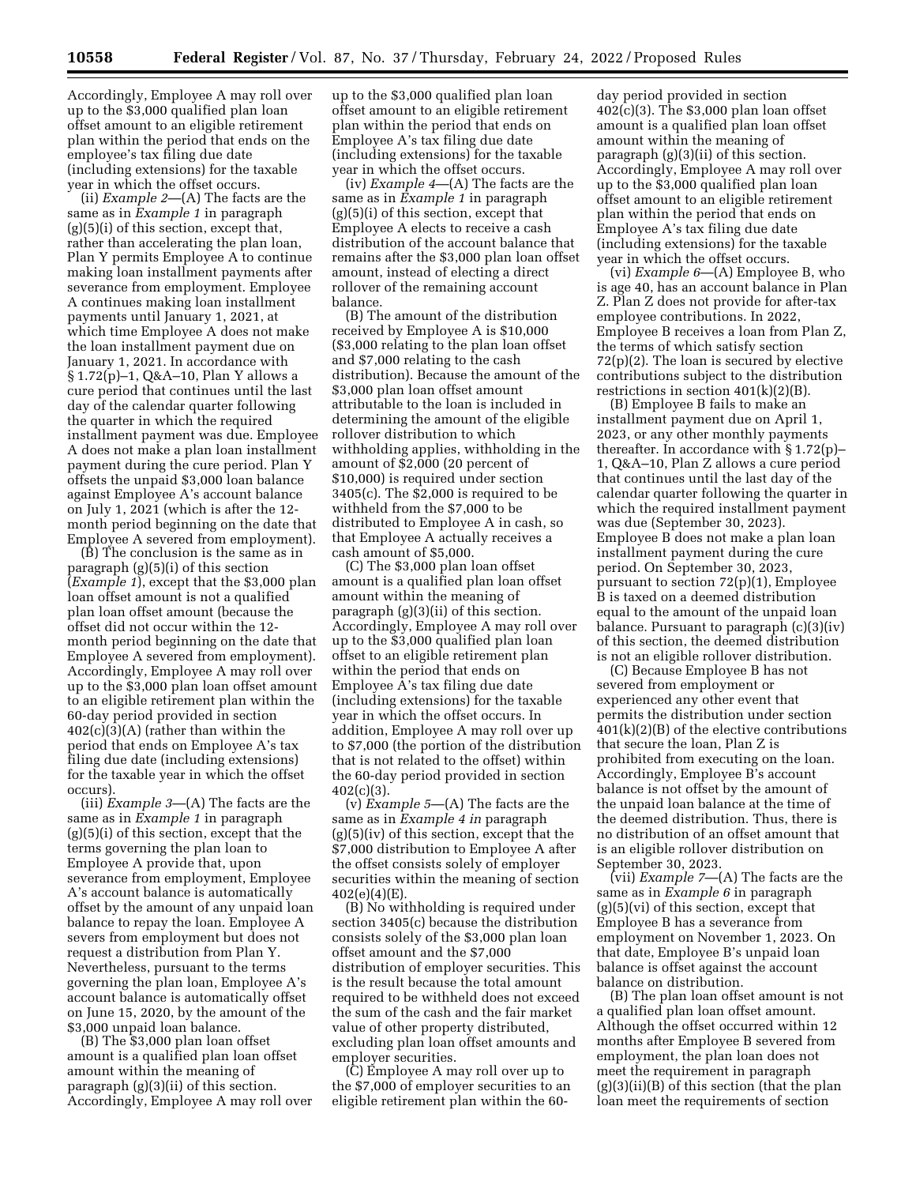Accordingly, Employee A may roll over up to the \$3,000 qualified plan loan offset amount to an eligible retirement plan within the period that ends on the employee's tax filing due date (including extensions) for the taxable year in which the offset occurs.

(ii) *Example 2*—(A) The facts are the same as in *Example 1* in paragraph  $(g)(5)(i)$  of this section, except that, rather than accelerating the plan loan, Plan Y permits Employee A to continue making loan installment payments after severance from employment. Employee A continues making loan installment payments until January 1, 2021, at which time Employee A does not make the loan installment payment due on January 1, 2021. In accordance with § 1.72(p)–1, Q&A–10, Plan Y allows a cure period that continues until the last day of the calendar quarter following the quarter in which the required installment payment was due. Employee A does not make a plan loan installment payment during the cure period. Plan Y offsets the unpaid \$3,000 loan balance against Employee A's account balance on July 1, 2021 (which is after the 12 month period beginning on the date that Employee A severed from employment).

(B) The conclusion is the same as in paragraph (g)(5)(i) of this section (*Example 1*), except that the \$3,000 plan loan offset amount is not a qualified plan loan offset amount (because the offset did not occur within the 12 month period beginning on the date that Employee A severed from employment). Accordingly, Employee A may roll over up to the \$3,000 plan loan offset amount to an eligible retirement plan within the 60-day period provided in section 402(c)(3)(A) (rather than within the period that ends on Employee A's tax filing due date (including extensions) for the taxable year in which the offset occurs).

(iii) *Example 3*—(A) The facts are the same as in *Example 1* in paragraph (g)(5)(i) of this section, except that the terms governing the plan loan to Employee A provide that, upon severance from employment, Employee A's account balance is automatically offset by the amount of any unpaid loan balance to repay the loan. Employee A severs from employment but does not request a distribution from Plan Y. Nevertheless, pursuant to the terms governing the plan loan, Employee A's account balance is automatically offset on June 15, 2020, by the amount of the \$3,000 unpaid loan balance.

(B) The \$3,000 plan loan offset amount is a qualified plan loan offset amount within the meaning of paragraph (g)(3)(ii) of this section. Accordingly, Employee A may roll over up to the \$3,000 qualified plan loan offset amount to an eligible retirement plan within the period that ends on Employee A's tax filing due date (including extensions) for the taxable year in which the offset occurs.

(iv) *Example 4*—(A) The facts are the same as in *Example 1* in paragraph  $(g)(5)(i)$  of this section, except that Employee A elects to receive a cash distribution of the account balance that remains after the \$3,000 plan loan offset amount, instead of electing a direct rollover of the remaining account balance.

(B) The amount of the distribution received by Employee A is \$10,000 (\$3,000 relating to the plan loan offset and \$7,000 relating to the cash distribution). Because the amount of the \$3,000 plan loan offset amount attributable to the loan is included in determining the amount of the eligible rollover distribution to which withholding applies, withholding in the amount of \$2,000 (20 percent of \$10,000) is required under section 3405(c). The \$2,000 is required to be withheld from the \$7,000 to be distributed to Employee A in cash, so that Employee A actually receives a cash amount of \$5,000.

(C) The \$3,000 plan loan offset amount is a qualified plan loan offset amount within the meaning of paragraph (g)(3)(ii) of this section. Accordingly, Employee A may roll over up to the \$3,000 qualified plan loan offset to an eligible retirement plan within the period that ends on Employee A's tax filing due date (including extensions) for the taxable year in which the offset occurs. In addition, Employee A may roll over up to \$7,000 (the portion of the distribution that is not related to the offset) within the 60-day period provided in section 402(c)(3).

(v) *Example 5*—(A) The facts are the same as in *Example 4 in* paragraph  $(g)(5)(iv)$  of this section, except that the \$7,000 distribution to Employee A after the offset consists solely of employer securities within the meaning of section 402(e)(4)(E).

(B) No withholding is required under section 3405(c) because the distribution consists solely of the \$3,000 plan loan offset amount and the \$7,000 distribution of employer securities. This is the result because the total amount required to be withheld does not exceed the sum of the cash and the fair market value of other property distributed, excluding plan loan offset amounts and employer securities.

(C) Employee A may roll over up to the \$7,000 of employer securities to an eligible retirement plan within the 60-

day period provided in section 402(c)(3). The \$3,000 plan loan offset amount is a qualified plan loan offset amount within the meaning of paragraph (g)(3)(ii) of this section. Accordingly, Employee A may roll over up to the \$3,000 qualified plan loan offset amount to an eligible retirement plan within the period that ends on Employee A's tax filing due date (including extensions) for the taxable year in which the offset occurs.

(vi) *Example 6*—(A) Employee B, who is age 40, has an account balance in Plan Z. Plan Z does not provide for after-tax employee contributions. In 2022, Employee B receives a loan from Plan Z, the terms of which satisfy section 72(p)(2). The loan is secured by elective contributions subject to the distribution restrictions in section 401(k)(2)(B).

(B) Employee B fails to make an installment payment due on April 1, 2023, or any other monthly payments thereafter. In accordance with § 1.72(p)– 1, Q&A–10, Plan Z allows a cure period that continues until the last day of the calendar quarter following the quarter in which the required installment payment was due (September 30, 2023). Employee B does not make a plan loan installment payment during the cure period. On September 30, 2023, pursuant to section 72(p)(1), Employee B is taxed on a deemed distribution equal to the amount of the unpaid loan balance. Pursuant to paragraph (c)(3)(iv) of this section, the deemed distribution is not an eligible rollover distribution.

(C) Because Employee B has not severed from employment or experienced any other event that permits the distribution under section 401(k)(2)(B) of the elective contributions that secure the loan, Plan Z is prohibited from executing on the loan. Accordingly, Employee B's account balance is not offset by the amount of the unpaid loan balance at the time of the deemed distribution. Thus, there is no distribution of an offset amount that is an eligible rollover distribution on September 30, 2023.

(vii) *Example 7*—(A) The facts are the same as in *Example 6* in paragraph  $(g)(5)(vi)$  of this section, except that Employee B has a severance from employment on November 1, 2023. On that date, Employee B's unpaid loan balance is offset against the account balance on distribution.

(B) The plan loan offset amount is not a qualified plan loan offset amount. Although the offset occurred within 12 months after Employee B severed from employment, the plan loan does not meet the requirement in paragraph  $(g)(3)(ii)(B)$  of this section (that the plan loan meet the requirements of section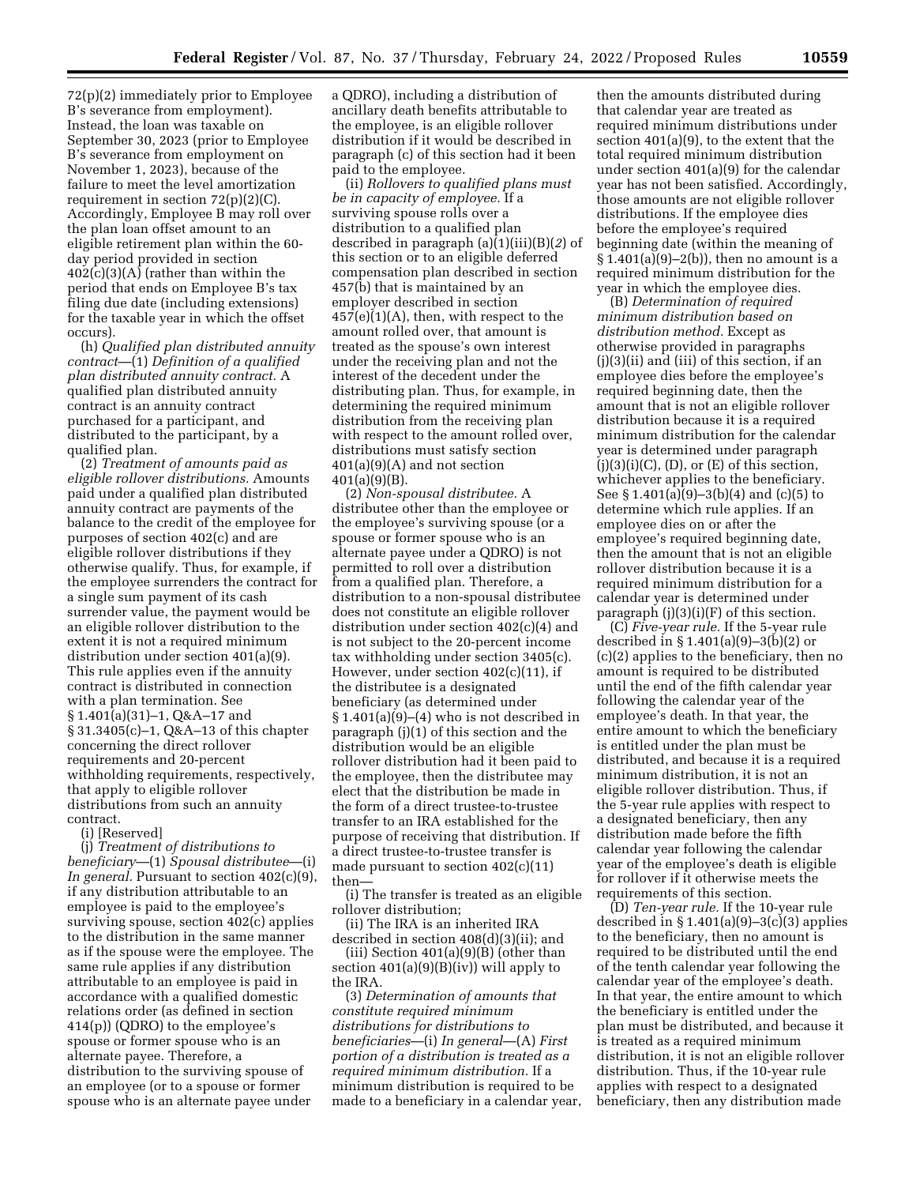72(p)(2) immediately prior to Employee B's severance from employment). Instead, the loan was taxable on September 30, 2023 (prior to Employee B's severance from employment on November 1, 2023), because of the failure to meet the level amortization requirement in section 72(p)(2)(C). Accordingly, Employee B may roll over the plan loan offset amount to an eligible retirement plan within the 60 day period provided in section 402(c)(3)(A) (rather than within the period that ends on Employee B's tax filing due date (including extensions) for the taxable year in which the offset occurs).

(h) *Qualified plan distributed annuity contract*—(1) *Definition of a qualified plan distributed annuity contract.* A qualified plan distributed annuity contract is an annuity contract purchased for a participant, and distributed to the participant, by a qualified plan.

(2) *Treatment of amounts paid as eligible rollover distributions.* Amounts paid under a qualified plan distributed annuity contract are payments of the balance to the credit of the employee for purposes of section 402(c) and are eligible rollover distributions if they otherwise qualify. Thus, for example, if the employee surrenders the contract for a single sum payment of its cash surrender value, the payment would be an eligible rollover distribution to the extent it is not a required minimum distribution under section 401(a)(9). This rule applies even if the annuity contract is distributed in connection with a plan termination. See § 1.401(a)(31)–1, Q&A–17 and § 31.3405(c)–1, Q&A–13 of this chapter concerning the direct rollover requirements and 20-percent withholding requirements, respectively, that apply to eligible rollover distributions from such an annuity contract.

(i) [Reserved]

(j) *Treatment of distributions to beneficiary*—(1) *Spousal distributee*—(i) *In general.* Pursuant to section 402(c)(9), if any distribution attributable to an employee is paid to the employee's surviving spouse, section 402(c) applies to the distribution in the same manner as if the spouse were the employee. The same rule applies if any distribution attributable to an employee is paid in accordance with a qualified domestic relations order (as defined in section 414(p)) (QDRO) to the employee's spouse or former spouse who is an alternate payee. Therefore, a distribution to the surviving spouse of an employee (or to a spouse or former spouse who is an alternate payee under

a QDRO), including a distribution of ancillary death benefits attributable to the employee, is an eligible rollover distribution if it would be described in paragraph (c) of this section had it been paid to the employee.

(ii) *Rollovers to qualified plans must be in capacity of employee.* If a surviving spouse rolls over a distribution to a qualified plan described in paragraph (a)(1)(iii)(B)(*2*) of this section or to an eligible deferred compensation plan described in section 457(b) that is maintained by an employer described in section  $457(e)(1)(A)$ , then, with respect to the amount rolled over, that amount is treated as the spouse's own interest under the receiving plan and not the interest of the decedent under the distributing plan. Thus, for example, in determining the required minimum distribution from the receiving plan with respect to the amount rolled over, distributions must satisfy section 401(a)(9)(A) and not section 401(a)(9)(B).

(2) *Non-spousal distributee.* A distributee other than the employee or the employee's surviving spouse (or a spouse or former spouse who is an alternate payee under a QDRO) is not permitted to roll over a distribution from a qualified plan. Therefore, a distribution to a non-spousal distributee does not constitute an eligible rollover distribution under section 402(c)(4) and is not subject to the 20-percent income tax withholding under section 3405(c). However, under section 402(c)(11), if the distributee is a designated beneficiary (as determined under  $§ 1.401(a)(9)–(4)$  who is not described in paragraph (j)(1) of this section and the distribution would be an eligible rollover distribution had it been paid to the employee, then the distributee may elect that the distribution be made in the form of a direct trustee-to-trustee transfer to an IRA established for the purpose of receiving that distribution. If a direct trustee-to-trustee transfer is made pursuant to section 402(c)(11) then—

(i) The transfer is treated as an eligible rollover distribution;

(ii) The IRA is an inherited IRA described in section 408(d)(3)(ii); and (iii) Section  $401(a)(9)(B)$  (other than

section  $401(a)(9)(B)(iv)$  will apply to the IRA.

(3) *Determination of amounts that constitute required minimum distributions for distributions to beneficiaries*—(i) *In general*—(A) *First portion of a distribution is treated as a required minimum distribution.* If a minimum distribution is required to be made to a beneficiary in a calendar year,

then the amounts distributed during that calendar year are treated as required minimum distributions under section 401(a)(9), to the extent that the total required minimum distribution under section 401(a)(9) for the calendar year has not been satisfied. Accordingly, those amounts are not eligible rollover distributions. If the employee dies before the employee's required beginning date (within the meaning of  $§ 1.401(a)(9)-2(b)$ , then no amount is a required minimum distribution for the year in which the employee dies.

(B) *Determination of required minimum distribution based on distribution method.* Except as otherwise provided in paragraphs (j)(3)(ii) and (iii) of this section, if an employee dies before the employee's required beginning date, then the amount that is not an eligible rollover distribution because it is a required minimum distribution for the calendar year is determined under paragraph  $(j)(3)(i)(C)$ ,  $(D)$ , or  $(E)$  of this section, whichever applies to the beneficiary. See § 1.401(a) $(9)$ –3(b)(4) and (c)(5) to determine which rule applies. If an employee dies on or after the employee's required beginning date, then the amount that is not an eligible rollover distribution because it is a required minimum distribution for a calendar year is determined under paragraph (j)(3)(i)(F) of this section.

(C) *Five-year rule.* If the 5-year rule described in § 1.401(a)(9)–3(b)(2) or (c)(2) applies to the beneficiary, then no amount is required to be distributed until the end of the fifth calendar year following the calendar year of the employee's death. In that year, the entire amount to which the beneficiary is entitled under the plan must be distributed, and because it is a required minimum distribution, it is not an eligible rollover distribution. Thus, if the 5-year rule applies with respect to a designated beneficiary, then any distribution made before the fifth calendar year following the calendar year of the employee's death is eligible for rollover if it otherwise meets the requirements of this section.

(D) *Ten-year rule.* If the 10-year rule described in § 1.401(a)(9)–3(c)(3) applies to the beneficiary, then no amount is required to be distributed until the end of the tenth calendar year following the calendar year of the employee's death. In that year, the entire amount to which the beneficiary is entitled under the plan must be distributed, and because it is treated as a required minimum distribution, it is not an eligible rollover distribution. Thus, if the 10-year rule applies with respect to a designated beneficiary, then any distribution made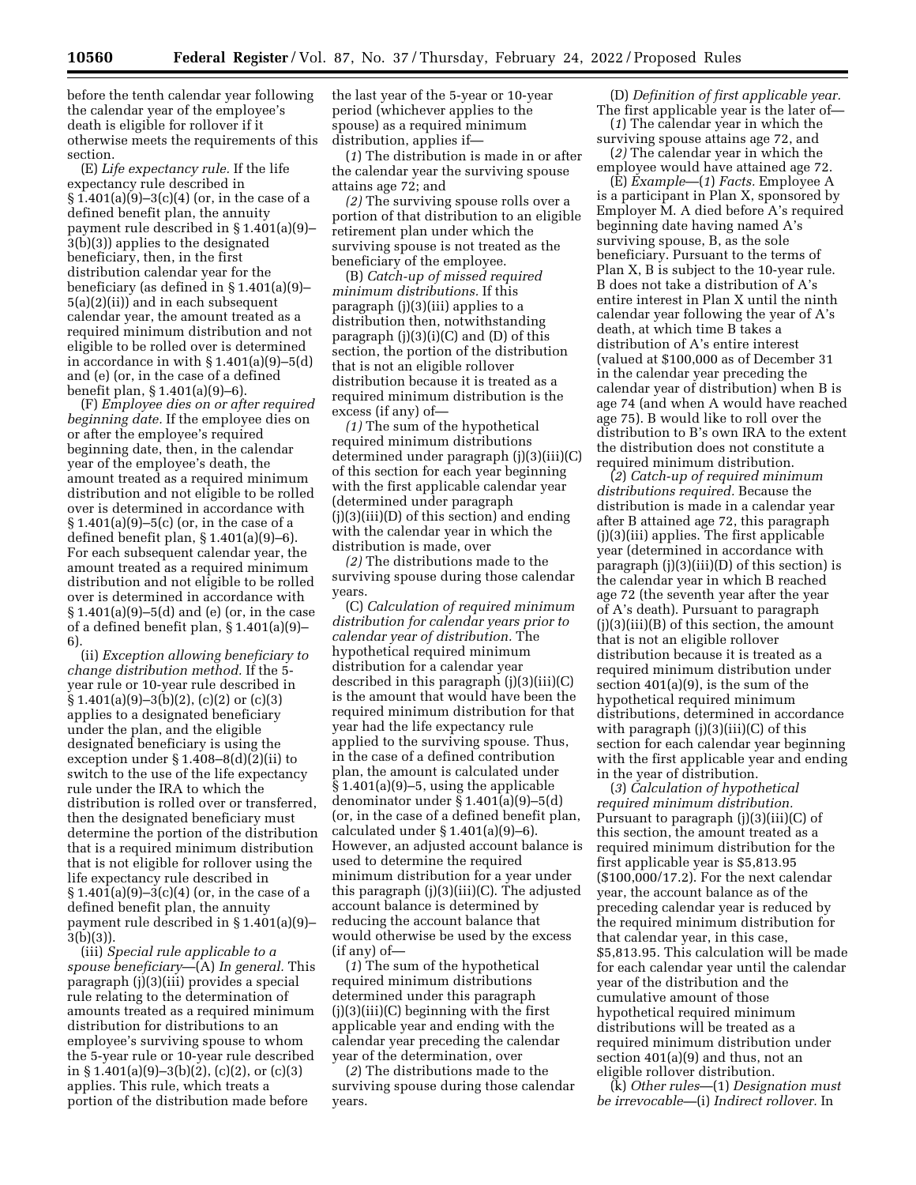before the tenth calendar year following the calendar year of the employee's death is eligible for rollover if it otherwise meets the requirements of this section.

(E) *Life expectancy rule.* If the life expectancy rule described in  $§ 1.401(a)(9)-3(c)(4)$  (or, in the case of a defined benefit plan, the annuity payment rule described in § 1.401(a)(9)– 3(b)(3)) applies to the designated beneficiary, then, in the first distribution calendar year for the beneficiary (as defined in § 1.401(a)(9)– 5(a)(2)(ii)) and in each subsequent calendar year, the amount treated as a required minimum distribution and not eligible to be rolled over is determined in accordance in with § 1.401(a)(9)–5(d) and (e) (or, in the case of a defined benefit plan, § 1.401(a)(9)–6).

(F) *Employee dies on or after required beginning date.* If the employee dies on or after the employee's required beginning date, then, in the calendar year of the employee's death, the amount treated as a required minimum distribution and not eligible to be rolled over is determined in accordance with § 1.401(a)(9)–5(c) (or, in the case of a defined benefit plan, § 1.401(a)(9)–6). For each subsequent calendar year, the amount treated as a required minimum distribution and not eligible to be rolled over is determined in accordance with  $§ 1.401(a)(9) - 5(d)$  and (e) (or, in the case of a defined benefit plan, § 1.401(a)(9)– 6).

(ii) *Exception allowing beneficiary to change distribution method.* If the 5 year rule or 10-year rule described in  $\S 1.401(a)(9)-3(b)(2)$ , (c)(2) or (c)(3) applies to a designated beneficiary under the plan, and the eligible designated beneficiary is using the exception under § 1.408–8(d)(2)(ii) to switch to the use of the life expectancy rule under the IRA to which the distribution is rolled over or transferred, then the designated beneficiary must determine the portion of the distribution that is a required minimum distribution that is not eligible for rollover using the life expectancy rule described in § 1.401(a)(9)–3(c)(4) (or, in the case of a defined benefit plan, the annuity payment rule described in § 1.401(a)(9)– 3(b)(3)).

(iii) *Special rule applicable to a spouse beneficiary*—(A) *In general.* This paragraph (j)(3)(iii) provides a special rule relating to the determination of amounts treated as a required minimum distribution for distributions to an employee's surviving spouse to whom the 5-year rule or 10-year rule described in § 1.401(a)(9)–3(b)(2), (c)(2), or (c)(3) applies. This rule, which treats a portion of the distribution made before

the last year of the 5-year or 10-year period (whichever applies to the spouse) as a required minimum distribution, applies if—

(*1*) The distribution is made in or after the calendar year the surviving spouse attains age 72; and

*(2)* The surviving spouse rolls over a portion of that distribution to an eligible retirement plan under which the surviving spouse is not treated as the beneficiary of the employee.

(B) *Catch-up of missed required minimum distributions.* If this paragraph (j)(3)(iii) applies to a distribution then, notwithstanding paragraph  $(j)(3)(i)(C)$  and  $(D)$  of this section, the portion of the distribution that is not an eligible rollover distribution because it is treated as a required minimum distribution is the excess (if any) of—

*(1)* The sum of the hypothetical required minimum distributions determined under paragraph (j)(3)(iii)(C) of this section for each year beginning with the first applicable calendar year (determined under paragraph (j)(3)(iii)(D) of this section) and ending with the calendar year in which the distribution is made, over

*(2)* The distributions made to the surviving spouse during those calendar years.

(C) *Calculation of required minimum distribution for calendar years prior to calendar year of distribution.* The hypothetical required minimum distribution for a calendar year described in this paragraph (j)(3)(iii)(C) is the amount that would have been the required minimum distribution for that year had the life expectancy rule applied to the surviving spouse. Thus, in the case of a defined contribution plan, the amount is calculated under  $§ 1.401(a)(9) - 5$ , using the applicable denominator under  $\S 1.401(a)(9) - 5(d)$ (or, in the case of a defined benefit plan, calculated under § 1.401(a)(9)–6). However, an adjusted account balance is used to determine the required minimum distribution for a year under this paragraph (j)(3)(iii)(C). The adjusted account balance is determined by reducing the account balance that would otherwise be used by the excess (if any) of—

(*1*) The sum of the hypothetical required minimum distributions determined under this paragraph  $(j)(3)(iii)(C)$  beginning with the first applicable year and ending with the calendar year preceding the calendar year of the determination, over

(*2*) The distributions made to the surviving spouse during those calendar years.

(D) *Definition of first applicable year.*  The first applicable year is the later of—

(*1*) The calendar year in which the surviving spouse attains age 72, and (*2)* The calendar year in which the

employee would have attained age 72. (E) *Example*—(*1*) *Facts.* Employee A is a participant in Plan X, sponsored by Employer M. A died before A's required beginning date having named A's surviving spouse, B, as the sole beneficiary. Pursuant to the terms of Plan X, B is subject to the 10-year rule. B does not take a distribution of A's entire interest in Plan X until the ninth calendar year following the year of A's death, at which time B takes a distribution of A's entire interest (valued at \$100,000 as of December 31 in the calendar year preceding the calendar year of distribution) when B is age 74 (and when A would have reached age 75). B would like to roll over the distribution to B's own IRA to the extent the distribution does not constitute a required minimum distribution.

(*2*) *Catch-up of required minimum distributions required.* Because the distribution is made in a calendar year after B attained age 72, this paragraph (j)(3)(iii) applies. The first applicable year (determined in accordance with paragraph (j)(3)(iii)(D) of this section) is the calendar year in which B reached age 72 (the seventh year after the year of A's death). Pursuant to paragraph  $(j)(3)(iii)(B)$  of this section, the amount that is not an eligible rollover distribution because it is treated as a required minimum distribution under section 401(a)(9), is the sum of the hypothetical required minimum distributions, determined in accordance with paragraph  $(j)(3)(iii)(C)$  of this section for each calendar year beginning with the first applicable year and ending in the year of distribution.

(*3*) *Calculation of hypothetical required minimum distribution.*  Pursuant to paragraph (j)(3)(iii)(C) of this section, the amount treated as a required minimum distribution for the first applicable year is \$5,813.95 (\$100,000/17.2). For the next calendar year, the account balance as of the preceding calendar year is reduced by the required minimum distribution for that calendar year, in this case, \$5,813.95. This calculation will be made for each calendar year until the calendar year of the distribution and the cumulative amount of those hypothetical required minimum distributions will be treated as a required minimum distribution under section 401(a)(9) and thus, not an eligible rollover distribution.

(k) *Other rules*—(1) *Designation must be irrevocable—*(i) *Indirect rollover.* In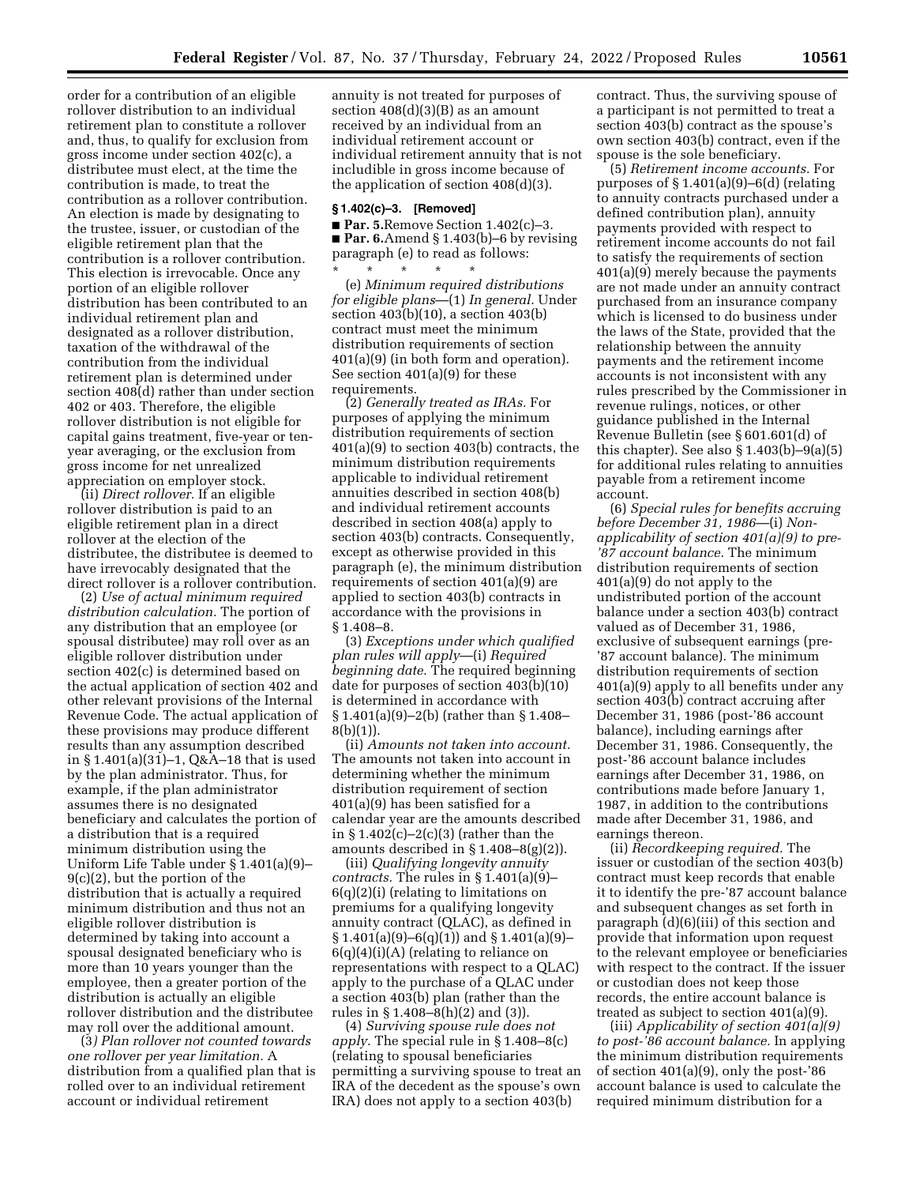order for a contribution of an eligible rollover distribution to an individual retirement plan to constitute a rollover and, thus, to qualify for exclusion from gross income under section 402(c), a distributee must elect, at the time the contribution is made, to treat the contribution as a rollover contribution. An election is made by designating to the trustee, issuer, or custodian of the eligible retirement plan that the contribution is a rollover contribution. This election is irrevocable. Once any portion of an eligible rollover distribution has been contributed to an individual retirement plan and designated as a rollover distribution, taxation of the withdrawal of the contribution from the individual retirement plan is determined under section 408(d) rather than under section 402 or 403. Therefore, the eligible rollover distribution is not eligible for capital gains treatment, five-year or tenyear averaging, or the exclusion from gross income for net unrealized appreciation on employer stock.

(ii) *Direct rollover.* If an eligible rollover distribution is paid to an eligible retirement plan in a direct rollover at the election of the distributee, the distributee is deemed to have irrevocably designated that the direct rollover is a rollover contribution.

(2) *Use of actual minimum required distribution calculation.* The portion of any distribution that an employee (or spousal distributee) may roll over as an eligible rollover distribution under section 402(c) is determined based on the actual application of section 402 and other relevant provisions of the Internal Revenue Code. The actual application of these provisions may produce different results than any assumption described in § 1.401(a)(31)–1, Q&A–18 that is used by the plan administrator. Thus, for example, if the plan administrator assumes there is no designated beneficiary and calculates the portion of a distribution that is a required minimum distribution using the Uniform Life Table under § 1.401(a)(9)– 9(c)(2), but the portion of the distribution that is actually a required minimum distribution and thus not an eligible rollover distribution is determined by taking into account a spousal designated beneficiary who is more than 10 years younger than the employee, then a greater portion of the distribution is actually an eligible rollover distribution and the distributee may roll over the additional amount.

(3*) Plan rollover not counted towards one rollover per year limitation.* A distribution from a qualified plan that is rolled over to an individual retirement account or individual retirement

annuity is not treated for purposes of section  $408(d)(3)(B)$  as an amount received by an individual from an individual retirement account or individual retirement annuity that is not includible in gross income because of the application of section 408(d)(3).

#### **§ 1.402(c)–3. [Removed]**

■ **Par. 5.**Remove Section 1.402(c)–3. ■ **Par. 6.**Amend § 1.403(b)–6 by revising paragraph (e) to read as follows: \* \* \* \* \*

(e) *Minimum required distributions for eligible plans*—(1) *In general.* Under section 403(b)(10), a section 403(b) contract must meet the minimum distribution requirements of section 401(a)(9) (in both form and operation). See section 401(a)(9) for these requirements.

(2) *Generally treated as IRAs.* For purposes of applying the minimum distribution requirements of section 401(a)(9) to section 403(b) contracts, the minimum distribution requirements applicable to individual retirement annuities described in section 408(b) and individual retirement accounts described in section 408(a) apply to section 403(b) contracts. Consequently, except as otherwise provided in this paragraph (e), the minimum distribution requirements of section 401(a)(9) are applied to section 403(b) contracts in accordance with the provisions in § 1.408–8.

(3) *Exceptions under which qualified plan rules will apply*—(i) *Required beginning date.* The required beginning date for purposes of section 403(b)(10) is determined in accordance with § 1.401(a)(9)–2(b) (rather than § 1.408– 8(b)(1)).

(ii) *Amounts not taken into account.*  The amounts not taken into account in determining whether the minimum distribution requirement of section 401(a)(9) has been satisfied for a calendar year are the amounts described in  $$1.402(c)-2(c)(3)$  (rather than the amounts described in  $\S 1.408 - 8(g)(2)$ .

(iii) *Qualifying longevity annuity contracts.* The rules in § 1.401(a)(9)– 6(q)(2)(i) (relating to limitations on premiums for a qualifying longevity annuity contract (QLAC), as defined in  $\S 1.401(a)(9) - 6(q)(1)$  and  $\S 1.401(a)(9) 6(q)(4)(i)(A)$  (relating to reliance on representations with respect to a QLAC) apply to the purchase of a QLAC under a section 403(b) plan (rather than the rules in § 1.408–8(h)(2) and (3)).

(4) *Surviving spouse rule does not apply.* The special rule in § 1.408–8(c) (relating to spousal beneficiaries permitting a surviving spouse to treat an IRA of the decedent as the spouse's own IRA) does not apply to a section 403(b)

contract. Thus, the surviving spouse of a participant is not permitted to treat a section 403(b) contract as the spouse's own section 403(b) contract, even if the spouse is the sole beneficiary.

(5) *Retirement income accounts.* For purposes of § 1.401(a)(9)–6(d) (relating to annuity contracts purchased under a defined contribution plan), annuity payments provided with respect to retirement income accounts do not fail to satisfy the requirements of section 401(a)(9) merely because the payments are not made under an annuity contract purchased from an insurance company which is licensed to do business under the laws of the State, provided that the relationship between the annuity payments and the retirement income accounts is not inconsistent with any rules prescribed by the Commissioner in revenue rulings, notices, or other guidance published in the Internal Revenue Bulletin (see § 601.601(d) of this chapter). See also  $\S 1.403(b) - 9(a)(5)$ for additional rules relating to annuities payable from a retirement income account.

(6) *Special rules for benefits accruing before December 31, 1986*—(i) *Nonapplicability of section 401(a)(9) to pre- '87 account balance.* The minimum distribution requirements of section 401(a)(9) do not apply to the undistributed portion of the account balance under a section 403(b) contract valued as of December 31, 1986, exclusive of subsequent earnings (pre- '87 account balance). The minimum distribution requirements of section 401(a)(9) apply to all benefits under any section 403(b) contract accruing after December 31, 1986 (post-'86 account balance), including earnings after December 31, 1986. Consequently, the post-'86 account balance includes earnings after December 31, 1986, on contributions made before January 1, 1987, in addition to the contributions made after December 31, 1986, and earnings thereon.

(ii) *Recordkeeping required.* The issuer or custodian of the section 403(b) contract must keep records that enable it to identify the pre-'87 account balance and subsequent changes as set forth in paragraph (d)(6)(iii) of this section and provide that information upon request to the relevant employee or beneficiaries with respect to the contract. If the issuer or custodian does not keep those records, the entire account balance is treated as subject to section 401(a)(9).

(iii) *Applicability of section 401(a)(9) to post-'86 account balance.* In applying the minimum distribution requirements of section 401(a)(9), only the post-'86 account balance is used to calculate the required minimum distribution for a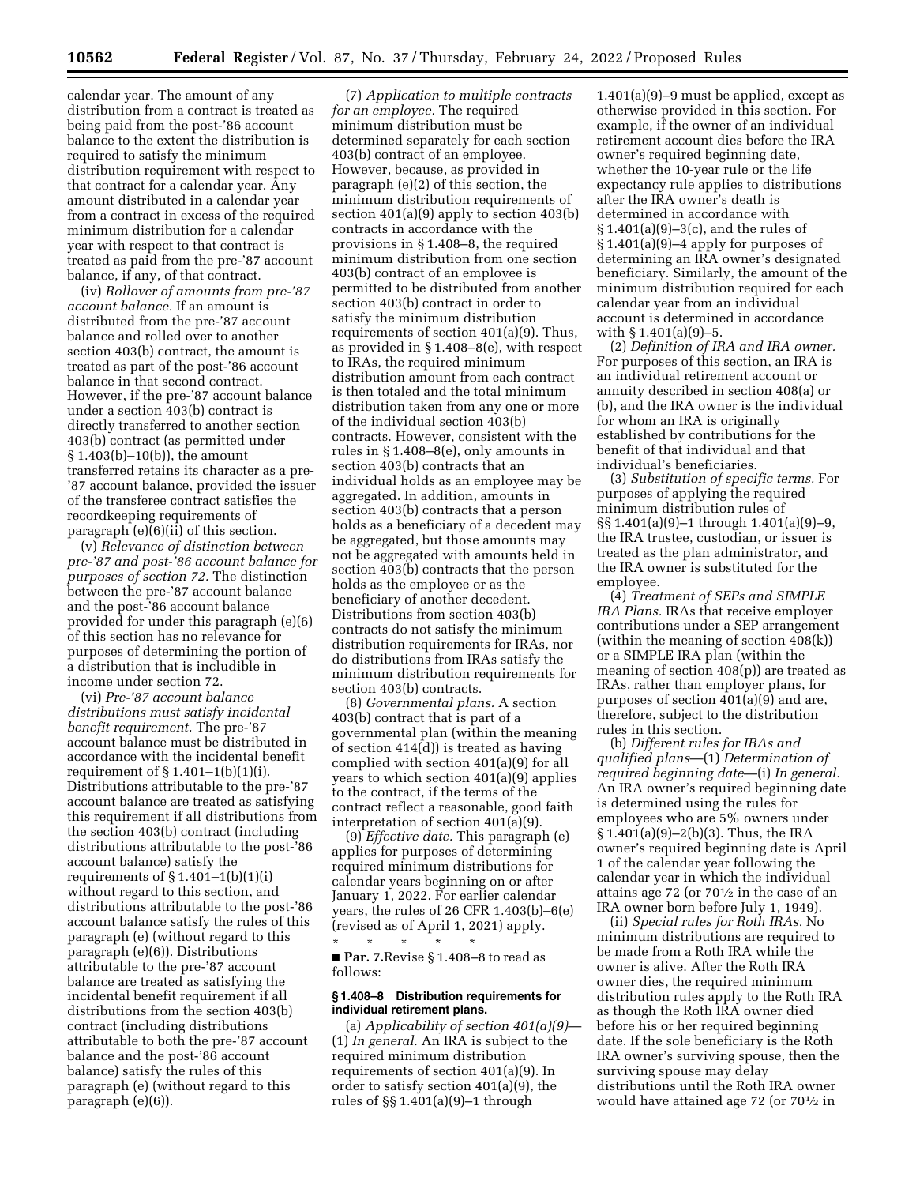calendar year. The amount of any distribution from a contract is treated as being paid from the post-'86 account balance to the extent the distribution is required to satisfy the minimum distribution requirement with respect to that contract for a calendar year. Any amount distributed in a calendar year from a contract in excess of the required minimum distribution for a calendar year with respect to that contract is treated as paid from the pre-'87 account balance, if any, of that contract.

(iv) *Rollover of amounts from pre-'87 account balance.* If an amount is distributed from the pre-'87 account balance and rolled over to another section 403(b) contract, the amount is treated as part of the post-'86 account balance in that second contract. However, if the pre-'87 account balance under a section 403(b) contract is directly transferred to another section 403(b) contract (as permitted under § 1.403(b)–10(b)), the amount transferred retains its character as a pre- '87 account balance, provided the issuer of the transferee contract satisfies the recordkeeping requirements of paragraph (e)(6)(ii) of this section.

(v) *Relevance of distinction between pre-'87 and post-'86 account balance for purposes of section 72.* The distinction between the pre-'87 account balance and the post-'86 account balance provided for under this paragraph (e)(6) of this section has no relevance for purposes of determining the portion of a distribution that is includible in income under section 72.

(vi) *Pre-'87 account balance distributions must satisfy incidental benefit requirement.* The pre-'87 account balance must be distributed in accordance with the incidental benefit requirement of  $\S 1.401-1(b)(1)(i)$ . Distributions attributable to the pre-'87 account balance are treated as satisfying this requirement if all distributions from the section 403(b) contract (including distributions attributable to the post-'86 account balance) satisfy the requirements of  $\S 1.401-1(b)(1)(i)$ without regard to this section, and distributions attributable to the post-'86 account balance satisfy the rules of this paragraph (e) (without regard to this paragraph (e)(6)). Distributions attributable to the pre-'87 account balance are treated as satisfying the incidental benefit requirement if all distributions from the section 403(b) contract (including distributions attributable to both the pre-'87 account balance and the post-'86 account balance) satisfy the rules of this paragraph (e) (without regard to this paragraph (e)(6)).

(7) *Application to multiple contracts for an employee.* The required minimum distribution must be determined separately for each section 403(b) contract of an employee. However, because, as provided in paragraph (e)(2) of this section, the minimum distribution requirements of section 401(a)(9) apply to section 403(b) contracts in accordance with the provisions in § 1.408–8, the required minimum distribution from one section 403(b) contract of an employee is permitted to be distributed from another section 403(b) contract in order to satisfy the minimum distribution requirements of section 401(a)(9). Thus, as provided in § 1.408–8(e), with respect to IRAs, the required minimum distribution amount from each contract is then totaled and the total minimum distribution taken from any one or more of the individual section 403(b) contracts. However, consistent with the rules in § 1.408–8(e), only amounts in section 403(b) contracts that an individual holds as an employee may be aggregated. In addition, amounts in section 403(b) contracts that a person holds as a beneficiary of a decedent may be aggregated, but those amounts may not be aggregated with amounts held in section  $\widetilde{40}3(\widetilde{b})$  contracts that the person holds as the employee or as the beneficiary of another decedent. Distributions from section 403(b) contracts do not satisfy the minimum distribution requirements for IRAs, nor do distributions from IRAs satisfy the minimum distribution requirements for section 403(b) contracts.

(8) *Governmental plans.* A section 403(b) contract that is part of a governmental plan (within the meaning of section 414(d)) is treated as having complied with section 401(a)(9) for all years to which section 401(a)(9) applies to the contract, if the terms of the contract reflect a reasonable, good faith interpretation of section 401(a)(9).

(9) *Effective date.* This paragraph (e) applies for purposes of determining required minimum distributions for calendar years beginning on or after January 1, 2022. For earlier calendar years, the rules of 26 CFR 1.403(b)–6(e) (revised as of April 1, 2021) apply.  $\star$   $\star$ 

■ **Par. 7.**Revise § 1.408–8 to read as follows:

### **§ 1.408–8 Distribution requirements for individual retirement plans.**

(a) *Applicability of section 401(a)(9)*— (1) *In general.* An IRA is subject to the required minimum distribution requirements of section 401(a)(9). In order to satisfy section 401(a)(9), the rules of §§ 1.401(a)(9)–1 through

1.401(a)(9)–9 must be applied, except as otherwise provided in this section. For example, if the owner of an individual retirement account dies before the IRA owner's required beginning date, whether the 10-year rule or the life expectancy rule applies to distributions after the IRA owner's death is determined in accordance with § 1.401(a)(9)–3(c), and the rules of § 1.401(a)(9)–4 apply for purposes of determining an IRA owner's designated beneficiary. Similarly, the amount of the minimum distribution required for each calendar year from an individual account is determined in accordance with § 1.401(a)(9)–5.

(2) *Definition of IRA and IRA owner.*  For purposes of this section, an IRA is an individual retirement account or annuity described in section 408(a) or (b), and the IRA owner is the individual for whom an IRA is originally established by contributions for the benefit of that individual and that individual's beneficiaries.

(3) *Substitution of specific terms.* For purposes of applying the required minimum distribution rules of §§ 1.401(a)(9)–1 through 1.401(a)(9)–9, the IRA trustee, custodian, or issuer is treated as the plan administrator, and the IRA owner is substituted for the employee.

(4) *Treatment of SEPs and SIMPLE IRA Plans.* IRAs that receive employer contributions under a SEP arrangement (within the meaning of section 408(k)) or a SIMPLE IRA plan (within the meaning of section 408(p)) are treated as IRAs, rather than employer plans, for purposes of section 401(a)(9) and are, therefore, subject to the distribution rules in this section.

(b) *Different rules for IRAs and qualified plans*—(1) *Determination of required beginning date*—(i) *In general.*  An IRA owner's required beginning date is determined using the rules for employees who are 5% owners under § 1.401(a)(9)–2(b)(3). Thus, the IRA owner's required beginning date is April 1 of the calendar year following the calendar year in which the individual attains age 72 (or 701⁄2 in the case of an IRA owner born before July 1, 1949).

(ii) *Special rules for Roth IRAs.* No minimum distributions are required to be made from a Roth IRA while the owner is alive. After the Roth IRA owner dies, the required minimum distribution rules apply to the Roth IRA as though the Roth IRA owner died before his or her required beginning date. If the sole beneficiary is the Roth IRA owner's surviving spouse, then the surviving spouse may delay distributions until the Roth IRA owner would have attained age 72 (or 701⁄2 in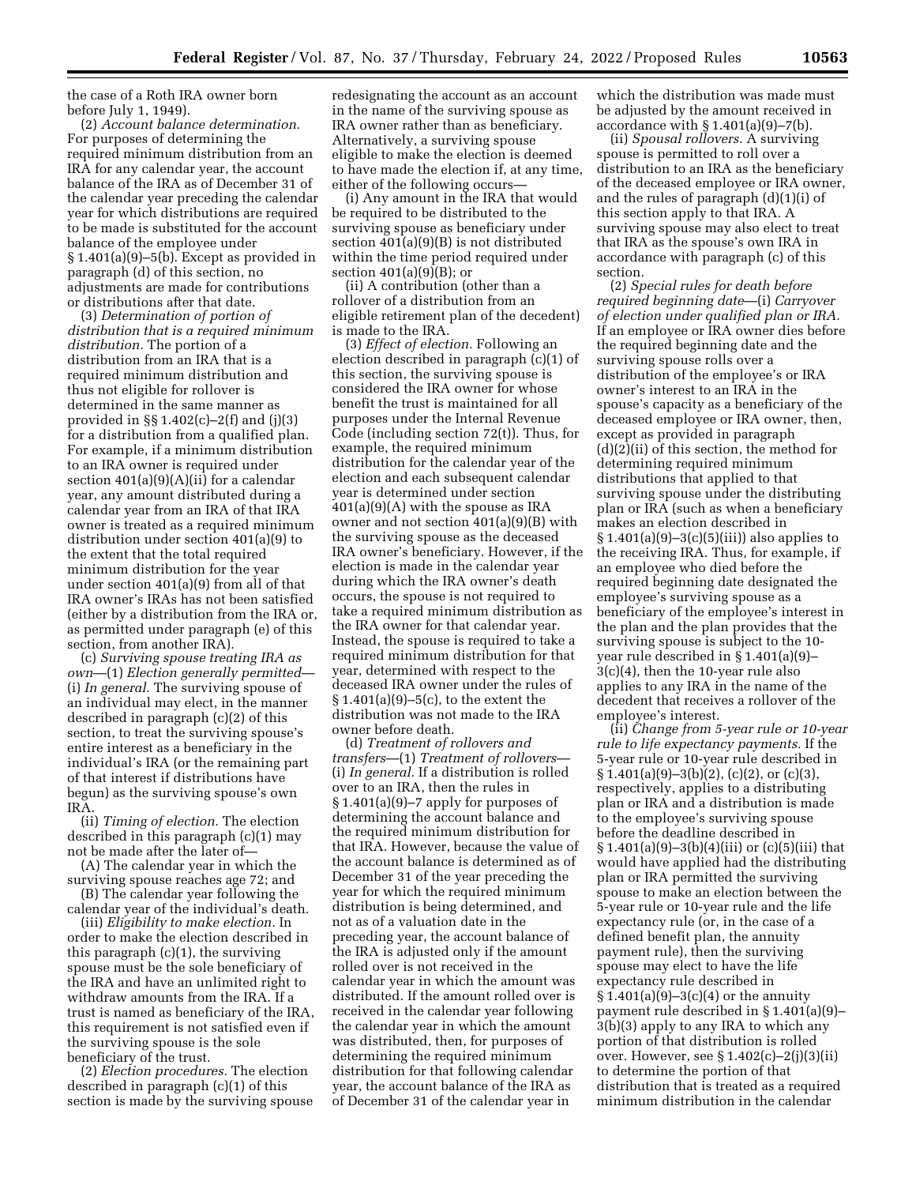the case of a Roth IRA owner born before July 1, 1949).

(2) *Account balance determination.*  For purposes of determining the required minimum distribution from an IRA for any calendar year, the account balance of the IRA as of December 31 of the calendar year preceding the calendar year for which distributions are required to be made is substituted for the account balance of the employee under § 1.401(a)(9)–5(b). Except as provided in paragraph (d) of this section, no adjustments are made for contributions or distributions after that date.

(3) *Determination of portion of distribution that is a required minimum distribution.* The portion of a distribution from an IRA that is a required minimum distribution and thus not eligible for rollover is determined in the same manner as provided in §§ 1.402(c)–2(f) and (j)(3) for a distribution from a qualified plan. For example, if a minimum distribution to an IRA owner is required under section 401(a)(9)(A)(ii) for a calendar year, any amount distributed during a calendar year from an IRA of that IRA owner is treated as a required minimum distribution under section 401(a)(9) to the extent that the total required minimum distribution for the year under section 401(a)(9) from all of that IRA owner's IRAs has not been satisfied (either by a distribution from the IRA or, as permitted under paragraph (e) of this section, from another IRA).

(c) *Surviving spouse treating IRA as own*—(1) *Election generally permitted*— (i) *In general.* The surviving spouse of an individual may elect, in the manner described in paragraph (c)(2) of this section, to treat the surviving spouse's entire interest as a beneficiary in the individual's IRA (or the remaining part of that interest if distributions have begun) as the surviving spouse's own IRA.

(ii) *Timing of election.* The election described in this paragraph (c)(1) may not be made after the later of—

(A) The calendar year in which the surviving spouse reaches age 72; and

(B) The calendar year following the calendar year of the individual's death.

(iii) *Eligibility to make election.* In order to make the election described in this paragraph  $(c)(1)$ , the surviving spouse must be the sole beneficiary of the IRA and have an unlimited right to withdraw amounts from the IRA. If a trust is named as beneficiary of the IRA, this requirement is not satisfied even if the surviving spouse is the sole beneficiary of the trust.

(2) *Election procedures.* The election described in paragraph (c)(1) of this section is made by the surviving spouse redesignating the account as an account in the name of the surviving spouse as IRA owner rather than as beneficiary. Alternatively, a surviving spouse eligible to make the election is deemed to have made the election if, at any time, either of the following occurs—

(i) Any amount in the IRA that would be required to be distributed to the surviving spouse as beneficiary under section 401(a)(9)(B) is not distributed within the time period required under section  $401(a)(9)(B)$ ; or

(ii) A contribution (other than a rollover of a distribution from an eligible retirement plan of the decedent) is made to the IRA.

(3) *Effect of election.* Following an election described in paragraph (c)(1) of this section, the surviving spouse is considered the IRA owner for whose benefit the trust is maintained for all purposes under the Internal Revenue Code (including section 72(t)). Thus, for example, the required minimum distribution for the calendar year of the election and each subsequent calendar year is determined under section 401(a)(9)(A) with the spouse as IRA owner and not section 401(a)(9)(B) with the surviving spouse as the deceased IRA owner's beneficiary. However, if the election is made in the calendar year during which the IRA owner's death occurs, the spouse is not required to take a required minimum distribution as the IRA owner for that calendar year. Instead, the spouse is required to take a required minimum distribution for that year, determined with respect to the deceased IRA owner under the rules of § 1.401(a)(9)–5(c), to the extent the distribution was not made to the IRA owner before death.

(d) *Treatment of rollovers and transfers*—(1) *Treatment of rollovers*— (i) *In general.* If a distribution is rolled over to an IRA, then the rules in § 1.401(a)(9)–7 apply for purposes of determining the account balance and the required minimum distribution for that IRA. However, because the value of the account balance is determined as of December 31 of the year preceding the year for which the required minimum distribution is being determined, and not as of a valuation date in the preceding year, the account balance of the IRA is adjusted only if the amount rolled over is not received in the calendar year in which the amount was distributed. If the amount rolled over is received in the calendar year following the calendar year in which the amount was distributed, then, for purposes of determining the required minimum distribution for that following calendar year, the account balance of the IRA as of December 31 of the calendar year in

which the distribution was made must be adjusted by the amount received in accordance with  $\S 1.401(a)(9)-7(b)$ .

(ii) *Spousal rollovers.* A surviving spouse is permitted to roll over a distribution to an IRA as the beneficiary of the deceased employee or IRA owner, and the rules of paragraph (d)(1)(i) of this section apply to that IRA. A surviving spouse may also elect to treat that IRA as the spouse's own IRA in accordance with paragraph (c) of this section.

(2) *Special rules for death before required beginning date*—(i) *Carryover of election under qualified plan or IRA.*  If an employee or IRA owner dies before the required beginning date and the surviving spouse rolls over a distribution of the employee's or IRA owner's interest to an IRA in the spouse's capacity as a beneficiary of the deceased employee or IRA owner, then, except as provided in paragraph (d)(2)(ii) of this section, the method for determining required minimum distributions that applied to that surviving spouse under the distributing plan or IRA (such as when a beneficiary makes an election described in  $§ 1.401(a)(9) - 3(c)(5)(iii)$  also applies to the receiving IRA. Thus, for example, if an employee who died before the required beginning date designated the employee's surviving spouse as a beneficiary of the employee's interest in the plan and the plan provides that the surviving spouse is subject to the 10 year rule described in § 1.401(a)(9)– 3(c)(4), then the 10-year rule also applies to any IRA in the name of the decedent that receives a rollover of the employee's interest.

(ii) *Change from 5-year rule or 10-year rule to life expectancy payments.* If the 5-year rule or 10-year rule described in  $\S 1.401(a)(9)-3(b)(2)$ , (c)(2), or (c)(3), respectively, applies to a distributing plan or IRA and a distribution is made to the employee's surviving spouse before the deadline described in  $\S 1.401(a)(9)-3(b)(4)(iii)$  or (c)(5)(iii) that would have applied had the distributing plan or IRA permitted the surviving spouse to make an election between the 5-year rule or 10-year rule and the life expectancy rule (or, in the case of a defined benefit plan, the annuity payment rule), then the surviving spouse may elect to have the life expectancy rule described in  $$1.401(a)(9)-3(c)(4)$  or the annuity payment rule described in § 1.401(a)(9)– 3(b)(3) apply to any IRA to which any portion of that distribution is rolled over. However, see § 1.402(c)–2(j)(3)(ii) to determine the portion of that distribution that is treated as a required minimum distribution in the calendar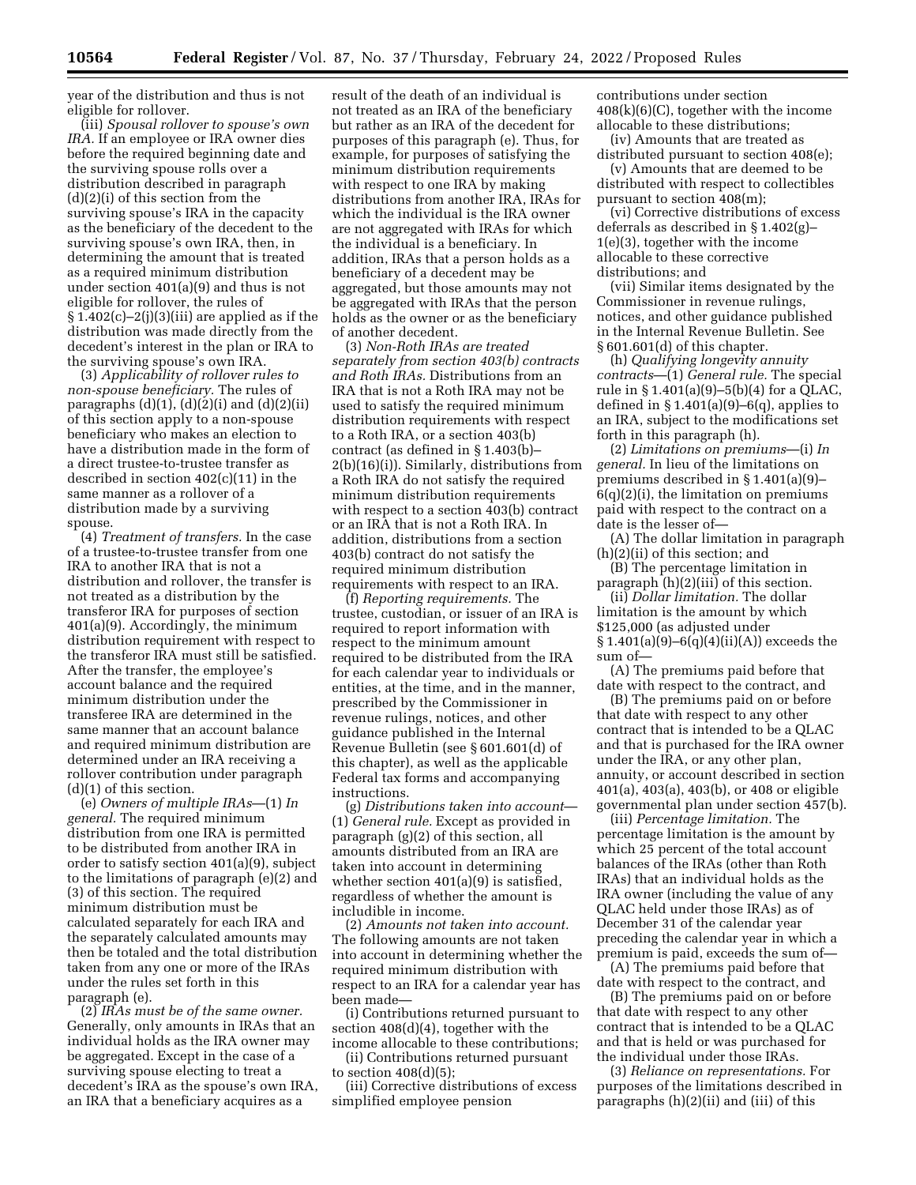year of the distribution and thus is not eligible for rollover.

(iii) *Spousal rollover to spouse's own IRA.* If an employee or IRA owner dies before the required beginning date and the surviving spouse rolls over a distribution described in paragraph (d)(2)(i) of this section from the surviving spouse's IRA in the capacity as the beneficiary of the decedent to the surviving spouse's own IRA, then, in determining the amount that is treated as a required minimum distribution under section 401(a)(9) and thus is not eligible for rollover, the rules of  $§ 1.402(c) - 2(j)(3)(iii)$  are applied as if the distribution was made directly from the decedent's interest in the plan or IRA to the surviving spouse's own IRA.

(3) *Applicability of rollover rules to non-spouse beneficiary.* The rules of paragraphs  $(d)(1)$ ,  $(d)(2)(i)$  and  $(d)(2)(ii)$ of this section apply to a non-spouse beneficiary who makes an election to have a distribution made in the form of a direct trustee-to-trustee transfer as described in section 402(c)(11) in the same manner as a rollover of a distribution made by a surviving spouse.

(4) *Treatment of transfers.* In the case of a trustee-to-trustee transfer from one IRA to another IRA that is not a distribution and rollover, the transfer is not treated as a distribution by the transferor IRA for purposes of section 401(a)(9). Accordingly, the minimum distribution requirement with respect to the transferor IRA must still be satisfied. After the transfer, the employee's account balance and the required minimum distribution under the transferee IRA are determined in the same manner that an account balance and required minimum distribution are determined under an IRA receiving a rollover contribution under paragraph (d)(1) of this section.

(e) *Owners of multiple IRAs*—(1) *In general.* The required minimum distribution from one IRA is permitted to be distributed from another IRA in order to satisfy section 401(a)(9), subject to the limitations of paragraph (e)(2) and (3) of this section. The required minimum distribution must be calculated separately for each IRA and the separately calculated amounts may then be totaled and the total distribution taken from any one or more of the IRAs under the rules set forth in this paragraph (e).

(2) *IRAs must be of the same owner.*  Generally, only amounts in IRAs that an individual holds as the IRA owner may be aggregated. Except in the case of a surviving spouse electing to treat a decedent's IRA as the spouse's own IRA, an IRA that a beneficiary acquires as a

result of the death of an individual is not treated as an IRA of the beneficiary but rather as an IRA of the decedent for purposes of this paragraph (e). Thus, for example, for purposes of satisfying the minimum distribution requirements with respect to one IRA by making distributions from another IRA, IRAs for which the individual is the IRA owner are not aggregated with IRAs for which the individual is a beneficiary. In addition, IRAs that a person holds as a beneficiary of a decedent may be aggregated, but those amounts may not be aggregated with IRAs that the person holds as the owner or as the beneficiary of another decedent.

(3) *Non-Roth IRAs are treated separately from section 403(b) contracts and Roth IRAs.* Distributions from an IRA that is not a Roth IRA may not be used to satisfy the required minimum distribution requirements with respect to a Roth IRA, or a section 403(b) contract (as defined in § 1.403(b)– 2(b)(16)(i)). Similarly, distributions from a Roth IRA do not satisfy the required minimum distribution requirements with respect to a section 403(b) contract or an IRA that is not a Roth IRA. In addition, distributions from a section 403(b) contract do not satisfy the required minimum distribution requirements with respect to an IRA.

(f) *Reporting requirements.* The trustee, custodian, or issuer of an IRA is required to report information with respect to the minimum amount required to be distributed from the IRA for each calendar year to individuals or entities, at the time, and in the manner, prescribed by the Commissioner in revenue rulings, notices, and other guidance published in the Internal Revenue Bulletin (see § 601.601(d) of this chapter), as well as the applicable Federal tax forms and accompanying instructions.

(g) *Distributions taken into account*— (1) *General rule.* Except as provided in paragraph (g)(2) of this section, all amounts distributed from an IRA are taken into account in determining whether section 401(a)(9) is satisfied, regardless of whether the amount is includible in income.

(2) *Amounts not taken into account.*  The following amounts are not taken into account in determining whether the required minimum distribution with respect to an IRA for a calendar year has been made—

(i) Contributions returned pursuant to section 408(d)(4), together with the income allocable to these contributions;

(ii) Contributions returned pursuant to section  $408(d)(5)$ ;

(iii) Corrective distributions of excess simplified employee pension

contributions under section 408(k)(6)(C), together with the income allocable to these distributions;

(iv) Amounts that are treated as distributed pursuant to section 408(e);

(v) Amounts that are deemed to be distributed with respect to collectibles pursuant to section 408(m);

(vi) Corrective distributions of excess deferrals as described in § 1.402(g)– 1(e)(3), together with the income allocable to these corrective distributions; and

(vii) Similar items designated by the Commissioner in revenue rulings, notices, and other guidance published in the Internal Revenue Bulletin. See § 601.601(d) of this chapter.

(h) *Qualifying longevity annuity contracts*—(1) *General rule.* The special rule in § 1.401(a)(9)–5(b)(4) for a QLAC, defined in  $\S 1.401(a)(9)-6(q)$ , applies to an IRA, subject to the modifications set forth in this paragraph (h).

(2) *Limitations on premiums*—(i) *In general.* In lieu of the limitations on premiums described in § 1.401(a)(9)–  $6(q)(2)(i)$ , the limitation on premiums paid with respect to the contract on a date is the lesser of—

(A) The dollar limitation in paragraph (h)(2)(ii) of this section; and

(B) The percentage limitation in paragraph (h)(2)(iii) of this section.

(ii) *Dollar limitation.* The dollar limitation is the amount by which \$125,000 (as adjusted under § 1.401(a)(9)–6(q)(4)(ii)(A)) exceeds the sum of—

(A) The premiums paid before that date with respect to the contract, and

(B) The premiums paid on or before that date with respect to any other contract that is intended to be a QLAC and that is purchased for the IRA owner under the IRA, or any other plan, annuity, or account described in section 401(a), 403(a), 403(b), or 408 or eligible governmental plan under section 457(b).

(iii) *Percentage limitation.* The percentage limitation is the amount by which 25 percent of the total account balances of the IRAs (other than Roth IRAs) that an individual holds as the IRA owner (including the value of any QLAC held under those IRAs) as of December 31 of the calendar year preceding the calendar year in which a premium is paid, exceeds the sum of—

(A) The premiums paid before that date with respect to the contract, and

(B) The premiums paid on or before that date with respect to any other contract that is intended to be a QLAC and that is held or was purchased for the individual under those IRAs.

(3) *Reliance on representations.* For purposes of the limitations described in paragraphs (h)(2)(ii) and (iii) of this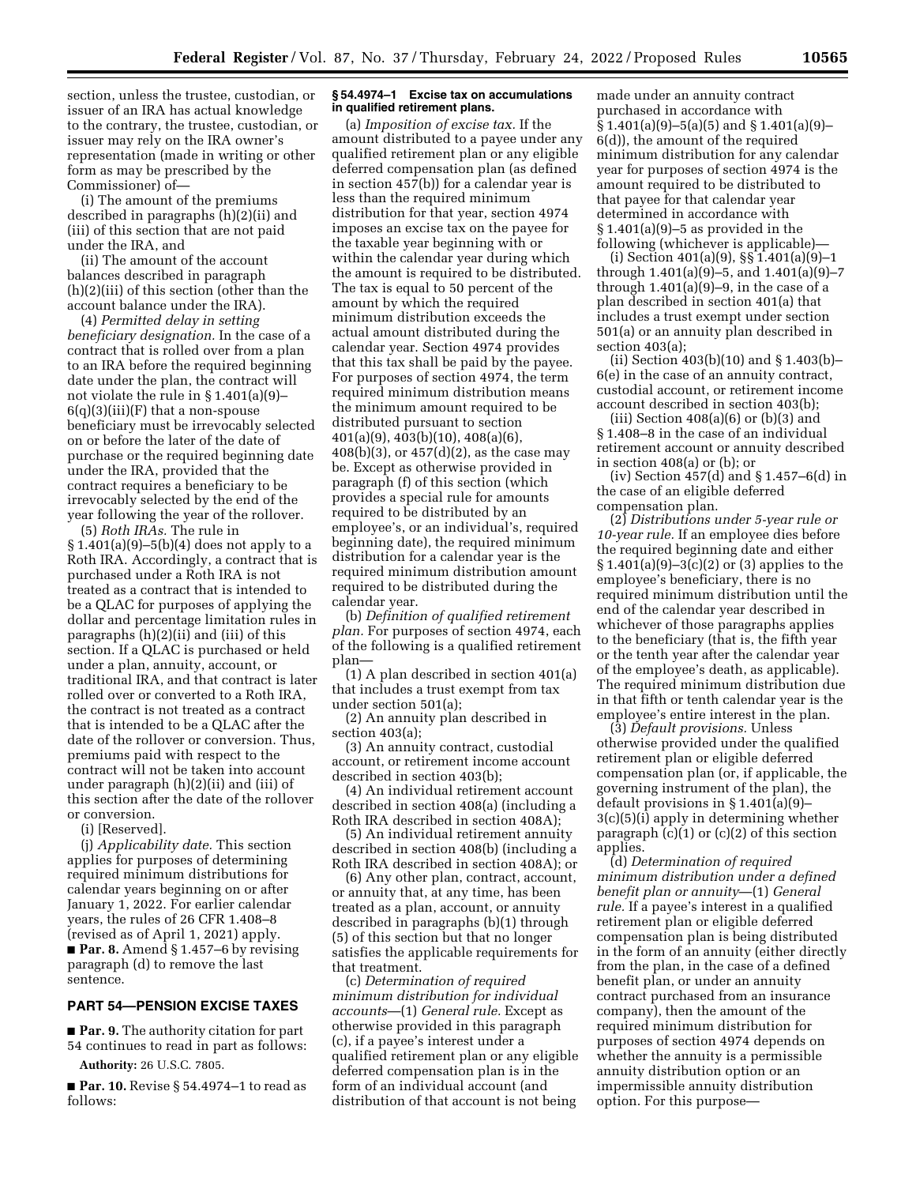section, unless the trustee, custodian, or issuer of an IRA has actual knowledge to the contrary, the trustee, custodian, or issuer may rely on the IRA owner's representation (made in writing or other form as may be prescribed by the Commissioner) of—

(i) The amount of the premiums described in paragraphs (h)(2)(ii) and (iii) of this section that are not paid under the IRA, and

(ii) The amount of the account balances described in paragraph (h)(2)(iii) of this section (other than the account balance under the IRA).

(4) *Permitted delay in setting beneficiary designation.* In the case of a contract that is rolled over from a plan to an IRA before the required beginning date under the plan, the contract will not violate the rule in § 1.401(a)(9)–  $6(q)(3)(iii)(F)$  that a non-spouse beneficiary must be irrevocably selected on or before the later of the date of purchase or the required beginning date under the IRA, provided that the contract requires a beneficiary to be irrevocably selected by the end of the year following the year of the rollover.

(5) *Roth IRAs.* The rule in  $§ 1.401(a)(9) - 5(b)(4)$  does not apply to a Roth IRA. Accordingly, a contract that is purchased under a Roth IRA is not treated as a contract that is intended to be a QLAC for purposes of applying the dollar and percentage limitation rules in paragraphs (h)(2)(ii) and (iii) of this section. If a QLAC is purchased or held under a plan, annuity, account, or traditional IRA, and that contract is later rolled over or converted to a Roth IRA, the contract is not treated as a contract that is intended to be a QLAC after the date of the rollover or conversion. Thus, premiums paid with respect to the contract will not be taken into account under paragraph (h)(2)(ii) and (iii) of this section after the date of the rollover or conversion.

(i) [Reserved].

(j) *Applicability date.* This section applies for purposes of determining required minimum distributions for calendar years beginning on or after January 1, 2022. For earlier calendar years, the rules of 26 CFR 1.408–8 (revised as of April 1, 2021) apply. ■ **Par. 8.** Amend § 1.457–6 by revising paragraph (d) to remove the last sentence.

## **PART 54—PENSION EXCISE TAXES**

■ **Par. 9.** The authority citation for part 54 continues to read in part as follows: **Authority:** 26 U.S.C. 7805.

■ **Par. 10.** Revise § 54.4974–1 to read as follows:

### **§ 54.4974–1 Excise tax on accumulations in qualified retirement plans.**

(a) *Imposition of excise tax.* If the amount distributed to a payee under any qualified retirement plan or any eligible deferred compensation plan (as defined in section 457(b)) for a calendar year is less than the required minimum distribution for that year, section 4974 imposes an excise tax on the payee for the taxable year beginning with or within the calendar year during which the amount is required to be distributed. The tax is equal to 50 percent of the amount by which the required minimum distribution exceeds the actual amount distributed during the calendar year. Section 4974 provides that this tax shall be paid by the payee. For purposes of section 4974, the term required minimum distribution means the minimum amount required to be distributed pursuant to section 401(a)(9), 403(b)(10), 408(a)(6), 408(b)(3), or 457(d)(2), as the case may be. Except as otherwise provided in paragraph (f) of this section (which provides a special rule for amounts required to be distributed by an employee's, or an individual's, required beginning date), the required minimum distribution for a calendar year is the required minimum distribution amount required to be distributed during the calendar year.

(b) *Definition of qualified retirement plan.* For purposes of section 4974, each of the following is a qualified retirement plan—

(1) A plan described in section 401(a) that includes a trust exempt from tax under section 501(a);

(2) An annuity plan described in section 403(a);

(3) An annuity contract, custodial account, or retirement income account described in section 403(b);

(4) An individual retirement account described in section 408(a) (including a Roth IRA described in section 408A);

(5) An individual retirement annuity described in section 408(b) (including a Roth IRA described in section 408A); or

(6) Any other plan, contract, account, or annuity that, at any time, has been treated as a plan, account, or annuity described in paragraphs (b)(1) through (5) of this section but that no longer satisfies the applicable requirements for that treatment.

(c) *Determination of required minimum distribution for individual accounts*—(1) *General rule.* Except as otherwise provided in this paragraph (c), if a payee's interest under a qualified retirement plan or any eligible deferred compensation plan is in the form of an individual account (and distribution of that account is not being

made under an annuity contract purchased in accordance with  $\S 1.401(a)(9) - 5(a)(5)$  and  $\S 1.401(a)(9) -$ 6(d)), the amount of the required minimum distribution for any calendar year for purposes of section 4974 is the amount required to be distributed to that payee for that calendar year determined in accordance with  $§ 1.401(a)(9) - 5$  as provided in the following (whichever is applicable)—

(i) Section 401(a)(9), §§ 1.401(a)(9)–1 through 1.401(a)(9)–5, and 1.401(a)(9)–7 through  $1.401(a)(9)-9$ , in the case of a plan described in section 401(a) that includes a trust exempt under section 501(a) or an annuity plan described in section 403(a);

(ii) Section 403(b)(10) and § 1.403(b)– 6(e) in the case of an annuity contract, custodial account, or retirement income account described in section 403(b);

(iii) Section  $408(a)(6)$  or  $(b)(3)$  and § 1.408–8 in the case of an individual retirement account or annuity described in section 408(a) or (b); or

(iv) Section 457(d) and § 1.457–6(d) in the case of an eligible deferred compensation plan.

(2) *Distributions under 5-year rule or 10-year rule.* If an employee dies before the required beginning date and either § 1.401(a)(9)–3(c)(2) or (3) applies to the employee's beneficiary, there is no required minimum distribution until the end of the calendar year described in whichever of those paragraphs applies to the beneficiary (that is, the fifth year or the tenth year after the calendar year of the employee's death, as applicable). The required minimum distribution due in that fifth or tenth calendar year is the employee's entire interest in the plan.

(3) *Default provisions.* Unless otherwise provided under the qualified retirement plan or eligible deferred compensation plan (or, if applicable, the governing instrument of the plan), the default provisions in § 1.401(a)(9)– 3(c)(5)(i) apply in determining whether paragraph  $(c)(1)$  or  $(c)(2)$  of this section applies.

(d) *Determination of required minimum distribution under a defined benefit plan or annuity*—(1) *General rule.* If a payee's interest in a qualified retirement plan or eligible deferred compensation plan is being distributed in the form of an annuity (either directly from the plan, in the case of a defined benefit plan, or under an annuity contract purchased from an insurance company), then the amount of the required minimum distribution for purposes of section 4974 depends on whether the annuity is a permissible annuity distribution option or an impermissible annuity distribution option. For this purpose—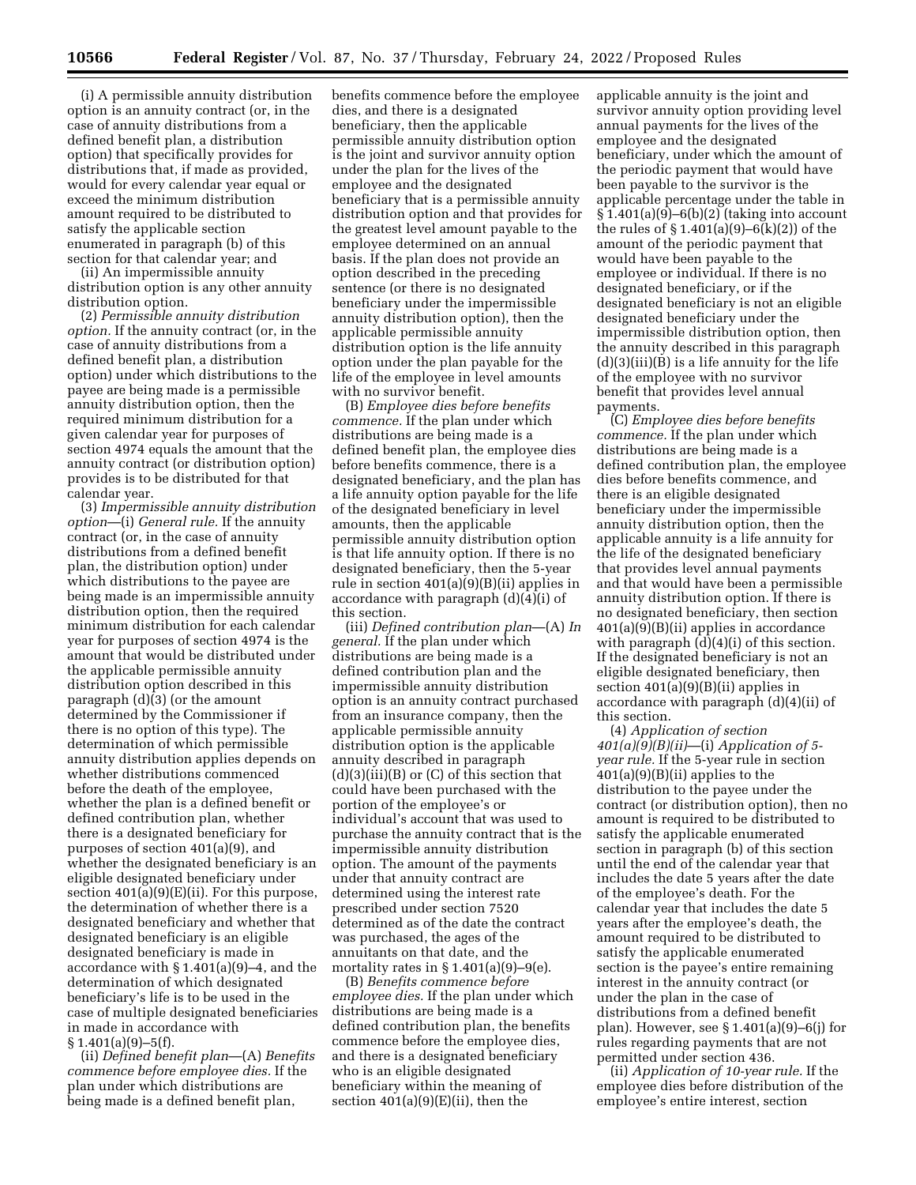(i) A permissible annuity distribution option is an annuity contract (or, in the case of annuity distributions from a defined benefit plan, a distribution option) that specifically provides for distributions that, if made as provided, would for every calendar year equal or exceed the minimum distribution amount required to be distributed to satisfy the applicable section enumerated in paragraph (b) of this section for that calendar year; and

(ii) An impermissible annuity distribution option is any other annuity distribution option.

(2) *Permissible annuity distribution option.* If the annuity contract (or, in the case of annuity distributions from a defined benefit plan, a distribution option) under which distributions to the payee are being made is a permissible annuity distribution option, then the required minimum distribution for a given calendar year for purposes of section 4974 equals the amount that the annuity contract (or distribution option) provides is to be distributed for that calendar year.

(3) *Impermissible annuity distribution option*—(i) *General rule.* If the annuity contract (or, in the case of annuity distributions from a defined benefit plan, the distribution option) under which distributions to the payee are being made is an impermissible annuity distribution option, then the required minimum distribution for each calendar year for purposes of section 4974 is the amount that would be distributed under the applicable permissible annuity distribution option described in this paragraph (d)(3) (or the amount determined by the Commissioner if there is no option of this type). The determination of which permissible annuity distribution applies depends on whether distributions commenced before the death of the employee, whether the plan is a defined benefit or defined contribution plan, whether there is a designated beneficiary for purposes of section 401(a)(9), and whether the designated beneficiary is an eligible designated beneficiary under section 401(a)(9)(E)(ii). For this purpose, the determination of whether there is a designated beneficiary and whether that designated beneficiary is an eligible designated beneficiary is made in accordance with § 1.401(a)(9)–4, and the determination of which designated beneficiary's life is to be used in the case of multiple designated beneficiaries in made in accordance with § 1.401(a)(9)-5(f).

(ii) *Defined benefit plan*—(A) *Benefits commence before employee dies.* If the plan under which distributions are being made is a defined benefit plan,

benefits commence before the employee dies, and there is a designated beneficiary, then the applicable permissible annuity distribution option is the joint and survivor annuity option under the plan for the lives of the employee and the designated beneficiary that is a permissible annuity distribution option and that provides for the greatest level amount payable to the employee determined on an annual basis. If the plan does not provide an option described in the preceding sentence (or there is no designated beneficiary under the impermissible annuity distribution option), then the applicable permissible annuity distribution option is the life annuity option under the plan payable for the life of the employee in level amounts with no survivor benefit.

(B) *Employee dies before benefits commence.* If the plan under which distributions are being made is a defined benefit plan, the employee dies before benefits commence, there is a designated beneficiary, and the plan has a life annuity option payable for the life of the designated beneficiary in level amounts, then the applicable permissible annuity distribution option is that life annuity option. If there is no designated beneficiary, then the 5-year rule in section 401(a)(9)(B)(ii) applies in accordance with paragraph (d)(4)(i) of this section.

(iii) *Defined contribution plan*—(A) *In general.* If the plan under which distributions are being made is a defined contribution plan and the impermissible annuity distribution option is an annuity contract purchased from an insurance company, then the applicable permissible annuity distribution option is the applicable annuity described in paragraph (d)(3)(iii)(B) or (C) of this section that could have been purchased with the portion of the employee's or individual's account that was used to purchase the annuity contract that is the impermissible annuity distribution option. The amount of the payments under that annuity contract are determined using the interest rate prescribed under section 7520 determined as of the date the contract was purchased, the ages of the annuitants on that date, and the mortality rates in  $\S 1.401(a)(9)-9(e)$ .

(B) *Benefits commence before employee dies.* If the plan under which distributions are being made is a defined contribution plan, the benefits commence before the employee dies, and there is a designated beneficiary who is an eligible designated beneficiary within the meaning of section  $401(a)(9)(E)(ii)$ , then the

applicable annuity is the joint and survivor annuity option providing level annual payments for the lives of the employee and the designated beneficiary, under which the amount of the periodic payment that would have been payable to the survivor is the applicable percentage under the table in  $\frac{1}{2}$ 1.401(a)(9)–6(b)(2) (taking into account the rules of  $\S 1.401(a)(9) - 6(k)(2)$  of the amount of the periodic payment that would have been payable to the employee or individual. If there is no designated beneficiary, or if the designated beneficiary is not an eligible designated beneficiary under the impermissible distribution option, then the annuity described in this paragraph (d)(3)(iii)(B) is a life annuity for the life of the employee with no survivor benefit that provides level annual payments.

(C) *Employee dies before benefits commence.* If the plan under which distributions are being made is a defined contribution plan, the employee dies before benefits commence, and there is an eligible designated beneficiary under the impermissible annuity distribution option, then the applicable annuity is a life annuity for the life of the designated beneficiary that provides level annual payments and that would have been a permissible annuity distribution option. If there is no designated beneficiary, then section 401(a)(9)(B)(ii) applies in accordance with paragraph  $(d)(4)(i)$  of this section. If the designated beneficiary is not an eligible designated beneficiary, then section 401(a)(9)(B)(ii) applies in accordance with paragraph (d)(4)(ii) of this section.

(4) *Application of section 401(a)(9)(B)(ii)*—(i) *Application of 5 year rule.* If the 5-year rule in section 401(a)(9)(B)(ii) applies to the distribution to the payee under the contract (or distribution option), then no amount is required to be distributed to satisfy the applicable enumerated section in paragraph (b) of this section until the end of the calendar year that includes the date 5 years after the date of the employee's death. For the calendar year that includes the date 5 years after the employee's death, the amount required to be distributed to satisfy the applicable enumerated section is the payee's entire remaining interest in the annuity contract (or under the plan in the case of distributions from a defined benefit plan). However, see § 1.401(a)(9)–6(j) for rules regarding payments that are not permitted under section 436.

(ii) *Application of 10-year rule.* If the employee dies before distribution of the employee's entire interest, section